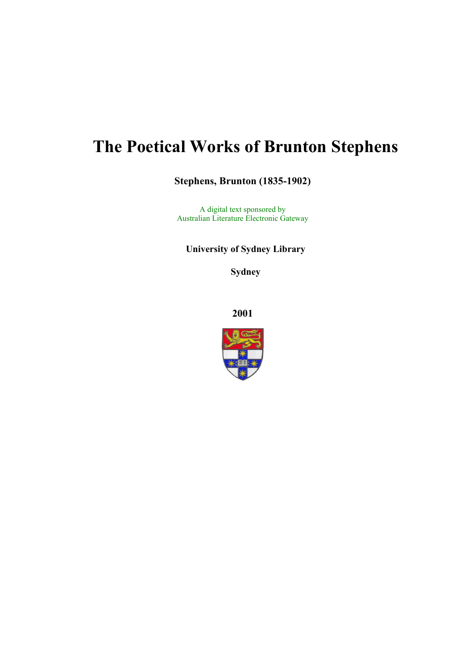# **The Poetical Works of Brunton Stephens**

**Stephens, Brunton (1835-1902)**

A digital text sponsored by Australian Literature Electronic Gateway

**University of Sydney Library** 

**Sydney** 

**2001**

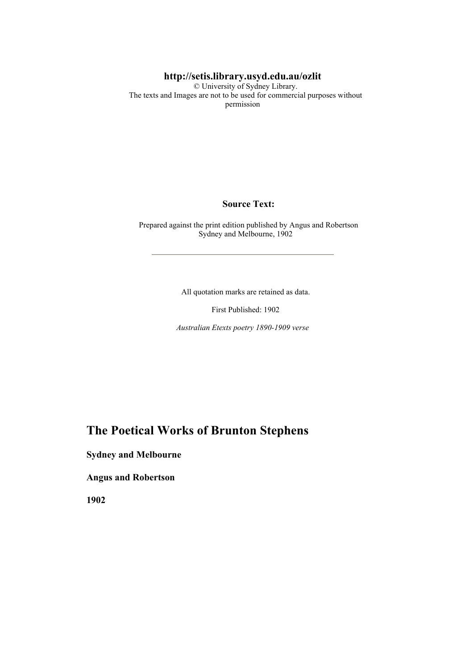#### **http://setis.library.usyd.edu.au/ozlit**

 © University of Sydney Library. The texts and Images are not to be used for commercial purposes without permission

#### **Source Text:**

 Prepared against the print edition published by Angus and Robertson Sydney and Melbourne, 1902

All quotation marks are retained as data.

First Published: 1902

*Australian Etexts poetry 1890-1909 verse*

#### **The Poetical Works of Brunton Stephens**

**Sydney and Melbourne** 

**Angus and Robertson** 

**1902**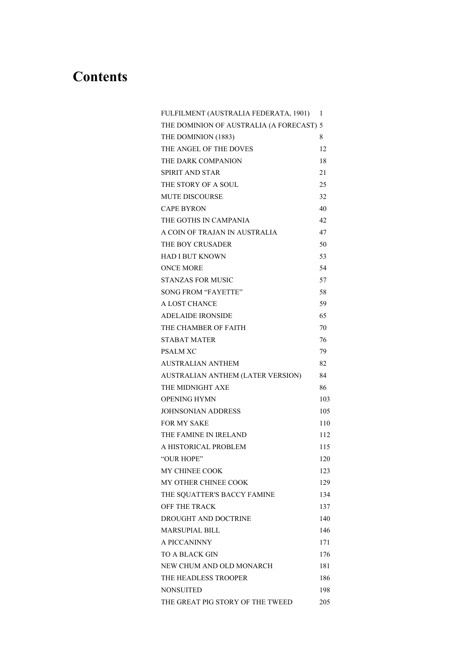# **Contents**

| FULFILMENT (AUSTRALIA FEDERATA, 1901)    | 1   |
|------------------------------------------|-----|
| THE DOMINION OF AUSTRALIA (A FORECAST) 5 |     |
| THE DOMINION (1883)                      | 8   |
| THE ANGEL OF THE DOVES                   | 12  |
| THE DARK COMPANION                       | 18  |
| <b>SPIRIT AND STAR</b>                   | 21  |
| THE STORY OF A SOUL                      | 25  |
| <b>MUTE DISCOURSE</b>                    | 32  |
| <b>CAPE BYRON</b>                        | 40  |
| THE GOTHS IN CAMPANIA                    | 42  |
| A COIN OF TRAJAN IN AUSTRALIA            | 47  |
| THE BOY CRUSADER                         | 50  |
| <b>HAD I BUT KNOWN</b>                   | 53  |
| <b>ONCE MORE</b>                         | 54  |
| <b>STANZAS FOR MUSIC</b>                 | 57  |
| <b>SONG FROM "FAYETTE"</b>               | 58  |
| A LOST CHANCE                            | 59  |
| <b>ADELAIDE IRONSIDE</b>                 | 65  |
| THE CHAMBER OF FAITH                     | 70  |
| <b>STABAT MATER</b>                      | 76  |
| <b>PSALM XC</b>                          | 79  |
| <b>AUSTRALIAN ANTHEM</b>                 | 82  |
| AUSTRALIAN ANTHEM (LATER VERSION)        | 84  |
| THE MIDNIGHT AXE                         | 86  |
| <b>OPENING HYMN</b>                      | 103 |
| <b>JOHNSONIAN ADDRESS</b>                | 105 |
| <b>FOR MY SAKE</b>                       | 110 |
| THE FAMINE IN IRELAND                    | 112 |
| A HISTORICAL PROBLEM                     | 115 |
| "OUR HOPE"                               | 120 |
| MY CHINEE COOK                           | 123 |
| MY OTHER CHINEE COOK                     | 129 |
| THE SQUATTER'S BACCY FAMINE              | 134 |
| OFF THE TRACK                            | 137 |
| DROUGHT AND DOCTRINE                     | 140 |
| <b>MARSUPIAL BILL</b>                    | 146 |
| A PICCANINNY                             | 171 |
| <b>TO A BLACK GIN</b>                    | 176 |
| NEW CHUM AND OLD MONARCH                 | 181 |
| THE HEADLESS TROOPER                     | 186 |
| <b>NONSUITED</b>                         | 198 |
| THE GREAT PIG STORY OF THE TWEED         | 205 |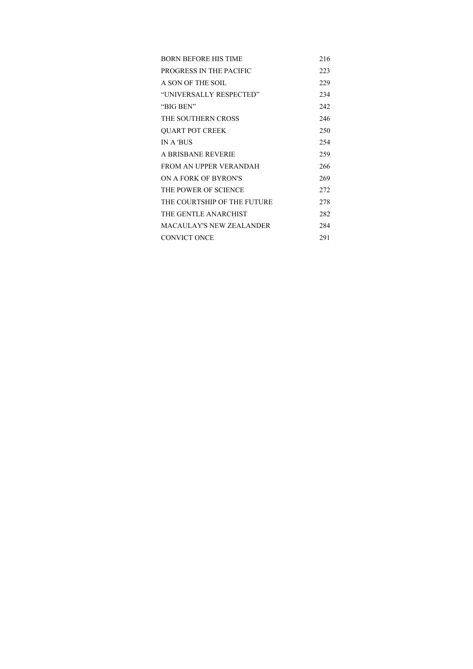| <b>BORN BEFORE HIS TIME</b>     | 216 |
|---------------------------------|-----|
| PROGRESS IN THE PACIFIC         | 223 |
| A SON OF THE SOIL               | 229 |
| "UNIVERSALLY RESPECTED"         | 234 |
| "BIG BEN"                       | 242 |
| <b>THE SOUTHERN CROSS</b>       | 246 |
| <b>QUART POT CREEK</b>          | 250 |
| IN A 'BUS                       | 254 |
| A BRISBANE REVERIE              | 259 |
| FROM AN UPPER VERANDAH          | 266 |
| ON A FORK OF BYRON'S            | 269 |
| THE POWER OF SCIENCE            | 272 |
| THE COURTSHIP OF THE FUTURE     | 278 |
| THE GENTLE ANARCHIST            | 282 |
| <b>MACAULAY'S NEW ZEALANDER</b> | 284 |
| <b>CONVICT ONCE</b>             | 291 |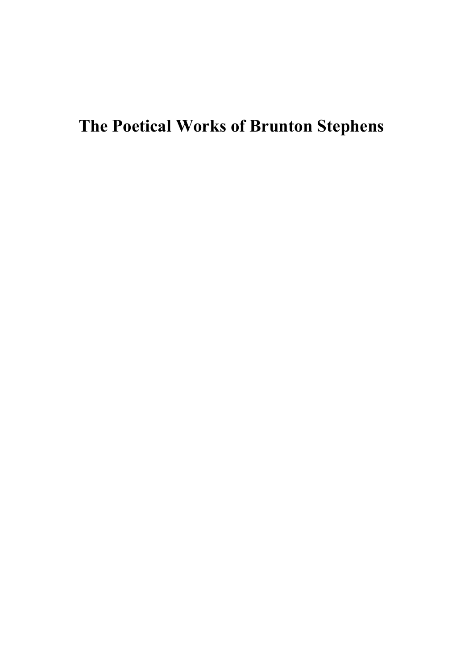# **The Poetical Works of Brunton Stephens**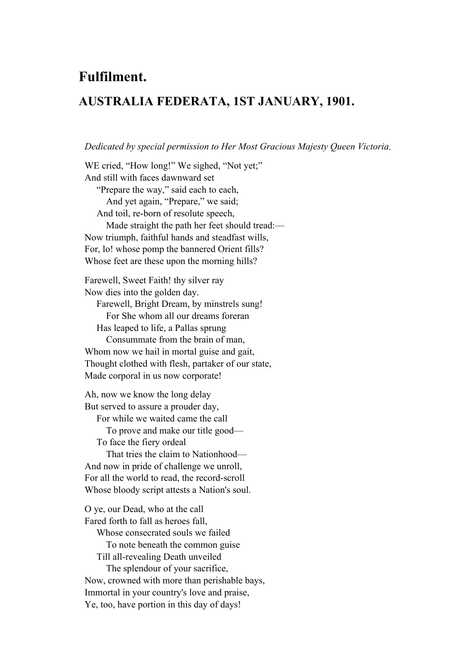#### **Fulfilment.**

#### **AUSTRALIA FEDERATA, 1ST JANUARY, 1901.**

*Dedicated by special permission to Her Most Gracious Majesty Queen Victoria*.

WE cried, "How long!" We sighed, "Not yet;" And still with faces dawnward set "Prepare the way," said each to each, And yet again, "Prepare," we said; And toil, re-born of resolute speech, Made straight the path her feet should tread:— Now triumph, faithful hands and steadfast wills, For, lo! whose pomp the bannered Orient fills? Whose feet are these upon the morning hills? Farewell, Sweet Faith! thy silver ray Now dies into the golden day. Farewell, Bright Dream, by minstrels sung! For She whom all our dreams foreran Has leaped to life, a Pallas sprung Consummate from the brain of man, Whom now we hail in mortal guise and gait, Thought clothed with flesh, partaker of our state, Made corporal in us now corporate! Ah, now we know the long delay But served to assure a prouder day, For while we waited came the call To prove and make our title good— To face the fiery ordeal That tries the claim to Nationhood— And now in pride of challenge we unroll, For all the world to read, the record-scroll Whose bloody script attests a Nation's soul. O ye, our Dead, who at the call Fared forth to fall as heroes fall, Whose consecrated souls we failed To note beneath the common guise Till all-revealing Death unveiled The splendour of your sacrifice, Now, crowned with more than perishable bays,

Immortal in your country's love and praise,

Ye, too, have portion in this day of days!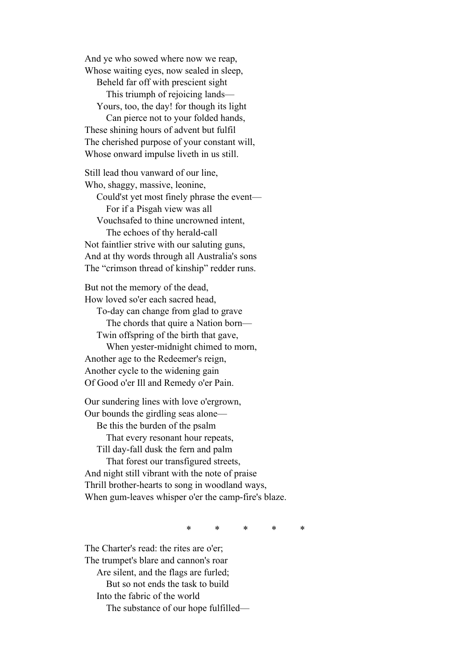And ye who sowed where now we reap, Whose waiting eyes, now sealed in sleep, Beheld far off with prescient sight This triumph of rejoicing lands— Yours, too, the day! for though its light Can pierce not to your folded hands, These shining hours of advent but fulfil The cherished purpose of your constant will, Whose onward impulse liveth in us still. Still lead thou vanward of our line, Who, shaggy, massive, leonine, Could'st yet most finely phrase the event—

 For if a Pisgah view was all Vouchsafed to thine uncrowned intent, The echoes of thy herald-call Not faintlier strive with our saluting guns, And at thy words through all Australia's sons

The "crimson thread of kinship" redder runs.

But not the memory of the dead, How loved so'er each sacred head, To-day can change from glad to grave The chords that quire a Nation born— Twin offspring of the birth that gave, When yester-midnight chimed to morn, Another age to the Redeemer's reign,

Another cycle to the widening gain Of Good o'er Ill and Remedy o'er Pain.

Our sundering lines with love o'ergrown, Our bounds the girdling seas alone— Be this the burden of the psalm

That every resonant hour repeats,

Till day-fall dusk the fern and palm

 That forest our transfigured streets, And night still vibrant with the note of praise Thrill brother-hearts to song in woodland ways, When gum-leaves whisper o'er the camp-fire's blaze.

\* \* \* \* \*

The Charter's read: the rites are o'er; The trumpet's blare and cannon's roar Are silent, and the flags are furled; But so not ends the task to build Into the fabric of the world The substance of our hope fulfilled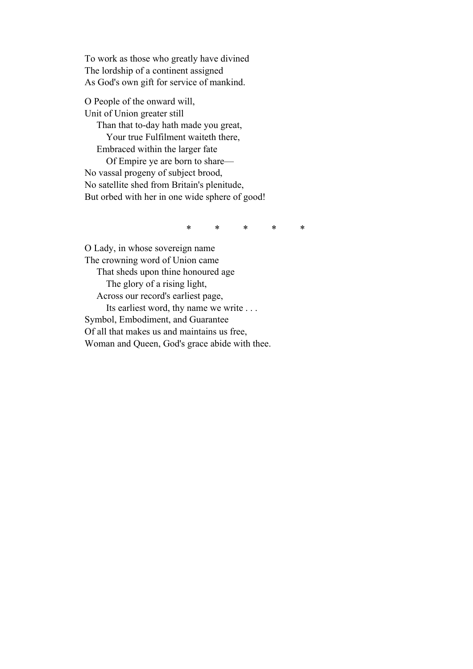To work as those who greatly have divined The lordship of a continent assigned As God's own gift for service of mankind.

O People of the onward will, Unit of Union greater still Than that to-day hath made you great, Your true Fulfilment waiteth there, Embraced within the larger fate

 Of Empire ye are born to share— No vassal progeny of subject brood, No satellite shed from Britain's plenitude, But orbed with her in one wide sphere of good!

\* \* \* \* \*

O Lady, in whose sovereign name The crowning word of Union came That sheds upon thine honoured age The glory of a rising light, Across our record's earliest page, Its earliest word, thy name we write . . . Symbol, Embodiment, and Guarantee Of all that makes us and maintains us free, Woman and Queen, God's grace abide with thee.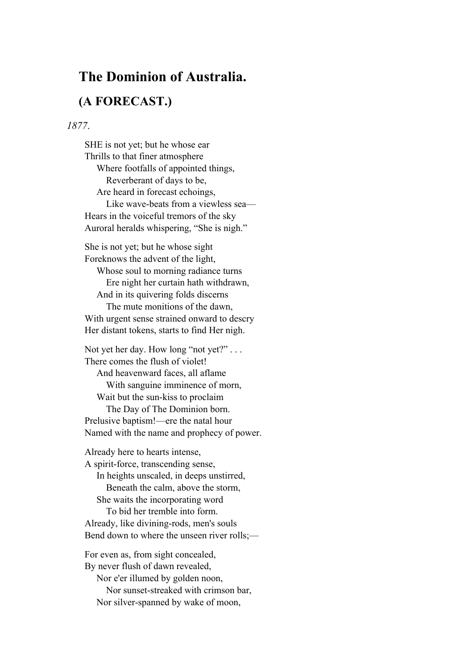## **The Dominion of Australia.**

#### **(A FORECAST.)**

#### *1877*.

SHE is not yet; but he whose ear Thrills to that finer atmosphere Where footfalls of appointed things, Reverberant of days to be, Are heard in forecast echoings, Like wave-beats from a viewless sea— Hears in the voiceful tremors of the sky Auroral heralds whispering, "She is nigh."

She is not yet; but he whose sight Foreknows the advent of the light, Whose soul to morning radiance turns Ere night her curtain hath withdrawn, And in its quivering folds discerns The mute monitions of the dawn, With urgent sense strained onward to descry Her distant tokens, starts to find Her nigh.

Not yet her day. How long "not yet?"... There comes the flush of violet! And heavenward faces, all aflame With sanguine imminence of morn, Wait but the sun-kiss to proclaim The Day of The Dominion born. Prelusive baptism!—ere the natal hour Named with the name and prophecy of power.

Already here to hearts intense, A spirit-force, transcending sense, In heights unscaled, in deeps unstirred, Beneath the calm, above the storm, She waits the incorporating word To bid her tremble into form. Already, like divining-rods, men's souls Bend down to where the unseen river rolls;—

For even as, from sight concealed, By never flush of dawn revealed, Nor e'er illumed by golden noon, Nor sunset-streaked with crimson bar, Nor silver-spanned by wake of moon,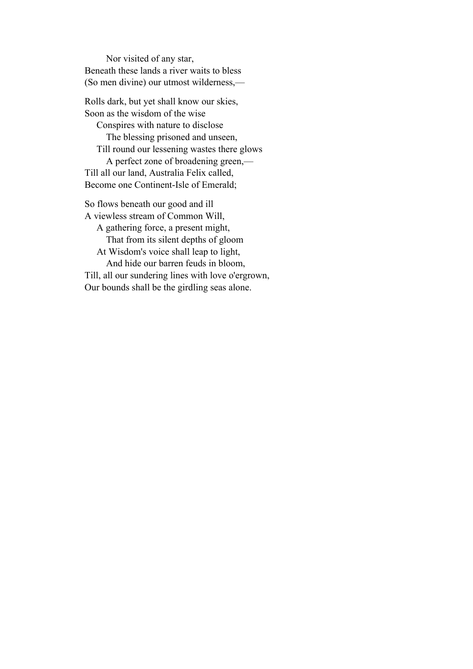Nor visited of any star, Beneath these lands a river waits to bless (So men divine) our utmost wilderness,—

Rolls dark, but yet shall know our skies, Soon as the wisdom of the wise Conspires with nature to disclose The blessing prisoned and unseen, Till round our lessening wastes there glows A perfect zone of broadening green,— Till all our land, Australia Felix called, Become one Continent-Isle of Emerald; So flows beneath our good and ill

A viewless stream of Common Will, A gathering force, a present might, That from its silent depths of gloom At Wisdom's voice shall leap to light, And hide our barren feuds in bloom, Till, all our sundering lines with love o'ergrown, Our bounds shall be the girdling seas alone.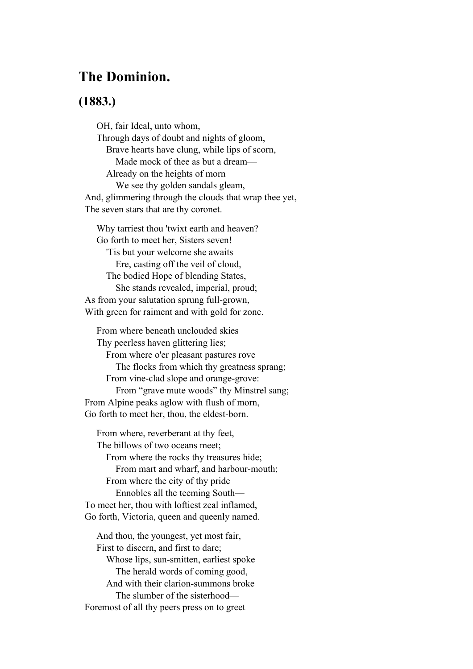#### **The Dominion.**

#### **(1883.)**

 OH, fair Ideal, unto whom, Through days of doubt and nights of gloom, Brave hearts have clung, while lips of scorn, Made mock of thee as but a dream— Already on the heights of morn We see thy golden sandals gleam, And, glimmering through the clouds that wrap thee yet, The seven stars that are thy coronet.

 Why tarriest thou 'twixt earth and heaven? Go forth to meet her, Sisters seven! 'Tis but your welcome she awaits Ere, casting off the veil of cloud, The bodied Hope of blending States, She stands revealed, imperial, proud; As from your salutation sprung full-grown, With green for raiment and with gold for zone.

 From where beneath unclouded skies Thy peerless haven glittering lies; From where o'er pleasant pastures rove The flocks from which thy greatness sprang; From vine-clad slope and orange-grove: From "grave mute woods" thy Minstrel sang; From Alpine peaks aglow with flush of morn, Go forth to meet her, thou, the eldest-born.

 From where, reverberant at thy feet, The billows of two oceans meet; From where the rocks thy treasures hide; From mart and wharf, and harbour-mouth; From where the city of thy pride Ennobles all the teeming South— To meet her, thou with loftiest zeal inflamed, Go forth, Victoria, queen and queenly named.

 And thou, the youngest, yet most fair, First to discern, and first to dare; Whose lips, sun-smitten, earliest spoke The herald words of coming good, And with their clarion-summons broke The slumber of the sisterhood— Foremost of all thy peers press on to greet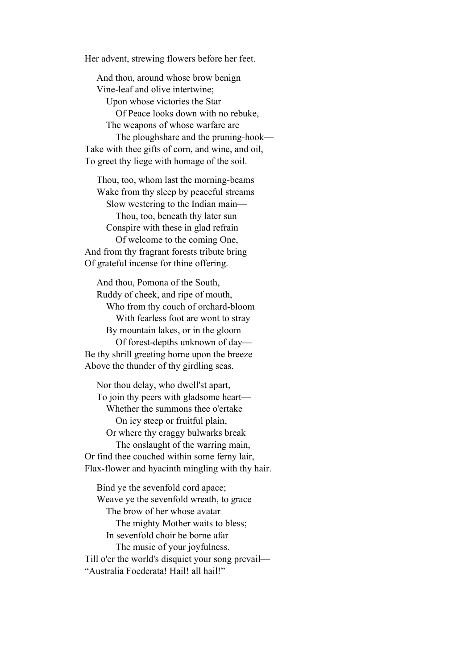Her advent, strewing flowers before her feet.

 And thou, around whose brow benign Vine-leaf and olive intertwine; Upon whose victories the Star Of Peace looks down with no rebuke, The weapons of whose warfare are The ploughshare and the pruning-hook— Take with thee gifts of corn, and wine, and oil, To greet thy liege with homage of the soil.

 Thou, too, whom last the morning-beams Wake from thy sleep by peaceful streams Slow westering to the Indian main— Thou, too, beneath thy later sun Conspire with these in glad refrain Of welcome to the coming One, And from thy fragrant forests tribute bring Of grateful incense for thine offering.

 And thou, Pomona of the South, Ruddy of cheek, and ripe of mouth, Who from thy couch of orchard-bloom With fearless foot are wont to stray By mountain lakes, or in the gloom Of forest-depths unknown of day— Be thy shrill greeting borne upon the breeze Above the thunder of thy girdling seas.

 Nor thou delay, who dwell'st apart, To join thy peers with gladsome heart— Whether the summons thee o'ertake On icy steep or fruitful plain, Or where thy craggy bulwarks break The onslaught of the warring main, Or find thee couched within some ferny lair, Flax-flower and hyacinth mingling with thy hair.

 Bind ye the sevenfold cord apace; Weave ye the sevenfold wreath, to grace The brow of her whose avatar The mighty Mother waits to bless; In sevenfold choir be borne afar The music of your joyfulness. Till o'er the world's disquiet your song prevail— "Australia Foederata! Hail! all hail!"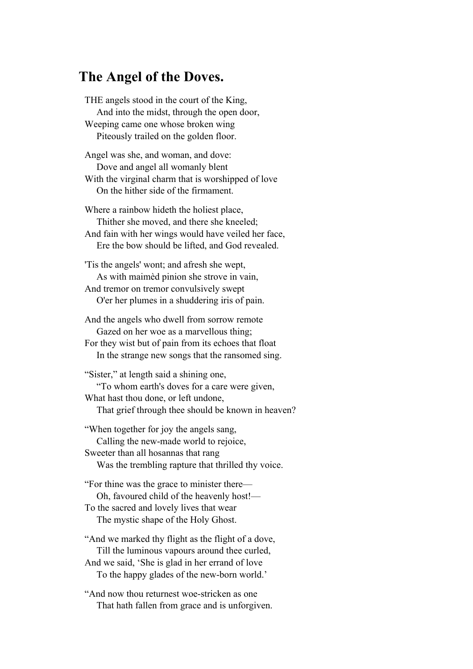#### **The Angel of the Doves.**

THE angels stood in the court of the King, And into the midst, through the open door, Weeping came one whose broken wing Piteously trailed on the golden floor. Angel was she, and woman, and dove: Dove and angel all womanly blent With the virginal charm that is worshipped of love On the hither side of the firmament. Where a rainbow hideth the holiest place, Thither she moved, and there she kneeled; And fain with her wings would have veiled her face, Ere the bow should be lifted, and God revealed. 'Tis the angels' wont; and afresh she wept, As with maimèd pinion she strove in vain, And tremor on tremor convulsively swept O'er her plumes in a shuddering iris of pain. And the angels who dwell from sorrow remote Gazed on her woe as a marvellous thing; For they wist but of pain from its echoes that float In the strange new songs that the ransomed sing. "Sister," at length said a shining one, "To whom earth's doves for a care were given, What hast thou done, or left undone, That grief through thee should be known in heaven? "When together for joy the angels sang, Calling the new-made world to rejoice,

Sweeter than all hosannas that rang Was the trembling rapture that thrilled thy voice.

"For thine was the grace to minister there— Oh, favoured child of the heavenly host!— To the sacred and lovely lives that wear The mystic shape of the Holy Ghost.

"And we marked thy flight as the flight of a dove, Till the luminous vapours around thee curled, And we said, 'She is glad in her errand of love To the happy glades of the new-born world.'

"And now thou returnest woe-stricken as one That hath fallen from grace and is unforgiven.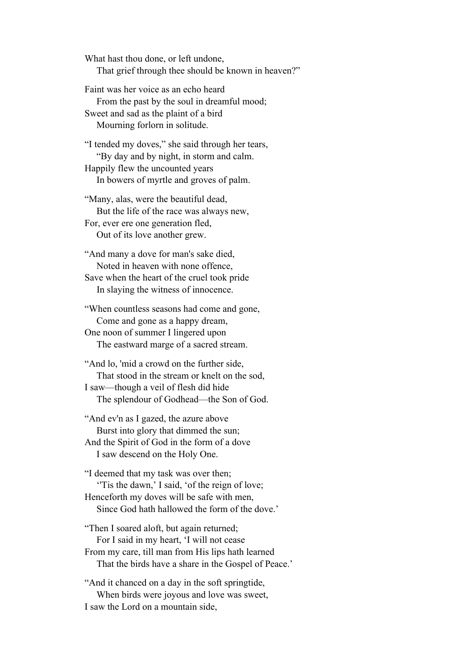What hast thou done, or left undone, That grief through thee should be known in heaven?"

Faint was her voice as an echo heard From the past by the soul in dreamful mood; Sweet and sad as the plaint of a bird Mourning forlorn in solitude.

"I tended my doves," she said through her tears, "By day and by night, in storm and calm. Happily flew the uncounted years In bowers of myrtle and groves of palm.

"Many, alas, were the beautiful dead, But the life of the race was always new, For, ever ere one generation fled,

Out of its love another grew.

"And many a dove for man's sake died, Noted in heaven with none offence,

Save when the heart of the cruel took pride In slaying the witness of innocence.

"When countless seasons had come and gone, Come and gone as a happy dream, One noon of summer I lingered upon The eastward marge of a sacred stream.

"And lo, 'mid a crowd on the further side, That stood in the stream or knelt on the sod, I saw—though a veil of flesh did hide The splendour of Godhead—the Son of God.

"And ev'n as I gazed, the azure above Burst into glory that dimmed the sun; And the Spirit of God in the form of a dove I saw descend on the Holy One.

"I deemed that my task was over then; ''Tis the dawn,' I said, 'of the reign of love; Henceforth my doves will be safe with men, Since God hath hallowed the form of the dove.'

"Then I soared aloft, but again returned; For I said in my heart, 'I will not cease From my care, till man from His lips hath learned That the birds have a share in the Gospel of Peace.'

"And it chanced on a day in the soft springtide, When birds were joyous and love was sweet, I saw the Lord on a mountain side,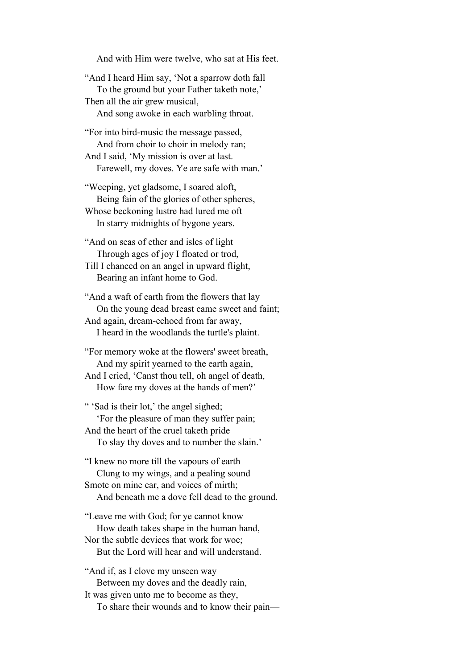And with Him were twelve, who sat at His feet.

"And I heard Him say, 'Not a sparrow doth fall To the ground but your Father taketh note,' Then all the air grew musical, And song awoke in each warbling throat.

"For into bird-music the message passed, And from choir to choir in melody ran; And I said, 'My mission is over at last. Farewell, my doves. Ye are safe with man.'

"Weeping, yet gladsome, I soared aloft, Being fain of the glories of other spheres, Whose beckoning lustre had lured me oft In starry midnights of bygone years.

"And on seas of ether and isles of light Through ages of joy I floated or trod,

Till I chanced on an angel in upward flight, Bearing an infant home to God.

"And a waft of earth from the flowers that lay On the young dead breast came sweet and faint; And again, dream-echoed from far away, I heard in the woodlands the turtle's plaint.

"For memory woke at the flowers' sweet breath, And my spirit yearned to the earth again,

And I cried, 'Canst thou tell, oh angel of death, How fare my doves at the hands of men?'

" 'Sad is their lot,' the angel sighed; 'For the pleasure of man they suffer pain; And the heart of the cruel taketh pride To slay thy doves and to number the slain.'

"I knew no more till the vapours of earth Clung to my wings, and a pealing sound Smote on mine ear, and voices of mirth; And beneath me a dove fell dead to the ground.

"Leave me with God; for ye cannot know How death takes shape in the human hand, Nor the subtle devices that work for woe; But the Lord will hear and will understand.

"And if, as I clove my unseen way Between my doves and the deadly rain, It was given unto me to become as they, To share their wounds and to know their pain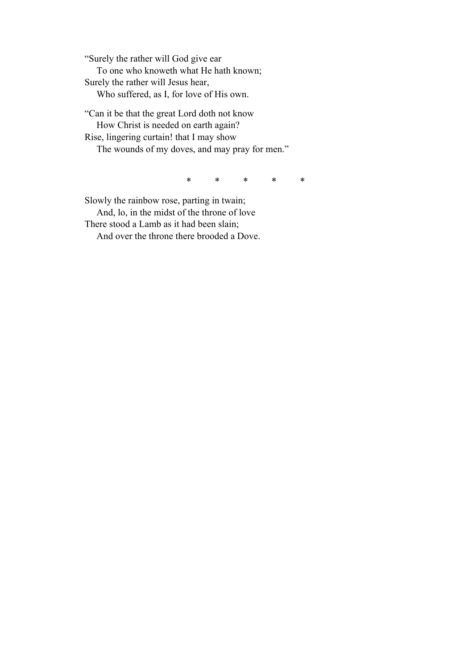"Surely the rather will God give ear To one who knoweth what He hath known; Surely the rather will Jesus hear, Who suffered, as I, for love of His own.

"Can it be that the great Lord doth not know How Christ is needed on earth again? Rise, lingering curtain! that I may show The wounds of my doves, and may pray for men."

\* \* \* \* \*

Slowly the rainbow rose, parting in twain; And, lo, in the midst of the throne of love There stood a Lamb as it had been slain; And over the throne there brooded a Dove.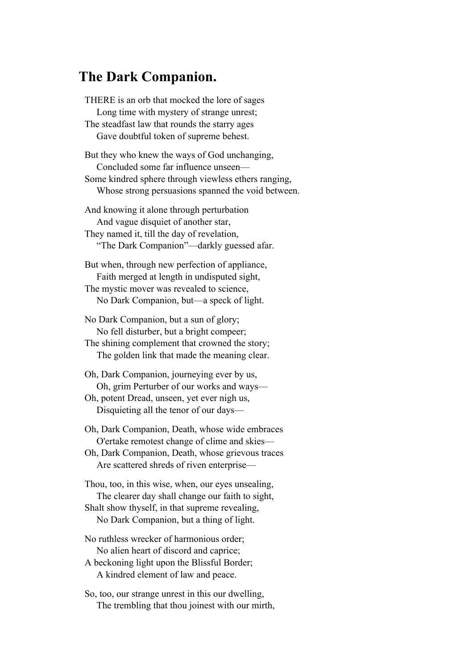#### **The Dark Companion.**

THERE is an orb that mocked the lore of sages Long time with mystery of strange unrest; The steadfast law that rounds the starry ages Gave doubtful token of supreme behest. But they who knew the ways of God unchanging, Concluded some far influence unseen— Some kindred sphere through viewless ethers ranging, Whose strong persuasions spanned the void between. And knowing it alone through perturbation And vague disquiet of another star, They named it, till the day of revelation, "The Dark Companion"—darkly guessed afar. But when, through new perfection of appliance, Faith merged at length in undisputed sight, The mystic mover was revealed to science, No Dark Companion, but—a speck of light. No Dark Companion, but a sun of glory; No fell disturber, but a bright compeer; The shining complement that crowned the story; The golden link that made the meaning clear. Oh, Dark Companion, journeying ever by us, Oh, grim Perturber of our works and ways— Oh, potent Dread, unseen, yet ever nigh us, Disquieting all the tenor of our days— Oh, Dark Companion, Death, whose wide embraces O'ertake remotest change of clime and skies— Oh, Dark Companion, Death, whose grievous traces Are scattered shreds of riven enterprise— Thou, too, in this wise, when, our eyes unsealing, The clearer day shall change our faith to sight, Shalt show thyself, in that supreme revealing, No Dark Companion, but a thing of light.

No ruthless wrecker of harmonious order; No alien heart of discord and caprice; A beckoning light upon the Blissful Border;

A kindred element of law and peace.

So, too, our strange unrest in this our dwelling, The trembling that thou joinest with our mirth,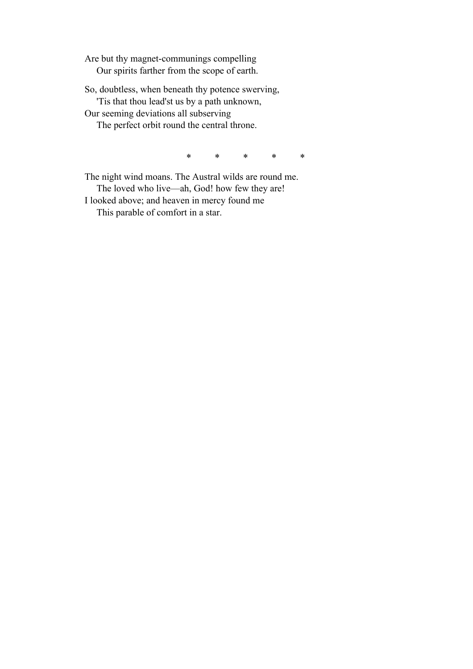Are but thy magnet-communings compelling Our spirits farther from the scope of earth.

So, doubtless, when beneath thy potence swerving, 'Tis that thou lead'st us by a path unknown, Our seeming deviations all subserving The perfect orbit round the central throne.

\* \* \* \* \*

The night wind moans. The Austral wilds are round me. The loved who live—ah, God! how few they are! I looked above; and heaven in mercy found me This parable of comfort in a star.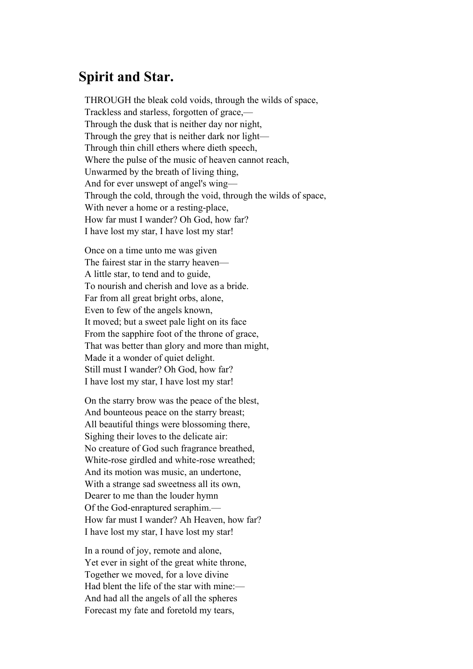## **Spirit and Star.**

THROUGH the bleak cold voids, through the wilds of space, Trackless and starless, forgotten of grace,— Through the dusk that is neither day nor night, Through the grey that is neither dark nor light— Through thin chill ethers where dieth speech, Where the pulse of the music of heaven cannot reach, Unwarmed by the breath of living thing, And for ever unswept of angel's wing— Through the cold, through the void, through the wilds of space, With never a home or a resting-place, How far must I wander? Oh God, how far? I have lost my star, I have lost my star!

Once on a time unto me was given The fairest star in the starry heaven— A little star, to tend and to guide, To nourish and cherish and love as a bride. Far from all great bright orbs, alone, Even to few of the angels known, It moved; but a sweet pale light on its face From the sapphire foot of the throne of grace, That was better than glory and more than might, Made it a wonder of quiet delight. Still must I wander? Oh God, how far? I have lost my star, I have lost my star!

On the starry brow was the peace of the blest, And bounteous peace on the starry breast; All beautiful things were blossoming there, Sighing their loves to the delicate air: No creature of God such fragrance breathed, White-rose girdled and white-rose wreathed; And its motion was music, an undertone, With a strange sad sweetness all its own, Dearer to me than the louder hymn Of the God-enraptured seraphim.— How far must I wander? Ah Heaven, how far? I have lost my star, I have lost my star!

In a round of joy, remote and alone, Yet ever in sight of the great white throne, Together we moved, for a love divine Had blent the life of the star with mine:— And had all the angels of all the spheres Forecast my fate and foretold my tears,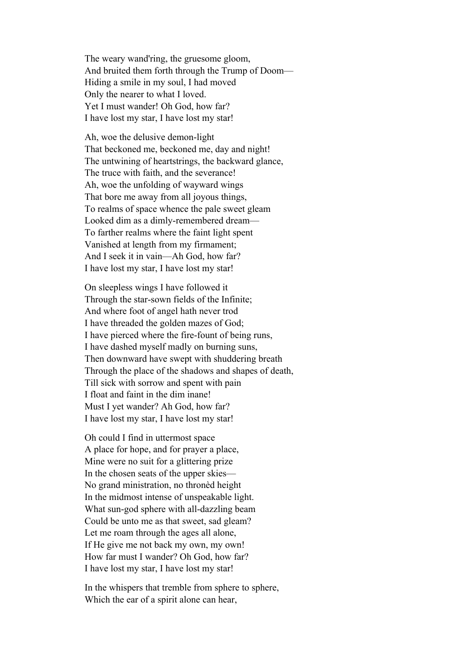The weary wand'ring, the gruesome gloom, And bruited them forth through the Trump of Doom— Hiding a smile in my soul, I had moved Only the nearer to what I loved. Yet I must wander! Oh God, how far? I have lost my star, I have lost my star!

Ah, woe the delusive demon-light That beckoned me, beckoned me, day and night! The untwining of heartstrings, the backward glance, The truce with faith, and the severance! Ah, woe the unfolding of wayward wings That bore me away from all joyous things, To realms of space whence the pale sweet gleam Looked dim as a dimly-remembered dream— To farther realms where the faint light spent Vanished at length from my firmament; And I seek it in vain—Ah God, how far? I have lost my star, I have lost my star!

On sleepless wings I have followed it Through the star-sown fields of the Infinite; And where foot of angel hath never trod I have threaded the golden mazes of God; I have pierced where the fire-fount of being runs, I have dashed myself madly on burning suns, Then downward have swept with shuddering breath Through the place of the shadows and shapes of death, Till sick with sorrow and spent with pain I float and faint in the dim inane! Must I yet wander? Ah God, how far? I have lost my star, I have lost my star!

Oh could I find in uttermost space A place for hope, and for prayer a place, Mine were no suit for a glittering prize In the chosen seats of the upper skies— No grand ministration, no thronèd height In the midmost intense of unspeakable light. What sun-god sphere with all-dazzling beam Could be unto me as that sweet, sad gleam? Let me roam through the ages all alone, If He give me not back my own, my own! How far must I wander? Oh God, how far? I have lost my star, I have lost my star!

In the whispers that tremble from sphere to sphere, Which the ear of a spirit alone can hear,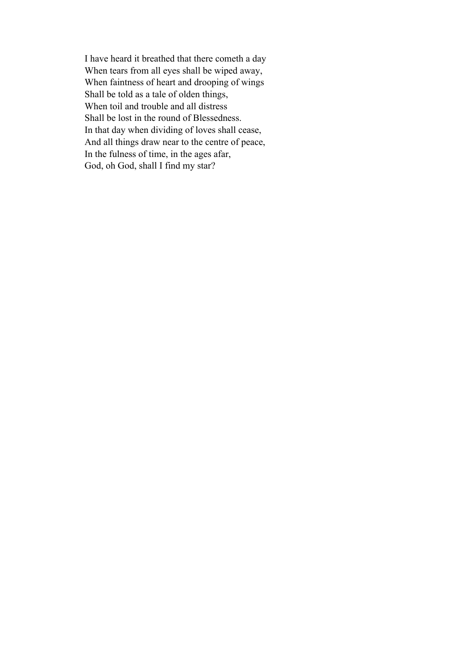I have heard it breathed that there cometh a day When tears from all eyes shall be wiped away, When faintness of heart and drooping of wings Shall be told as a tale of olden things, When toil and trouble and all distress Shall be lost in the round of Blessedness. In that day when dividing of loves shall cease, And all things draw near to the centre of peace, In the fulness of time, in the ages afar, God, oh God, shall I find my star?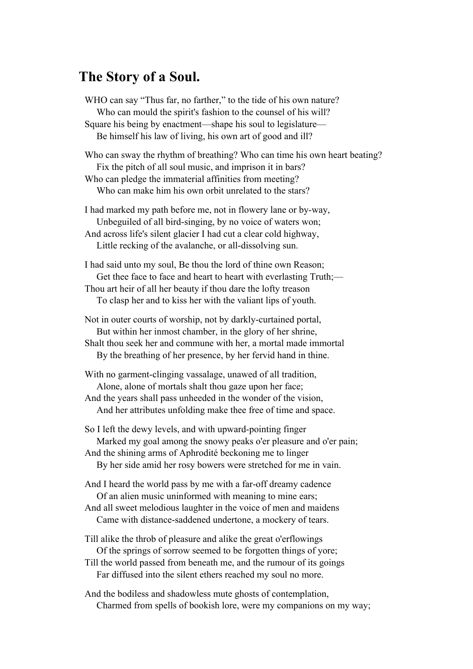## **The Story of a Soul.**

WHO can say "Thus far, no farther," to the tide of his own nature? Who can mould the spirit's fashion to the counsel of his will? Square his being by enactment—shape his soul to legislature— Be himself his law of living, his own art of good and ill?

Who can sway the rhythm of breathing? Who can time his own heart beating? Fix the pitch of all soul music, and imprison it in bars?

Who can pledge the immaterial affinities from meeting? Who can make him his own orbit unrelated to the stars?

I had marked my path before me, not in flowery lane or by-way, Unbeguiled of all bird-singing, by no voice of waters won; And across life's silent glacier I had cut a clear cold highway, Little recking of the avalanche, or all-dissolving sun.

I had said unto my soul, Be thou the lord of thine own Reason; Get thee face to face and heart to heart with everlasting Truth;— Thou art heir of all her beauty if thou dare the lofty treason To clasp her and to kiss her with the valiant lips of youth.

Not in outer courts of worship, not by darkly-curtained portal, But within her inmost chamber, in the glory of her shrine, Shalt thou seek her and commune with her, a mortal made immortal By the breathing of her presence, by her fervid hand in thine.

With no garment-clinging vassalage, unawed of all tradition, Alone, alone of mortals shalt thou gaze upon her face; And the years shall pass unheeded in the wonder of the vision, And her attributes unfolding make thee free of time and space.

So I left the dewy levels, and with upward-pointing finger Marked my goal among the snowy peaks o'er pleasure and o'er pain; And the shining arms of Aphrodité beckoning me to linger By her side amid her rosy bowers were stretched for me in vain.

And I heard the world pass by me with a far-off dreamy cadence Of an alien music uninformed with meaning to mine ears; And all sweet melodious laughter in the voice of men and maidens Came with distance-saddened undertone, a mockery of tears.

Till alike the throb of pleasure and alike the great o'erflowings Of the springs of sorrow seemed to be forgotten things of yore;

Till the world passed from beneath me, and the rumour of its goings Far diffused into the silent ethers reached my soul no more.

And the bodiless and shadowless mute ghosts of contemplation, Charmed from spells of bookish lore, were my companions on my way;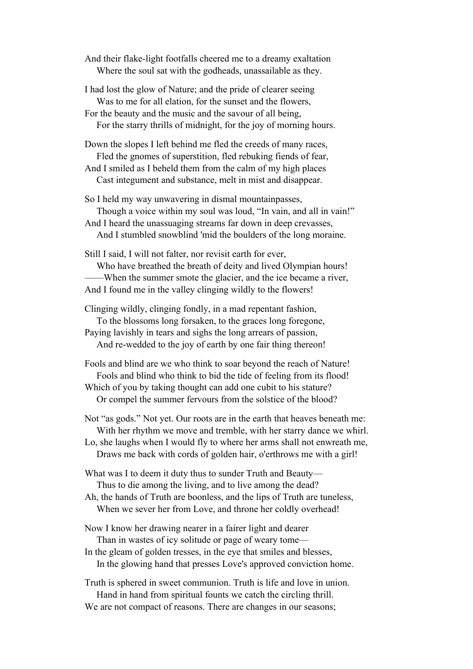And their flake-light footfalls cheered me to a dreamy exaltation Where the soul sat with the godheads, unassailable as they.

I had lost the glow of Nature; and the pride of clearer seeing Was to me for all elation, for the sunset and the flowers,

For the beauty and the music and the savour of all being, For the starry thrills of midnight, for the joy of morning hours.

Down the slopes I left behind me fled the creeds of many races, Fled the gnomes of superstition, fled rebuking fiends of fear,

And I smiled as I beheld them from the calm of my high places Cast integument and substance, melt in mist and disappear.

So I held my way unwavering in dismal mountainpasses, Though a voice within my soul was loud, "In vain, and all in vain!" And I heard the unassuaging streams far down in deep crevasses,

And I stumbled snowblind 'mid the boulders of the long moraine.

Still I said, I will not falter, nor revisit earth for ever,

 Who have breathed the breath of deity and lived Olympian hours! ——When the summer smote the glacier, and the ice became a river, And I found me in the valley clinging wildly to the flowers!

Clinging wildly, clinging fondly, in a mad repentant fashion, To the blossoms long forsaken, to the graces long foregone, Paying lavishly in tears and sighs the long arrears of passion,

And re-wedded to the joy of earth by one fair thing thereon!

Fools and blind are we who think to soar beyond the reach of Nature! Fools and blind who think to bid the tide of feeling from its flood! Which of you by taking thought can add one cubit to his stature?

Or compel the summer fervours from the solstice of the blood?

Not "as gods." Not yet. Our roots are in the earth that heaves beneath me: With her rhythm we move and tremble, with her starry dance we whirl. Lo, she laughs when I would fly to where her arms shall not enwreath me, Draws me back with cords of golden hair, o'erthrows me with a girl!

What was I to deem it duty thus to sunder Truth and Beauty— Thus to die among the living, and to live among the dead?

Ah, the hands of Truth are boonless, and the lips of Truth are tuneless, When we sever her from Love, and throne her coldly overhead!

Now I know her drawing nearer in a fairer light and dearer Than in wastes of icy solitude or page of weary tome—

In the gleam of golden tresses, in the eye that smiles and blesses, In the glowing hand that presses Love's approved conviction home.

Truth is sphered in sweet communion. Truth is life and love in union. Hand in hand from spiritual founts we catch the circling thrill. We are not compact of reasons. There are changes in our seasons;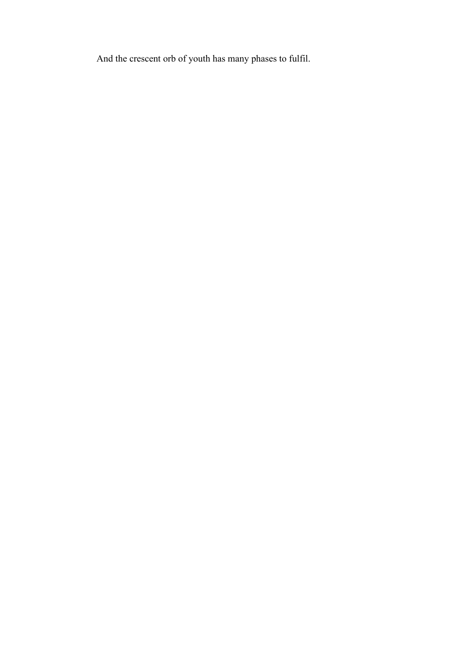And the crescent orb of youth has many phases to fulfil.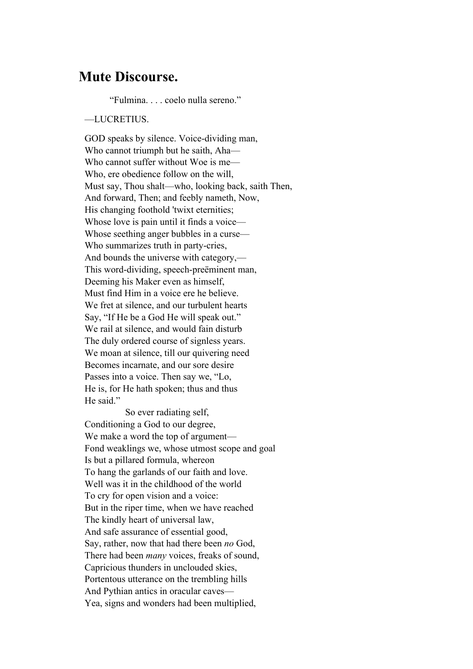#### **Mute Discourse.**

"Fulmina. . . . coelo nulla sereno."

—LUCRETIUS.

GOD speaks by silence. Voice-dividing man, Who cannot triumph but he saith, Aha— Who cannot suffer without Woe is me— Who, ere obedience follow on the will, Must say, Thou shalt—who, looking back, saith Then, And forward, Then; and feebly nameth, Now, His changing foothold 'twixt eternities; Whose love is pain until it finds a voice— Whose seething anger bubbles in a curse— Who summarizes truth in party-cries, And bounds the universe with category,— This word-dividing, speech-preëminent man, Deeming his Maker even as himself, Must find Him in a voice ere he believe. We fret at silence, and our turbulent hearts Say, "If He be a God He will speak out." We rail at silence, and would fain disturb The duly ordered course of signless years. We moan at silence, till our quivering need Becomes incarnate, and our sore desire Passes into a voice. Then say we, "Lo, He is, for He hath spoken; thus and thus He said."

 So ever radiating self, Conditioning a God to our degree, We make a word the top of argument— Fond weaklings we, whose utmost scope and goal Is but a pillared formula, whereon To hang the garlands of our faith and love. Well was it in the childhood of the world To cry for open vision and a voice: But in the riper time, when we have reached The kindly heart of universal law, And safe assurance of essential good, Say, rather, now that had there been *no* God, There had been *many* voices, freaks of sound, Capricious thunders in unclouded skies, Portentous utterance on the trembling hills And Pythian antics in oracular caves— Yea, signs and wonders had been multiplied,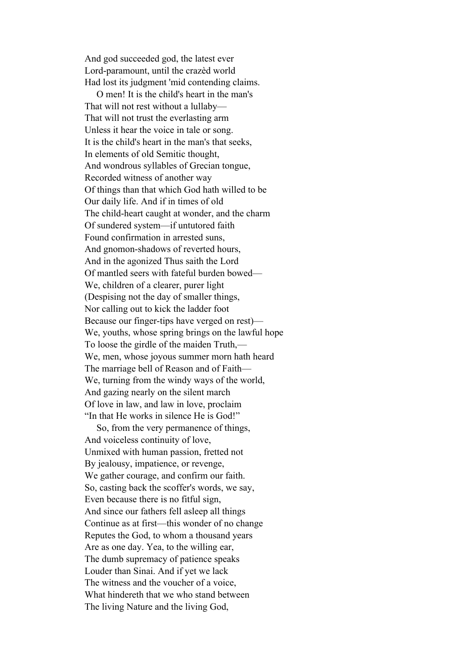And god succeeded god, the latest ever Lord-paramount, until the crazèd world Had lost its judgment 'mid contending claims.

 O men! It is the child's heart in the man's That will not rest without a lullaby— That will not trust the everlasting arm Unless it hear the voice in tale or song. It is the child's heart in the man's that seeks, In elements of old Semitic thought, And wondrous syllables of Grecian tongue, Recorded witness of another way Of things than that which God hath willed to be Our daily life. And if in times of old The child-heart caught at wonder, and the charm Of sundered system—if untutored faith Found confirmation in arrested suns, And gnomon-shadows of reverted hours, And in the agonized Thus saith the Lord Of mantled seers with fateful burden bowed— We, children of a clearer, purer light (Despising not the day of smaller things, Nor calling out to kick the ladder foot Because our finger-tips have verged on rest)— We, youths, whose spring brings on the lawful hope To loose the girdle of the maiden Truth,— We, men, whose joyous summer morn hath heard The marriage bell of Reason and of Faith— We, turning from the windy ways of the world, And gazing nearly on the silent march Of love in law, and law in love, proclaim "In that He works in silence He is God!"

 So, from the very permanence of things, And voiceless continuity of love, Unmixed with human passion, fretted not By jealousy, impatience, or revenge, We gather courage, and confirm our faith. So, casting back the scoffer's words, we say, Even because there is no fitful sign, And since our fathers fell asleep all things Continue as at first—this wonder of no change Reputes the God, to whom a thousand years Are as one day. Yea, to the willing ear, The dumb supremacy of patience speaks Louder than Sinai. And if yet we lack The witness and the voucher of a voice, What hindereth that we who stand between The living Nature and the living God,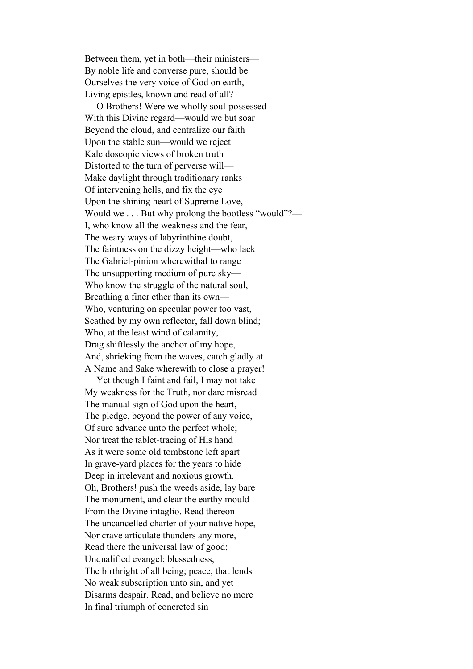Between them, yet in both—their ministers— By noble life and converse pure, should be Ourselves the very voice of God on earth, Living epistles, known and read of all?

 O Brothers! Were we wholly soul-possessed With this Divine regard—would we but soar Beyond the cloud, and centralize our faith Upon the stable sun—would we reject Kaleidoscopic views of broken truth Distorted to the turn of perverse will— Make daylight through traditionary ranks Of intervening hells, and fix the eye Upon the shining heart of Supreme Love,— Would we . . . But why prolong the bootless "would"?— I, who know all the weakness and the fear, The weary ways of labyrinthine doubt, The faintness on the dizzy height—who lack The Gabriel-pinion wherewithal to range The unsupporting medium of pure sky— Who know the struggle of the natural soul, Breathing a finer ether than its own— Who, venturing on specular power too vast, Scathed by my own reflector, fall down blind; Who, at the least wind of calamity, Drag shiftlessly the anchor of my hope, And, shrieking from the waves, catch gladly at A Name and Sake wherewith to close a prayer!

 Yet though I faint and fail, I may not take My weakness for the Truth, nor dare misread The manual sign of God upon the heart, The pledge, beyond the power of any voice, Of sure advance unto the perfect whole; Nor treat the tablet-tracing of His hand As it were some old tombstone left apart In grave-yard places for the years to hide Deep in irrelevant and noxious growth. Oh, Brothers! push the weeds aside, lay bare The monument, and clear the earthy mould From the Divine intaglio. Read thereon The uncancelled charter of your native hope, Nor crave articulate thunders any more, Read there the universal law of good; Unqualified evangel; blessedness, The birthright of all being; peace, that lends No weak subscription unto sin, and yet Disarms despair. Read, and believe no more In final triumph of concreted sin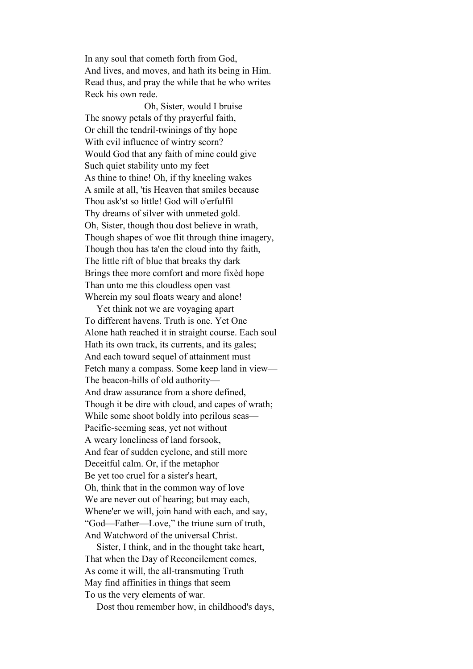In any soul that cometh forth from God, And lives, and moves, and hath its being in Him. Read thus, and pray the while that he who writes Reck his own rede.

 Oh, Sister, would I bruise The snowy petals of thy prayerful faith, Or chill the tendril-twinings of thy hope With evil influence of wintry scorn? Would God that any faith of mine could give Such quiet stability unto my feet As thine to thine! Oh, if thy kneeling wakes A smile at all, 'tis Heaven that smiles because Thou ask'st so little! God will o'erfulfil Thy dreams of silver with unmeted gold. Oh, Sister, though thou dost believe in wrath, Though shapes of woe flit through thine imagery, Though thou has ta'en the cloud into thy faith, The little rift of blue that breaks thy dark Brings thee more comfort and more fixèd hope Than unto me this cloudless open vast Wherein my soul floats weary and alone!

 Yet think not we are voyaging apart To different havens. Truth is one. Yet One Alone hath reached it in straight course. Each soul Hath its own track, its currents, and its gales; And each toward sequel of attainment must Fetch many a compass. Some keep land in view— The beacon-hills of old authority— And draw assurance from a shore defined, Though it be dire with cloud, and capes of wrath; While some shoot boldly into perilous seas— Pacific-seeming seas, yet not without A weary loneliness of land forsook, And fear of sudden cyclone, and still more Deceitful calm. Or, if the metaphor Be yet too cruel for a sister's heart, Oh, think that in the common way of love We are never out of hearing; but may each, Whene'er we will, join hand with each, and say, "God—Father—Love," the triune sum of truth, And Watchword of the universal Christ.

 Sister, I think, and in the thought take heart, That when the Day of Reconcilement comes, As come it will, the all-transmuting Truth May find affinities in things that seem To us the very elements of war.

Dost thou remember how, in childhood's days,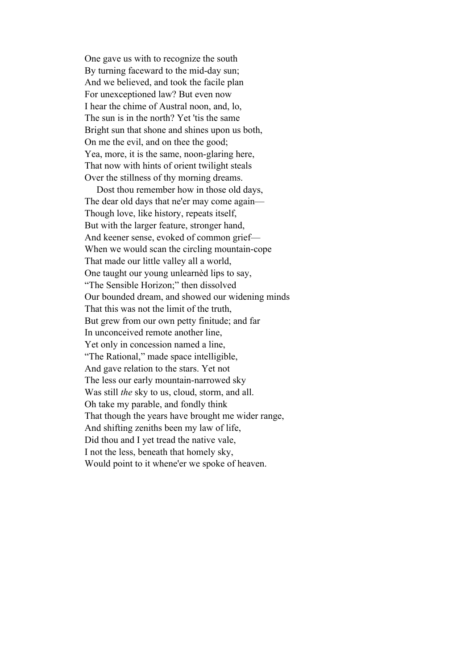One gave us with to recognize the south By turning faceward to the mid-day sun; And we believed, and took the facile plan For unexceptioned law? But even now I hear the chime of Austral noon, and, lo, The sun is in the north? Yet 'tis the same Bright sun that shone and shines upon us both, On me the evil, and on thee the good; Yea, more, it is the same, noon-glaring here, That now with hints of orient twilight steals Over the stillness of thy morning dreams.

 Dost thou remember how in those old days, The dear old days that ne'er may come again— Though love, like history, repeats itself, But with the larger feature, stronger hand, And keener sense, evoked of common grief— When we would scan the circling mountain-cope That made our little valley all a world, One taught our young unlearnèd lips to say, "The Sensible Horizon;" then dissolved Our bounded dream, and showed our widening minds That this was not the limit of the truth, But grew from our own petty finitude; and far In unconceived remote another line, Yet only in concession named a line, "The Rational," made space intelligible, And gave relation to the stars. Yet not The less our early mountain-narrowed sky Was still *the* sky to us, cloud, storm, and all. Oh take my parable, and fondly think That though the years have brought me wider range, And shifting zeniths been my law of life, Did thou and I yet tread the native vale, I not the less, beneath that homely sky, Would point to it whene'er we spoke of heaven.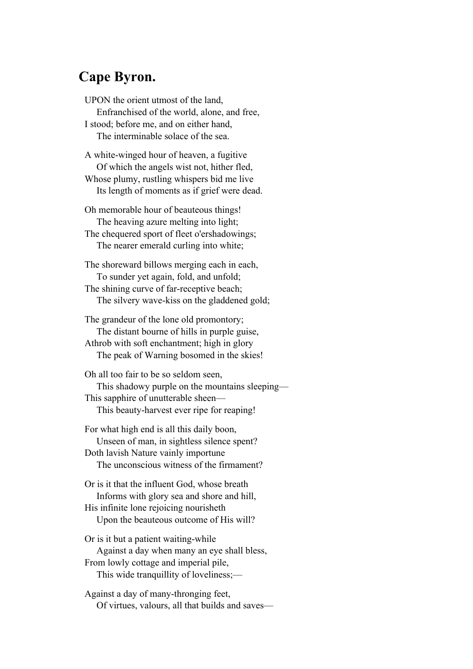## **Cape Byron.**

UPON the orient utmost of the land, Enfranchised of the world, alone, and free, I stood; before me, and on either hand, The interminable solace of the sea. A white-winged hour of heaven, a fugitive Of which the angels wist not, hither fled, Whose plumy, rustling whispers bid me live Its length of moments as if grief were dead. Oh memorable hour of beauteous things! The heaving azure melting into light; The chequered sport of fleet o'ershadowings; The nearer emerald curling into white; The shoreward billows merging each in each, To sunder yet again, fold, and unfold; The shining curve of far-receptive beach; The silvery wave-kiss on the gladdened gold; The grandeur of the lone old promontory; The distant bourne of hills in purple guise, Athrob with soft enchantment; high in glory The peak of Warning bosomed in the skies! Oh all too fair to be so seldom seen, This shadowy purple on the mountains sleeping— This sapphire of unutterable sheen— This beauty-harvest ever ripe for reaping! For what high end is all this daily boon, Unseen of man, in sightless silence spent? Doth lavish Nature vainly importune The unconscious witness of the firmament? Or is it that the influent God, whose breath Informs with glory sea and shore and hill, His infinite lone rejoicing nourisheth Upon the beauteous outcome of His will?

Or is it but a patient waiting-while Against a day when many an eye shall bless, From lowly cottage and imperial pile, This wide tranquillity of loveliness;—

Against a day of many-thronging feet, Of virtues, valours, all that builds and saves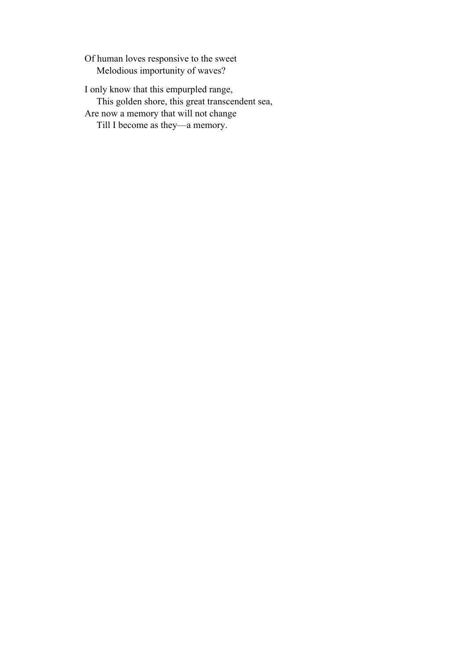Of human loves responsive to the sweet Melodious importunity of waves?

I only know that this empurpled range, This golden shore, this great transcendent sea, Are now a memory that will not change Till I become as they—a memory.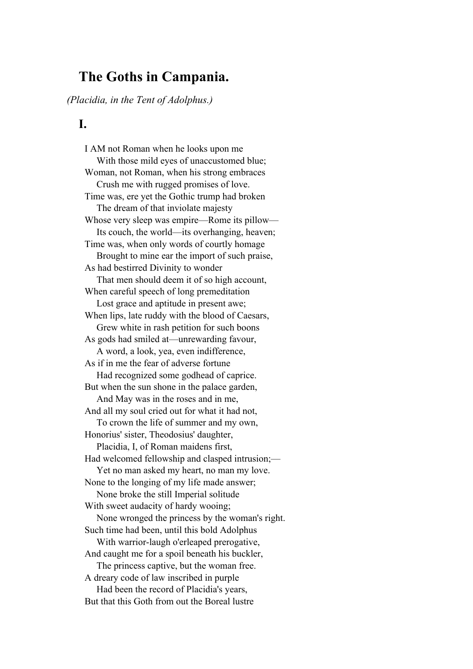#### **The Goths in Campania.**

*(Placidia, in the Tent of Adolphus.)*

#### **I.**

I AM not Roman when he looks upon me With those mild eyes of unaccustomed blue; Woman, not Roman, when his strong embraces Crush me with rugged promises of love. Time was, ere yet the Gothic trump had broken The dream of that inviolate majesty Whose very sleep was empire—Rome its pillow— Its couch, the world—its overhanging, heaven; Time was, when only words of courtly homage Brought to mine ear the import of such praise, As had bestirred Divinity to wonder That men should deem it of so high account, When careful speech of long premeditation Lost grace and aptitude in present awe; When lips, late ruddy with the blood of Caesars, Grew white in rash petition for such boons As gods had smiled at—unrewarding favour, A word, a look, yea, even indifference, As if in me the fear of adverse fortune Had recognized some godhead of caprice. But when the sun shone in the palace garden, And May was in the roses and in me, And all my soul cried out for what it had not, To crown the life of summer and my own, Honorius' sister, Theodosius' daughter, Placidia, I, of Roman maidens first, Had welcomed fellowship and clasped intrusion;— Yet no man asked my heart, no man my love. None to the longing of my life made answer; None broke the still Imperial solitude With sweet audacity of hardy wooing; None wronged the princess by the woman's right. Such time had been, until this bold Adolphus With warrior-laugh o'erleaped prerogative, And caught me for a spoil beneath his buckler, The princess captive, but the woman free. A dreary code of law inscribed in purple Had been the record of Placidia's years, But that this Goth from out the Boreal lustre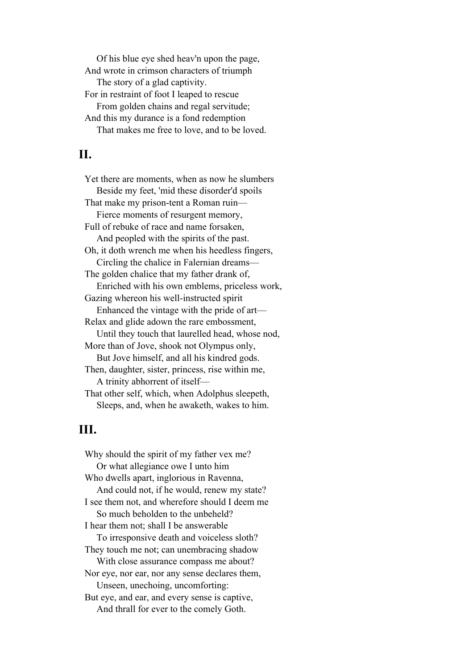Of his blue eye shed heav'n upon the page, And wrote in crimson characters of triumph The story of a glad captivity. For in restraint of foot I leaped to rescue From golden chains and regal servitude; And this my durance is a fond redemption That makes me free to love, and to be loved.

#### **II.**

Yet there are moments, when as now he slumbers Beside my feet, 'mid these disorder'd spoils That make my prison-tent a Roman ruin— Fierce moments of resurgent memory, Full of rebuke of race and name forsaken, And peopled with the spirits of the past. Oh, it doth wrench me when his heedless fingers, Circling the chalice in Falernian dreams— The golden chalice that my father drank of, Enriched with his own emblems, priceless work, Gazing whereon his well-instructed spirit Enhanced the vintage with the pride of art— Relax and glide adown the rare embossment, Until they touch that laurelled head, whose nod, More than of Jove, shook not Olympus only, But Jove himself, and all his kindred gods. Then, daughter, sister, princess, rise within me, A trinity abhorrent of itself— That other self, which, when Adolphus sleepeth, Sleeps, and, when he awaketh, wakes to him.

#### **III.**

Why should the spirit of my father vex me? Or what allegiance owe I unto him Who dwells apart, inglorious in Ravenna, And could not, if he would, renew my state? I see them not, and wherefore should I deem me So much beholden to the unbeheld? I hear them not; shall I be answerable To irresponsive death and voiceless sloth? They touch me not; can unembracing shadow With close assurance compass me about? Nor eye, nor ear, nor any sense declares them, Unseen, unechoing, uncomforting: But eye, and ear, and every sense is captive, And thrall for ever to the comely Goth.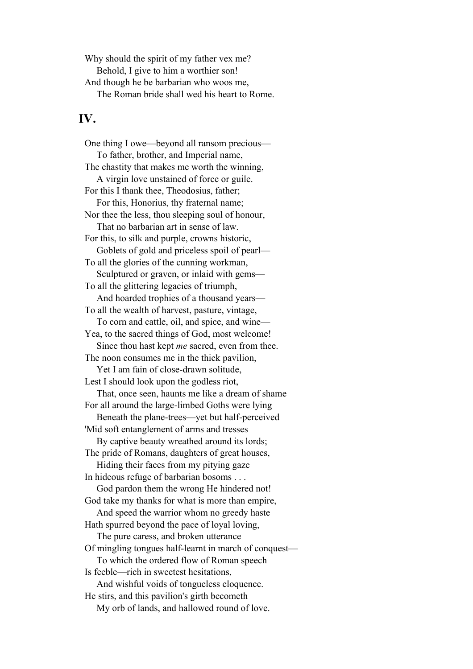Why should the spirit of my father vex me? Behold, I give to him a worthier son! And though he be barbarian who woos me, The Roman bride shall wed his heart to Rome.

#### **IV.**

One thing I owe—beyond all ransom precious— To father, brother, and Imperial name, The chastity that makes me worth the winning, A virgin love unstained of force or guile. For this I thank thee, Theodosius, father; For this, Honorius, thy fraternal name; Nor thee the less, thou sleeping soul of honour, That no barbarian art in sense of law. For this, to silk and purple, crowns historic, Goblets of gold and priceless spoil of pearl— To all the glories of the cunning workman, Sculptured or graven, or inlaid with gems— To all the glittering legacies of triumph, And hoarded trophies of a thousand years— To all the wealth of harvest, pasture, vintage, To corn and cattle, oil, and spice, and wine— Yea, to the sacred things of God, most welcome! Since thou hast kept *me* sacred, even from thee. The noon consumes me in the thick pavilion, Yet I am fain of close-drawn solitude, Lest I should look upon the godless riot, That, once seen, haunts me like a dream of shame For all around the large-limbed Goths were lying Beneath the plane-trees—yet but half-perceived 'Mid soft entanglement of arms and tresses By captive beauty wreathed around its lords; The pride of Romans, daughters of great houses, Hiding their faces from my pitying gaze In hideous refuge of barbarian bosoms . . . God pardon them the wrong He hindered not! God take my thanks for what is more than empire, And speed the warrior whom no greedy haste Hath spurred beyond the pace of loyal loving, The pure caress, and broken utterance Of mingling tongues half-learnt in march of conquest— To which the ordered flow of Roman speech Is feeble—rich in sweetest hesitations, And wishful voids of tongueless eloquence. He stirs, and this pavilion's girth becometh My orb of lands, and hallowed round of love.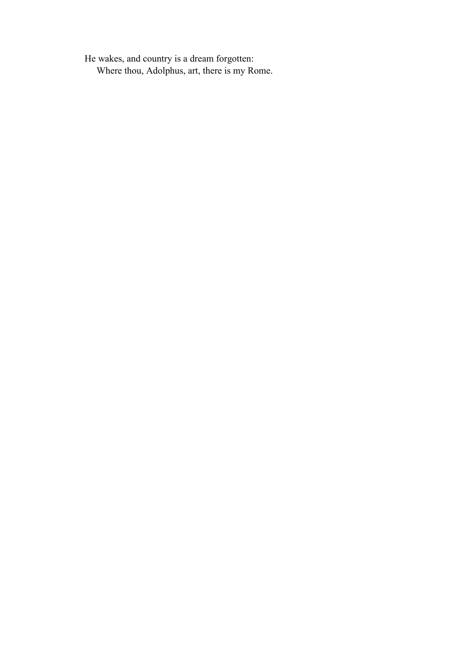He wakes, and country is a dream forgotten: Where thou, Adolphus, art, there is my Rome.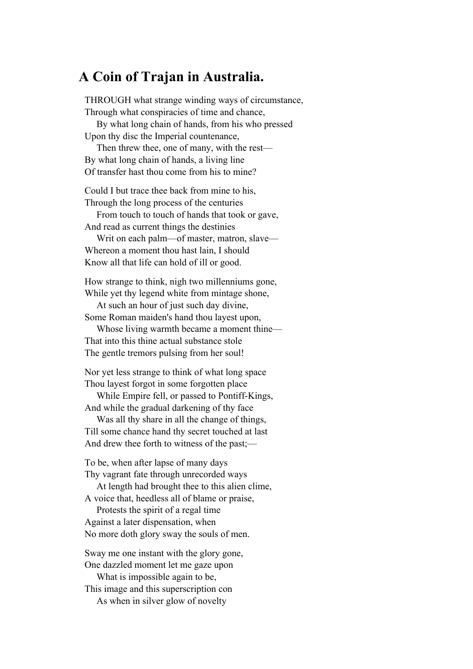#### **A Coin of Trajan in Australia.**

THROUGH what strange winding ways of circumstance, Through what conspiracies of time and chance,

 By what long chain of hands, from his who pressed Upon thy disc the Imperial countenance,

 Then threw thee, one of many, with the rest— By what long chain of hands, a living line Of transfer hast thou come from his to mine?

Could I but trace thee back from mine to his, Through the long process of the centuries

 From touch to touch of hands that took or gave, And read as current things the destinies

 Writ on each palm—of master, matron, slave— Whereon a moment thou hast lain, I should Know all that life can hold of ill or good.

How strange to think, nigh two millenniums gone, While yet thy legend white from mintage shone,

 At such an hour of just such day divine, Some Roman maiden's hand thou layest upon,

 Whose living warmth became a moment thine— That into this thine actual substance stole The gentle tremors pulsing from her soul!

Nor yet less strange to think of what long space Thou layest forgot in some forgotten place

 While Empire fell, or passed to Pontiff-Kings, And while the gradual darkening of thy face

 Was all thy share in all the change of things, Till some chance hand thy secret touched at last And drew thee forth to witness of the past;—

To be, when after lapse of many days Thy vagrant fate through unrecorded ways

 At length had brought thee to this alien clime, A voice that, heedless all of blame or praise,

 Protests the spirit of a regal time Against a later dispensation, when No more doth glory sway the souls of men.

Sway me one instant with the glory gone, One dazzled moment let me gaze upon What is impossible again to be, This image and this superscription con As when in silver glow of novelty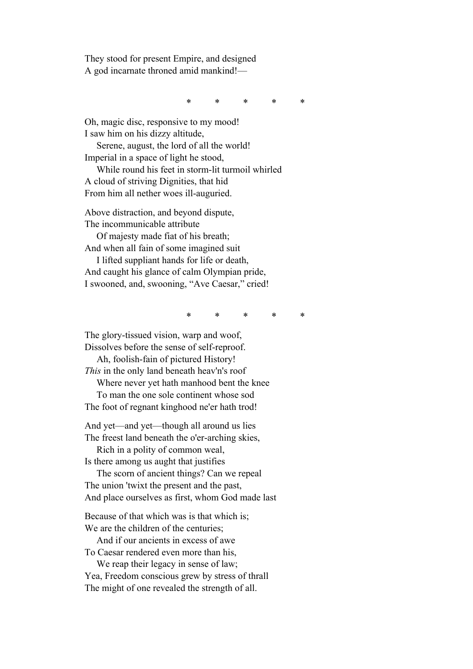They stood for present Empire, and designed A god incarnate throned amid mankind!—

\* \* \* \* \*

Oh, magic disc, responsive to my mood! I saw him on his dizzy altitude, Serene, august, the lord of all the world! Imperial in a space of light he stood, While round his feet in storm-lit turmoil whirled A cloud of striving Dignities, that hid From him all nether woes ill-auguried.

Above distraction, and beyond dispute, The incommunicable attribute

 Of majesty made fiat of his breath; And when all fain of some imagined suit

 I lifted suppliant hands for life or death, And caught his glance of calm Olympian pride, I swooned, and, swooning, "Ave Caesar," cried!

\* \* \* \* \*

The glory-tissued vision, warp and woof, Dissolves before the sense of self-reproof. Ah, foolish-fain of pictured History! *This* in the only land beneath heav'n's roof Where never yet hath manhood bent the knee To man the one sole continent whose sod The foot of regnant kinghood ne'er hath trod!

And yet—and yet—though all around us lies The freest land beneath the o'er-arching skies,

 Rich in a polity of common weal, Is there among us aught that justifies

 The scorn of ancient things? Can we repeal The union 'twixt the present and the past, And place ourselves as first, whom God made last

Because of that which was is that which is; We are the children of the centuries:

 And if our ancients in excess of awe To Caesar rendered even more than his,

We reap their legacy in sense of law; Yea, Freedom conscious grew by stress of thrall The might of one revealed the strength of all.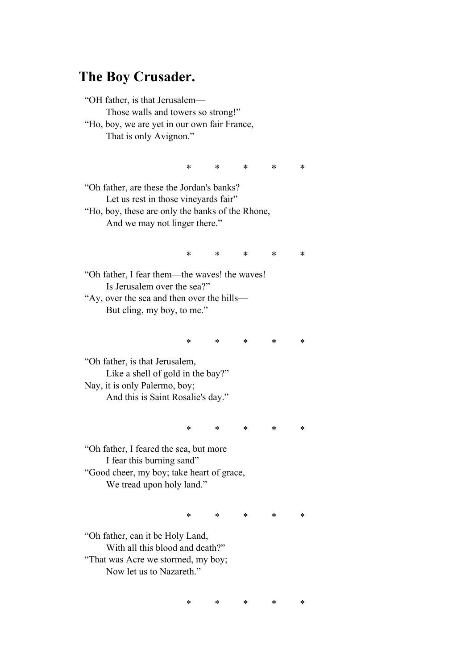# **The Boy Crusader.**

"OH father, is that Jerusalem— Those walls and towers so strong!" "Ho, boy, we are yet in our own fair France, That is only Avignon."

\* \* \* \* \*

"Oh father, are these the Jordan's banks? Let us rest in those vineyards fair" "Ho, boy, these are only the banks of the Rhone, And we may not linger there."

\* \* \* \* \*

"Oh father, I fear them—the waves! the waves! Is Jerusalem over the sea?" "Ay, over the sea and then over the hills—

But cling, my boy, to me."

\* \* \* \* \*

"Oh father, is that Jerusalem, Like a shell of gold in the bay?" Nay, it is only Palermo, boy; And this is Saint Rosalie's day."

\* \* \* \* \*

"Oh father, I feared the sea, but more I fear this burning sand" "Good cheer, my boy; take heart of grace, We tread upon holy land."

\* \* \* \* \*

"Oh father, can it be Holy Land, With all this blood and death?" "That was Acre we stormed, my boy; Now let us to Nazareth."

\* \* \* \* \*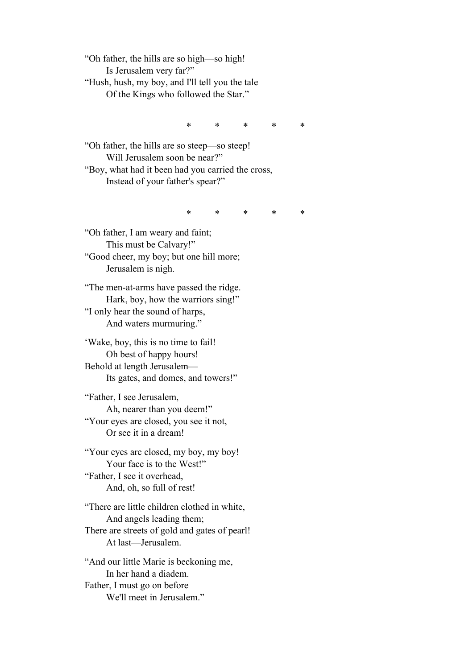"Oh father, the hills are so high—so high! Is Jerusalem very far?" "Hush, hush, my boy, and I'll tell you the tale Of the Kings who followed the Star."

\* \* \* \* \*

"Oh father, the hills are so steep—so steep! Will Jerusalem soon be near?" "Boy, what had it been had you carried the cross, Instead of your father's spear?"

\* \* \* \* \*

"Oh father, I am weary and faint; This must be Calvary!" "Good cheer, my boy; but one hill more; Jerusalem is nigh.

"The men-at-arms have passed the ridge. Hark, boy, how the warriors sing!" "I only hear the sound of harps, And waters murmuring."

'Wake, boy, this is no time to fail! Oh best of happy hours! Behold at length Jerusalem— Its gates, and domes, and towers!"

"Father, I see Jerusalem, Ah, nearer than you deem!" "Your eyes are closed, you see it not, Or see it in a dream!

"Your eyes are closed, my boy, my boy! Your face is to the West!" "Father, I see it overhead, And, oh, so full of rest!

"There are little children clothed in white, And angels leading them; There are streets of gold and gates of pearl! At last—Jerusalem.

"And our little Marie is beckoning me, In her hand a diadem. Father, I must go on before We'll meet in Jerusalem."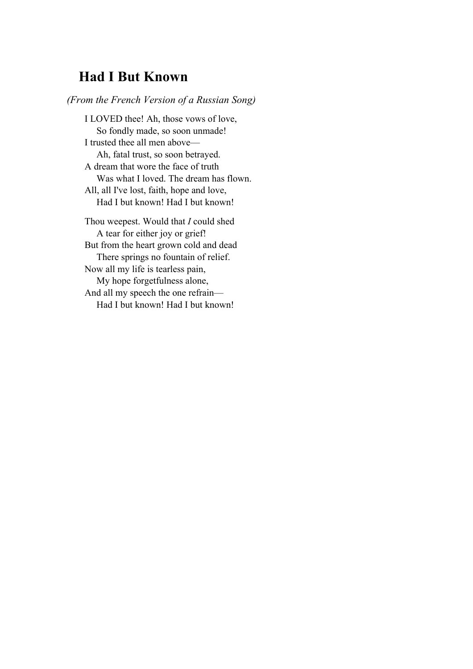# **Had I But Known**

#### *(From the French Version of a Russian Song)*

I LOVED thee! Ah, those vows of love, So fondly made, so soon unmade! I trusted thee all men above— Ah, fatal trust, so soon betrayed. A dream that wore the face of truth Was what I loved. The dream has flown. All, all I've lost, faith, hope and love, Had I but known! Had I but known! Thou weepest. Would that *I* could shed A tear for either joy or grief! But from the heart grown cold and dead There springs no fountain of relief.

Now all my life is tearless pain, My hope forgetfulness alone, And all my speech the one refrain— Had I but known! Had I but known!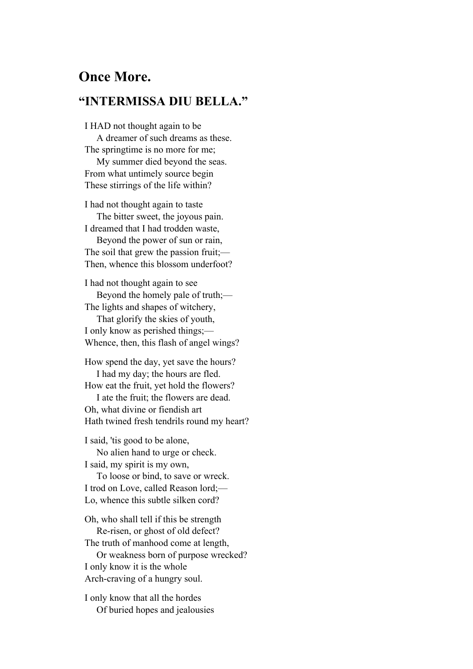### **Once More.**

#### **"INTERMISSA DIU BELLA."**

I HAD not thought again to be A dreamer of such dreams as these. The springtime is no more for me; My summer died beyond the seas. From what untimely source begin These stirrings of the life within?

I had not thought again to taste The bitter sweet, the joyous pain. I dreamed that I had trodden waste, Beyond the power of sun or rain, The soil that grew the passion fruit;— Then, whence this blossom underfoot?

I had not thought again to see Beyond the homely pale of truth;— The lights and shapes of witchery, That glorify the skies of youth,

I only know as perished things;— Whence, then, this flash of angel wings?

How spend the day, yet save the hours? I had my day; the hours are fled. How eat the fruit, yet hold the flowers?

 I ate the fruit; the flowers are dead. Oh, what divine or fiendish art Hath twined fresh tendrils round my heart?

I said, 'tis good to be alone, No alien hand to urge or check. I said, my spirit is my own,

 To loose or bind, to save or wreck. I trod on Love, called Reason lord;— Lo, whence this subtle silken cord?

Oh, who shall tell if this be strength Re-risen, or ghost of old defect? The truth of manhood come at length,

 Or weakness born of purpose wrecked? I only know it is the whole Arch-craving of a hungry soul.

I only know that all the hordes Of buried hopes and jealousies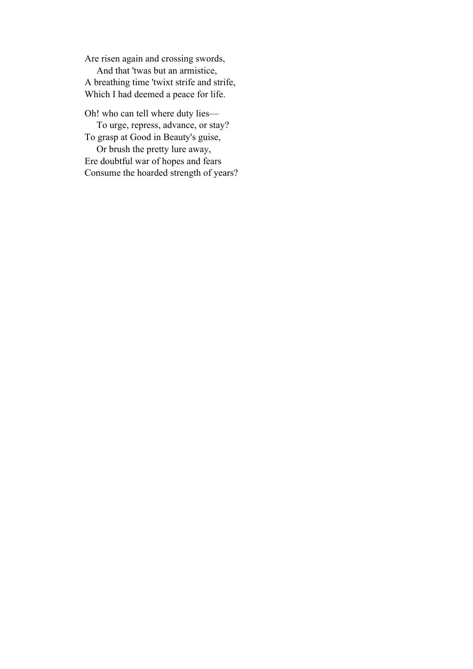Are risen again and crossing swords, And that 'twas but an armistice, A breathing time 'twixt strife and strife, Which I had deemed a peace for life.

Oh! who can tell where duty lies— To urge, repress, advance, or stay? To grasp at Good in Beauty's guise, Or brush the pretty lure away, Ere doubtful war of hopes and fears Consume the hoarded strength of years?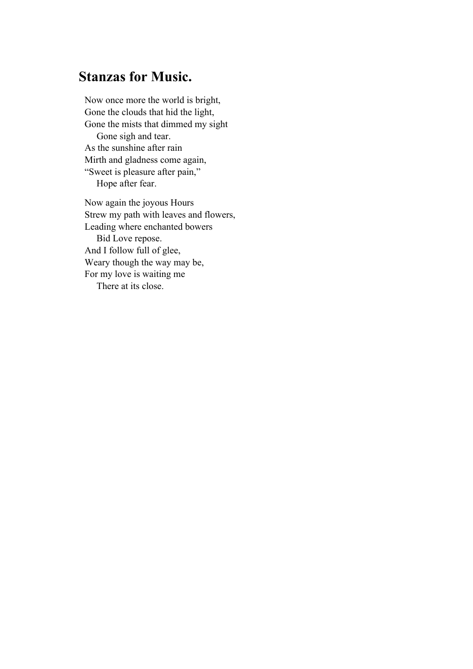# **Stanzas for Music.**

Now once more the world is bright, Gone the clouds that hid the light, Gone the mists that dimmed my sight Gone sigh and tear. As the sunshine after rain Mirth and gladness come again, "Sweet is pleasure after pain," Hope after fear.

Now again the joyous Hours Strew my path with leaves and flowers, Leading where enchanted bowers Bid Love repose. And I follow full of glee, Weary though the way may be, For my love is waiting me There at its close.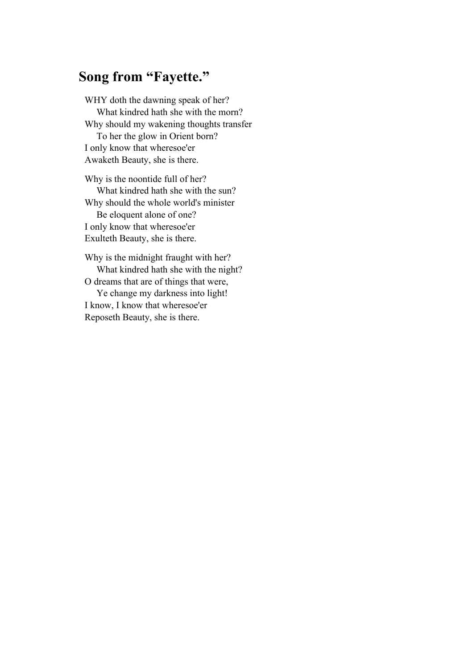# **Song from "Fayette."**

WHY doth the dawning speak of her? What kindred hath she with the morn? Why should my wakening thoughts transfer To her the glow in Orient born? I only know that wheresoe'er Awaketh Beauty, she is there.

Why is the noontide full of her? What kindred hath she with the sun? Why should the whole world's minister Be eloquent alone of one? I only know that wheresoe'er Exulteth Beauty, she is there.

Why is the midnight fraught with her? What kindred hath she with the night? O dreams that are of things that were, Ye change my darkness into light! I know, I know that wheresoe'er Reposeth Beauty, she is there.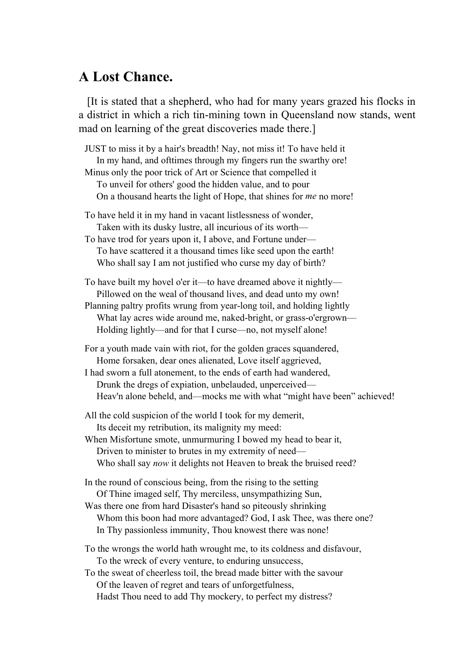### **A Lost Chance.**

 [It is stated that a shepherd, who had for many years grazed his flocks in a district in which a rich tin-mining town in Queensland now stands, went mad on learning of the great discoveries made there.]

JUST to miss it by a hair's breadth! Nay, not miss it! To have held it In my hand, and ofttimes through my fingers run the swarthy ore! Minus only the poor trick of Art or Science that compelled it To unveil for others' good the hidden value, and to pour On a thousand hearts the light of Hope, that shines for *me* no more! To have held it in my hand in vacant listlessness of wonder, Taken with its dusky lustre, all incurious of its worth— To have trod for years upon it, I above, and Fortune under— To have scattered it a thousand times like seed upon the earth! Who shall say I am not justified who curse my day of birth? To have built my hovel o'er it—to have dreamed above it nightly— Pillowed on the weal of thousand lives, and dead unto my own! Planning paltry profits wrung from year-long toil, and holding lightly What lay acres wide around me, naked-bright, or grass-o'ergrown— Holding lightly—and for that I curse—no, not myself alone! For a youth made vain with riot, for the golden graces squandered, Home forsaken, dear ones alienated, Love itself aggrieved, I had sworn a full atonement, to the ends of earth had wandered, Drunk the dregs of expiation, unbelauded, unperceived— Heav'n alone beheld, and—mocks me with what "might have been" achieved! All the cold suspicion of the world I took for my demerit, Its deceit my retribution, its malignity my meed: When Misfortune smote, unmurmuring I bowed my head to bear it, Driven to minister to brutes in my extremity of need— Who shall say *now* it delights not Heaven to break the bruised reed? In the round of conscious being, from the rising to the setting Of Thine imaged self, Thy merciless, unsympathizing Sun, Was there one from hard Disaster's hand so piteously shrinking Whom this boon had more advantaged? God, I ask Thee, was there one? In Thy passionless immunity, Thou knowest there was none! To the wrongs the world hath wrought me, to its coldness and disfavour, To the wreck of every venture, to enduring unsuccess, To the sweat of cheerless toil, the bread made bitter with the savour

Of the leaven of regret and tears of unforgetfulness,

Hadst Thou need to add Thy mockery, to perfect my distress?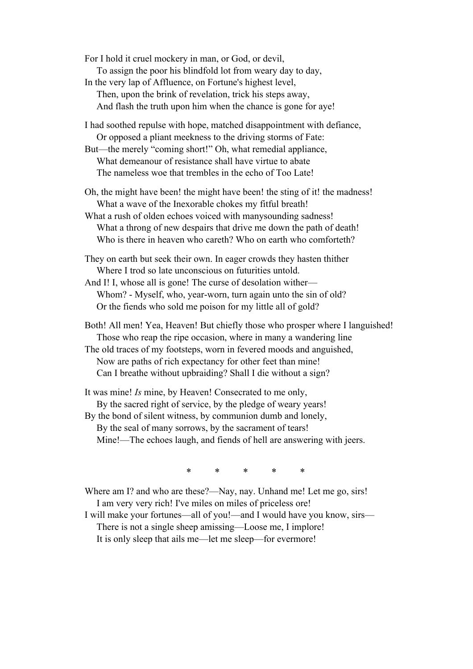For I hold it cruel mockery in man, or God, or devil, To assign the poor his blindfold lot from weary day to day, In the very lap of Affluence, on Fortune's highest level,

 Then, upon the brink of revelation, trick his steps away, And flash the truth upon him when the chance is gone for aye!

I had soothed repulse with hope, matched disappointment with defiance, Or opposed a pliant meekness to the driving storms of Fate:

But—the merely "coming short!" Oh, what remedial appliance, What demeanour of resistance shall have virtue to abate The nameless woe that trembles in the echo of Too Late!

Oh, the might have been! the might have been! the sting of it! the madness! What a wave of the Inexorable chokes my fitful breath!

What a rush of olden echoes voiced with manysounding sadness! What a throng of new despairs that drive me down the path of death! Who is there in heaven who careth? Who on earth who comforteth?

They on earth but seek their own. In eager crowds they hasten thither Where I trod so late unconscious on futurities untold.

And I! I, whose all is gone! The curse of desolation wither— Whom? - Myself, who, year-worn, turn again unto the sin of old? Or the fiends who sold me poison for my little all of gold?

Both! All men! Yea, Heaven! But chiefly those who prosper where I languished! Those who reap the ripe occasion, where in many a wandering line

The old traces of my footsteps, worn in fevered moods and anguished, Now are paths of rich expectancy for other feet than mine! Can I breathe without upbraiding? Shall I die without a sign?

It was mine! *Is* mine, by Heaven! Consecrated to me only, By the sacred right of service, by the pledge of weary years! By the bond of silent witness, by communion dumb and lonely, By the seal of many sorrows, by the sacrament of tears!

Mine!—The echoes laugh, and fiends of hell are answering with jeers.

\* \* \* \* \*

Where am I? and who are these?—Nay, nay. Unhand me! Let me go, sirs! I am very very rich! I've miles on miles of priceless ore!

I will make your fortunes—all of you!—and I would have you know, sirs— There is not a single sheep amissing—Loose me, I implore! It is only sleep that ails me—let me sleep—for evermore!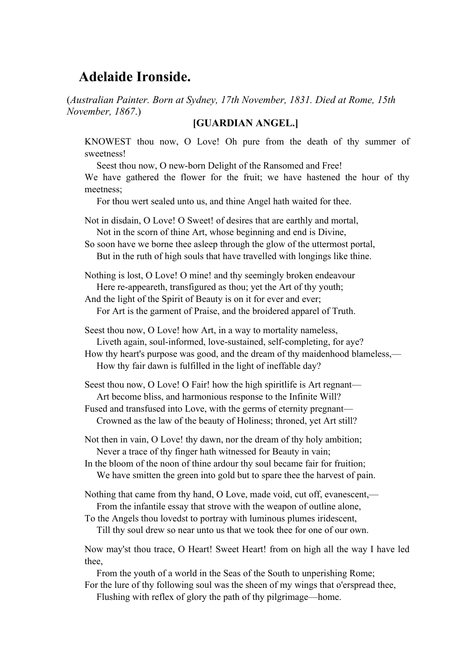# **Adelaide Ironside.**

(*Australian Painter. Born at Sydney, 17th November, 1831. Died at Rome, 15th November, 1867*.)

#### **[GUARDIAN ANGEL.]**

KNOWEST thou now, O Love! Oh pure from the death of thy summer of sweetness!

Seest thou now, O new-born Delight of the Ransomed and Free!

We have gathered the flower for the fruit; we have hastened the hour of thy meetness;

For thou wert sealed unto us, and thine Angel hath waited for thee.

Not in disdain, O Love! O Sweet! of desires that are earthly and mortal, Not in the scorn of thine Art, whose beginning and end is Divine,

So soon have we borne thee asleep through the glow of the uttermost portal, But in the ruth of high souls that have travelled with longings like thine.

Nothing is lost, O Love! O mine! and thy seemingly broken endeavour

Here re-appeareth, transfigured as thou; yet the Art of thy youth;

And the light of the Spirit of Beauty is on it for ever and ever; For Art is the garment of Praise, and the broidered apparel of Truth.

Seest thou now, O Love! how Art, in a way to mortality nameless, Liveth again, soul-informed, love-sustained, self-completing, for aye?

How thy heart's purpose was good, and the dream of thy maidenhood blameless,— How thy fair dawn is fulfilled in the light of ineffable day?

Seest thou now, O Love! O Fair! how the high spiritlife is Art regnant—

Art become bliss, and harmonious response to the Infinite Will?

Fused and transfused into Love, with the germs of eternity pregnant— Crowned as the law of the beauty of Holiness; throned, yet Art still?

Not then in vain, O Love! thy dawn, nor the dream of thy holy ambition; Never a trace of thy finger hath witnessed for Beauty in vain;

In the bloom of the noon of thine ardour thy soul became fair for fruition; We have smitten the green into gold but to spare thee the harvest of pain.

Nothing that came from thy hand, O Love, made void, cut off, evanescent,—

From the infantile essay that strove with the weapon of outline alone,

To the Angels thou lovedst to portray with luminous plumes iridescent,

Till thy soul drew so near unto us that we took thee for one of our own.

Now may'st thou trace, O Heart! Sweet Heart! from on high all the way I have led thee,

 From the youth of a world in the Seas of the South to unperishing Rome; For the lure of thy following soul was the sheen of my wings that o'erspread thee, Flushing with reflex of glory the path of thy pilgrimage—home.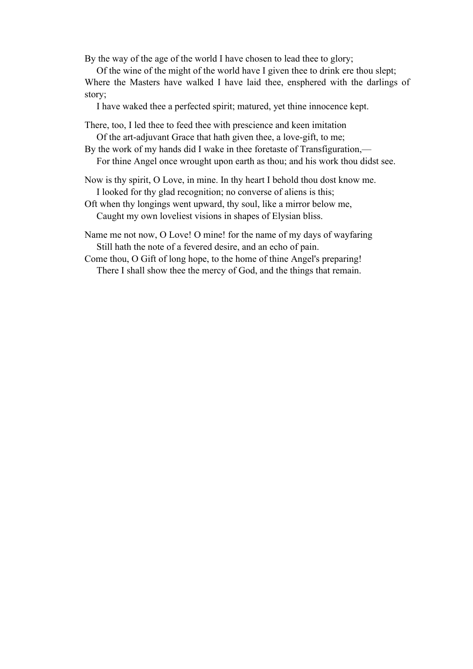By the way of the age of the world I have chosen to lead thee to glory;

 Of the wine of the might of the world have I given thee to drink ere thou slept; Where the Masters have walked I have laid thee, ensphered with the darlings of story;

I have waked thee a perfected spirit; matured, yet thine innocence kept.

There, too, I led thee to feed thee with prescience and keen imitation Of the art-adjuvant Grace that hath given thee, a love-gift, to me;

By the work of my hands did I wake in thee foretaste of Transfiguration,— For thine Angel once wrought upon earth as thou; and his work thou didst see.

Now is thy spirit, O Love, in mine. In thy heart I behold thou dost know me. I looked for thy glad recognition; no converse of aliens is this;

Oft when thy longings went upward, thy soul, like a mirror below me, Caught my own loveliest visions in shapes of Elysian bliss.

Name me not now, O Love! O mine! for the name of my days of wayfaring Still hath the note of a fevered desire, and an echo of pain.

Come thou, O Gift of long hope, to the home of thine Angel's preparing! There I shall show thee the mercy of God, and the things that remain.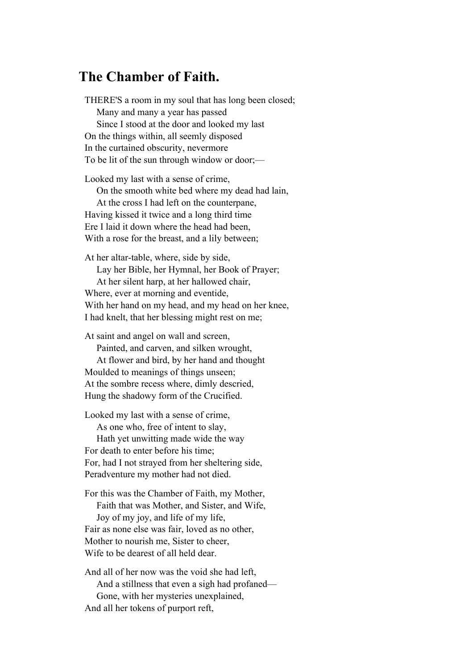### **The Chamber of Faith.**

THERE'S a room in my soul that has long been closed; Many and many a year has passed Since I stood at the door and looked my last On the things within, all seemly disposed In the curtained obscurity, nevermore To be lit of the sun through window or door;—

Looked my last with a sense of crime, On the smooth white bed where my dead had lain, At the cross I had left on the counterpane, Having kissed it twice and a long third time Ere I laid it down where the head had been, With a rose for the breast, and a lily between;

At her altar-table, where, side by side, Lay her Bible, her Hymnal, her Book of Prayer; At her silent harp, at her hallowed chair, Where, ever at morning and eventide, With her hand on my head, and my head on her knee, I had knelt, that her blessing might rest on me;

At saint and angel on wall and screen, Painted, and carven, and silken wrought, At flower and bird, by her hand and thought Moulded to meanings of things unseen; At the sombre recess where, dimly descried, Hung the shadowy form of the Crucified.

Looked my last with a sense of crime, As one who, free of intent to slay, Hath yet unwitting made wide the way For death to enter before his time; For, had I not strayed from her sheltering side, Peradventure my mother had not died.

For this was the Chamber of Faith, my Mother, Faith that was Mother, and Sister, and Wife, Joy of my joy, and life of my life, Fair as none else was fair, loved as no other, Mother to nourish me, Sister to cheer, Wife to be dearest of all held dear.

And all of her now was the void she had left, And a stillness that even a sigh had profaned— Gone, with her mysteries unexplained, And all her tokens of purport reft,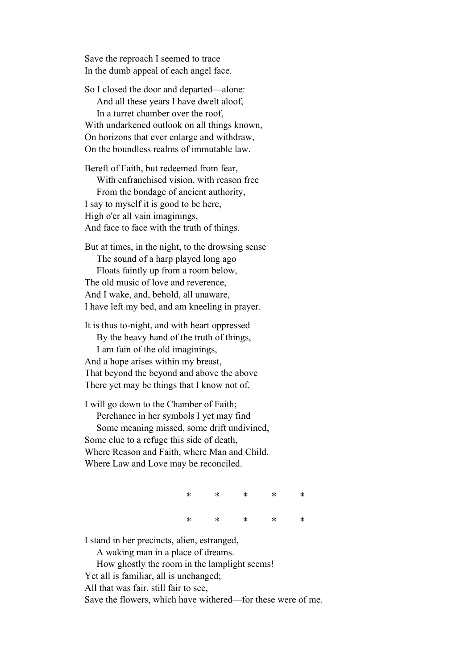Save the reproach I seemed to trace In the dumb appeal of each angel face.

So I closed the door and departed—alone: And all these years I have dwelt aloof, In a turret chamber over the roof, With undarkened outlook on all things known, On horizons that ever enlarge and withdraw, On the boundless realms of immutable law.

Bereft of Faith, but redeemed from fear, With enfranchised vision, with reason free From the bondage of ancient authority, I say to myself it is good to be here, High o'er all vain imaginings, And face to face with the truth of things.

But at times, in the night, to the drowsing sense The sound of a harp played long ago Floats faintly up from a room below, The old music of love and reverence, And I wake, and, behold, all unaware, I have left my bed, and am kneeling in prayer.

It is thus to-night, and with heart oppressed By the heavy hand of the truth of things, I am fain of the old imaginings, And a hope arises within my breast, That beyond the beyond and above the above There yet may be things that I know not of.

I will go down to the Chamber of Faith; Perchance in her symbols I yet may find Some meaning missed, some drift undivined, Some clue to a refuge this side of death, Where Reason and Faith, where Man and Child, Where Law and Love may be reconciled.

> \* \* \* \* \* \* \* \* \* \*

I stand in her precincts, alien, estranged,

A waking man in a place of dreams.

How ghostly the room in the lamplight seems!

Yet all is familiar, all is unchanged;

All that was fair, still fair to see,

Save the flowers, which have withered—for these were of me.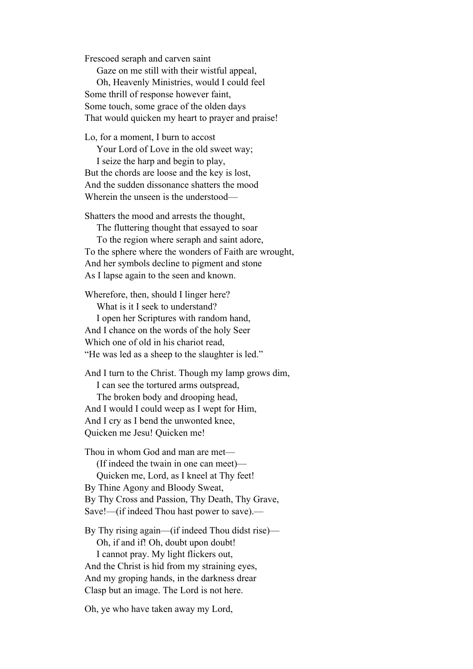Frescoed seraph and carven saint Gaze on me still with their wistful appeal, Oh, Heavenly Ministries, would I could feel Some thrill of response however faint, Some touch, some grace of the olden days That would quicken my heart to prayer and praise!

Lo, for a moment, I burn to accost Your Lord of Love in the old sweet way; I seize the harp and begin to play, But the chords are loose and the key is lost, And the sudden dissonance shatters the mood Wherein the unseen is the understood—

Shatters the mood and arrests the thought, The fluttering thought that essayed to soar To the region where seraph and saint adore, To the sphere where the wonders of Faith are wrought,

And her symbols decline to pigment and stone As I lapse again to the seen and known.

Wherefore, then, should I linger here? What is it I seek to understand? I open her Scriptures with random hand, And I chance on the words of the holy Seer Which one of old in his chariot read, "He was led as a sheep to the slaughter is led."

And I turn to the Christ. Though my lamp grows dim, I can see the tortured arms outspread, The broken body and drooping head, And I would I could weep as I wept for Him, And I cry as I bend the unwonted knee, Quicken me Jesu! Quicken me!

Thou in whom God and man are met— (If indeed the twain in one can meet)— Quicken me, Lord, as I kneel at Thy feet! By Thine Agony and Bloody Sweat, By Thy Cross and Passion, Thy Death, Thy Grave, Save!—(if indeed Thou hast power to save).—

By Thy rising again—(if indeed Thou didst rise)— Oh, if and if! Oh, doubt upon doubt! I cannot pray. My light flickers out, And the Christ is hid from my straining eyes, And my groping hands, in the darkness drear Clasp but an image. The Lord is not here.

Oh, ye who have taken away my Lord,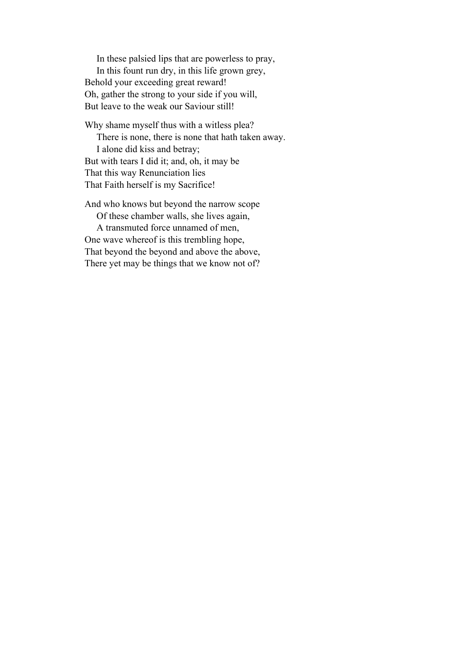In these palsied lips that are powerless to pray, In this fount run dry, in this life grown grey, Behold your exceeding great reward! Oh, gather the strong to your side if you will, But leave to the weak our Saviour still!

Why shame myself thus with a witless plea? There is none, there is none that hath taken away. I alone did kiss and betray; But with tears I did it; and, oh, it may be That this way Renunciation lies That Faith herself is my Sacrifice!

And who knows but beyond the narrow scope Of these chamber walls, she lives again, A transmuted force unnamed of men, One wave whereof is this trembling hope, That beyond the beyond and above the above, There yet may be things that we know not of?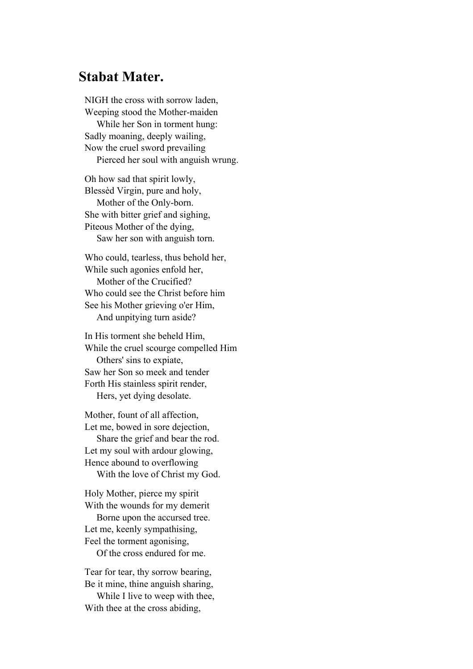### **Stabat Mater.**

NIGH the cross with sorrow laden, Weeping stood the Mother-maiden While her Son in torment hung: Sadly moaning, deeply wailing, Now the cruel sword prevailing Pierced her soul with anguish wrung.

Oh how sad that spirit lowly, Blessèd Virgin, pure and holy, Mother of the Only-born. She with bitter grief and sighing, Piteous Mother of the dying, Saw her son with anguish torn.

Who could, tearless, thus behold her, While such agonies enfold her, Mother of the Crucified? Who could see the Christ before him See his Mother grieving o'er Him, And unpitying turn aside?

In His torment she beheld Him, While the cruel scourge compelled Him Others' sins to expiate, Saw her Son so meek and tender Forth His stainless spirit render, Hers, yet dying desolate.

Mother, fount of all affection, Let me, bowed in sore dejection, Share the grief and bear the rod. Let my soul with ardour glowing, Hence abound to overflowing With the love of Christ my God.

Holy Mother, pierce my spirit With the wounds for my demerit Borne upon the accursed tree. Let me, keenly sympathising, Feel the torment agonising, Of the cross endured for me.

Tear for tear, thy sorrow bearing, Be it mine, thine anguish sharing,

While I live to weep with thee, With thee at the cross abiding,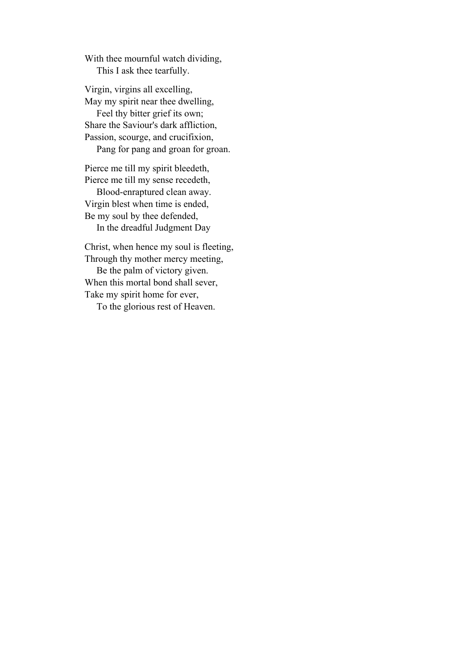With thee mournful watch dividing, This I ask thee tearfully.

Virgin, virgins all excelling, May my spirit near thee dwelling, Feel thy bitter grief its own; Share the Saviour's dark affliction, Passion, scourge, and crucifixion, Pang for pang and groan for groan.

Pierce me till my spirit bleedeth, Pierce me till my sense recedeth, Blood-enraptured clean away. Virgin blest when time is ended, Be my soul by thee defended, In the dreadful Judgment Day

Christ, when hence my soul is fleeting, Through thy mother mercy meeting, Be the palm of victory given. When this mortal bond shall sever, Take my spirit home for ever, To the glorious rest of Heaven.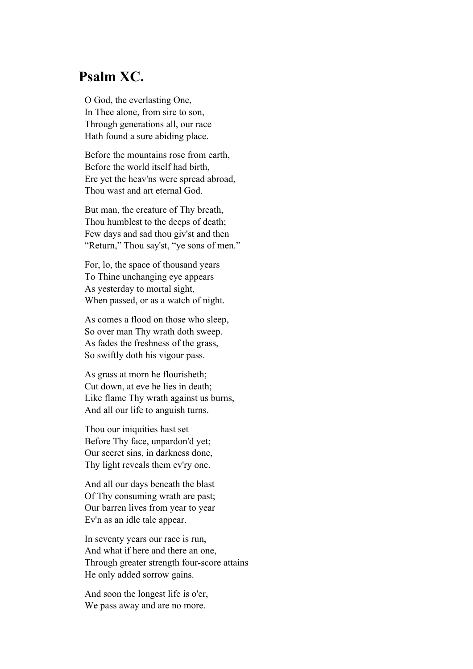# **Psalm XC.**

O God, the everlasting One, In Thee alone, from sire to son, Through generations all, our race Hath found a sure abiding place.

Before the mountains rose from earth, Before the world itself had birth, Ere yet the heav'ns were spread abroad, Thou wast and art eternal God.

But man, the creature of Thy breath, Thou humblest to the deeps of death; Few days and sad thou giv'st and then "Return," Thou say'st, "ye sons of men."

For, lo, the space of thousand years To Thine unchanging eye appears As yesterday to mortal sight, When passed, or as a watch of night.

As comes a flood on those who sleep, So over man Thy wrath doth sweep. As fades the freshness of the grass, So swiftly doth his vigour pass.

As grass at morn he flourisheth; Cut down, at eve he lies in death; Like flame Thy wrath against us burns, And all our life to anguish turns.

Thou our iniquities hast set Before Thy face, unpardon'd yet; Our secret sins, in darkness done, Thy light reveals them ev'ry one.

And all our days beneath the blast Of Thy consuming wrath are past; Our barren lives from year to year Ev'n as an idle tale appear.

In seventy years our race is run, And what if here and there an one, Through greater strength four-score attains He only added sorrow gains.

And soon the longest life is o'er, We pass away and are no more.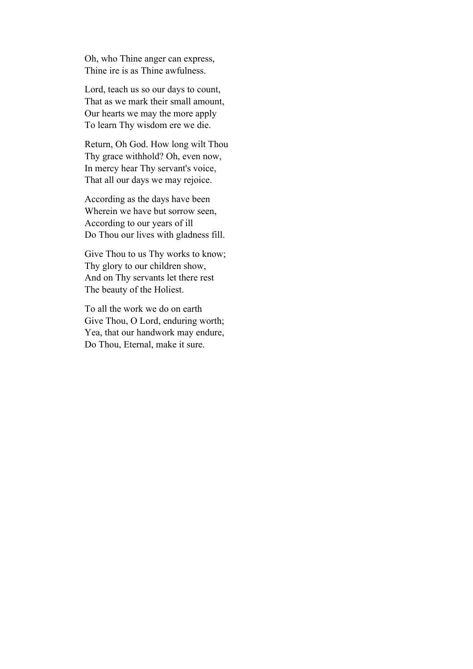Oh, who Thine anger can express, Thine ire is as Thine awfulness.

Lord, teach us so our days to count, That as we mark their small amount, Our hearts we may the more apply To learn Thy wisdom ere we die.

Return, Oh God. How long wilt Thou Thy grace withhold? Oh, even now, In mercy hear Thy servant's voice, That all our days we may rejoice.

According as the days have been Wherein we have but sorrow seen, According to our years of ill Do Thou our lives with gladness fill.

Give Thou to us Thy works to know; Thy glory to our children show, And on Thy servants let there rest The beauty of the Holiest.

To all the work we do on earth Give Thou, O Lord, enduring worth; Yea, that our handwork may endure, Do Thou, Eternal, make it sure.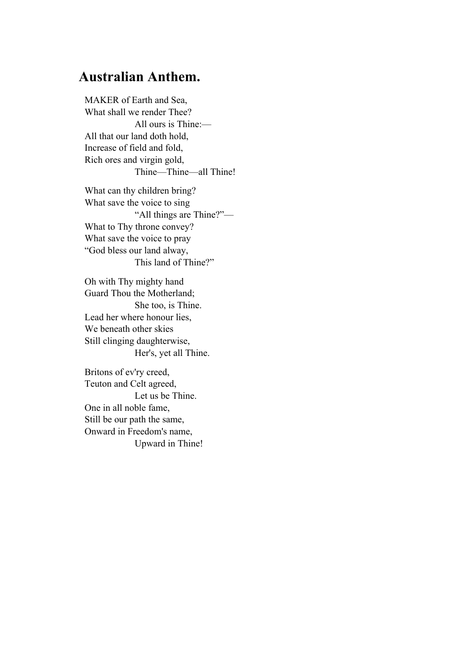# **Australian Anthem.**

MAKER of Earth and Sea, What shall we render Thee? All ours is Thine:— All that our land doth hold, Increase of field and fold, Rich ores and virgin gold, Thine—Thine—all Thine! What can thy children bring? What save the voice to sing "All things are Thine?"— What to Thy throne convey? What save the voice to pray "God bless our land alway, This land of Thine?" Oh with Thy mighty hand Guard Thou the Motherland;

 She too, is Thine. Lead her where honour lies, We beneath other skies Still clinging daughterwise, Her's, yet all Thine.

Britons of ev'ry creed, Teuton and Celt agreed, Let us be Thine. One in all noble fame, Still be our path the same, Onward in Freedom's name, Upward in Thine!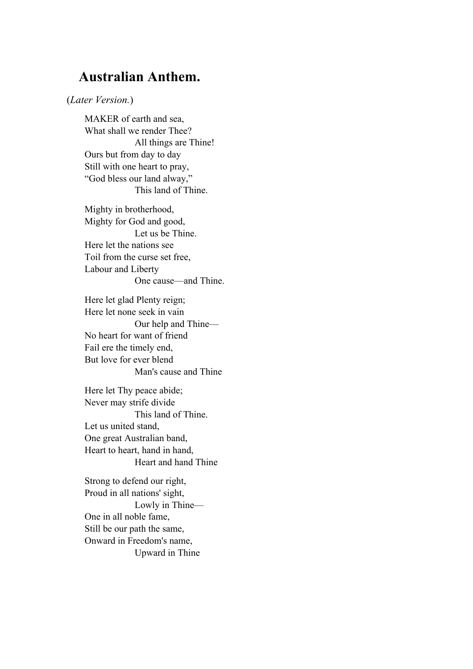## **Australian Anthem.**

#### (*Later Version.*)

MAKER of earth and sea, What shall we render Thee? All things are Thine! Ours but from day to day Still with one heart to pray, "God bless our land alway," This land of Thine. Mighty in brotherhood, Mighty for God and good, Let us be Thine. Here let the nations see Toil from the curse set free, Labour and Liberty One cause—and Thine. Here let glad Plenty reign; Here let none seek in vain Our help and Thine— No heart for want of friend Fail ere the timely end, But love for ever blend Man's cause and Thine Here let Thy peace abide; Never may strife divide This land of Thine. Let us united stand, One great Australian band, Heart to heart, hand in hand, Heart and hand Thine Strong to defend our right, Proud in all nations' sight, Lowly in Thine— One in all noble fame, Still be our path the same, Onward in Freedom's name, Upward in Thine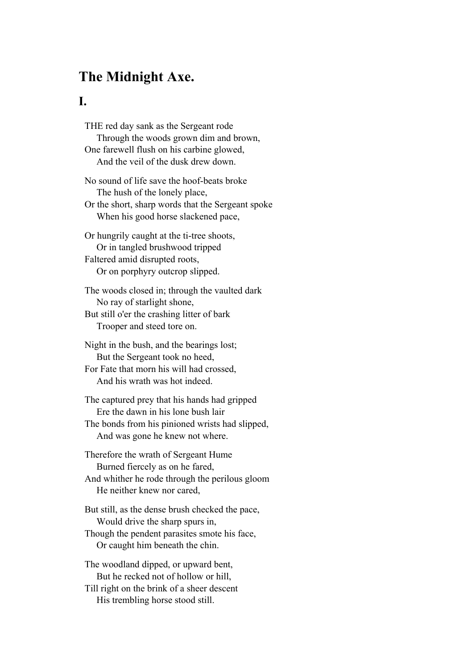## **The Midnight Axe.**

#### **I.**

THE red day sank as the Sergeant rode Through the woods grown dim and brown, One farewell flush on his carbine glowed, And the veil of the dusk drew down. No sound of life save the hoof-beats broke The hush of the lonely place, Or the short, sharp words that the Sergeant spoke When his good horse slackened pace, Or hungrily caught at the ti-tree shoots, Or in tangled brushwood tripped Faltered amid disrupted roots, Or on porphyry outcrop slipped. The woods closed in; through the vaulted dark No ray of starlight shone, But still o'er the crashing litter of bark Trooper and steed tore on. Night in the bush, and the bearings lost; But the Sergeant took no heed, For Fate that morn his will had crossed, And his wrath was hot indeed. The captured prey that his hands had gripped Ere the dawn in his lone bush lair The bonds from his pinioned wrists had slipped, And was gone he knew not where. Therefore the wrath of Sergeant Hume Burned fiercely as on he fared, And whither he rode through the perilous gloom He neither knew nor cared, But still, as the dense brush checked the pace, Would drive the sharp spurs in, Though the pendent parasites smote his face, Or caught him beneath the chin.

The woodland dipped, or upward bent, But he recked not of hollow or hill, Till right on the brink of a sheer descent His trembling horse stood still.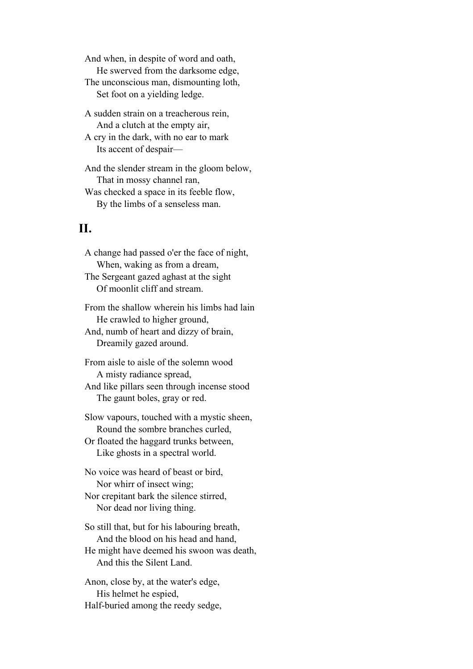And when, in despite of word and oath, He swerved from the darksome edge, The unconscious man, dismounting loth, Set foot on a yielding ledge.

A sudden strain on a treacherous rein, And a clutch at the empty air, A cry in the dark, with no ear to mark Its accent of despair—

And the slender stream in the gloom below, That in mossy channel ran, Was checked a space in its feeble flow, By the limbs of a senseless man.

#### **II.**

A change had passed o'er the face of night, When, waking as from a dream, The Sergeant gazed aghast at the sight Of moonlit cliff and stream.

From the shallow wherein his limbs had lain He crawled to higher ground, And, numb of heart and dizzy of brain, Dreamily gazed around.

From aisle to aisle of the solemn wood A misty radiance spread, And like pillars seen through incense stood The gaunt boles, gray or red.

Slow vapours, touched with a mystic sheen, Round the sombre branches curled, Or floated the haggard trunks between, Like ghosts in a spectral world.

No voice was heard of beast or bird, Nor whirr of insect wing; Nor crepitant bark the silence stirred, Nor dead nor living thing.

So still that, but for his labouring breath, And the blood on his head and hand, He might have deemed his swoon was death, And this the Silent Land.

Anon, close by, at the water's edge, His helmet he espied, Half-buried among the reedy sedge,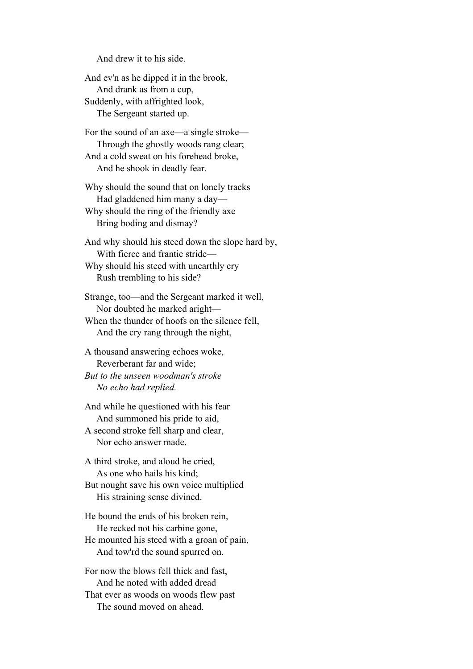And drew it to his side.

And ev'n as he dipped it in the brook, And drank as from a cup, Suddenly, with affrighted look, The Sergeant started up.

For the sound of an axe—a single stroke— Through the ghostly woods rang clear; And a cold sweat on his forehead broke, And he shook in deadly fear.

Why should the sound that on lonely tracks Had gladdened him many a day— Why should the ring of the friendly axe Bring boding and dismay?

And why should his steed down the slope hard by, With fierce and frantic stride— Why should his steed with unearthly cry

Rush trembling to his side?

Strange, too—and the Sergeant marked it well, Nor doubted he marked aright— When the thunder of hoofs on the silence fell, And the cry rang through the night,

A thousand answering echoes woke, Reverberant far and wide; *But to the unseen woodman's stroke No echo had replied.*

And while he questioned with his fear And summoned his pride to aid,

A second stroke fell sharp and clear, Nor echo answer made.

A third stroke, and aloud he cried, As one who hails his kind; But nought save his own voice multiplied His straining sense divined.

He bound the ends of his broken rein, He recked not his carbine gone, He mounted his steed with a groan of pain, And tow'rd the sound spurred on.

For now the blows fell thick and fast, And he noted with added dread That ever as woods on woods flew past The sound moved on ahead.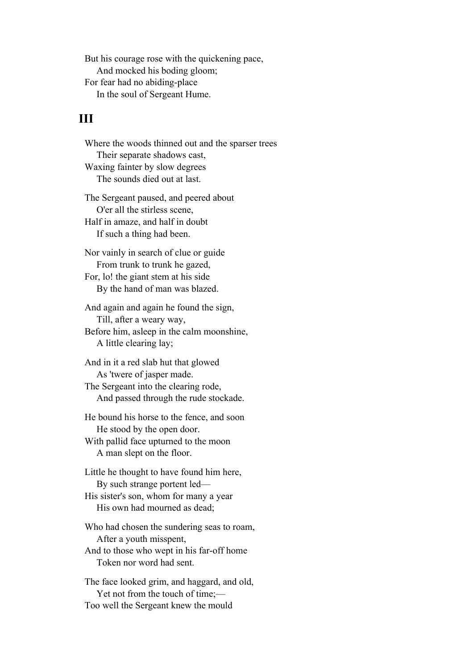But his courage rose with the quickening pace, And mocked his boding gloom; For fear had no abiding-place In the soul of Sergeant Hume.

#### **III**

Where the woods thinned out and the sparser trees Their separate shadows cast, Waxing fainter by slow degrees The sounds died out at last.

The Sergeant paused, and peered about O'er all the stirless scene, Half in amaze, and half in doubt If such a thing had been.

Nor vainly in search of clue or guide From trunk to trunk he gazed, For, lo! the giant stem at his side By the hand of man was blazed.

And again and again he found the sign, Till, after a weary way, Before him, asleep in the calm moonshine, A little clearing lay;

And in it a red slab hut that glowed As 'twere of jasper made. The Sergeant into the clearing rode, And passed through the rude stockade.

He bound his horse to the fence, and soon He stood by the open door. With pallid face upturned to the moon A man slept on the floor.

Little he thought to have found him here, By such strange portent led— His sister's son, whom for many a year His own had mourned as dead;

Who had chosen the sundering seas to roam, After a youth misspent, And to those who wept in his far-off home Token nor word had sent.

The face looked grim, and haggard, and old, Yet not from the touch of time;— Too well the Sergeant knew the mould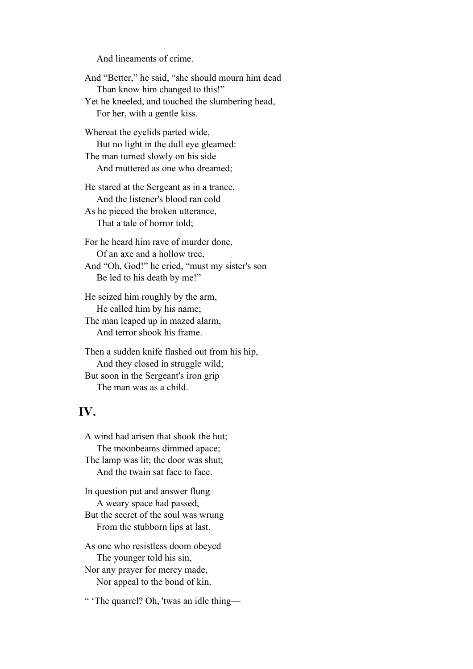#### And lineaments of crime.

And "Better," he said, "she should mourn him dead Than know him changed to this!" Yet he kneeled, and touched the slumbering head, For her, with a gentle kiss.

Whereat the eyelids parted wide, But no light in the dull eye gleamed: The man turned slowly on his side And muttered as one who dreamed;

He stared at the Sergeant as in a trance, And the listener's blood ran cold As he pieced the broken utterance, That a tale of horror told;

For he heard him rave of murder done, Of an axe and a hollow tree, And "Oh, God!" he cried, "must my sister's son

Be led to his death by me!"

He seized him roughly by the arm, He called him by his name; The man leaped up in mazed alarm, And terror shook his frame.

Then a sudden knife flashed out from his hip, And they closed in struggle wild; But soon in the Sergeant's iron grip The man was as a child.

#### **IV.**

A wind had arisen that shook the hut; The moonbeams dimmed apace; The lamp was lit; the door was shut; And the twain sat face to face. In question put and answer flung A weary space had passed, But the secret of the soul was wrung From the stubborn lips at last. As one who resistless doom obeyed

 The younger told his sin, Nor any prayer for mercy made, Nor appeal to the bond of kin.

" 'The quarrel? Oh, 'twas an idle thing—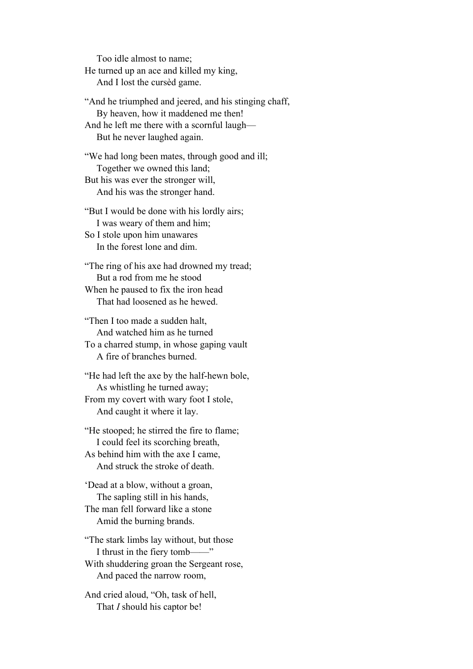Too idle almost to name; He turned up an ace and killed my king, And I lost the cursèd game.

"And he triumphed and jeered, and his stinging chaff, By heaven, how it maddened me then! And he left me there with a scornful laugh— But he never laughed again.

"We had long been mates, through good and ill; Together we owned this land; But his was ever the stronger will, And his was the stronger hand.

"But I would be done with his lordly airs; I was weary of them and him; So I stole upon him unawares In the forest lone and dim.

"The ring of his axe had drowned my tread; But a rod from me he stood When he paused to fix the iron head That had loosened as he hewed.

"Then I too made a sudden halt, And watched him as he turned To a charred stump, in whose gaping vault A fire of branches burned.

"He had left the axe by the half-hewn bole, As whistling he turned away; From my covert with wary foot I stole, And caught it where it lay.

"He stooped; he stirred the fire to flame; I could feel its scorching breath, As behind him with the axe I came, And struck the stroke of death.

'Dead at a blow, without a groan, The sapling still in his hands, The man fell forward like a stone Amid the burning brands.

"The stark limbs lay without, but those I thrust in the fiery tomb——" With shuddering groan the Sergeant rose, And paced the narrow room,

And cried aloud, "Oh, task of hell, That *I* should his captor be!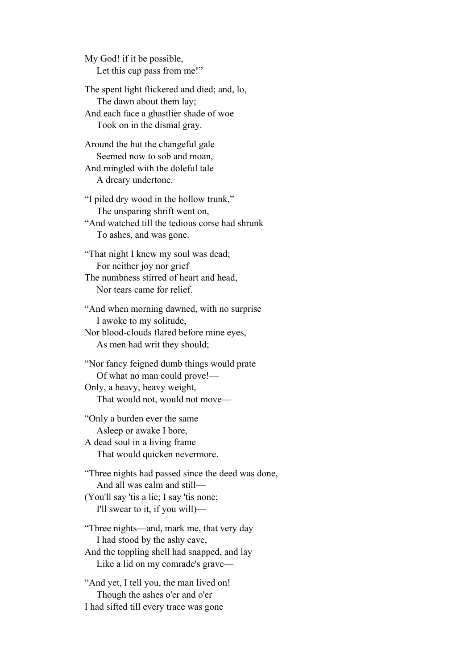My God! if it be possible, Let this cup pass from me!"

The spent light flickered and died; and, lo, The dawn about them lay; And each face a ghastlier shade of woe Took on in the dismal gray.

Around the hut the changeful gale Seemed now to sob and moan, And mingled with the doleful tale A dreary undertone.

"I piled dry wood in the hollow trunk," The unsparing shrift went on,

"And watched till the tedious corse had shrunk To ashes, and was gone.

"That night I knew my soul was dead; For neither joy nor grief

The numbness stirred of heart and head, Nor tears came for relief.

"And when morning dawned, with no surprise I awoke to my solitude,

Nor blood-clouds flared before mine eyes, As men had writ they should;

"Nor fancy feigned dumb things would prate Of what no man could prove!— Only, a heavy, heavy weight, That would not, would not move—

"Only a burden ever the same Asleep or awake I bore, A dead soul in a living frame That would quicken nevermore.

"Three nights had passed since the deed was done, And all was calm and still— (You'll say 'tis a lie; I say 'tis none; I'll swear to it, if you will)—

"Three nights—and, mark me, that very day I had stood by the ashy cave, And the toppling shell had snapped, and lay Like a lid on my comrade's grave—

"And yet, I tell you, the man lived on! Though the ashes o'er and o'er I had sifted till every trace was gone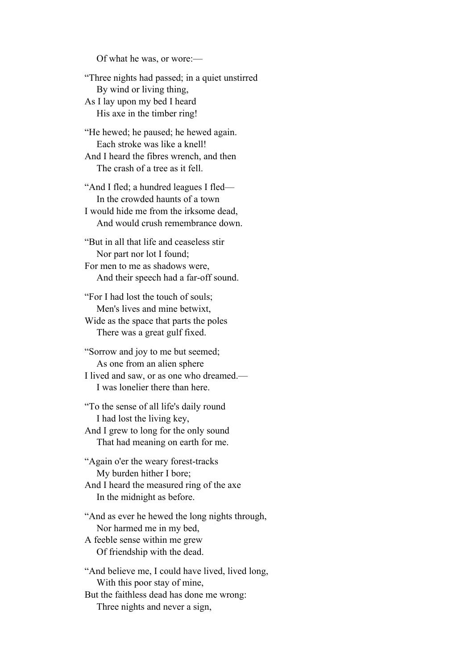Of what he was, or wore:—

"Three nights had passed; in a quiet unstirred By wind or living thing, As I lay upon my bed I heard His axe in the timber ring!

"He hewed; he paused; he hewed again. Each stroke was like a knell! And I heard the fibres wrench, and then The crash of a tree as it fell.

"And I fled; a hundred leagues I fled— In the crowded haunts of a town I would hide me from the irksome dead, And would crush remembrance down.

"But in all that life and ceaseless stir Nor part nor lot I found; For men to me as shadows were, And their speech had a far-off sound.

"For I had lost the touch of souls; Men's lives and mine betwixt, Wide as the space that parts the poles There was a great gulf fixed.

"Sorrow and joy to me but seemed; As one from an alien sphere I lived and saw, or as one who dreamed.—

I was lonelier there than here.

"To the sense of all life's daily round I had lost the living key, And I grew to long for the only sound That had meaning on earth for me.

"Again o'er the weary forest-tracks My burden hither I bore; And I heard the measured ring of the axe

In the midnight as before.

"And as ever he hewed the long nights through, Nor harmed me in my bed, A feeble sense within me grew Of friendship with the dead.

"And believe me, I could have lived, lived long, With this poor stay of mine,

But the faithless dead has done me wrong: Three nights and never a sign,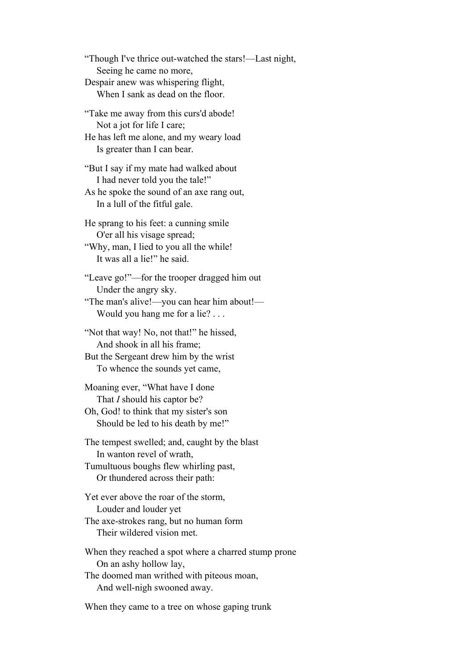"Though I've thrice out-watched the stars!—Last night, Seeing he came no more, Despair anew was whispering flight,

When I sank as dead on the floor.

"Take me away from this curs'd abode! Not a jot for life I care; He has left me alone, and my weary load

Is greater than I can bear.

"But I say if my mate had walked about I had never told you the tale!" As he spoke the sound of an axe rang out,

In a lull of the fitful gale.

He sprang to his feet: a cunning smile O'er all his visage spread; "Why, man, I lied to you all the while!

It was all a lie!" he said.

"Leave go!"—for the trooper dragged him out Under the angry sky. "The man's alive!—you can hear him about!—

Would you hang me for a lie? . . .

"Not that way! No, not that!" he hissed, And shook in all his frame; But the Sergeant drew him by the wrist To whence the sounds yet came,

Moaning ever, "What have I done That *I* should his captor be? Oh, God! to think that my sister's son

Should be led to his death by me!"

The tempest swelled; and, caught by the blast In wanton revel of wrath, Tumultuous boughs flew whirling past,

Or thundered across their path:

Yet ever above the roar of the storm, Louder and louder yet The axe-strokes rang, but no human form Their wildered vision met.

When they reached a spot where a charred stump prone On an ashy hollow lay, The doomed man writhed with piteous moan,

And well-nigh swooned away.

When they came to a tree on whose gaping trunk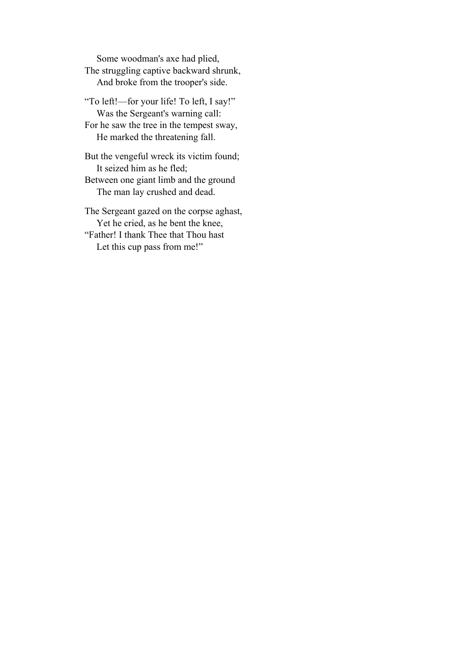Some woodman's axe had plied, The struggling captive backward shrunk, And broke from the trooper's side.

"To left!—for your life! To left, I say!" Was the Sergeant's warning call: For he saw the tree in the tempest sway, He marked the threatening fall.

But the vengeful wreck its victim found; It seized him as he fled; Between one giant limb and the ground The man lay crushed and dead.

The Sergeant gazed on the corpse aghast, Yet he cried, as he bent the knee, "Father! I thank Thee that Thou hast Let this cup pass from me!"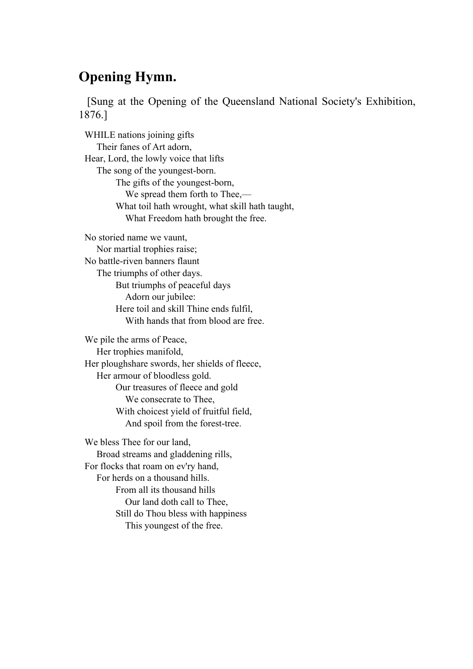# **Opening Hymn.**

 [Sung at the Opening of the Queensland National Society's Exhibition, 1876.]

WHILE nations joining gifts Their fanes of Art adorn, Hear, Lord, the lowly voice that lifts The song of the youngest-born. The gifts of the youngest-born, We spread them forth to Thee,— What toil hath wrought, what skill hath taught, What Freedom hath brought the free.

No storied name we vaunt, Nor martial trophies raise; No battle-riven banners flaunt The triumphs of other days. But triumphs of peaceful days Adorn our jubilee: Here toil and skill Thine ends fulfil, With hands that from blood are free.

We pile the arms of Peace, Her trophies manifold, Her ploughshare swords, her shields of fleece, Her armour of bloodless gold. Our treasures of fleece and gold We consecrate to Thee, With choicest yield of fruitful field, And spoil from the forest-tree.

We bless Thee for our land, Broad streams and gladdening rills, For flocks that roam on ev'ry hand, For herds on a thousand hills. From all its thousand hills Our land doth call to Thee, Still do Thou bless with happiness This youngest of the free.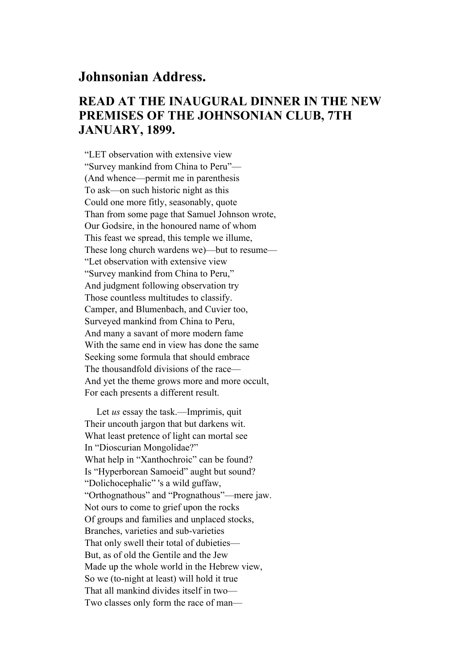### **Johnsonian Address.**

### **READ AT THE INAUGURAL DINNER IN THE NEW PREMISES OF THE JOHNSONIAN CLUB, 7TH JANUARY, 1899.**

"LET observation with extensive view "Survey mankind from China to Peru"— (And whence—permit me in parenthesis To ask—on such historic night as this Could one more fitly, seasonably, quote Than from some page that Samuel Johnson wrote, Our Godsire, in the honoured name of whom This feast we spread, this temple we illume, These long church wardens we)—but to resume— "Let observation with extensive view "Survey mankind from China to Peru," And judgment following observation try Those countless multitudes to classify. Camper, and Blumenbach, and Cuvier too, Surveyed mankind from China to Peru, And many a savant of more modern fame With the same end in view has done the same Seeking some formula that should embrace The thousandfold divisions of the race— And yet the theme grows more and more occult, For each presents a different result.

 Let *us* essay the task.—Imprimis, quit Their uncouth jargon that but darkens wit. What least pretence of light can mortal see In "Dioscurian Mongolidae?" What help in "Xanthochroic" can be found? Is "Hyperborean Samoeid" aught but sound? "Dolichocephalic" 's a wild guffaw, "Orthognathous" and "Prognathous"—mere jaw. Not ours to come to grief upon the rocks Of groups and families and unplaced stocks, Branches, varieties and sub-varieties That only swell their total of dubieties— But, as of old the Gentile and the Jew Made up the whole world in the Hebrew view, So we (to-night at least) will hold it true That all mankind divides itself in two— Two classes only form the race of man—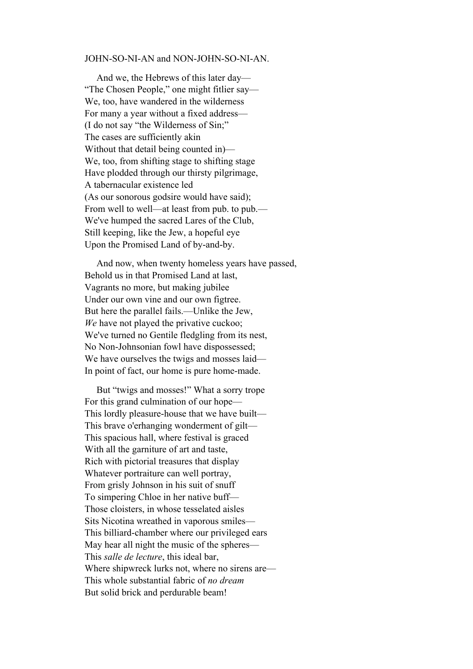#### JOHN-SO-NI-AN and NON-JOHN-SO-NI-AN.

 And we, the Hebrews of this later day— "The Chosen People," one might fitlier say— We, too, have wandered in the wilderness For many a year without a fixed address— (I do not say "the Wilderness of Sin;" The cases are sufficiently akin Without that detail being counted in)— We, too, from shifting stage to shifting stage Have plodded through our thirsty pilgrimage, A tabernacular existence led (As our sonorous godsire would have said); From well to well—at least from pub. to pub.— We've humped the sacred Lares of the Club, Still keeping, like the Jew, a hopeful eye Upon the Promised Land of by-and-by.

 And now, when twenty homeless years have passed, Behold us in that Promised Land at last, Vagrants no more, but making jubilee Under our own vine and our own figtree. But here the parallel fails.—Unlike the Jew, *We* have not played the privative cuckoo; We've turned no Gentile fledgling from its nest, No Non-Johnsonian fowl have dispossessed; We have ourselves the twigs and mosses laid— In point of fact, our home is pure home-made.

 But "twigs and mosses!" What a sorry trope For this grand culmination of our hope— This lordly pleasure-house that we have built— This brave o'erhanging wonderment of gilt— This spacious hall, where festival is graced With all the garniture of art and taste, Rich with pictorial treasures that display Whatever portraiture can well portray, From grisly Johnson in his suit of snuff To simpering Chloe in her native buff— Those cloisters, in whose tesselated aisles Sits Nicotina wreathed in vaporous smiles— This billiard-chamber where our privileged ears May hear all night the music of the spheres— This *salle de lecture*, this ideal bar, Where shipwreck lurks not, where no sirens are— This whole substantial fabric of *no dream* But solid brick and perdurable beam!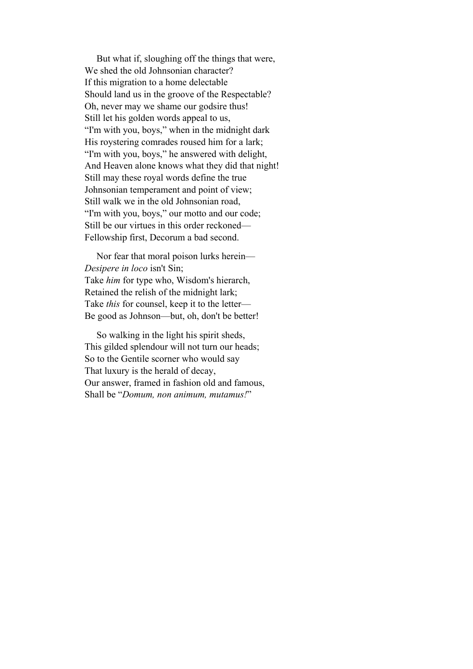But what if, sloughing off the things that were, We shed the old Johnsonian character? If this migration to a home delectable Should land us in the groove of the Respectable? Oh, never may we shame our godsire thus! Still let his golden words appeal to us, "I'm with you, boys," when in the midnight dark His roystering comrades roused him for a lark; "I'm with you, boys," he answered with delight, And Heaven alone knows what they did that night! Still may these royal words define the true Johnsonian temperament and point of view; Still walk we in the old Johnsonian road, "I'm with you, boys," our motto and our code; Still be our virtues in this order reckoned— Fellowship first, Decorum a bad second.

 Nor fear that moral poison lurks herein— *Desipere in loco* isn't Sin; Take *him* for type who, Wisdom's hierarch, Retained the relish of the midnight lark; Take *this* for counsel, keep it to the letter— Be good as Johnson—but, oh, don't be better!

 So walking in the light his spirit sheds, This gilded splendour will not turn our heads; So to the Gentile scorner who would say That luxury is the herald of decay, Our answer, framed in fashion old and famous, Shall be "*Domum, non animum, mutamus!*"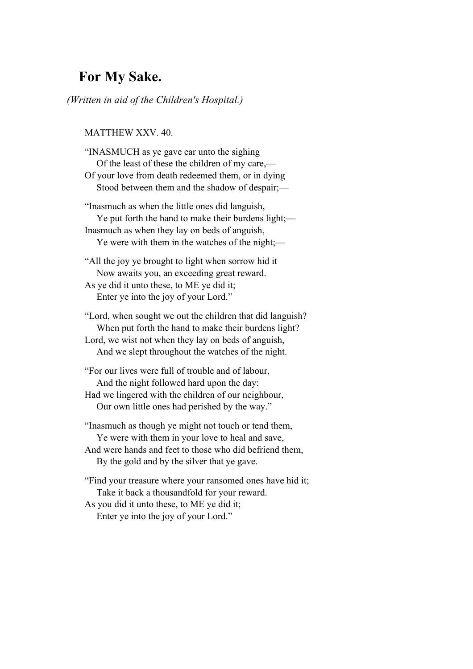# **For My Sake.**

#### *(Written in aid of the Children's Hospital.)*

#### MATTHEW XXV. 40.

"INASMUCH as ye gave ear unto the sighing Of the least of these the children of my care,— Of your love from death redeemed them, or in dying Stood between them and the shadow of despair;— "Inasmuch as when the little ones did languish, Ye put forth the hand to make their burdens light;— Inasmuch as when they lay on beds of anguish, Ye were with them in the watches of the night;— "All the joy ye brought to light when sorrow hid it Now awaits you, an exceeding great reward. As ye did it unto these, to ME ye did it; Enter ye into the joy of your Lord." "Lord, when sought we out the children that did languish? When put forth the hand to make their burdens light? Lord, we wist not when they lay on beds of anguish, And we slept throughout the watches of the night. "For our lives were full of trouble and of labour, And the night followed hard upon the day: Had we lingered with the children of our neighbour, Our own little ones had perished by the way." "Inasmuch as though ye might not touch or tend them, Ye were with them in your love to heal and save, And were hands and feet to those who did befriend them, By the gold and by the silver that ye gave. "Find your treasure where your ransomed ones have hid it;

 Take it back a thousandfold for your reward. As you did it unto these, to ME ye did it;

Enter ye into the joy of your Lord."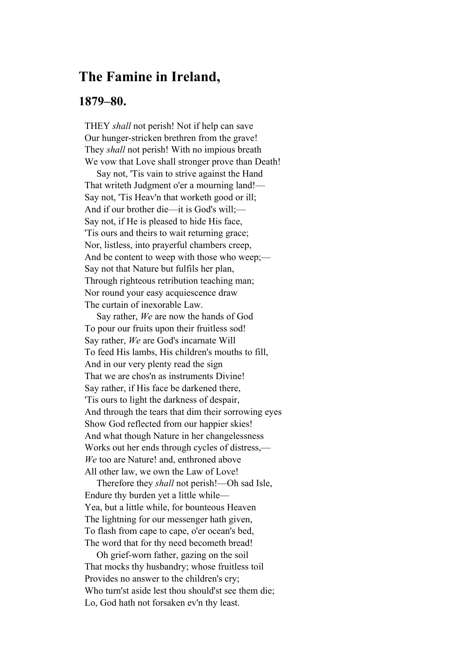# **The Famine in Ireland,**

#### **1879–80.**

THEY *shall* not perish! Not if help can save Our hunger-stricken brethren from the grave! They *shall* not perish! With no impious breath We vow that Love shall stronger prove than Death!

 Say not, 'Tis vain to strive against the Hand That writeth Judgment o'er a mourning land!— Say not, 'Tis Heav'n that worketh good or ill; And if our brother die—it is God's will;— Say not, if He is pleased to hide His face, 'Tis ours and theirs to wait returning grace; Nor, listless, into prayerful chambers creep, And be content to weep with those who weep;— Say not that Nature but fulfils her plan, Through righteous retribution teaching man; Nor round your easy acquiescence draw The curtain of inexorable Law.

 Say rather, *We* are now the hands of God To pour our fruits upon their fruitless sod! Say rather, *We* are God's incarnate Will To feed His lambs, His children's mouths to fill, And in our very plenty read the sign That we are chos'n as instruments Divine! Say rather, if His face be darkened there, 'Tis ours to light the darkness of despair, And through the tears that dim their sorrowing eyes Show God reflected from our happier skies! And what though Nature in her changelessness Works out her ends through cycles of distress,— *We* too are Nature! and, enthroned above All other law, we own the Law of Love!

 Therefore they *shall* not perish!—Oh sad Isle, Endure thy burden yet a little while— Yea, but a little while, for bounteous Heaven The lightning for our messenger hath given, To flash from cape to cape, o'er ocean's bed, The word that for thy need becometh bread!

 Oh grief-worn father, gazing on the soil That mocks thy husbandry; whose fruitless toil Provides no answer to the children's cry; Who turn'st aside lest thou should'st see them die; Lo, God hath not forsaken ev'n thy least.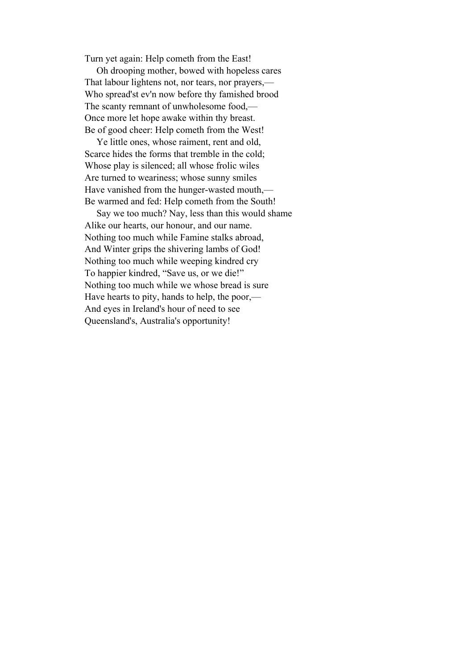Turn yet again: Help cometh from the East!

 Oh drooping mother, bowed with hopeless cares That labour lightens not, nor tears, nor prayers,— Who spread'st ev'n now before thy famished brood The scanty remnant of unwholesome food,— Once more let hope awake within thy breast. Be of good cheer: Help cometh from the West!

 Ye little ones, whose raiment, rent and old, Scarce hides the forms that tremble in the cold; Whose play is silenced; all whose frolic wiles Are turned to weariness; whose sunny smiles Have vanished from the hunger-wasted mouth,— Be warmed and fed: Help cometh from the South!

 Say we too much? Nay, less than this would shame Alike our hearts, our honour, and our name. Nothing too much while Famine stalks abroad, And Winter grips the shivering lambs of God! Nothing too much while weeping kindred cry To happier kindred, "Save us, or we die!" Nothing too much while we whose bread is sure Have hearts to pity, hands to help, the poor,— And eyes in Ireland's hour of need to see Queensland's, Australia's opportunity!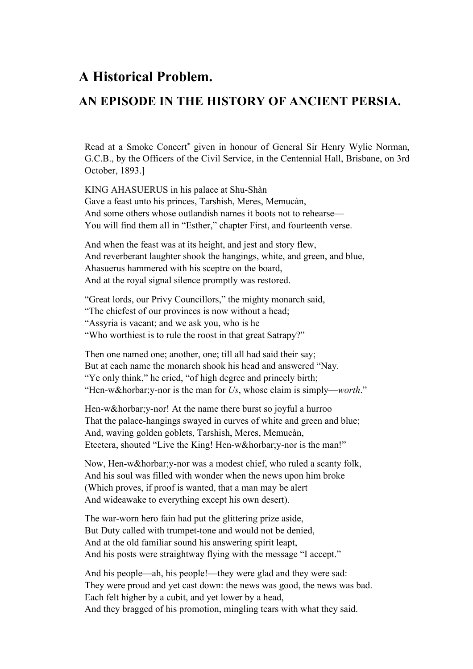# **A Historical Problem.**

## **AN EPISODE IN THE HISTORY OF ANCIENT PERSIA.**

Read at a Smoke Concert\* given in honour of General Sir Henry Wylie Norman, G.C.B., by the Officers of the Civil Service, in the Centennial Hall, Brisbane, on 3rd October, 1893.]

KING AHASUERUS in his palace at Shu-Shàn Gave a feast unto his princes, Tarshish, Meres, Memucàn, And some others whose outlandish names it boots not to rehearse— You will find them all in "Esther," chapter First, and fourteenth verse.

And when the feast was at its height, and jest and story flew, And reverberant laughter shook the hangings, white, and green, and blue, Ahasuerus hammered with his sceptre on the board, And at the royal signal silence promptly was restored.

"Great lords, our Privy Councillors," the mighty monarch said, "The chiefest of our provinces is now without a head; "Assyria is vacant; and we ask you, who is he "Who worthiest is to rule the roost in that great Satrapy?"

Then one named one; another, one; till all had said their say; But at each name the monarch shook his head and answered "Nay. "Ye only think," he cried, "of high degree and princely birth; "Hen-w― y-nor is the man for *Us*, whose claim is simply—*worth*."

Hen-w― y-nor! At the name there burst so joyful a hurroo That the palace-hangings swayed in curves of white and green and blue; And, waving golden goblets, Tarshish, Meres, Memucàn, Etcetera, shouted "Live the King! Hen-w― y-nor is the man!"

Now, Hen-w― y-nor was a modest chief, who ruled a scanty folk, And his soul was filled with wonder when the news upon him broke (Which proves, if proof is wanted, that a man may be alert And wideawake to everything except his own desert).

The war-worn hero fain had put the glittering prize aside, But Duty called with trumpet-tone and would not be denied, And at the old familiar sound his answering spirit leapt, And his posts were straightway flying with the message "I accept."

And his people—ah, his people!—they were glad and they were sad: They were proud and yet cast down: the news was good, the news was bad. Each felt higher by a cubit, and yet lower by a head, And they bragged of his promotion, mingling tears with what they said.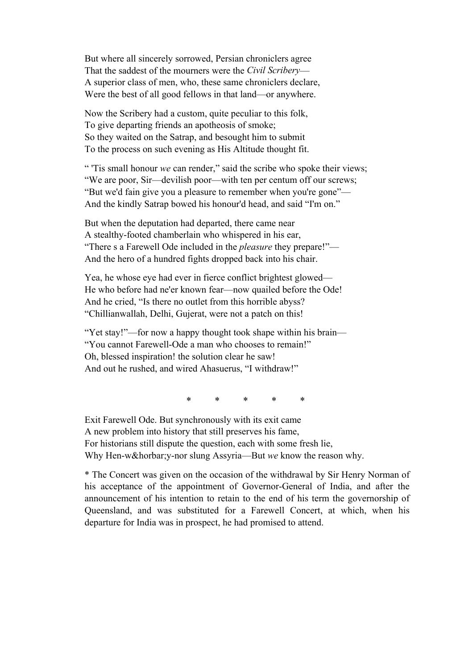But where all sincerely sorrowed, Persian chroniclers agree That the saddest of the mourners were the *Civil Scribery*— A superior class of men, who, these same chroniclers declare, Were the best of all good fellows in that land—or anywhere.

Now the Scribery had a custom, quite peculiar to this folk, To give departing friends an apotheosis of smoke; So they waited on the Satrap, and besought him to submit To the process on such evening as His Altitude thought fit.

" 'Tis small honour *we* can render," said the scribe who spoke their views; "We are poor, Sir—devilish poor—with ten per centum off our screws; "But we'd fain give you a pleasure to remember when you're gone"— And the kindly Satrap bowed his honour'd head, and said "I'm on."

But when the deputation had departed, there came near A stealthy-footed chamberlain who whispered in his ear, "There s a Farewell Ode included in the *pleasure* they prepare!"— And the hero of a hundred fights dropped back into his chair.

Yea, he whose eye had ever in fierce conflict brightest glowed— He who before had ne'er known fear—now quailed before the Ode! And he cried, "Is there no outlet from this horrible abyss? "Chillianwallah, Delhi, Gujerat, were not a patch on this!

"Yet stay!"—for now a happy thought took shape within his brain— "You cannot Farewell-Ode a man who chooses to remain!" Oh, blessed inspiration! the solution clear he saw! And out he rushed, and wired Ahasuerus, "I withdraw!"

\* \* \* \* \*

Exit Farewell Ode. But synchronously with its exit came A new problem into history that still preserves his fame, For historians still dispute the question, each with some fresh lie, Why Hen-w― y-nor slung Assyria—But *we* know the reason why.

\* The Concert was given on the occasion of the withdrawal by Sir Henry Norman of his acceptance of the appointment of Governor-General of India, and after the announcement of his intention to retain to the end of his term the governorship of Queensland, and was substituted for a Farewell Concert, at which, when his departure for India was in prospect, he had promised to attend.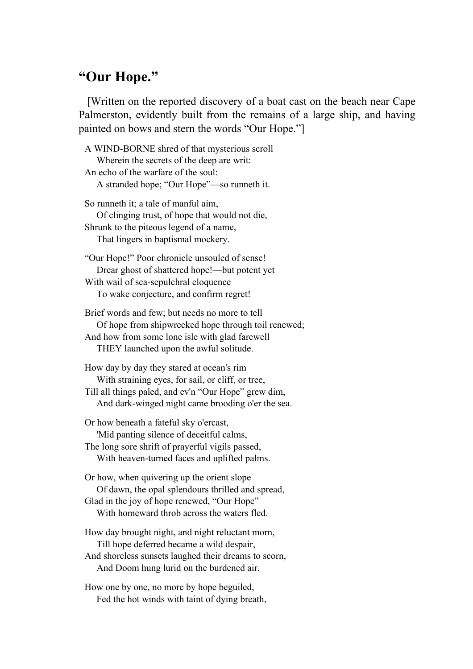# **"Our Hope."**

 [Written on the reported discovery of a boat cast on the beach near Cape Palmerston, evidently built from the remains of a large ship, and having painted on bows and stern the words "Our Hope."]

A WIND-BORNE shred of that mysterious scroll Wherein the secrets of the deep are writ: An echo of the warfare of the soul: A stranded hope; "Our Hope"—so runneth it. So runneth it; a tale of manful aim, Of clinging trust, of hope that would not die, Shrunk to the piteous legend of a name, That lingers in baptismal mockery. "Our Hope!" Poor chronicle unsouled of sense! Drear ghost of shattered hope!—but potent yet With wail of sea-sepulchral eloquence To wake conjecture, and confirm regret! Brief words and few; but needs no more to tell Of hope from shipwrecked hope through toil renewed; And how from some lone isle with glad farewell THEY launched upon the awful solitude. How day by day they stared at ocean's rim With straining eyes, for sail, or cliff, or tree, Till all things paled, and ev'n "Our Hope" grew dim, And dark-winged night came brooding o'er the sea. Or how beneath a fateful sky o'ercast, 'Mid panting silence of deceitful calms, The long sore shrift of prayerful vigils passed, With heaven-turned faces and uplifted palms. Or how, when quivering up the orient slope Of dawn, the opal splendours thrilled and spread, Glad in the joy of hope renewed, "Our Hope" With homeward throb across the waters fled. How day brought night, and night reluctant morn, Till hope deferred became a wild despair, And shoreless sunsets laughed their dreams to scorn, And Doom hung lurid on the burdened air. How one by one, no more by hope beguiled,

Fed the hot winds with taint of dying breath,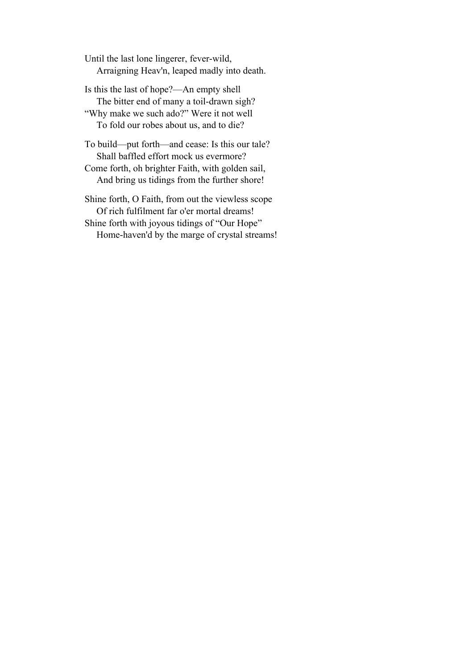Until the last lone lingerer, fever-wild, Arraigning Heav'n, leaped madly into death.

Is this the last of hope?—An empty shell The bitter end of many a toil-drawn sigh? "Why make we such ado?" Were it not well To fold our robes about us, and to die?

To build—put forth—and cease: Is this our tale? Shall baffled effort mock us evermore?

Come forth, oh brighter Faith, with golden sail, And bring us tidings from the further shore!

Shine forth, O Faith, from out the viewless scope Of rich fulfilment far o'er mortal dreams! Shine forth with joyous tidings of "Our Hope" Home-haven'd by the marge of crystal streams!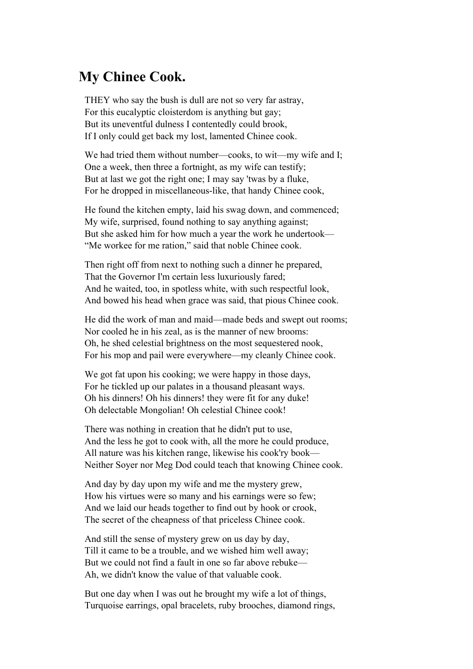# **My Chinee Cook.**

THEY who say the bush is dull are not so very far astray, For this eucalyptic cloisterdom is anything but gay; But its uneventful dulness I contentedly could brook, If I only could get back my lost, lamented Chinee cook.

We had tried them without number—cooks, to wit—my wife and I; One a week, then three a fortnight, as my wife can testify; But at last we got the right one; I may say 'twas by a fluke, For he dropped in miscellaneous-like, that handy Chinee cook,

He found the kitchen empty, laid his swag down, and commenced; My wife, surprised, found nothing to say anything against; But she asked him for how much a year the work he undertook— "Me workee for me ration," said that noble Chinee cook.

Then right off from next to nothing such a dinner he prepared, That the Governor I'm certain less luxuriously fared; And he waited, too, in spotless white, with such respectful look, And bowed his head when grace was said, that pious Chinee cook.

He did the work of man and maid—made beds and swept out rooms; Nor cooled he in his zeal, as is the manner of new brooms: Oh, he shed celestial brightness on the most sequestered nook, For his mop and pail were everywhere—my cleanly Chinee cook.

We got fat upon his cooking; we were happy in those days, For he tickled up our palates in a thousand pleasant ways. Oh his dinners! Oh his dinners! they were fit for any duke! Oh delectable Mongolian! Oh celestial Chinee cook!

There was nothing in creation that he didn't put to use, And the less he got to cook with, all the more he could produce, All nature was his kitchen range, likewise his cook'ry book— Neither Soyer nor Meg Dod could teach that knowing Chinee cook.

And day by day upon my wife and me the mystery grew, How his virtues were so many and his earnings were so few; And we laid our heads together to find out by hook or crook, The secret of the cheapness of that priceless Chinee cook.

And still the sense of mystery grew on us day by day, Till it came to be a trouble, and we wished him well away; But we could not find a fault in one so far above rebuke— Ah, we didn't know the value of that valuable cook.

But one day when I was out he brought my wife a lot of things, Turquoise earrings, opal bracelets, ruby brooches, diamond rings,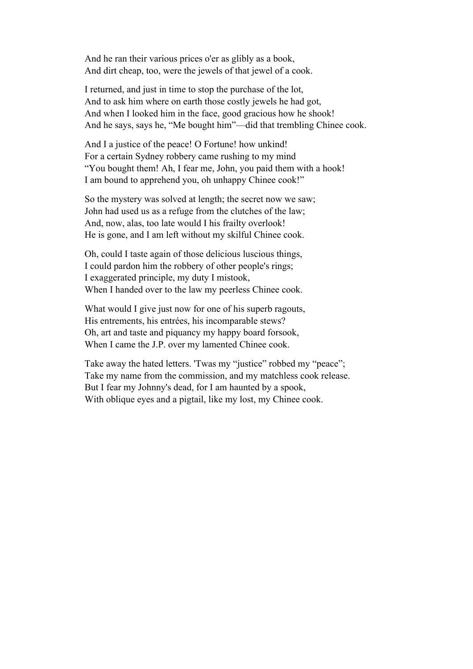And he ran their various prices o'er as glibly as a book, And dirt cheap, too, were the jewels of that jewel of a cook.

I returned, and just in time to stop the purchase of the lot, And to ask him where on earth those costly jewels he had got, And when I looked him in the face, good gracious how he shook! And he says, says he, "Me bought him"—did that trembling Chinee cook.

And I a justice of the peace! O Fortune! how unkind! For a certain Sydney robbery came rushing to my mind "You bought them! Ah, I fear me, John, you paid them with a hook! I am bound to apprehend you, oh unhappy Chinee cook!"

So the mystery was solved at length; the secret now we saw; John had used us as a refuge from the clutches of the law; And, now, alas, too late would I his frailty overlook! He is gone, and I am left without my skilful Chinee cook.

Oh, could I taste again of those delicious luscious things, I could pardon him the robbery of other people's rings; I exaggerated principle, my duty I mistook, When I handed over to the law my peerless Chinee cook.

What would I give just now for one of his superb ragouts, His entrements, his entrées, his incomparable stews? Oh, art and taste and piquancy my happy board forsook, When I came the J.P. over my lamented Chinee cook.

Take away the hated letters. 'Twas my "justice" robbed my "peace"; Take my name from the commission, and my matchless cook release. But I fear my Johnny's dead, for I am haunted by a spook, With oblique eyes and a pigtail, like my lost, my Chinee cook.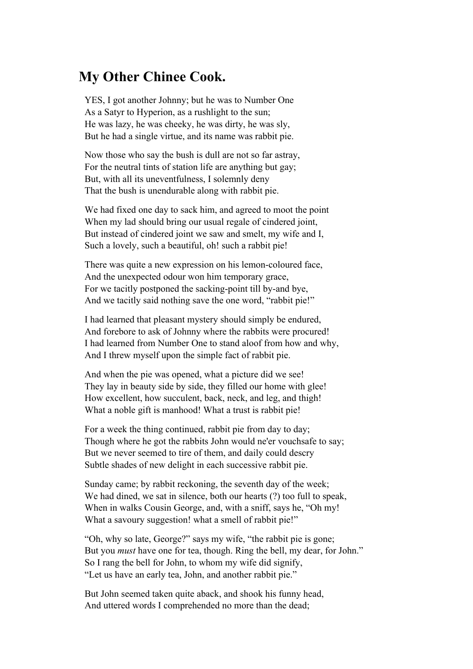# **My Other Chinee Cook.**

YES, I got another Johnny; but he was to Number One As a Satyr to Hyperion, as a rushlight to the sun; He was lazy, he was cheeky, he was dirty, he was sly, But he had a single virtue, and its name was rabbit pie.

Now those who say the bush is dull are not so far astray, For the neutral tints of station life are anything but gay; But, with all its uneventfulness, I solemnly deny That the bush is unendurable along with rabbit pie.

We had fixed one day to sack him, and agreed to moot the point When my lad should bring our usual regale of cindered joint, But instead of cindered joint we saw and smelt, my wife and I, Such a lovely, such a beautiful, oh! such a rabbit pie!

There was quite a new expression on his lemon-coloured face, And the unexpected odour won him temporary grace, For we tacitly postponed the sacking-point till by-and bye, And we tacitly said nothing save the one word, "rabbit pie!"

I had learned that pleasant mystery should simply be endured, And forebore to ask of Johnny where the rabbits were procured! I had learned from Number One to stand aloof from how and why, And I threw myself upon the simple fact of rabbit pie.

And when the pie was opened, what a picture did we see! They lay in beauty side by side, they filled our home with glee! How excellent, how succulent, back, neck, and leg, and thigh! What a noble gift is manhood! What a trust is rabbit pie!

For a week the thing continued, rabbit pie from day to day; Though where he got the rabbits John would ne'er vouchsafe to say; But we never seemed to tire of them, and daily could descry Subtle shades of new delight in each successive rabbit pie.

Sunday came; by rabbit reckoning, the seventh day of the week; We had dined, we sat in silence, both our hearts (?) too full to speak, When in walks Cousin George, and, with a sniff, says he, "Oh my! What a savoury suggestion! what a smell of rabbit pie!"

"Oh, why so late, George?" says my wife, "the rabbit pie is gone; But you *must* have one for tea, though. Ring the bell, my dear, for John." So I rang the bell for John, to whom my wife did signify, "Let us have an early tea, John, and another rabbit pie."

But John seemed taken quite aback, and shook his funny head, And uttered words I comprehended no more than the dead;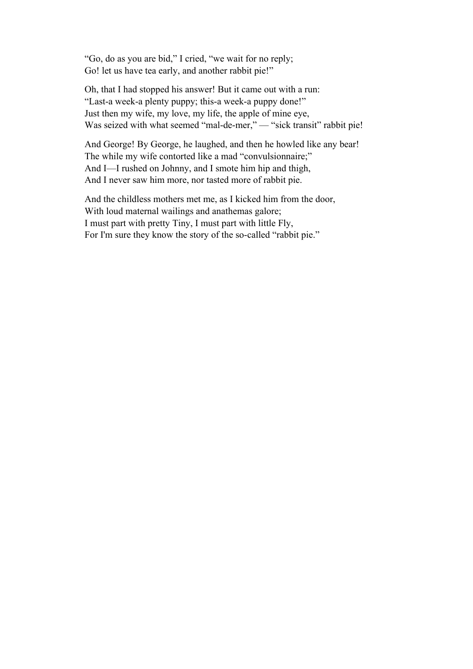"Go, do as you are bid," I cried, "we wait for no reply; Go! let us have tea early, and another rabbit pie!"

Oh, that I had stopped his answer! But it came out with a run: "Last-a week-a plenty puppy; this-a week-a puppy done!" Just then my wife, my love, my life, the apple of mine eye, Was seized with what seemed "mal-de-mer," — "sick transit" rabbit pie!

And George! By George, he laughed, and then he howled like any bear! The while my wife contorted like a mad "convulsionnaire;" And I—I rushed on Johnny, and I smote him hip and thigh, And I never saw him more, nor tasted more of rabbit pie.

And the childless mothers met me, as I kicked him from the door, With loud maternal wailings and anathemas galore; I must part with pretty Tiny, I must part with little Fly, For I'm sure they know the story of the so-called "rabbit pie."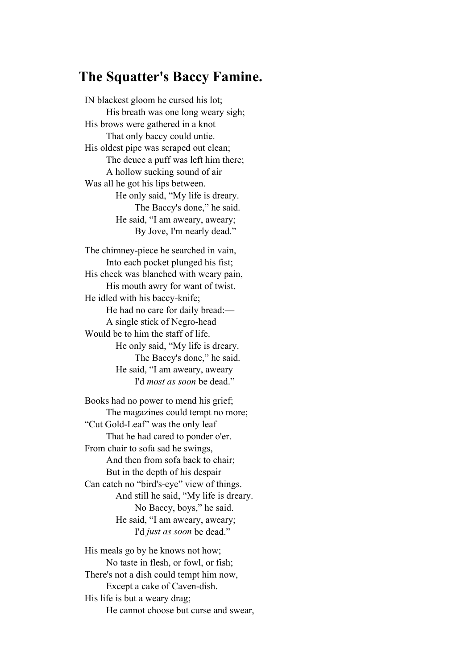# **The Squatter's Baccy Famine.**

IN blackest gloom he cursed his lot; His breath was one long weary sigh; His brows were gathered in a knot That only baccy could untie. His oldest pipe was scraped out clean; The deuce a puff was left him there; A hollow sucking sound of air Was all he got his lips between. He only said, "My life is dreary. The Baccy's done," he said. He said, "I am aweary, aweary; By Jove, I'm nearly dead."

The chimney-piece he searched in vain, Into each pocket plunged his fist; His cheek was blanched with weary pain, His mouth awry for want of twist. He idled with his baccy-knife; He had no care for daily bread:— A single stick of Negro-head Would be to him the staff of life. He only said, "My life is dreary. The Baccy's done," he said. He said, "I am aweary, aweary I'd *most as soon* be dead."

Books had no power to mend his grief; The magazines could tempt no more; "Cut Gold-Leaf" was the only leaf That he had cared to ponder o'er. From chair to sofa sad he swings, And then from sofa back to chair; But in the depth of his despair Can catch no "bird's-eye" view of things. And still he said, "My life is dreary. No Baccy, boys," he said. He said, "I am aweary, aweary; I'd *just as soon* be dead."

His meals go by he knows not how; No taste in flesh, or fowl, or fish; There's not a dish could tempt him now, Except a cake of Caven-dish. His life is but a weary drag; He cannot choose but curse and swear,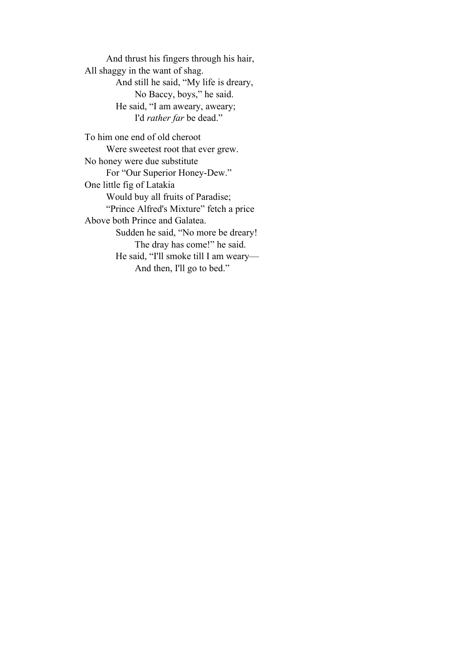And thrust his fingers through his hair, All shaggy in the want of shag. And still he said, "My life is dreary, No Baccy, boys," he said. He said, "I am aweary, aweary; I'd *rather far* be dead."

To him one end of old cheroot Were sweetest root that ever grew. No honey were due substitute For "Our Superior Honey-Dew." One little fig of Latakia Would buy all fruits of Paradise; "Prince Alfred's Mixture" fetch a price Above both Prince and Galatea. Sudden he said, "No more be dreary! The dray has come!" he said. He said, "I'll smoke till I am weary— And then, I'll go to bed."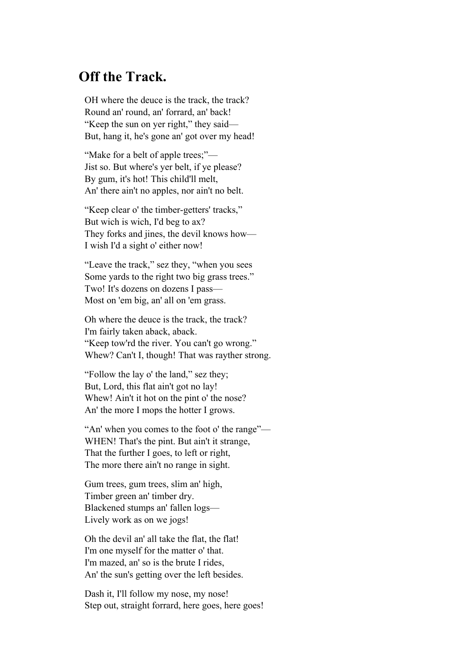# **Off the Track.**

OH where the deuce is the track, the track? Round an' round, an' forrard, an' back! "Keep the sun on yer right," they said— But, hang it, he's gone an' got over my head!

"Make for a belt of apple trees;"— Jist so. But where's yer belt, if ye please? By gum, it's hot! This child'll melt, An' there ain't no apples, nor ain't no belt.

"Keep clear o' the timber-getters' tracks," But wich is wich, I'd beg to ax? They forks and jines, the devil knows how— I wish I'd a sight o' either now!

"Leave the track," sez they, "when you sees Some yards to the right two big grass trees." Two! It's dozens on dozens I pass— Most on 'em big, an' all on 'em grass.

Oh where the deuce is the track, the track? I'm fairly taken aback, aback. "Keep tow'rd the river. You can't go wrong." Whew? Can't I, though! That was rayther strong.

"Follow the lay o' the land," sez they; But, Lord, this flat ain't got no lay! Whew! Ain't it hot on the pint o' the nose? An' the more I mops the hotter I grows.

"An' when you comes to the foot o' the range"— WHEN! That's the pint. But ain't it strange, That the further I goes, to left or right, The more there ain't no range in sight.

Gum trees, gum trees, slim an' high, Timber green an' timber dry. Blackened stumps an' fallen logs— Lively work as on we jogs!

Oh the devil an' all take the flat, the flat! I'm one myself for the matter o' that. I'm mazed, an' so is the brute I rides, An' the sun's getting over the left besides.

Dash it, I'll follow my nose, my nose! Step out, straight forrard, here goes, here goes!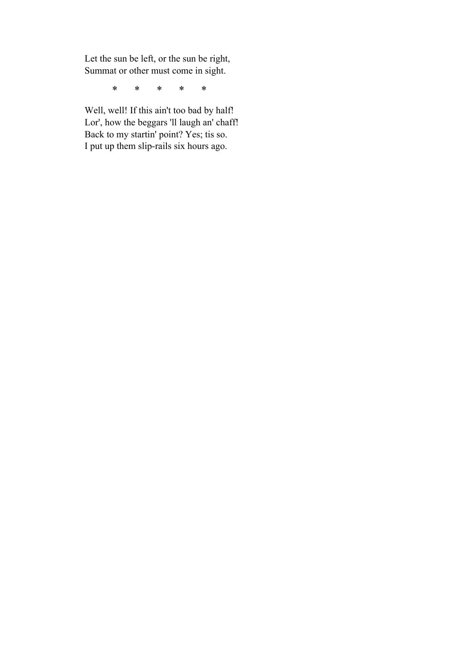Let the sun be left, or the sun be right, Summat or other must come in sight.

\* \* \* \* \*

Well, well! If this ain't too bad by half! Lor', how the beggars 'll laugh an' chaff! Back to my startin' point? Yes; tis so. I put up them slip-rails six hours ago.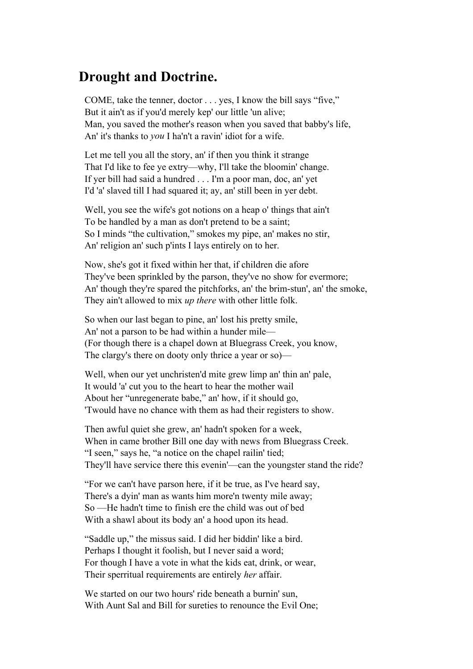# **Drought and Doctrine.**

COME, take the tenner, doctor . . . yes, I know the bill says "five," But it ain't as if you'd merely kep' our little 'un alive; Man, you saved the mother's reason when you saved that babby's life, An' it's thanks to *you* I ha'n't a ravin' idiot for a wife.

Let me tell you all the story, an' if then you think it strange That I'd like to fee ye extry—why, I'll take the bloomin' change. If yer bill had said a hundred . . . I'm a poor man, doc, an' yet I'd 'a' slaved till I had squared it; ay, an' still been in yer debt.

Well, you see the wife's got notions on a heap o' things that ain't To be handled by a man as don't pretend to be a saint; So I minds "the cultivation," smokes my pipe, an' makes no stir, An' religion an' such p'ints I lays entirely on to her.

Now, she's got it fixed within her that, if children die afore They've been sprinkled by the parson, they've no show for evermore; An' though they're spared the pitchforks, an' the brim-stun', an' the smoke, They ain't allowed to mix *up there* with other little folk.

So when our last began to pine, an' lost his pretty smile, An' not a parson to be had within a hunder mile— (For though there is a chapel down at Bluegrass Creek, you know, The clargy's there on dooty only thrice a year or so)—

Well, when our yet unchristen'd mite grew limp an' thin an' pale, It would 'a' cut you to the heart to hear the mother wail About her "unregenerate babe," an' how, if it should go, 'Twould have no chance with them as had their registers to show.

Then awful quiet she grew, an' hadn't spoken for a week, When in came brother Bill one day with news from Bluegrass Creek. "I seen," says he, "a notice on the chapel railin' tied; They'll have service there this evenin'—can the youngster stand the ride?

"For we can't have parson here, if it be true, as I've heard say, There's a dyin' man as wants him more'n twenty mile away; So —He hadn't time to finish ere the child was out of bed With a shawl about its body an' a hood upon its head.

"Saddle up," the missus said. I did her biddin' like a bird. Perhaps I thought it foolish, but I never said a word; For though I have a vote in what the kids eat, drink, or wear, Their sperritual requirements are entirely *her* affair.

We started on our two hours' ride beneath a burnin' sun, With Aunt Sal and Bill for sureties to renounce the Evil One;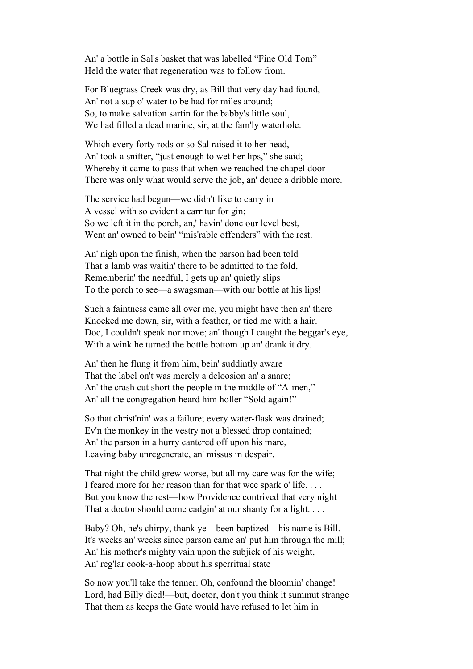An' a bottle in Sal's basket that was labelled "Fine Old Tom" Held the water that regeneration was to follow from.

For Bluegrass Creek was dry, as Bill that very day had found, An' not a sup o' water to be had for miles around; So, to make salvation sartin for the babby's little soul, We had filled a dead marine, sir, at the fam'ly waterhole.

Which every forty rods or so Sal raised it to her head, An' took a snifter, "just enough to wet her lips," she said; Whereby it came to pass that when we reached the chapel door There was only what would serve the job, an' deuce a dribble more.

The service had begun—we didn't like to carry in A vessel with so evident a carritur for gin; So we left it in the porch, an,' havin' done our level best, Went an' owned to bein' "mis'rable offenders" with the rest.

An' nigh upon the finish, when the parson had been told That a lamb was waitin' there to be admitted to the fold, Rememberin' the needful, I gets up an' quietly slips To the porch to see—a swagsman—with our bottle at his lips!

Such a faintness came all over me, you might have then an' there Knocked me down, sir, with a feather, or tied me with a hair. Doc, I couldn't speak nor move; an' though I caught the beggar's eye, With a wink he turned the bottle bottom up an' drank it dry.

An' then he flung it from him, bein' suddintly aware That the label on't was merely a deloosion an' a snare; An' the crash cut short the people in the middle of "A-men," An' all the congregation heard him holler "Sold again!"

So that christ'nin' was a failure; every water-flask was drained; Ev'n the monkey in the vestry not a blessed drop contained; An' the parson in a hurry cantered off upon his mare, Leaving baby unregenerate, an' missus in despair.

That night the child grew worse, but all my care was for the wife; I feared more for her reason than for that wee spark o' life. . . . But you know the rest—how Providence contrived that very night That a doctor should come cadgin' at our shanty for a light. . . .

Baby? Oh, he's chirpy, thank ye—been baptized—his name is Bill. It's weeks an' weeks since parson came an' put him through the mill; An' his mother's mighty vain upon the subjick of his weight, An' reg'lar cook-a-hoop about his sperritual state

So now you'll take the tenner. Oh, confound the bloomin' change! Lord, had Billy died!—but, doctor, don't you think it summut strange That them as keeps the Gate would have refused to let him in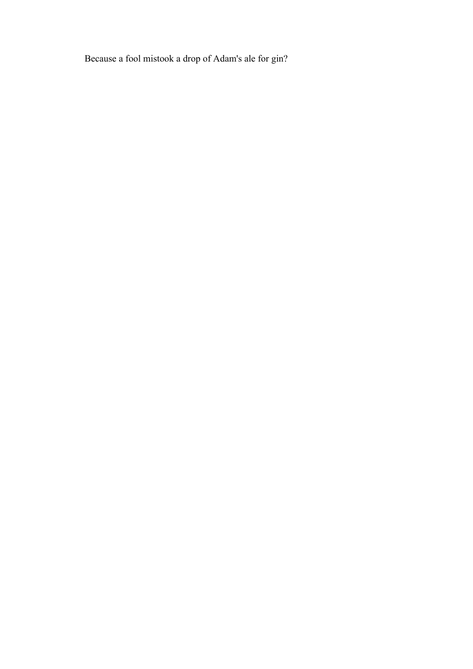Because a fool mistook a drop of Adam's ale for gin?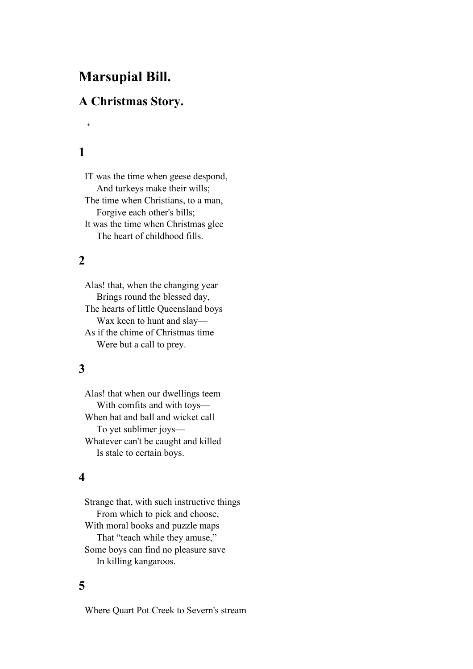# **Marsupial Bill.**

## **A Christmas Story.**

# **1**

\*

IT was the time when geese despond, And turkeys make their wills; The time when Christians, to a man, Forgive each other's bills; It was the time when Christmas glee The heart of childhood fills.

### **2**

Alas! that, when the changing year Brings round the blessed day, The hearts of little Queensland boys Wax keen to hunt and slay— As if the chime of Christmas time Were but a call to prey.

#### **3**

Alas! that when our dwellings teem With comfits and with toys— When bat and ball and wicket call To yet sublimer joys— Whatever can't be caught and killed Is stale to certain boys.

## **4**

Strange that, with such instructive things From which to pick and choose, With moral books and puzzle maps That "teach while they amuse," Some boys can find no pleasure save In killing kangaroos.

#### **5**

Where Quart Pot Creek to Severn's stream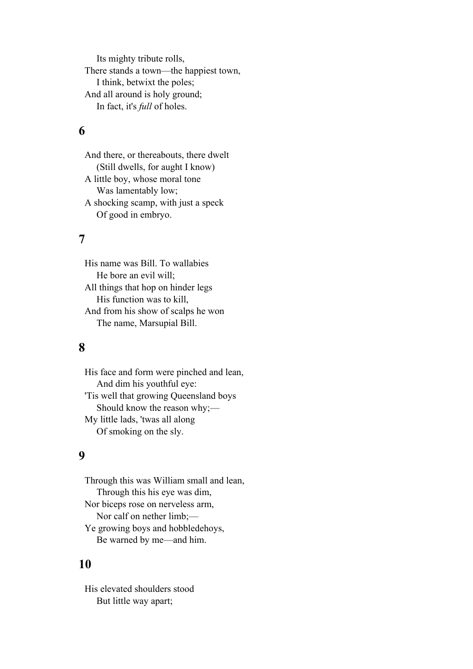Its mighty tribute rolls, There stands a town—the happiest town, I think, betwixt the poles; And all around is holy ground; In fact, it's *full* of holes.

# **6**

And there, or thereabouts, there dwelt (Still dwells, for aught I know) A little boy, whose moral tone Was lamentably low; A shocking scamp, with just a speck Of good in embryo.

#### **7**

His name was Bill. To wallabies He bore an evil will; All things that hop on hinder legs His function was to kill, And from his show of scalps he won The name, Marsupial Bill.

#### **8**

His face and form were pinched and lean, And dim his youthful eye: 'Tis well that growing Queensland boys Should know the reason why;— My little lads, 'twas all along Of smoking on the sly.

#### **9**

Through this was William small and lean, Through this his eye was dim, Nor biceps rose on nerveless arm, Nor calf on nether limb;— Ye growing boys and hobbledehoys, Be warned by me—and him.

### **10**

His elevated shoulders stood But little way apart;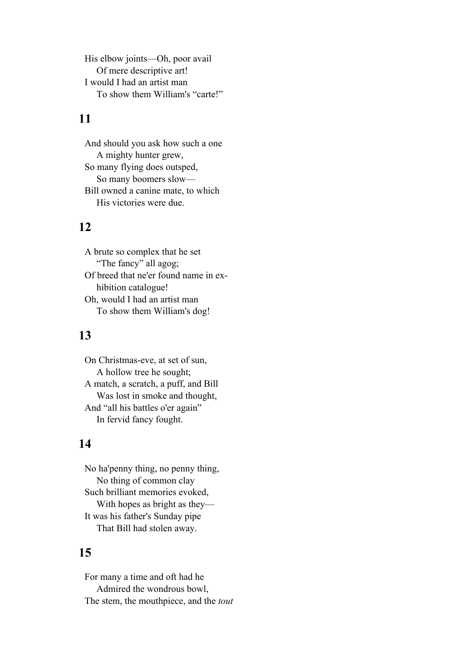His elbow joints—Oh, poor avail Of mere descriptive art! I would I had an artist man To show them William's "carte!"

# **11**

And should you ask how such a one A mighty hunter grew, So many flying does outsped, So many boomers slow— Bill owned a canine mate, to which His victories were due.

# **12**

A brute so complex that he set "The fancy" all agog; Of breed that ne'er found name in ex hibition catalogue! Oh, would I had an artist man To show them William's dog!

## **13**

On Christmas-eve, at set of sun, A hollow tree he sought; A match, a scratch, a puff, and Bill Was lost in smoke and thought, And "all his battles o'er again" In fervid fancy fought.

## **14**

No ha'penny thing, no penny thing, No thing of common clay Such brilliant memories evoked, With hopes as bright as they— It was his father's Sunday pipe That Bill had stolen away.

# **15**

For many a time and oft had he Admired the wondrous bowl, The stem, the mouthpiece, and the *tout*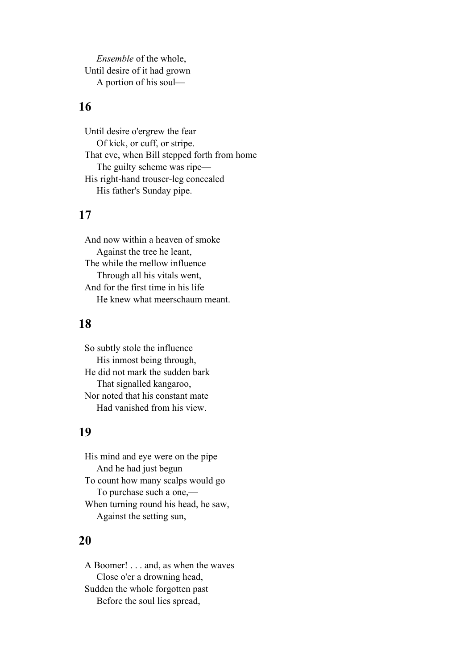*Ensemble* of the whole, Until desire of it had grown A portion of his soul—

# **16**

Until desire o'ergrew the fear Of kick, or cuff, or stripe. That eve, when Bill stepped forth from home The guilty scheme was ripe— His right-hand trouser-leg concealed His father's Sunday pipe.

### **17**

And now within a heaven of smoke Against the tree he leant, The while the mellow influence Through all his vitals went, And for the first time in his life He knew what meerschaum meant.

#### **18**

So subtly stole the influence His inmost being through, He did not mark the sudden bark That signalled kangaroo, Nor noted that his constant mate Had vanished from his view.

#### **19**

His mind and eye were on the pipe And he had just begun To count how many scalps would go To purchase such a one,— When turning round his head, he saw, Against the setting sun,

### **20**

A Boomer! . . . and, as when the waves Close o'er a drowning head, Sudden the whole forgotten past Before the soul lies spread,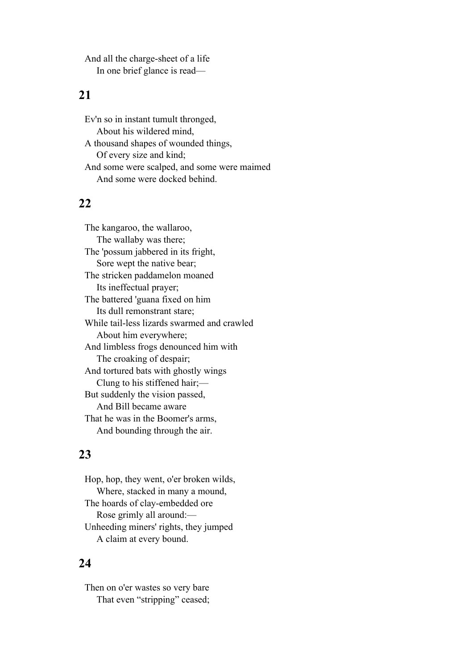And all the charge-sheet of a life In one brief glance is read—

# **21**

Ev'n so in instant tumult thronged, About his wildered mind, A thousand shapes of wounded things, Of every size and kind; And some were scalped, and some were maimed And some were docked behind.

### **22**

The kangaroo, the wallaroo, The wallaby was there; The 'possum jabbered in its fright, Sore wept the native bear; The stricken paddamelon moaned Its ineffectual prayer; The battered 'guana fixed on him Its dull remonstrant stare; While tail-less lizards swarmed and crawled About him everywhere; And limbless frogs denounced him with The croaking of despair; And tortured bats with ghostly wings Clung to his stiffened hair;— But suddenly the vision passed, And Bill became aware That he was in the Boomer's arms, And bounding through the air.

#### **23**

Hop, hop, they went, o'er broken wilds, Where, stacked in many a mound, The hoards of clay-embedded ore Rose grimly all around:— Unheeding miners' rights, they jumped A claim at every bound.

## **24**

Then on o'er wastes so very bare That even "stripping" ceased;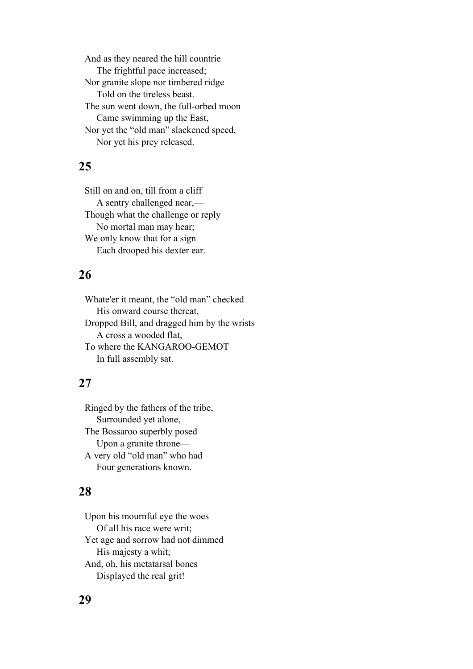And as they neared the hill countrie The frightful pace increased; Nor granite slope nor timbered ridge Told on the tireless beast. The sun went down, the full-orbed moon Came swimming up the East, Nor yet the "old man" slackened speed, Nor yet his prey released.

#### **25**

Still on and on, till from a cliff A sentry challenged near,— Though what the challenge or reply No mortal man may hear; We only know that for a sign Each drooped his dexter ear.

# **26**

Whate'er it meant, the "old man" checked His onward course thereat, Dropped Bill, and dragged him by the wrists A cross a wooded flat, To where the KANGAROO-GEMOT In full assembly sat.

## **27**

Ringed by the fathers of the tribe, Surrounded yet alone, The Bossaroo superbly posed Upon a granite throne— A very old "old man" who had Four generations known.

# **28**

Upon his mournful eye the woes Of all his race were writ; Yet age and sorrow had not dimmed His majesty a whit; And, oh, his metatarsal bones Displayed the real grit!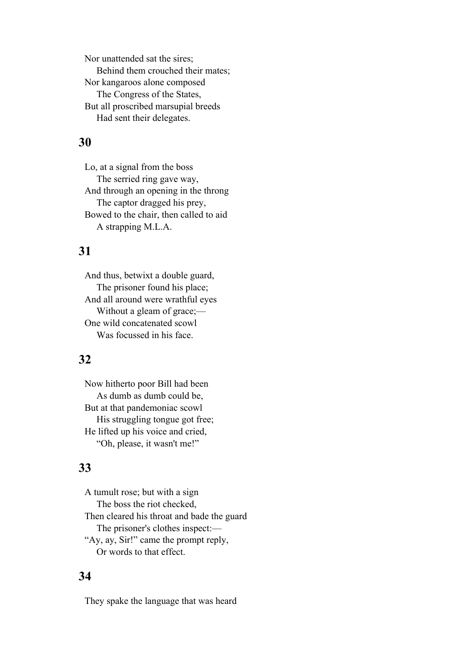Nor unattended sat the sires; Behind them crouched their mates; Nor kangaroos alone composed The Congress of the States, But all proscribed marsupial breeds Had sent their delegates.

# **30**

Lo, at a signal from the boss The serried ring gave way, And through an opening in the throng The captor dragged his prey, Bowed to the chair, then called to aid A strapping M.L.A.

# **31**

And thus, betwixt a double guard, The prisoner found his place; And all around were wrathful eyes Without a gleam of grace;— One wild concatenated scowl Was focussed in his face.

#### **32**

Now hitherto poor Bill had been As dumb as dumb could be, But at that pandemoniac scowl His struggling tongue got free; He lifted up his voice and cried, "Oh, please, it wasn't me!"

## **33**

A tumult rose; but with a sign The boss the riot checked, Then cleared his throat and bade the guard The prisoner's clothes inspect:— "Ay, ay, Sir!" came the prompt reply, Or words to that effect.

## **34**

They spake the language that was heard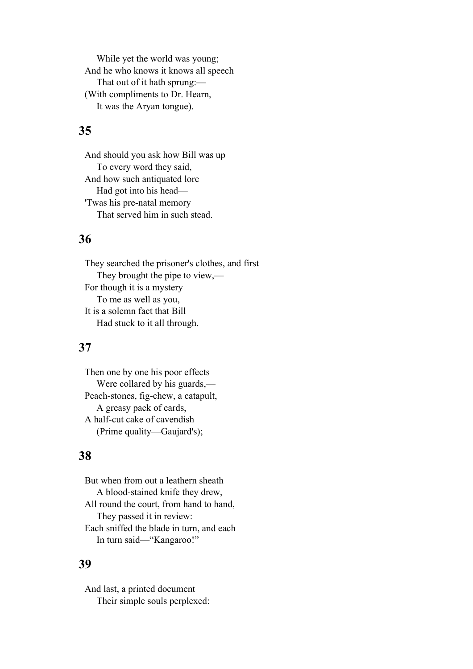While yet the world was young; And he who knows it knows all speech That out of it hath sprung:— (With compliments to Dr. Hearn, It was the Aryan tongue).

# **35**

And should you ask how Bill was up To every word they said, And how such antiquated lore Had got into his head— 'Twas his pre-natal memory That served him in such stead.

## **36**

They searched the prisoner's clothes, and first They brought the pipe to view,— For though it is a mystery To me as well as you, It is a solemn fact that Bill Had stuck to it all through.

#### **37**

Then one by one his poor effects Were collared by his guards,— Peach-stones, fig-chew, a catapult, A greasy pack of cards, A half-cut cake of cavendish (Prime quality—Gaujard's);

#### **38**

But when from out a leathern sheath A blood-stained knife they drew, All round the court, from hand to hand, They passed it in review: Each sniffed the blade in turn, and each In turn said—"Kangaroo!"

### **39**

And last, a printed document Their simple souls perplexed: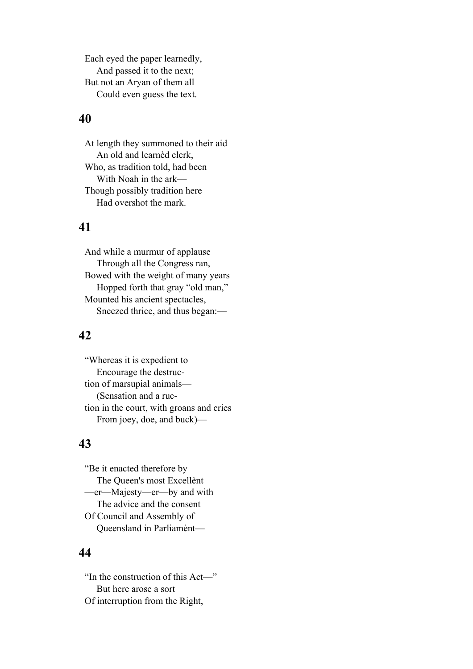Each eyed the paper learnedly, And passed it to the next; But not an Aryan of them all Could even guess the text.

#### **40**

At length they summoned to their aid An old and learnèd clerk, Who, as tradition told, had been With Noah in the ark— Though possibly tradition here Had overshot the mark.

#### **41**

And while a murmur of applause Through all the Congress ran, Bowed with the weight of many years Hopped forth that gray "old man," Mounted his ancient spectacles, Sneezed thrice, and thus began:—

## **42**

"Whereas it is expedient to Encourage the destruction of marsupial animals— (Sensation and a ruction in the court, with groans and cries From joey, doe, and buck)—

## **43**

"Be it enacted therefore by The Queen's most Excellènt —er—Majesty—er—by and with The advice and the consent Of Council and Assembly of Queensland in Parliamènt—

## **44**

"In the construction of this Act—" But here arose a sort Of interruption from the Right,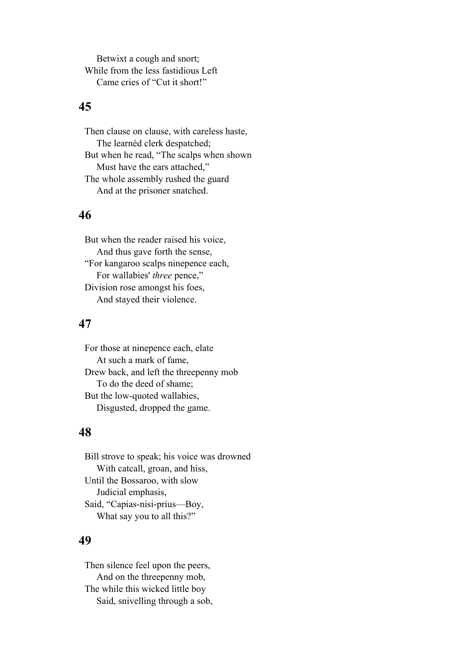Betwixt a cough and snort; While from the less fastidious Left Came cries of "Cut it short!"

# **45**

Then clause on clause, with careless haste, The learnèd clerk despatched; But when he read, "The scalps when shown Must have the ears attached," The whole assembly rushed the guard And at the prisoner snatched.

#### **46**

But when the reader raised his voice, And thus gave forth the sense, "For kangaroo scalps ninepence each, For wallabies' *three* pence," Division rose amongst his foes, And stayed their violence.

#### **47**

For those at ninepence each, elate At such a mark of fame, Drew back, and left the threepenny mob To do the deed of shame; But the low-quoted wallabies, Disgusted, dropped the game.

#### **48**

Bill strove to speak; his voice was drowned With catcall, groan, and hiss, Until the Bossaroo, with slow Judicial emphasis, Said, "Capias-nisi-prius—Boy, What say you to all this?"

#### **49**

Then silence feel upon the peers, And on the threepenny mob, The while this wicked little boy Said, snivelling through a sob,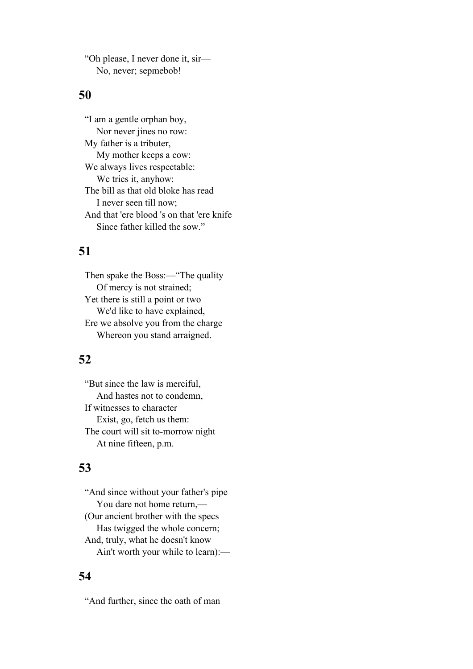"Oh please, I never done it, sir— No, never; sepmebob!

## **50**

"I am a gentle orphan boy, Nor never jines no row: My father is a tributer, My mother keeps a cow: We always lives respectable: We tries it, anyhow: The bill as that old bloke has read I never seen till now; And that 'ere blood 's on that 'ere knife Since father killed the sow."

# **51**

Then spake the Boss:—"The quality Of mercy is not strained; Yet there is still a point or two We'd like to have explained, Ere we absolve you from the charge Whereon you stand arraigned.

#### **52**

"But since the law is merciful, And hastes not to condemn, If witnesses to character Exist, go, fetch us them: The court will sit to-morrow night At nine fifteen, p.m.

## **53**

"And since without your father's pipe You dare not home return,— (Our ancient brother with the specs Has twigged the whole concern; And, truly, what he doesn't know Ain't worth your while to learn):—

# **54**

"And further, since the oath of man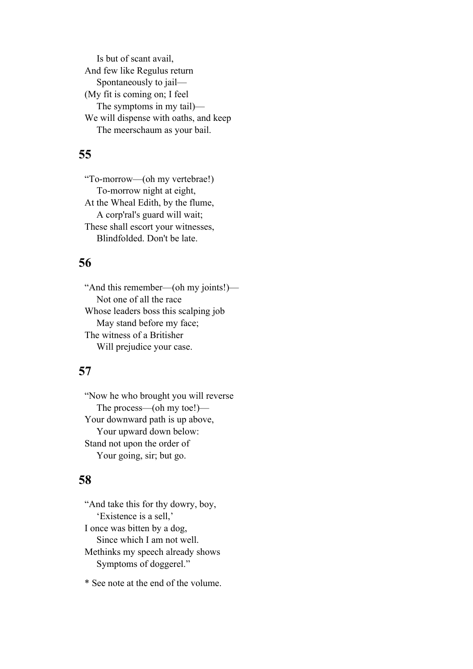Is but of scant avail, And few like Regulus return Spontaneously to jail— (My fit is coming on; I feel The symptoms in my tail)— We will dispense with oaths, and keep The meerschaum as your bail.

# **55**

"To-morrow—(oh my vertebrae!) To-morrow night at eight, At the Wheal Edith, by the flume, A corp'ral's guard will wait; These shall escort your witnesses, Blindfolded. Don't be late.

# **56**

"And this remember—(oh my joints!)— Not one of all the race Whose leaders boss this scalping job May stand before my face; The witness of a Britisher Will prejudice your case.

# **57**

"Now he who brought you will reverse The process—(oh my toe!)— Your downward path is up above, Your upward down below: Stand not upon the order of Your going, sir; but go.

### **58**

"And take this for thy dowry, boy, 'Existence is a sell,' I once was bitten by a dog, Since which I am not well. Methinks my speech already shows Symptoms of doggerel."

\* See note at the end of the volume.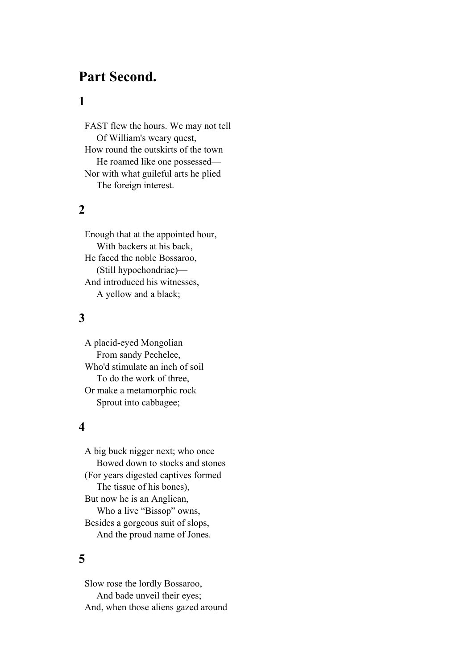# **Part Second.**

## **1**

FAST flew the hours. We may not tell Of William's weary quest, How round the outskirts of the town He roamed like one possessed— Nor with what guileful arts he plied The foreign interest.

## **2**

Enough that at the appointed hour, With backers at his back, He faced the noble Bossaroo, (Still hypochondriac)— And introduced his witnesses, A yellow and a black;

#### **3**

A placid-eyed Mongolian From sandy Pechelee, Who'd stimulate an inch of soil To do the work of three, Or make a metamorphic rock Sprout into cabbagee;

#### **4**

A big buck nigger next; who once Bowed down to stocks and stones (For years digested captives formed The tissue of his bones), But now he is an Anglican, Who a live "Bissop" owns, Besides a gorgeous suit of slops, And the proud name of Jones.

#### **5**

Slow rose the lordly Bossaroo, And bade unveil their eyes; And, when those aliens gazed around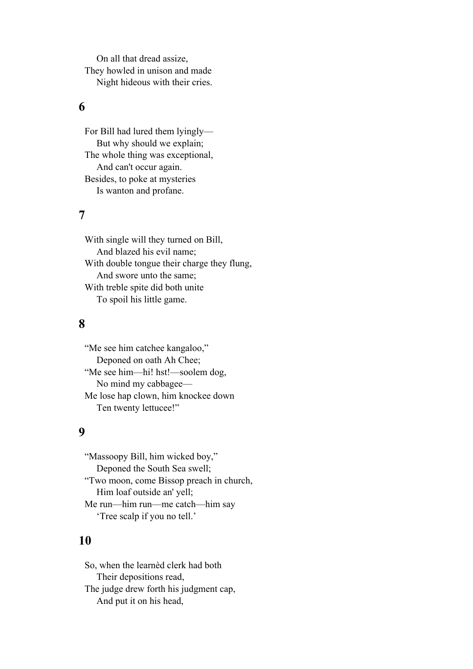On all that dread assize, They howled in unison and made Night hideous with their cries.

## **6**

For Bill had lured them lyingly— But why should we explain; The whole thing was exceptional, And can't occur again. Besides, to poke at mysteries Is wanton and profane.

### **7**

With single will they turned on Bill, And blazed his evil name; With double tongue their charge they flung, And swore unto the same; With treble spite did both unite To spoil his little game.

## **8**

"Me see him catchee kangaloo," Deponed on oath Ah Chee; "Me see him—hi! hst!—soolem dog, No mind my cabbagee— Me lose hap clown, him knockee down Ten twenty lettucee!"

#### **9**

"Massoopy Bill, him wicked boy," Deponed the South Sea swell; "Two moon, come Bissop preach in church, Him loaf outside an' yell; Me run—him run—me catch—him say 'Tree scalp if you no tell.'

#### **10**

So, when the learnèd clerk had both Their depositions read, The judge drew forth his judgment cap, And put it on his head,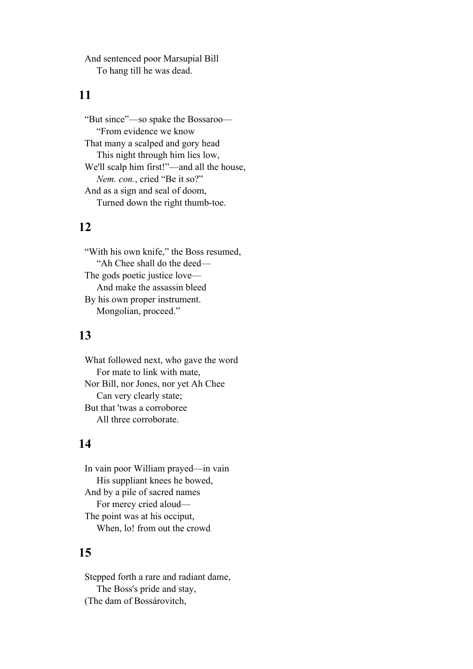And sentenced poor Marsupial Bill To hang till he was dead.

# **11**

"But since"—so spake the Bossaroo— "From evidence we know That many a scalped and gory head This night through him lies low, We'll scalp him first!"—and all the house, *Nem. con.*, cried "Be it so?" And as a sign and seal of doom, Turned down the right thumb-toe.

# **12**

"With his own knife," the Boss resumed, "Ah Chee shall do the deed— The gods poetic justice love— And make the assassin bleed By his own proper instrument. Mongolian, proceed."

# **13**

What followed next, who gave the word For mate to link with mate, Nor Bill, nor Jones, nor yet Ah Chee Can very clearly state; But that 'twas a corroboree All three corroborate.

# **14**

In vain poor William prayed—in vain His suppliant knees he bowed, And by a pile of sacred names For mercy cried aloud— The point was at his occiput, When, lo! from out the crowd

# **15**

Stepped forth a rare and radiant dame, The Boss's pride and stay, (The dam of Bossárovitch,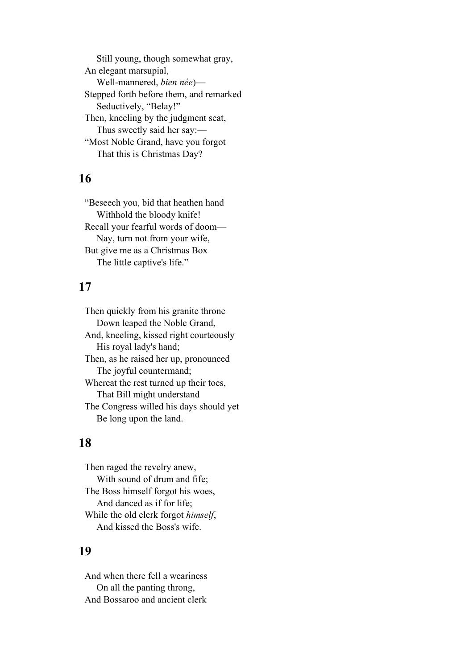Still young, though somewhat gray, An elegant marsupial, Well-mannered, *bien née*)— Stepped forth before them, and remarked Seductively, "Belay!" Then, kneeling by the judgment seat, Thus sweetly said her say:— "Most Noble Grand, have you forgot That this is Christmas Day?

#### **16**

"Beseech you, bid that heathen hand Withhold the bloody knife! Recall your fearful words of doom— Nay, turn not from your wife, But give me as a Christmas Box The little captive's life."

# **17**

Then quickly from his granite throne Down leaped the Noble Grand, And, kneeling, kissed right courteously His royal lady's hand; Then, as he raised her up, pronounced The joyful countermand; Whereat the rest turned up their toes, That Bill might understand The Congress willed his days should yet Be long upon the land.

#### **18**

Then raged the revelry anew, With sound of drum and fife; The Boss himself forgot his woes, And danced as if for life; While the old clerk forgot *himself*, And kissed the Boss's wife.

#### **19**

And when there fell a weariness On all the panting throng, And Bossaroo and ancient clerk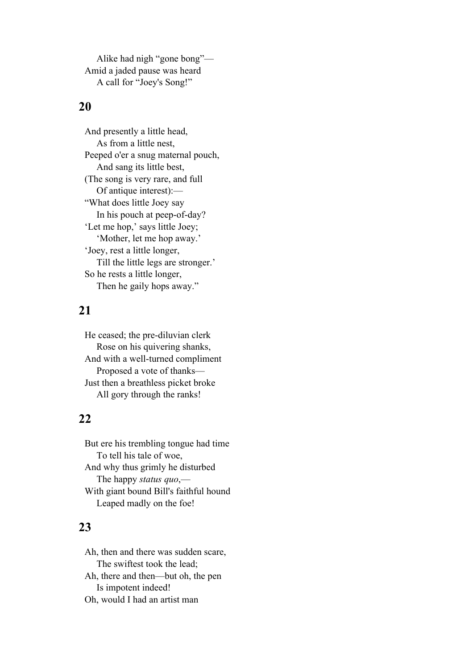Alike had nigh "gone bong"— Amid a jaded pause was heard A call for "Joey's Song!"

## **20**

And presently a little head, As from a little nest, Peeped o'er a snug maternal pouch, And sang its little best, (The song is very rare, and full Of antique interest):— "What does little Joey say In his pouch at peep-of-day? 'Let me hop,' says little Joey; 'Mother, let me hop away.' 'Joey, rest a little longer, Till the little legs are stronger.' So he rests a little longer, Then he gaily hops away."

# **21**

He ceased; the pre-diluvian clerk Rose on his quivering shanks, And with a well-turned compliment Proposed a vote of thanks— Just then a breathless picket broke All gory through the ranks!

# **22**

But ere his trembling tongue had time To tell his tale of woe, And why thus grimly he disturbed The happy *status quo*,— With giant bound Bill's faithful hound Leaped madly on the foe!

# **23**

Ah, then and there was sudden scare, The swiftest took the lead; Ah, there and then—but oh, the pen Is impotent indeed! Oh, would I had an artist man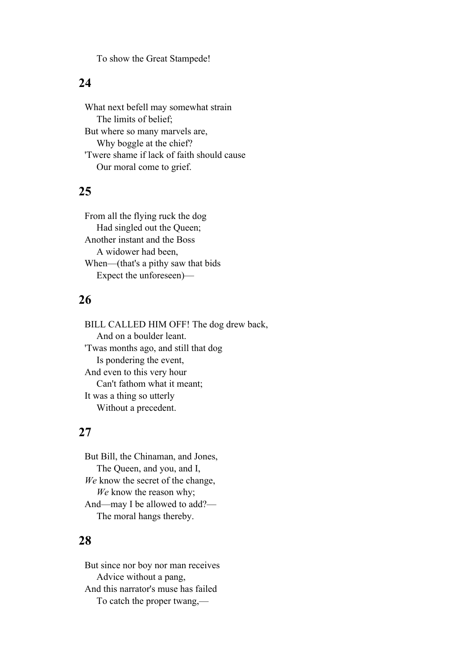To show the Great Stampede!

# **24**

What next befell may somewhat strain The limits of belief; But where so many marvels are, Why boggle at the chief? 'Twere shame if lack of faith should cause Our moral come to grief.

### **25**

From all the flying ruck the dog Had singled out the Queen; Another instant and the Boss A widower had been, When—(that's a pithy saw that bids Expect the unforeseen)—

#### **26**

BILL CALLED HIM OFF! The dog drew back, And on a boulder leant. 'Twas months ago, and still that dog Is pondering the event, And even to this very hour Can't fathom what it meant; It was a thing so utterly Without a precedent.

## **27**

But Bill, the Chinaman, and Jones, The Queen, and you, and I, *We* know the secret of the change, *We* know the reason why; And—may I be allowed to add?— The moral hangs thereby.

### **28**

But since nor boy nor man receives Advice without a pang, And this narrator's muse has failed To catch the proper twang,—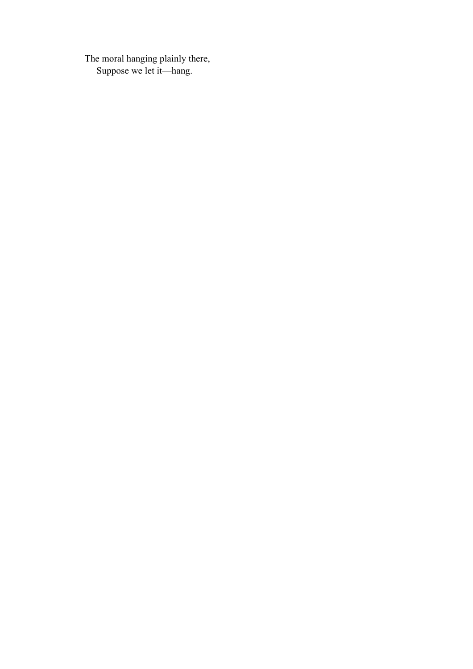The moral hanging plainly there, Suppose we let it—hang.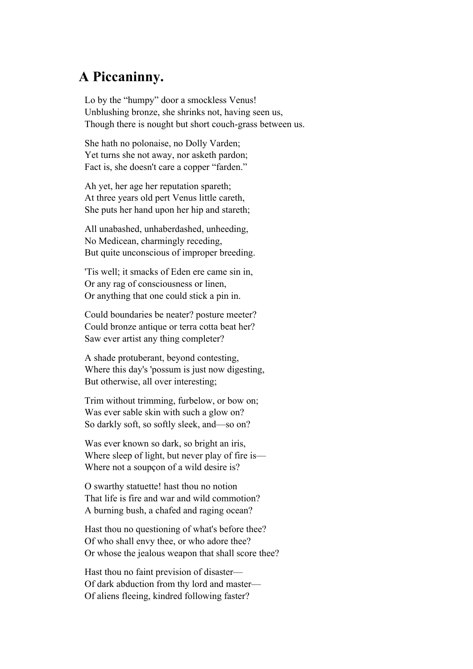# **A Piccaninny.**

Lo by the "humpy" door a smockless Venus! Unblushing bronze, she shrinks not, having seen us, Though there is nought but short couch-grass between us.

She hath no polonaise, no Dolly Varden; Yet turns she not away, nor asketh pardon; Fact is, she doesn't care a copper "farden."

Ah yet, her age her reputation spareth; At three years old pert Venus little careth, She puts her hand upon her hip and stareth;

All unabashed, unhaberdashed, unheeding, No Medicean, charmingly receding, But quite unconscious of improper breeding.

'Tis well; it smacks of Eden ere came sin in, Or any rag of consciousness or linen, Or anything that one could stick a pin in.

Could boundaries be neater? posture meeter? Could bronze antique or terra cotta beat her? Saw ever artist any thing completer?

A shade protuberant, beyond contesting, Where this day's 'possum is just now digesting, But otherwise, all over interesting;

Trim without trimming, furbelow, or bow on; Was ever sable skin with such a glow on? So darkly soft, so softly sleek, and—so on?

Was ever known so dark, so bright an iris, Where sleep of light, but never play of fire is— Where not a soupcon of a wild desire is?

O swarthy statuette! hast thou no notion That life is fire and war and wild commotion? A burning bush, a chafed and raging ocean?

Hast thou no questioning of what's before thee? Of who shall envy thee, or who adore thee? Or whose the jealous weapon that shall score thee?

Hast thou no faint prevision of disaster— Of dark abduction from thy lord and master— Of aliens fleeing, kindred following faster?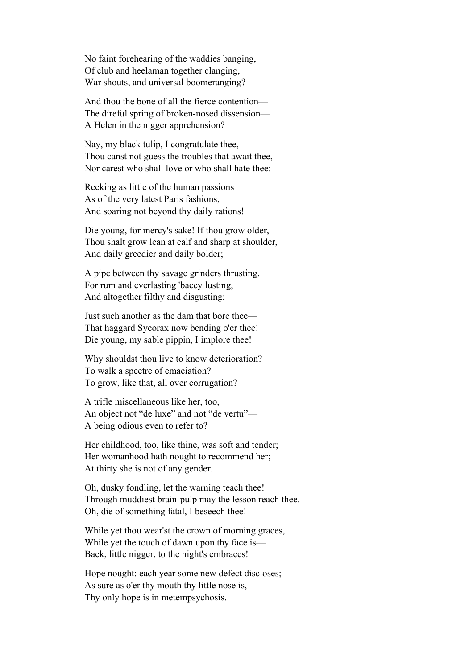No faint forehearing of the waddies banging, Of club and heelaman together clanging, War shouts, and universal boomeranging?

And thou the bone of all the fierce contention— The direful spring of broken-nosed dissension— A Helen in the nigger apprehension?

Nay, my black tulip, I congratulate thee, Thou canst not guess the troubles that await thee, Nor carest who shall love or who shall hate thee:

Recking as little of the human passions As of the very latest Paris fashions, And soaring not beyond thy daily rations!

Die young, for mercy's sake! If thou grow older, Thou shalt grow lean at calf and sharp at shoulder, And daily greedier and daily bolder;

A pipe between thy savage grinders thrusting, For rum and everlasting 'baccy lusting, And altogether filthy and disgusting;

Just such another as the dam that bore thee— That haggard Sycorax now bending o'er thee! Die young, my sable pippin, I implore thee!

Why shouldst thou live to know deterioration? To walk a spectre of emaciation? To grow, like that, all over corrugation?

A trifle miscellaneous like her, too, An object not "de luxe" and not "de vertu"— A being odious even to refer to?

Her childhood, too, like thine, was soft and tender; Her womanhood hath nought to recommend her; At thirty she is not of any gender.

Oh, dusky fondling, let the warning teach thee! Through muddiest brain-pulp may the lesson reach thee. Oh, die of something fatal, I beseech thee!

While yet thou wear'st the crown of morning graces, While yet the touch of dawn upon thy face is— Back, little nigger, to the night's embraces!

Hope nought: each year some new defect discloses; As sure as o'er thy mouth thy little nose is, Thy only hope is in metempsychosis.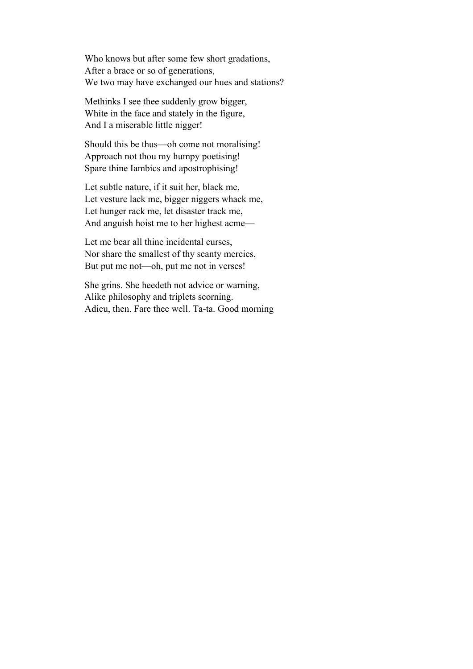Who knows but after some few short gradations, After a brace or so of generations, We two may have exchanged our hues and stations?

Methinks I see thee suddenly grow bigger, White in the face and stately in the figure, And I a miserable little nigger!

Should this be thus—oh come not moralising! Approach not thou my humpy poetising! Spare thine Iambics and apostrophising!

Let subtle nature, if it suit her, black me, Let vesture lack me, bigger niggers whack me, Let hunger rack me, let disaster track me, And anguish hoist me to her highest acme—

Let me bear all thine incidental curses, Nor share the smallest of thy scanty mercies, But put me not—oh, put me not in verses!

She grins. She heedeth not advice or warning, Alike philosophy and triplets scorning. Adieu, then. Fare thee well. Ta-ta. Good morning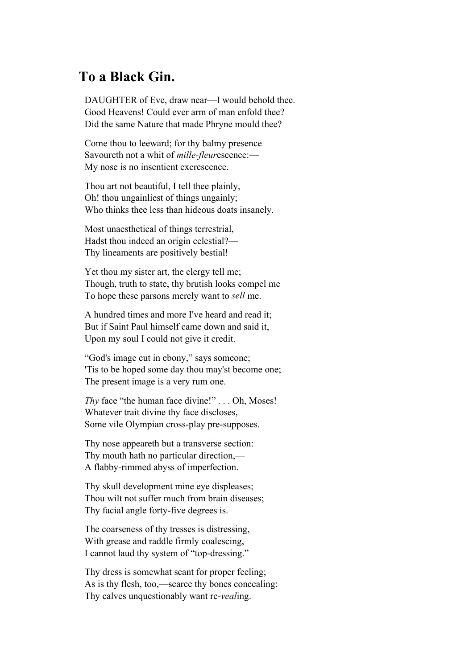# **To a Black Gin.**

DAUGHTER of Eve, draw near—I would behold thee. Good Heavens! Could ever arm of man enfold thee? Did the same Nature that made Phryne mould thee?

Come thou to leeward; for thy balmy presence Savoureth not a whit of *mille-fleur*escence:— My nose is no insentient excrescence.

Thou art not beautiful, I tell thee plainly, Oh! thou ungainliest of things ungainly; Who thinks thee less than hideous doats insanely.

Most unaesthetical of things terrestrial, Hadst thou indeed an origin celestial?— Thy lineaments are positively bestial!

Yet thou my sister art, the clergy tell me; Though, truth to state, thy brutish looks compel me To hope these parsons merely want to *sell* me.

A hundred times and more I've heard and read it; But if Saint Paul himself came down and said it, Upon my soul I could not give it credit.

"God's image cut in ebony," says someone; 'Tis to be hoped some day thou may'st become one; The present image is a very rum one.

*Thy* face "the human face divine!" . . . Oh, Moses! Whatever trait divine thy face discloses, Some vile Olympian cross-play pre-supposes.

Thy nose appeareth but a transverse section: Thy mouth hath no particular direction,— A flabby-rimmed abyss of imperfection.

Thy skull development mine eye displeases; Thou wilt not suffer much from brain diseases; Thy facial angle forty-five degrees is.

The coarseness of thy tresses is distressing, With grease and raddle firmly coalescing, I cannot laud thy system of "top-dressing."

Thy dress is somewhat scant for proper feeling; As is thy flesh, too,—scarce thy bones concealing: Thy calves unquestionably want re-*veal*ing.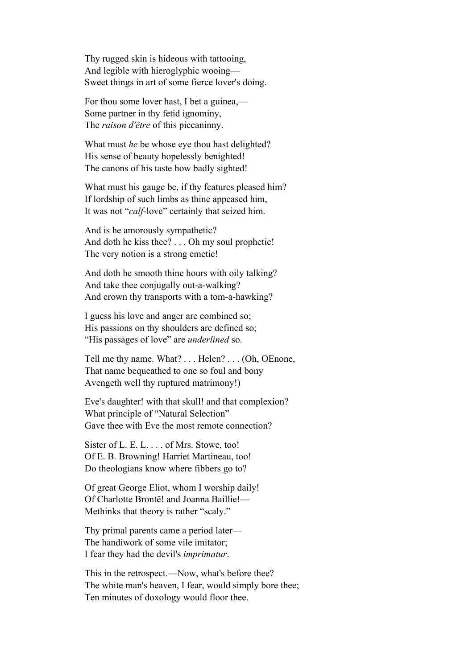Thy rugged skin is hideous with tattooing, And legible with hieroglyphic wooing— Sweet things in art of some fierce lover's doing.

For thou some lover hast, I bet a guinea,— Some partner in thy fetid ignominy, The *raison d'être* of this piccaninny.

What must *he* be whose eye thou hast delighted? His sense of beauty hopelessly benighted! The canons of his taste how badly sighted!

What must his gauge be, if thy features pleased him? If lordship of such limbs as thine appeased him, It was not "*calf*-love" certainly that seized him.

And is he amorously sympathetic? And doth he kiss thee? . . . Oh my soul prophetic! The very notion is a strong emetic!

And doth he smooth thine hours with oily talking? And take thee conjugally out-a-walking? And crown thy transports with a tom-a-hawking?

I guess his love and anger are combined so; His passions on thy shoulders are defined so; "His passages of love" are *underlined* so.

Tell me thy name. What? . . . Helen? . . . (Oh, OEnone, That name bequeathed to one so foul and bony Avengeth well thy ruptured matrimony!)

Eve's daughter! with that skull! and that complexion? What principle of "Natural Selection" Gave thee with Eve the most remote connection?

Sister of L. E. L. . . . of Mrs. Stowe, too! Of E. B. Browning! Harriet Martineau, too! Do theologians know where fibbers go to?

Of great George Eliot, whom I worship daily! Of Charlotte Brontë! and Joanna Baillie!— Methinks that theory is rather "scaly."

Thy primal parents came a period later— The handiwork of some vile imitator; I fear they had the devil's *imprimatur*.

This in the retrospect.—Now, what's before thee? The white man's heaven, I fear, would simply bore thee; Ten minutes of doxology would floor thee.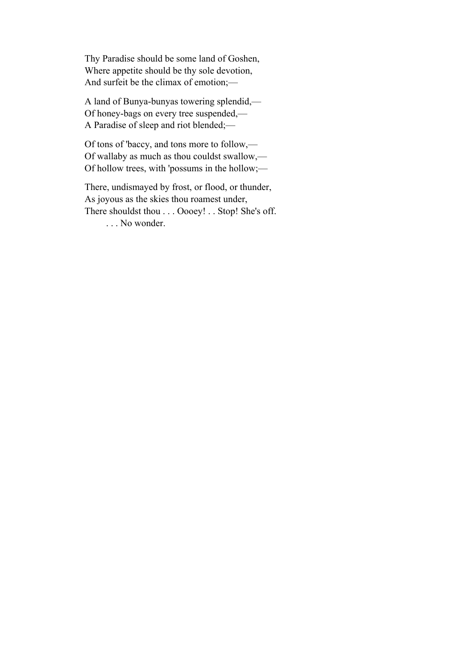Thy Paradise should be some land of Goshen, Where appetite should be thy sole devotion, And surfeit be the climax of emotion;—

A land of Bunya-bunyas towering splendid,— Of honey-bags on every tree suspended,— A Paradise of sleep and riot blended;—

Of tons of 'baccy, and tons more to follow,— Of wallaby as much as thou couldst swallow,— Of hollow trees, with 'possums in the hollow;—

There, undismayed by frost, or flood, or thunder, As joyous as the skies thou roamest under, There shouldst thou . . . Oooey! . . Stop! She's off. . . . No wonder.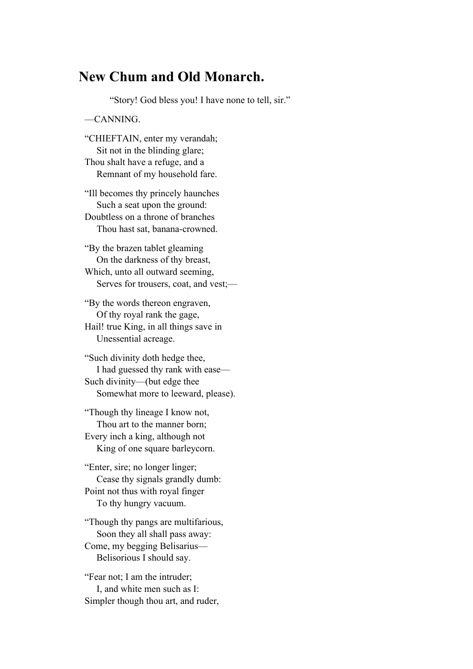# **New Chum and Old Monarch.**

"Story! God bless you! I have none to tell, sir."

—CANNING.

"CHIEFTAIN, enter my verandah; Sit not in the blinding glare; Thou shalt have a refuge, and a Remnant of my household fare.

"Ill becomes thy princely haunches Such a seat upon the ground: Doubtless on a throne of branches Thou hast sat, banana-crowned.

"By the brazen tablet gleaming On the darkness of thy breast, Which, unto all outward seeming, Serves for trousers, coat, and vest;—

"By the words thereon engraven, Of thy royal rank the gage, Hail! true King, in all things save in Unessential acreage.

"Such divinity doth hedge thee, I had guessed thy rank with ease— Such divinity—(but edge thee Somewhat more to leeward, please).

"Though thy lineage I know not, Thou art to the manner born; Every inch a king, although not King of one square barleycorn.

"Enter, sire; no longer linger; Cease thy signals grandly dumb: Point not thus with royal finger To thy hungry vacuum.

"Though thy pangs are multifarious, Soon they all shall pass away: Come, my begging Belisarius— Belisorious I should say.

"Fear not; I am the intruder; I, and white men such as I: Simpler though thou art, and ruder,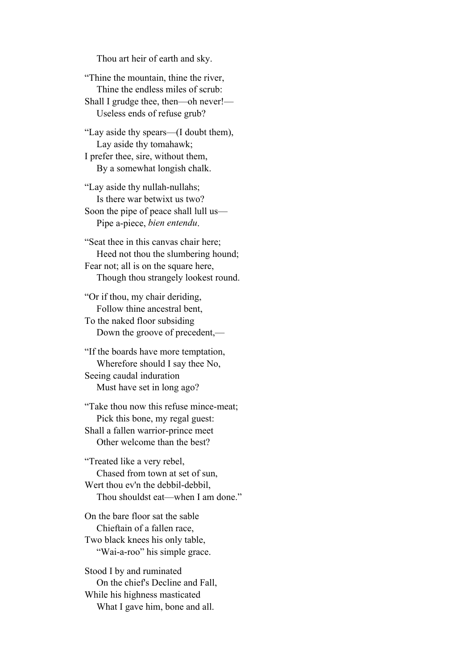Thou art heir of earth and sky.

"Thine the mountain, thine the river, Thine the endless miles of scrub: Shall I grudge thee, then—oh never!— Useless ends of refuse grub?

"Lay aside thy spears—(I doubt them), Lay aside thy tomahawk; I prefer thee, sire, without them, By a somewhat longish chalk.

"Lay aside thy nullah-nullahs; Is there war betwixt us two? Soon the pipe of peace shall lull us— Pipe a-piece, *bien entendu*.

"Seat thee in this canvas chair here; Heed not thou the slumbering hound; Fear not; all is on the square here, Though thou strangely lookest round.

"Or if thou, my chair deriding, Follow thine ancestral bent, To the naked floor subsiding Down the groove of precedent,—

"If the boards have more temptation, Wherefore should I say thee No, Seeing caudal induration Must have set in long ago?

"Take thou now this refuse mince-meat; Pick this bone, my regal guest: Shall a fallen warrior-prince meet Other welcome than the best?

"Treated like a very rebel, Chased from town at set of sun, Wert thou ev'n the debbil-debbil, Thou shouldst eat—when I am done."

On the bare floor sat the sable Chieftain of a fallen race, Two black knees his only table, "Wai-a-roo" his simple grace.

Stood I by and ruminated On the chief's Decline and Fall, While his highness masticated What I gave him, bone and all.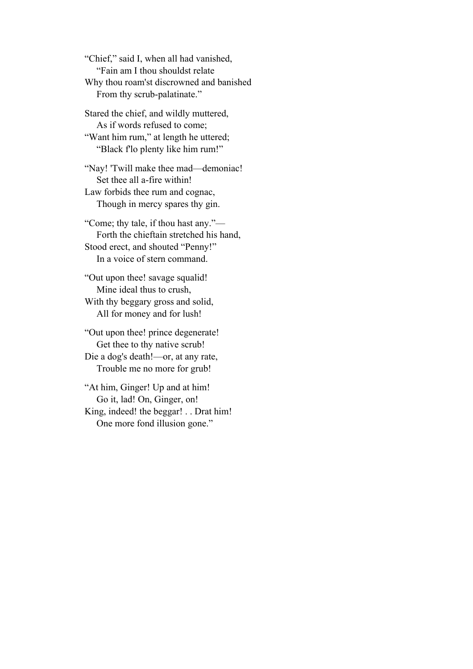"Chief," said I, when all had vanished, "Fain am I thou shouldst relate Why thou roam'st discrowned and banished From thy scrub-palatinate."

Stared the chief, and wildly muttered, As if words refused to come; "Want him rum," at length he uttered; "Black f'lo plenty like him rum!"

"Nay! 'Twill make thee mad—demoniac! Set thee all a-fire within! Law forbids thee rum and cognac, Though in mercy spares thy gin.

"Come; thy tale, if thou hast any."— Forth the chieftain stretched his hand, Stood erect, and shouted "Penny!" In a voice of stern command.

"Out upon thee! savage squalid! Mine ideal thus to crush, With thy beggary gross and solid, All for money and for lush!

"Out upon thee! prince degenerate! Get thee to thy native scrub! Die a dog's death!—or, at any rate, Trouble me no more for grub!

"At him, Ginger! Up and at him! Go it, lad! On, Ginger, on! King, indeed! the beggar! . . Drat him! One more fond illusion gone."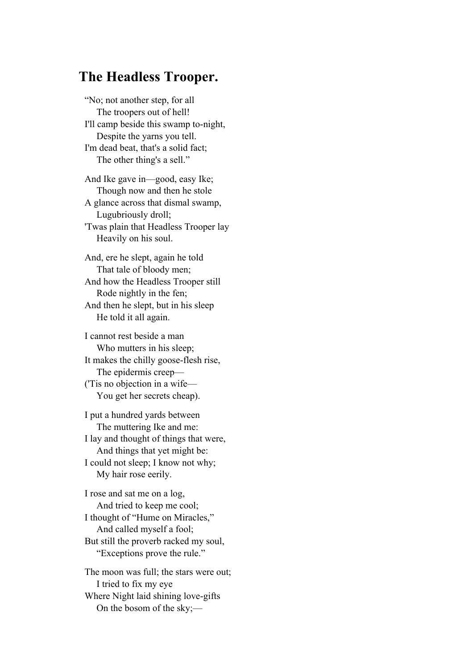#### **The Headless Trooper.**

"No; not another step, for all The troopers out of hell! I'll camp beside this swamp to-night, Despite the yarns you tell. I'm dead beat, that's a solid fact; The other thing's a sell."

And Ike gave in—good, easy Ike; Though now and then he stole A glance across that dismal swamp, Lugubriously droll; 'Twas plain that Headless Trooper lay Heavily on his soul.

And, ere he slept, again he told That tale of bloody men; And how the Headless Trooper still Rode nightly in the fen; And then he slept, but in his sleep He told it all again.

I cannot rest beside a man Who mutters in his sleep; It makes the chilly goose-flesh rise, The epidermis creep— ('Tis no objection in a wife— You get her secrets cheap).

I put a hundred yards between The muttering Ike and me: I lay and thought of things that were, And things that yet might be: I could not sleep; I know not why; My hair rose eerily.

I rose and sat me on a log, And tried to keep me cool; I thought of "Hume on Miracles," And called myself a fool; But still the proverb racked my soul, "Exceptions prove the rule."

The moon was full; the stars were out; I tried to fix my eye Where Night laid shining love-gifts On the bosom of the sky;—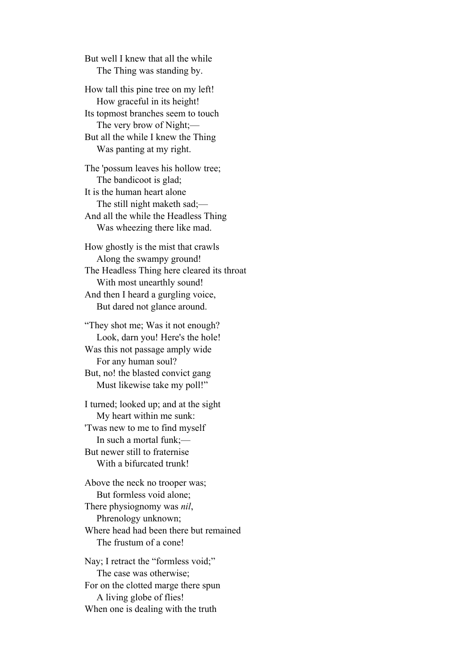But well I knew that all the while The Thing was standing by.

How tall this pine tree on my left! How graceful in its height! Its topmost branches seem to touch The very brow of Night;— But all the while I knew the Thing Was panting at my right.

The 'possum leaves his hollow tree; The bandicoot is glad; It is the human heart alone The still night maketh sad;— And all the while the Headless Thing Was wheezing there like mad.

How ghostly is the mist that crawls Along the swampy ground! The Headless Thing here cleared its throat With most unearthly sound! And then I heard a gurgling voice, But dared not glance around.

"They shot me; Was it not enough? Look, darn you! Here's the hole! Was this not passage amply wide For any human soul? But, no! the blasted convict gang Must likewise take my poll!"

I turned; looked up; and at the sight My heart within me sunk: 'Twas new to me to find myself In such a mortal funk;— But newer still to fraternise With a bifurcated trunk!

Above the neck no trooper was; But formless void alone; There physiognomy was *nil*, Phrenology unknown; Where head had been there but remained The frustum of a cone!

Nay; I retract the "formless void;" The case was otherwise; For on the clotted marge there spun A living globe of flies! When one is dealing with the truth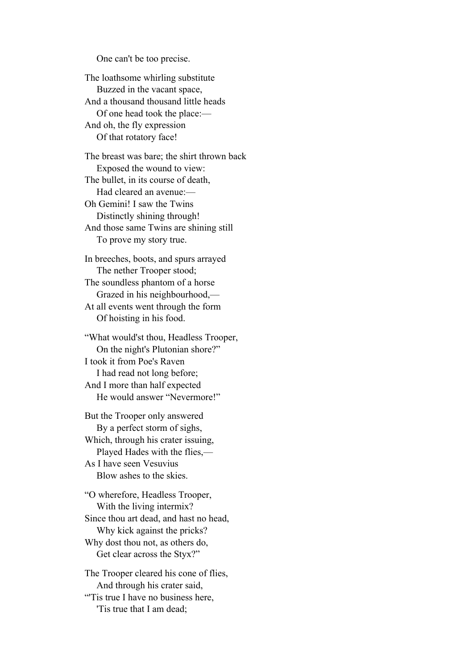One can't be too precise.

The loathsome whirling substitute Buzzed in the vacant space, And a thousand thousand little heads Of one head took the place:— And oh, the fly expression Of that rotatory face!

The breast was bare; the shirt thrown back Exposed the wound to view: The bullet, in its course of death, Had cleared an avenue:— Oh Gemini! I saw the Twins Distinctly shining through! And those same Twins are shining still To prove my story true.

In breeches, boots, and spurs arrayed The nether Trooper stood; The soundless phantom of a horse Grazed in his neighbourhood,— At all events went through the form Of hoisting in his food.

"What would'st thou, Headless Trooper, On the night's Plutonian shore?" I took it from Poe's Raven I had read not long before; And I more than half expected He would answer "Nevermore!"

But the Trooper only answered By a perfect storm of sighs, Which, through his crater issuing, Played Hades with the flies,— As I have seen Vesuvius Blow ashes to the skies.

"O wherefore, Headless Trooper, With the living intermix? Since thou art dead, and hast no head, Why kick against the pricks? Why dost thou not, as others do, Get clear across the Styx?"

The Trooper cleared his cone of flies, And through his crater said, "Tis true I have no business here, 'Tis true that I am dead;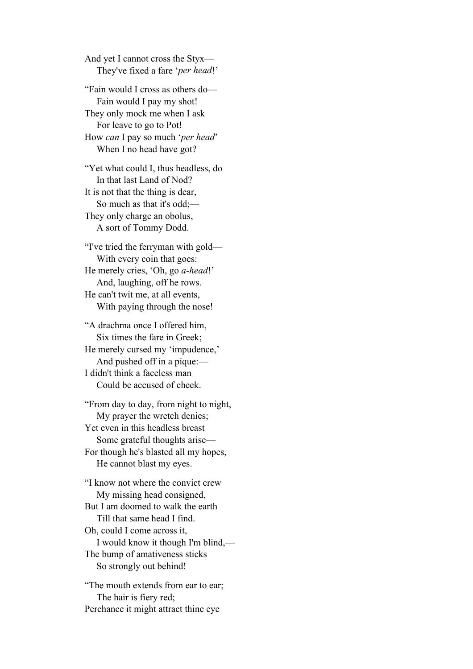And yet I cannot cross the Styx— They've fixed a fare '*per head*!'

"Fain would I cross as others do— Fain would I pay my shot! They only mock me when I ask For leave to go to Pot! How *can* I pay so much '*per head*' When I no head have got?

"Yet what could I, thus headless, do In that last Land of Nod? It is not that the thing is dear, So much as that it's odd;— They only charge an obolus, A sort of Tommy Dodd.

"I've tried the ferryman with gold— With every coin that goes: He merely cries, 'Oh, go *a-head*!' And, laughing, off he rows. He can't twit me, at all events, With paying through the nose!

"A drachma once I offered him, Six times the fare in Greek; He merely cursed my 'impudence,' And pushed off in a pique:— I didn't think a faceless man Could be accused of cheek.

"From day to day, from night to night, My prayer the wretch denies; Yet even in this headless breast Some grateful thoughts arise— For though he's blasted all my hopes, He cannot blast my eyes.

"I know not where the convict crew My missing head consigned, But I am doomed to walk the earth Till that same head I find. Oh, could I come across it, I would know it though I'm blind,— The bump of amativeness sticks So strongly out behind!

"The mouth extends from ear to ear; The hair is fiery red; Perchance it might attract thine eye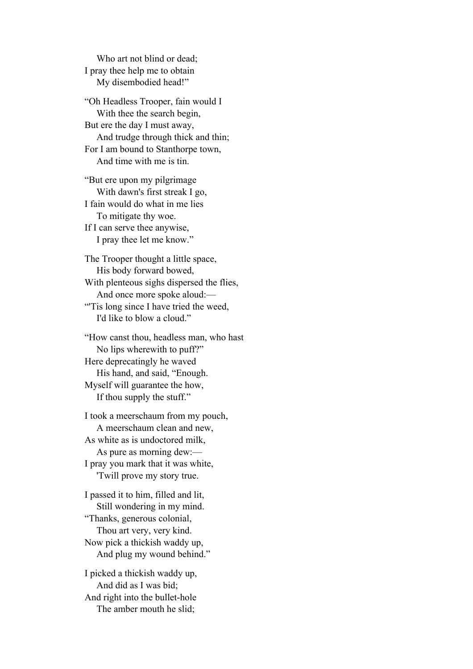Who art not blind or dead; I pray thee help me to obtain My disembodied head!"

"Oh Headless Trooper, fain would I With thee the search begin, But ere the day I must away, And trudge through thick and thin; For I am bound to Stanthorpe town, And time with me is tin.

"But ere upon my pilgrimage With dawn's first streak I go, I fain would do what in me lies To mitigate thy woe. If I can serve thee anywise,

I pray thee let me know."

The Trooper thought a little space, His body forward bowed, With plenteous sighs dispersed the flies, And once more spoke aloud:— "Tis long since I have tried the weed, I'd like to blow a cloud."

"How canst thou, headless man, who hast No lips wherewith to puff?" Here deprecatingly he waved His hand, and said, "Enough. Myself will guarantee the how, If thou supply the stuff."

I took a meerschaum from my pouch, A meerschaum clean and new, As white as is undoctored milk, As pure as morning dew:— I pray you mark that it was white, 'Twill prove my story true.

I passed it to him, filled and lit, Still wondering in my mind. "Thanks, generous colonial, Thou art very, very kind. Now pick a thickish waddy up, And plug my wound behind."

I picked a thickish waddy up, And did as I was bid; And right into the bullet-hole The amber mouth he slid;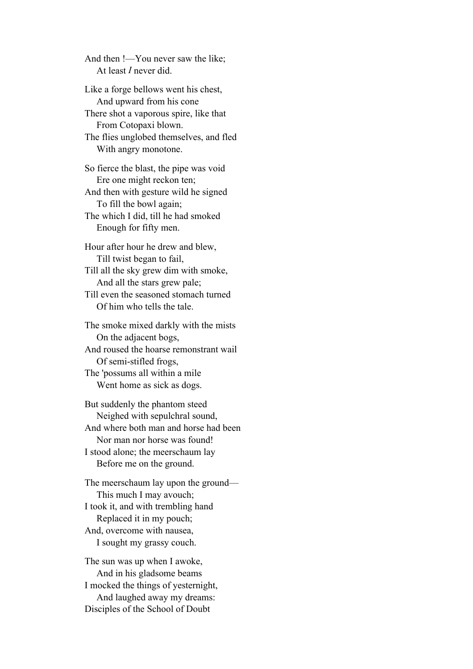And then !—You never saw the like; At least *I* never did.

Like a forge bellows went his chest, And upward from his cone There shot a vaporous spire, like that From Cotopaxi blown.

The flies unglobed themselves, and fled With angry monotone.

So fierce the blast, the pipe was void Ere one might reckon ten;

And then with gesture wild he signed To fill the bowl again;

The which I did, till he had smoked Enough for fifty men.

Hour after hour he drew and blew, Till twist began to fail,

Till all the sky grew dim with smoke, And all the stars grew pale;

Till even the seasoned stomach turned Of him who tells the tale.

The smoke mixed darkly with the mists On the adjacent bogs, And roused the hoarse remonstrant wail Of semi-stifled frogs, The 'possums all within a mile Went home as sick as dogs.

But suddenly the phantom steed Neighed with sepulchral sound, And where both man and horse had been Nor man nor horse was found! I stood alone; the meerschaum lay Before me on the ground.

The meerschaum lay upon the ground— This much I may avouch; I took it, and with trembling hand Replaced it in my pouch; And, overcome with nausea, I sought my grassy couch.

The sun was up when I awoke, And in his gladsome beams I mocked the things of yesternight, And laughed away my dreams: Disciples of the School of Doubt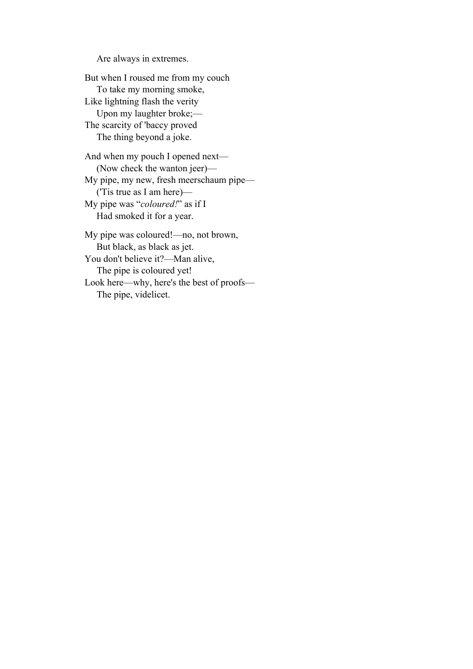Are always in extremes.

But when I roused me from my couch To take my morning smoke, Like lightning flash the verity Upon my laughter broke;— The scarcity of 'baccy proved The thing beyond a joke.

And when my pouch I opened next— (Now check the wanton jeer)— My pipe, my new, fresh meerschaum pipe— ('Tis true as I am here)— My pipe was "*coloured!*" as if I Had smoked it for a year.

My pipe was coloured!—no, not brown, But black, as black as jet. You don't believe it?—Man alive, The pipe is coloured yet! Look here—why, here's the best of proofs— The pipe, videlicet.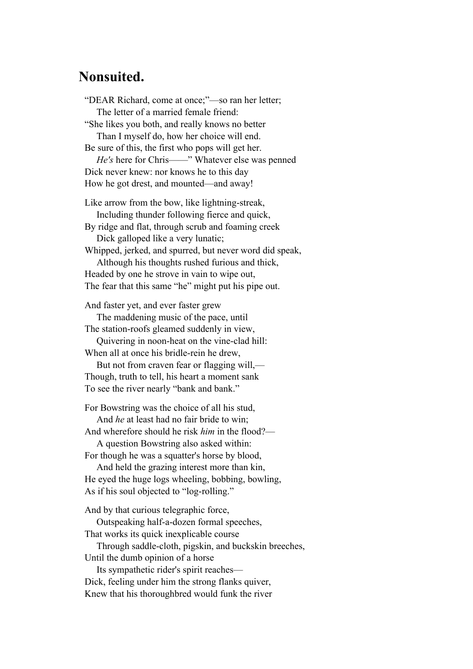#### **Nonsuited.**

"DEAR Richard, come at once;"—so ran her letter; The letter of a married female friend: "She likes you both, and really knows no better Than I myself do, how her choice will end. Be sure of this, the first who pops will get her. *He's* here for Chris——" Whatever else was penned Dick never knew: nor knows he to this day How he got drest, and mounted—and away! Like arrow from the bow, like lightning-streak, Including thunder following fierce and quick, By ridge and flat, through scrub and foaming creek Dick galloped like a very lunatic; Whipped, jerked, and spurred, but never word did speak, Although his thoughts rushed furious and thick, Headed by one he strove in vain to wipe out, The fear that this same "he" might put his pipe out. And faster yet, and ever faster grew The maddening music of the pace, until The station-roofs gleamed suddenly in view, Quivering in noon-heat on the vine-clad hill: When all at once his bridle-rein he drew, But not from craven fear or flagging will,— Though, truth to tell, his heart a moment sank To see the river nearly "bank and bank." For Bowstring was the choice of all his stud, And *he* at least had no fair bride to win; And wherefore should he risk *him* in the flood?— A question Bowstring also asked within: For though he was a squatter's horse by blood, And held the grazing interest more than kin, He eyed the huge logs wheeling, bobbing, bowling, As if his soul objected to "log-rolling." And by that curious telegraphic force, Outspeaking half-a-dozen formal speeches, That works its quick inexplicable course Through saddle-cloth, pigskin, and buckskin breeches, Until the dumb opinion of a horse Its sympathetic rider's spirit reaches—

Dick, feeling under him the strong flanks quiver, Knew that his thoroughbred would funk the river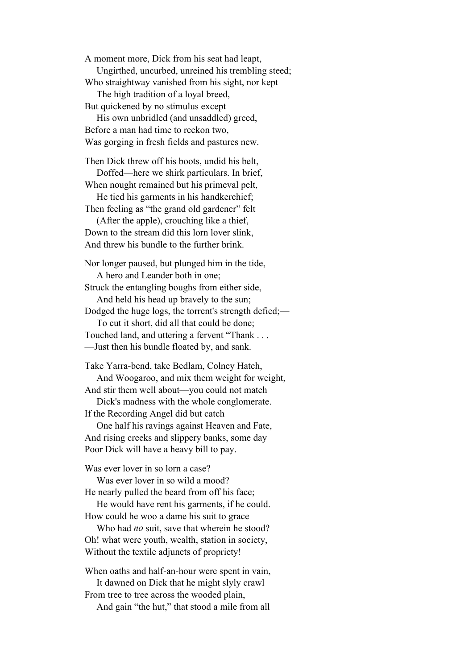A moment more, Dick from his seat had leapt, Ungirthed, uncurbed, unreined his trembling steed; Who straightway vanished from his sight, nor kept

 The high tradition of a loyal breed, But quickened by no stimulus except

 His own unbridled (and unsaddled) greed, Before a man had time to reckon two, Was gorging in fresh fields and pastures new.

Then Dick threw off his boots, undid his belt,

 Doffed—here we shirk particulars. In brief, When nought remained but his primeval pelt,

 He tied his garments in his handkerchief; Then feeling as "the grand old gardener" felt

 (After the apple), crouching like a thief, Down to the stream did this lorn lover slink, And threw his bundle to the further brink.

Nor longer paused, but plunged him in the tide, A hero and Leander both in one;

Struck the entangling boughs from either side,

 And held his head up bravely to the sun; Dodged the huge logs, the torrent's strength defied;—

 To cut it short, did all that could be done; Touched land, and uttering a fervent "Thank . . . —Just then his bundle floated by, and sank.

Take Yarra-bend, take Bedlam, Colney Hatch, And Woogaroo, and mix them weight for weight,

And stir them well about—you could not match Dick's madness with the whole conglomerate.

If the Recording Angel did but catch

 One half his ravings against Heaven and Fate, And rising creeks and slippery banks, some day Poor Dick will have a heavy bill to pay.

Was ever lover in so lorn a case?

 Was ever lover in so wild a mood? He nearly pulled the beard from off his face;

 He would have rent his garments, if he could. How could he woo a dame his suit to grace

 Who had *no* suit, save that wherein he stood? Oh! what were youth, wealth, station in society, Without the textile adjuncts of propriety!

When oaths and half-an-hour were spent in vain, It dawned on Dick that he might slyly crawl From tree to tree across the wooded plain,

And gain "the hut," that stood a mile from all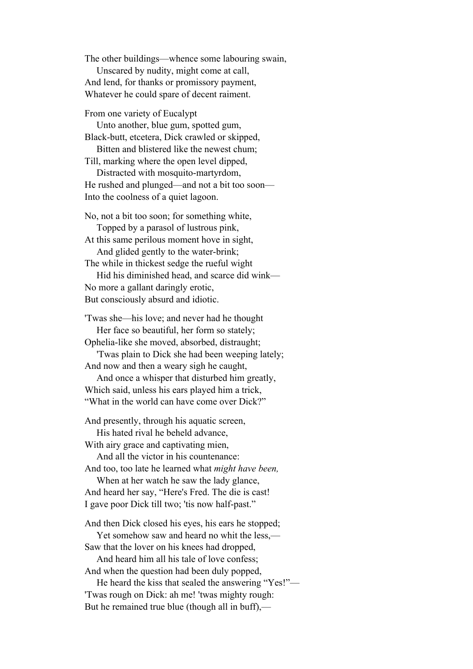The other buildings—whence some labouring swain, Unscared by nudity, might come at call, And lend, for thanks or promissory payment, Whatever he could spare of decent raiment.

From one variety of Eucalypt Unto another, blue gum, spotted gum, Black-butt, etcetera, Dick crawled or skipped, Bitten and blistered like the newest chum; Till, marking where the open level dipped,

 Distracted with mosquito-martyrdom, He rushed and plunged—and not a bit too soon— Into the coolness of a quiet lagoon.

No, not a bit too soon; for something white, Topped by a parasol of lustrous pink, At this same perilous moment hove in sight,

 And glided gently to the water-brink; The while in thickest sedge the rueful wight Hid his diminished head, and scarce did wink— No more a gallant daringly erotic, But consciously absurd and idiotic.

'Twas she—his love; and never had he thought Her face so beautiful, her form so stately; Ophelia-like she moved, absorbed, distraught;

 'Twas plain to Dick she had been weeping lately; And now and then a weary sigh he caught,

 And once a whisper that disturbed him greatly, Which said, unless his ears played him a trick, "What in the world can have come over Dick?"

And presently, through his aquatic screen,

 His hated rival he beheld advance, With airy grace and captivating mien,

And all the victor in his countenance:

And too, too late he learned what *might have been,*

 When at her watch he saw the lady glance, And heard her say, "Here's Fred. The die is cast! I gave poor Dick till two; 'tis now half-past."

And then Dick closed his eyes, his ears he stopped;

 Yet somehow saw and heard no whit the less,— Saw that the lover on his knees had dropped,

 And heard him all his tale of love confess; And when the question had been duly popped,

 He heard the kiss that sealed the answering "Yes!"— 'Twas rough on Dick: ah me! 'twas mighty rough: But he remained true blue (though all in buff),—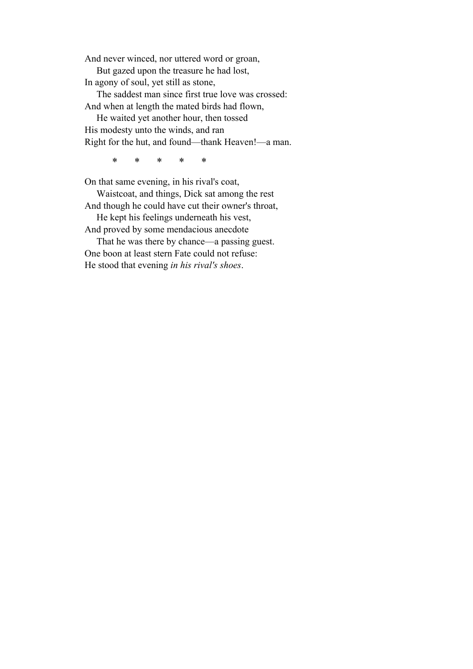And never winced, nor uttered word or groan,

But gazed upon the treasure he had lost,

In agony of soul, yet still as stone,

The saddest man since first true love was crossed:

And when at length the mated birds had flown,

 He waited yet another hour, then tossed His modesty unto the winds, and ran Right for the hut, and found—thank Heaven!—a man.

\* \* \* \* \*

On that same evening, in his rival's coat,

 Waistcoat, and things, Dick sat among the rest And though he could have cut their owner's throat,

 He kept his feelings underneath his vest, And proved by some mendacious anecdote

 That he was there by chance—a passing guest. One boon at least stern Fate could not refuse: He stood that evening *in his rival's shoes*.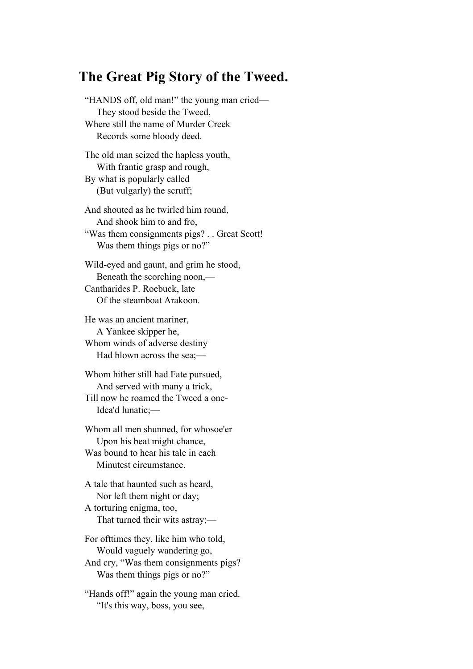#### **The Great Pig Story of the Tweed.**

"HANDS off, old man!" the young man cried— They stood beside the Tweed, Where still the name of Murder Creek Records some bloody deed.

The old man seized the hapless youth, With frantic grasp and rough, By what is popularly called (But vulgarly) the scruff;

And shouted as he twirled him round, And shook him to and fro, "Was them consignments pigs? . . Great Scott! Was them things pigs or no?"

Wild-eyed and gaunt, and grim he stood, Beneath the scorching noon,— Cantharides P. Roebuck, late Of the steamboat Arakoon.

He was an ancient mariner, A Yankee skipper he, Whom winds of adverse destiny Had blown across the sea;—

Whom hither still had Fate pursued, And served with many a trick, Till now he roamed the Tweed a one- Idea'd lunatic;—

Whom all men shunned, for whosoe'er Upon his beat might chance, Was bound to hear his tale in each Minutest circumstance.

A tale that haunted such as heard, Nor left them night or day;

A torturing enigma, too, That turned their wits astray;—

For ofttimes they, like him who told, Would vaguely wandering go, And cry, "Was them consignments pigs? Was them things pigs or no?"

"Hands off!" again the young man cried. "It's this way, boss, you see,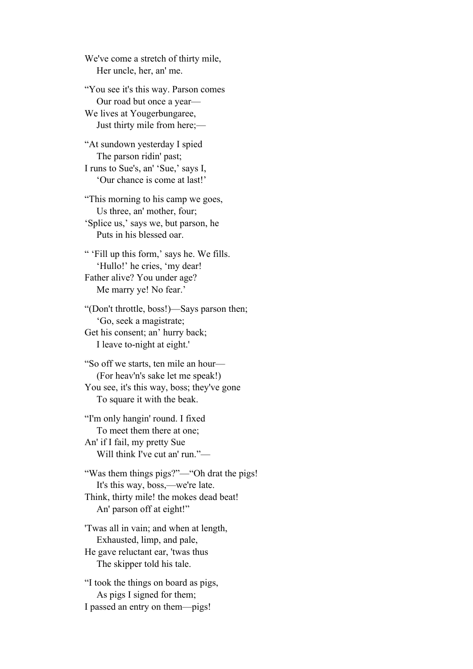We've come a stretch of thirty mile, Her uncle, her, an' me.

"You see it's this way. Parson comes Our road but once a year— We lives at Yougerbungaree, Just thirty mile from here;—

"At sundown yesterday I spied The parson ridin' past; I runs to Sue's, an' 'Sue,' says I, 'Our chance is come at last!'

"This morning to his camp we goes, Us three, an' mother, four; 'Splice us,' says we, but parson, he Puts in his blessed oar.

" 'Fill up this form,' says he. We fills. 'Hullo!' he cries, 'my dear! Father alive? You under age?

Me marry ye! No fear.'

"(Don't throttle, boss!)—Says parson then; 'Go, seek a magistrate; Get his consent; an' hurry back; I leave to-night at eight.'

"So off we starts, ten mile an hour— (For heav'n's sake let me speak!) You see, it's this way, boss; they've gone To square it with the beak.

"I'm only hangin' round. I fixed To meet them there at one; An' if I fail, my pretty Sue Will think I've cut an' run."—

"Was them things pigs?"—"Oh drat the pigs! It's this way, boss,—we're late. Think, thirty mile! the mokes dead beat! An' parson off at eight!"

'Twas all in vain; and when at length, Exhausted, limp, and pale, He gave reluctant ear, 'twas thus The skipper told his tale.

"I took the things on board as pigs, As pigs I signed for them; I passed an entry on them—pigs!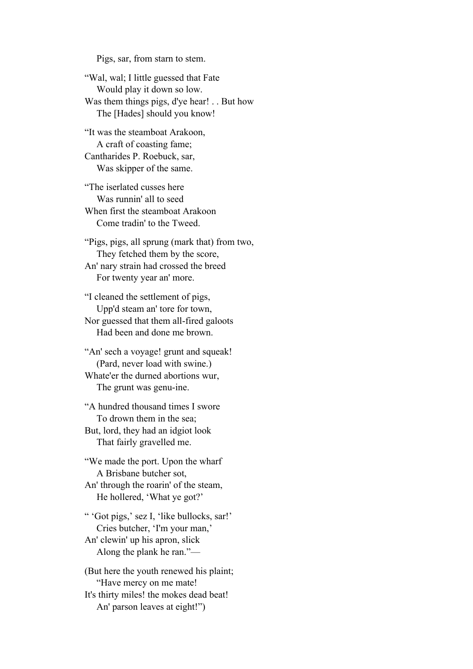Pigs, sar, from starn to stem.

"Wal, wal; I little guessed that Fate Would play it down so low. Was them things pigs, d'ye hear! . . But how The [Hades] should you know!

"It was the steamboat Arakoon, A craft of coasting fame; Cantharides P. Roebuck, sar, Was skipper of the same.

"The iserlated cusses here Was runnin' all to seed When first the steamboat Arakoon Come tradin' to the Tweed.

"Pigs, pigs, all sprung (mark that) from two, They fetched them by the score, An' nary strain had crossed the breed For twenty year an' more.

"I cleaned the settlement of pigs, Upp'd steam an' tore for town, Nor guessed that them all-fired galoots Had been and done me brown.

"An' sech a voyage! grunt and squeak! (Pard, never load with swine.) Whate'er the durned abortions wur, The grunt was genu-ine.

"A hundred thousand times I swore To drown them in the sea; But, lord, they had an idgiot look That fairly gravelled me.

"We made the port. Upon the wharf A Brisbane butcher sot, An' through the roarin' of the steam, He hollered, 'What ye got?'

" 'Got pigs,' sez I, 'like bullocks, sar!' Cries butcher, 'I'm your man,' An' clewin' up his apron, slick Along the plank he ran."—

(But here the youth renewed his plaint; "Have mercy on me mate! It's thirty miles! the mokes dead beat! An' parson leaves at eight!")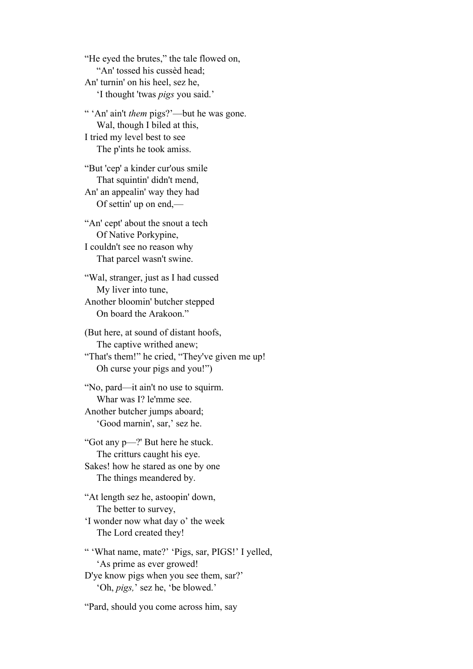"He eyed the brutes," the tale flowed on, "An' tossed his cussèd head; An' turnin' on his heel, sez he, 'I thought 'twas *pigs* you said.'

" 'An' ain't *them* pigs?'—but he was gone. Wal, though I biled at this, I tried my level best to see The p'ints he took amiss.

"But 'cep' a kinder cur'ous smile That squintin' didn't mend, An' an appealin' way they had Of settin' up on end,—

"An' cept' about the snout a tech Of Native Porkypine, I couldn't see no reason why That parcel wasn't swine.

"Wal, stranger, just as I had cussed My liver into tune, Another bloomin' butcher stepped On board the Arakoon."

(But here, at sound of distant hoofs, The captive writhed anew; "That's them!" he cried, "They've given me up! Oh curse your pigs and you!")

"No, pard—it ain't no use to squirm. Whar was I? le'mme see. Another butcher jumps aboard; 'Good marnin', sar,' sez he.

"Got any p—?' But here he stuck. The critturs caught his eye. Sakes! how he stared as one by one The things meandered by.

"At length sez he, astoopin' down, The better to survey, 'I wonder now what day o' the week The Lord created they!

" 'What name, mate?' 'Pigs, sar, PIGS!' I yelled, 'As prime as ever growed! D'ye know pigs when you see them, sar?' 'Oh, *pigs,*' sez he, 'be blowed.'

"Pard, should you come across him, say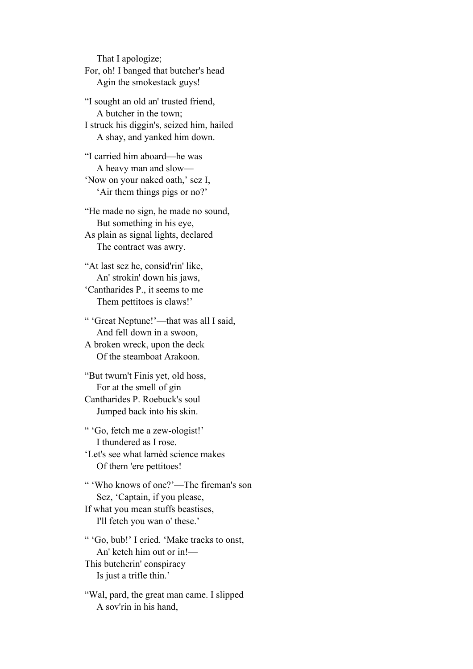That I apologize; For, oh! I banged that butcher's head Agin the smokestack guys!

"I sought an old an' trusted friend, A butcher in the town; I struck his diggin's, seized him, hailed A shay, and yanked him down.

"I carried him aboard—he was A heavy man and slow— 'Now on your naked oath,' sez I, 'Air them things pigs or no?'

"He made no sign, he made no sound, But something in his eye, As plain as signal lights, declared The contract was awry.

"At last sez he, consid'rin' like, An' strokin' down his jaws, 'Cantharides P., it seems to me Them pettitoes is claws!'

" 'Great Neptune!'—that was all I said, And fell down in a swoon, A broken wreck, upon the deck Of the steamboat Arakoon.

"But twurn't Finis yet, old hoss, For at the smell of gin Cantharides P. Roebuck's soul Jumped back into his skin.

" 'Go, fetch me a zew-ologist!' I thundered as I rose. 'Let's see what larnèd science makes Of them 'ere pettitoes!

" 'Who knows of one?'—The fireman's son Sez, 'Captain, if you please, If what you mean stuffs beastises, I'll fetch you wan o' these.'

" 'Go, bub!' I cried. 'Make tracks to onst, An' ketch him out or in!— This butcherin' conspiracy Is just a trifle thin.'

"Wal, pard, the great man came. I slipped A sov'rin in his hand,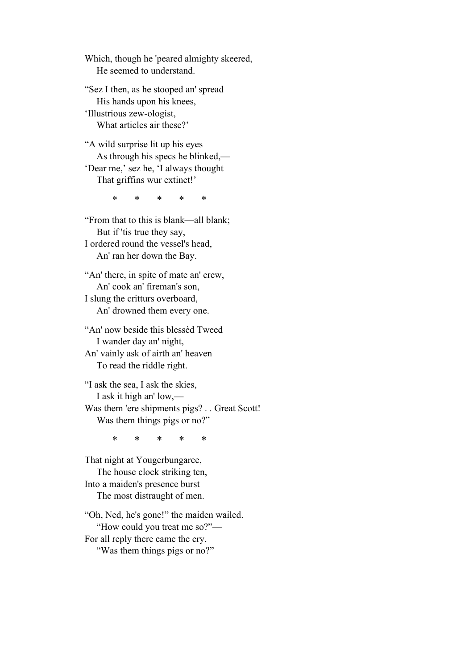Which, though he 'peared almighty skeered, He seemed to understand.

"Sez I then, as he stooped an' spread His hands upon his knees, 'Illustrious zew-ologist, What articles air these?'

"A wild surprise lit up his eyes As through his specs he blinked,— 'Dear me,' sez he, 'I always thought That griffins wur extinct!'

\* \* \* \* \*

"From that to this is blank—all blank; But if 'tis true they say, I ordered round the vessel's head, An' ran her down the Bay.

"An' there, in spite of mate an' crew, An' cook an' fireman's son, I slung the critturs overboard, An' drowned them every one.

"An' now beside this blessèd Tweed I wander day an' night, An' vainly ask of airth an' heaven To read the riddle right.

"I ask the sea, I ask the skies, I ask it high an' low,— Was them 'ere shipments pigs? . . Great Scott! Was them things pigs or no?"

\* \* \* \* \*

That night at Yougerbungaree, The house clock striking ten, Into a maiden's presence burst The most distraught of men.

"Oh, Ned, he's gone!" the maiden wailed. "How could you treat me so?"— For all reply there came the cry, "Was them things pigs or no?"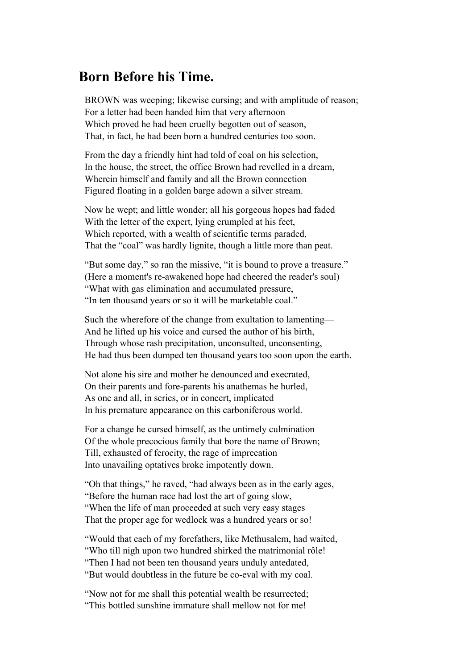# **Born Before his Time.**

BROWN was weeping; likewise cursing; and with amplitude of reason; For a letter had been handed him that very afternoon Which proved he had been cruelly begotten out of season, That, in fact, he had been born a hundred centuries too soon.

From the day a friendly hint had told of coal on his selection, In the house, the street, the office Brown had revelled in a dream, Wherein himself and family and all the Brown connection Figured floating in a golden barge adown a silver stream.

Now he wept; and little wonder; all his gorgeous hopes had faded With the letter of the expert, lying crumpled at his feet, Which reported, with a wealth of scientific terms paraded, That the "coal" was hardly lignite, though a little more than peat.

"But some day," so ran the missive, "it is bound to prove a treasure." (Here a moment's re-awakened hope had cheered the reader's soul) "What with gas elimination and accumulated pressure, "In ten thousand years or so it will be marketable coal."

Such the wherefore of the change from exultation to lamenting— And he lifted up his voice and cursed the author of his birth, Through whose rash precipitation, unconsulted, unconsenting, He had thus been dumped ten thousand years too soon upon the earth.

Not alone his sire and mother he denounced and execrated, On their parents and fore-parents his anathemas he hurled, As one and all, in series, or in concert, implicated In his premature appearance on this carboniferous world.

For a change he cursed himself, as the untimely culmination Of the whole precocious family that bore the name of Brown; Till, exhausted of ferocity, the rage of imprecation Into unavailing optatives broke impotently down.

"Oh that things," he raved, "had always been as in the early ages, "Before the human race had lost the art of going slow, "When the life of man proceeded at such very easy stages That the proper age for wedlock was a hundred years or so!

"Would that each of my forefathers, like Methusalem, had waited, "Who till nigh upon two hundred shirked the matrimonial rôle! "Then I had not been ten thousand years unduly antedated, "But would doubtless in the future be co-eval with my coal.

"Now not for me shall this potential wealth be resurrected; "This bottled sunshine immature shall mellow not for me!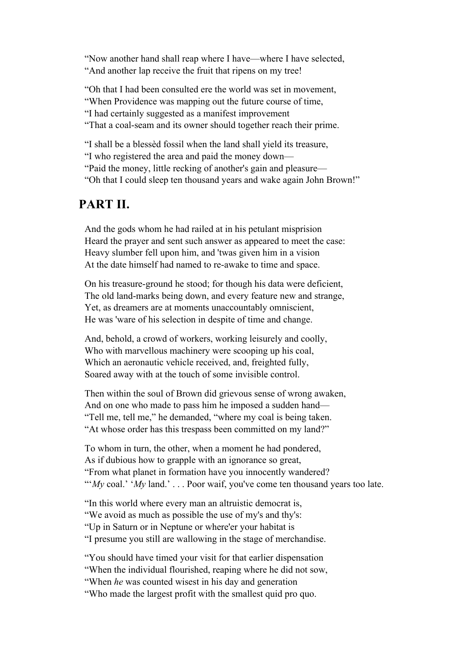"Now another hand shall reap where I have—where I have selected, "And another lap receive the fruit that ripens on my tree!

"Oh that I had been consulted ere the world was set in movement, "When Providence was mapping out the future course of time, "I had certainly suggested as a manifest improvement "That a coal-seam and its owner should together reach their prime.

"I shall be a blessèd fossil when the land shall yield its treasure, "I who registered the area and paid the money down— "Paid the money, little recking of another's gain and pleasure— "Oh that I could sleep ten thousand years and wake again John Brown!"

#### **PART II.**

And the gods whom he had railed at in his petulant misprision Heard the prayer and sent such answer as appeared to meet the case: Heavy slumber fell upon him, and 'twas given him in a vision At the date himself had named to re-awake to time and space.

On his treasure-ground he stood; for though his data were deficient, The old land-marks being down, and every feature new and strange, Yet, as dreamers are at moments unaccountably omniscient, He was 'ware of his selection in despite of time and change.

And, behold, a crowd of workers, working leisurely and coolly, Who with marvellous machinery were scooping up his coal, Which an aeronautic vehicle received, and, freighted fully, Soared away with at the touch of some invisible control.

Then within the soul of Brown did grievous sense of wrong awaken, And on one who made to pass him he imposed a sudden hand— "Tell me, tell me," he demanded, "where my coal is being taken. "At whose order has this trespass been committed on my land?"

To whom in turn, the other, when a moment he had pondered, As if dubious how to grapple with an ignorance so great, "From what planet in formation have you innocently wandered? "'*My* coal.' '*My* land.' . . . Poor waif, you've come ten thousand years too late.

"In this world where every man an altruistic democrat is, "We avoid as much as possible the use of my's and thy's: "Up in Saturn or in Neptune or where'er your habitat is "I presume you still are wallowing in the stage of merchandise.

"You should have timed your visit for that earlier dispensation "When the individual flourished, reaping where he did not sow, "When *he* was counted wisest in his day and generation "Who made the largest profit with the smallest quid pro quo.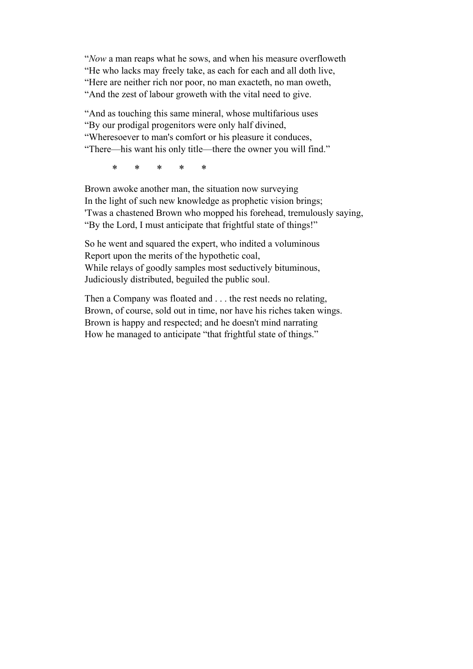"*Now* a man reaps what he sows, and when his measure overfloweth "He who lacks may freely take, as each for each and all doth live, "Here are neither rich nor poor, no man exacteth, no man oweth, "And the zest of labour groweth with the vital need to give.

"And as touching this same mineral, whose multifarious uses "By our prodigal progenitors were only half divined, "Wheresoever to man's comfort or his pleasure it conduces, "There—his want his only title—there the owner you will find."

\* \* \* \* \*

Brown awoke another man, the situation now surveying In the light of such new knowledge as prophetic vision brings; 'Twas a chastened Brown who mopped his forehead, tremulously saying, "By the Lord, I must anticipate that frightful state of things!"

So he went and squared the expert, who indited a voluminous Report upon the merits of the hypothetic coal, While relays of goodly samples most seductively bituminous, Judiciously distributed, beguiled the public soul.

Then a Company was floated and . . . the rest needs no relating, Brown, of course, sold out in time, nor have his riches taken wings. Brown is happy and respected; and he doesn't mind narrating How he managed to anticipate "that frightful state of things."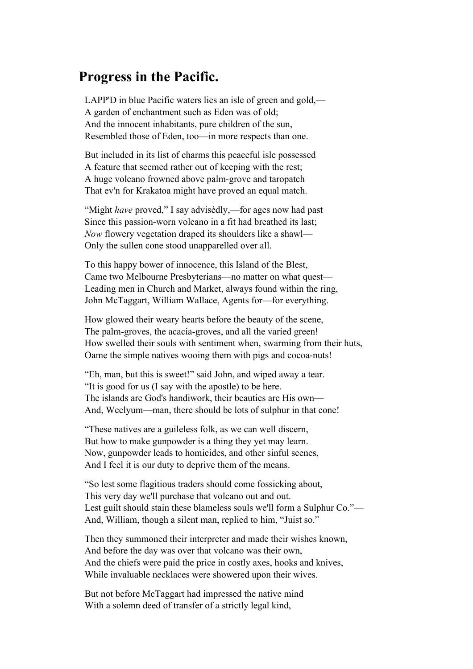# **Progress in the Pacific.**

LAPP'D in blue Pacific waters lies an isle of green and gold,— A garden of enchantment such as Eden was of old; And the innocent inhabitants, pure children of the sun, Resembled those of Eden, too—in more respects than one.

But included in its list of charms this peaceful isle possessed A feature that seemed rather out of keeping with the rest; A huge volcano frowned above palm-grove and taropatch That ev'n for Krakatoa might have proved an equal match.

"Might *have* proved," I say advisèdly,—for ages now had past Since this passion-worn volcano in a fit had breathed its last; *Now* flowery vegetation draped its shoulders like a shawl— Only the sullen cone stood unapparelled over all.

To this happy bower of innocence, this Island of the Blest, Came two Melbourne Presbyterians—no matter on what quest— Leading men in Church and Market, always found within the ring, John McTaggart, William Wallace, Agents for—for everything.

How glowed their weary hearts before the beauty of the scene, The palm-groves, the acacia-groves, and all the varied green! How swelled their souls with sentiment when, swarming from their huts, Oame the simple natives wooing them with pigs and cocoa-nuts!

"Eh, man, but this is sweet!" said John, and wiped away a tear. "It is good for us (I say with the apostle) to be here. The islands are God's handiwork, their beauties are His own— And, Weelyum—man, there should be lots of sulphur in that cone!

"These natives are a guileless folk, as we can well discern, But how to make gunpowder is a thing they yet may learn. Now, gunpowder leads to homicides, and other sinful scenes, And I feel it is our duty to deprive them of the means.

"So lest some flagitious traders should come fossicking about, This very day we'll purchase that volcano out and out. Lest guilt should stain these blameless souls we'll form a Sulphur Co."— And, William, though a silent man, replied to him, "Juist so."

Then they summoned their interpreter and made their wishes known, And before the day was over that volcano was their own, And the chiefs were paid the price in costly axes, hooks and knives, While invaluable necklaces were showered upon their wives.

But not before McTaggart had impressed the native mind With a solemn deed of transfer of a strictly legal kind,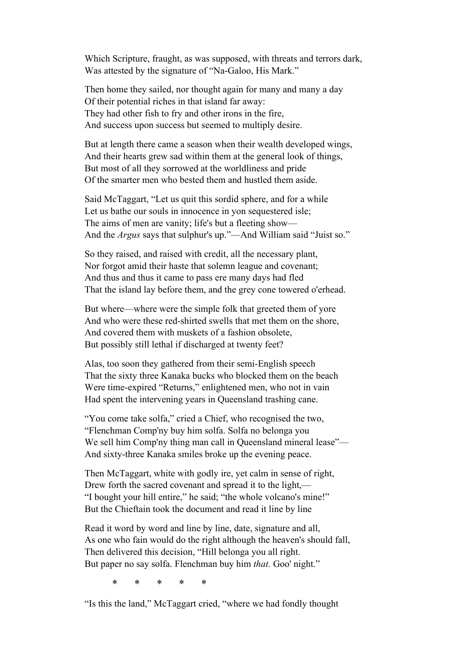Which Scripture, fraught, as was supposed, with threats and terrors dark, Was attested by the signature of "Na-Galoo, His Mark."

Then home they sailed, nor thought again for many and many a day Of their potential riches in that island far away: They had other fish to fry and other irons in the fire, And success upon success but seemed to multiply desire.

But at length there came a season when their wealth developed wings, And their hearts grew sad within them at the general look of things, But most of all they sorrowed at the worldliness and pride Of the smarter men who bested them and hustled them aside.

Said McTaggart, "Let us quit this sordid sphere, and for a while Let us bathe our souls in innocence in yon sequestered isle; The aims of men are vanity; life's but a fleeting show— And the *Argus* says that sulphur's up."—And William said "Juist so."

So they raised, and raised with credit, all the necessary plant, Nor forgot amid their haste that solemn league and covenant; And thus and thus it came to pass ere many days had fled That the island lay before them, and the grey cone towered o'erhead.

But where—where were the simple folk that greeted them of yore And who were these red-shirted swells that met them on the shore, And covered them with muskets of a fashion obsolete, But possibly still lethal if discharged at twenty feet?

Alas, too soon they gathered from their semi-English speech That the sixty three Kanaka bucks who blocked them on the beach Were time-expired "Returns," enlightened men, who not in vain Had spent the intervening years in Queensland trashing cane.

"You come take solfa," cried a Chief, who recognised the two, "Flenchman Comp'ny buy him solfa. Solfa no belonga you We sell him Comp'ny thing man call in Queensland mineral lease"— And sixty-three Kanaka smiles broke up the evening peace.

Then McTaggart, white with godly ire, yet calm in sense of right, Drew forth the sacred covenant and spread it to the light,— "I bought your hill entire," he said; "the whole volcano's mine!" But the Chieftain took the document and read it line by line

Read it word by word and line by line, date, signature and all, As one who fain would do the right although the heaven's should fall, Then delivered this decision, "Hill belonga you all right. But paper no say solfa. Flenchman buy him *that.* Goo' night."

\* \* \* \* \*

"Is this the land," McTaggart cried, "where we had fondly thought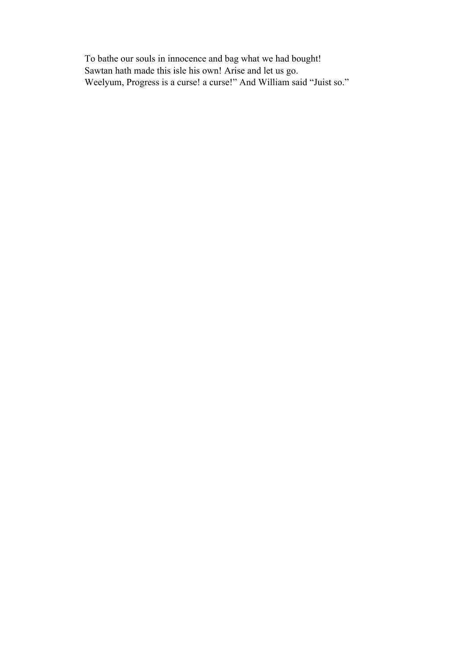To bathe our souls in innocence and bag what we had bought! Sawtan hath made this isle his own! Arise and let us go. Weelyum, Progress is a curse! a curse!" And William said "Juist so."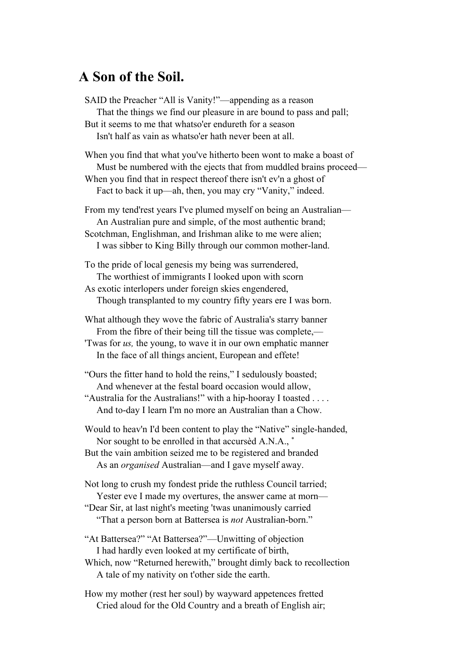# **A Son of the Soil.**

SAID the Preacher "All is Vanity!"—appending as a reason That the things we find our pleasure in are bound to pass and pall; But it seems to me that whatso'er endureth for a season Isn't half as vain as whatso'er hath never been at all. When you find that what you've hitherto been wont to make a boast of Must be numbered with the ejects that from muddled brains proceed— When you find that in respect thereof there isn't ev'n a ghost of Fact to back it up—ah, then, you may cry "Vanity," indeed. From my tend'rest years I've plumed myself on being an Australian— An Australian pure and simple, of the most authentic brand; Scotchman, Englishman, and Irishman alike to me were alien; I was sibber to King Billy through our common mother-land. To the pride of local genesis my being was surrendered, The worthiest of immigrants I looked upon with scorn As exotic interlopers under foreign skies engendered, Though transplanted to my country fifty years ere I was born. What although they wove the fabric of Australia's starry banner From the fibre of their being till the tissue was complete,— 'Twas for *us,* the young, to wave it in our own emphatic manner In the face of all things ancient, European and effete! "Ours the fitter hand to hold the reins," I sedulously boasted; And whenever at the festal board occasion would allow, "Australia for the Australians!" with a hip-hooray I toasted . . . . And to-day I learn I'm no more an Australian than a Chow. Would to heav'n I'd been content to play the "Native" single-handed, Nor sought to be enrolled in that accursèd A.N.A., \* But the vain ambition seized me to be registered and branded As an *organised* Australian—and I gave myself away. Not long to crush my fondest pride the ruthless Council tarried; Yester eve I made my overtures, the answer came at morn— "Dear Sir, at last night's meeting 'twas unanimously carried "That a person born at Battersea is *not* Australian-born." "At Battersea?" "At Battersea?"—Unwitting of objection I had hardly even looked at my certificate of birth,

Which, now "Returned herewith," brought dimly back to recollection A tale of my nativity on t'other side the earth.

How my mother (rest her soul) by wayward appetences fretted Cried aloud for the Old Country and a breath of English air;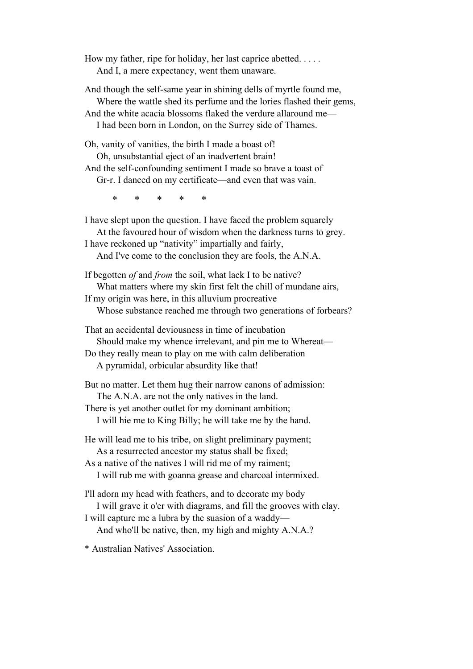How my father, ripe for holiday, her last caprice abetted. . . . . And I, a mere expectancy, went them unaware.

And though the self-same year in shining dells of myrtle found me, Where the wattle shed its perfume and the lories flashed their gems, And the white acacia blossoms flaked the verdure allaround me—

I had been born in London, on the Surrey side of Thames.

Oh, vanity of vanities, the birth I made a boast of! Oh, unsubstantial eject of an inadvertent brain! And the self-confounding sentiment I made so brave a toast of

Gr-r. I danced on my certificate—and even that was vain.

\* \* \* \* \*

I have slept upon the question. I have faced the problem squarely At the favoured hour of wisdom when the darkness turns to grey. I have reckoned up "nativity" impartially and fairly, And I've come to the conclusion they are fools, the A.N.A. If begotten *of* and *from* the soil, what lack I to be native? What matters where my skin first felt the chill of mundane airs, If my origin was here, in this alluvium procreative Whose substance reached me through two generations of forbears? That an accidental deviousness in time of incubation Should make my whence irrelevant, and pin me to Whereat— Do they really mean to play on me with calm deliberation A pyramidal, orbicular absurdity like that! But no matter. Let them hug their narrow canons of admission: The A.N.A. are not the only natives in the land. There is yet another outlet for my dominant ambition; I will hie me to King Billy; he will take me by the hand. He will lead me to his tribe, on slight preliminary payment; As a resurrected ancestor my status shall be fixed; As a native of the natives I will rid me of my raiment; I will rub me with goanna grease and charcoal intermixed. I'll adorn my head with feathers, and to decorate my body I will grave it o'er with diagrams, and fill the grooves with clay. I will capture me a lubra by the suasion of a waddy— And who'll be native, then, my high and mighty A.N.A.?

\* Australian Natives' Association.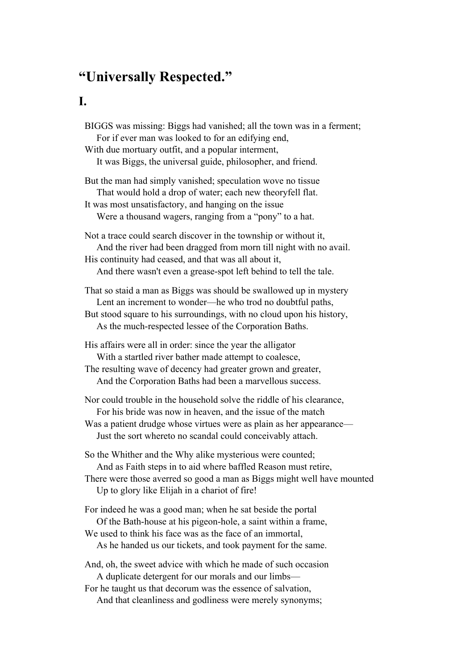# **"Universally Respected."**

# **I.**

| BIGGS was missing: Biggs had vanished; all the town was in a ferment;<br>For if ever man was looked to for an edifying end,<br>With due mortuary outfit, and a popular interment,<br>It was Biggs, the universal guide, philosopher, and friend.                          |
|---------------------------------------------------------------------------------------------------------------------------------------------------------------------------------------------------------------------------------------------------------------------------|
| But the man had simply vanished; speculation wove no tissue<br>That would hold a drop of water; each new theoryfell flat.<br>It was most unsatisfactory, and hanging on the issue<br>Were a thousand wagers, ranging from a "pony" to a hat.                              |
| Not a trace could search discover in the township or without it,<br>And the river had been dragged from morn till night with no avail.<br>His continuity had ceased, and that was all about it,<br>And there wasn't even a grease-spot left behind to tell the tale.      |
| That so staid a man as Biggs was should be swallowed up in mystery<br>Lent an increment to wonder—he who trod no doubtful paths,<br>But stood square to his surroundings, with no cloud upon his history,<br>As the much-respected lessee of the Corporation Baths.       |
| His affairs were all in order: since the year the alligator<br>With a startled river bather made attempt to coalesce,<br>The resulting wave of decency had greater grown and greater,<br>And the Corporation Baths had been a marvellous success.                         |
| Nor could trouble in the household solve the riddle of his clearance,<br>For his bride was now in heaven, and the issue of the match<br>Was a patient drudge whose virtues were as plain as her appearance—<br>Just the sort whereto no scandal could conceivably attach. |
| So the Whither and the Why alike mysterious were counted;<br>And as Faith steps in to aid where baffled Reason must retire,<br>There were those averred so good a man as Biggs might well have mounted<br>Up to glory like Elijah in a chariot of fire!                   |
| For indeed he was a good man; when he sat beside the portal<br>Of the Bath-house at his pigeon-hole, a saint within a frame,<br>We used to think his face was as the face of an immortal,<br>As he handed us our tickets, and took payment for the same.                  |
| And, oh, the sweet advice with which he made of such occasion<br>A duplicate detergent for our morals and our limbs—<br>For he taught us that decorum was the essence of salvation,<br>And that cleanliness and godliness were merely synonyms;                           |
|                                                                                                                                                                                                                                                                           |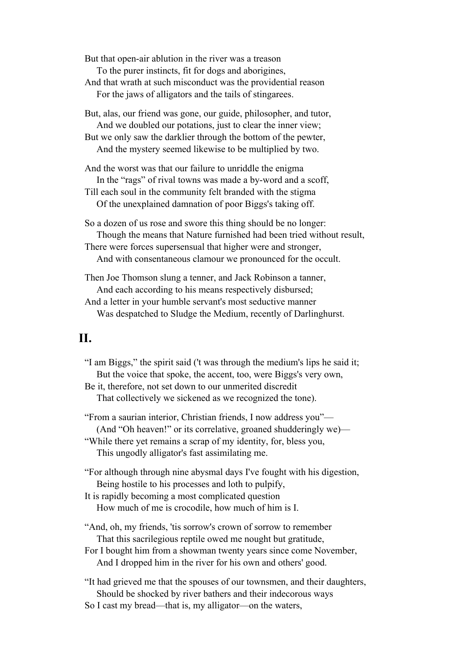But that open-air ablution in the river was a treason To the purer instincts, fit for dogs and aborigines, And that wrath at such misconduct was the providential reason

For the jaws of alligators and the tails of stingarees.

But, alas, our friend was gone, our guide, philosopher, and tutor, And we doubled our potations, just to clear the inner view; But we only saw the darklier through the bottom of the pewter, And the mystery seemed likewise to be multiplied by two.

And the worst was that our failure to unriddle the enigma In the "rags" of rival towns was made a by-word and a scoff, Till each soul in the community felt branded with the stigma

Of the unexplained damnation of poor Biggs's taking off.

So a dozen of us rose and swore this thing should be no longer: Though the means that Nature furnished had been tried without result, There were forces supersensual that higher were and stronger, And with consentaneous clamour we pronounced for the occult.

Then Joe Thomson slung a tenner, and Jack Robinson a tanner, And each according to his means respectively disbursed; And a letter in your humble servant's most seductive manner Was despatched to Sludge the Medium, recently of Darlinghurst.

## **II.**

"I am Biggs," the spirit said ('t was through the medium's lips he said it; But the voice that spoke, the accent, too, were Biggs's very own, Be it, therefore, not set down to our unmerited discredit That collectively we sickened as we recognized the tone).

"From a saurian interior, Christian friends, I now address you"— (And "Oh heaven!" or its correlative, groaned shudderingly we)— "While there yet remains a scrap of my identity, for, bless you, This ungodly alligator's fast assimilating me.

"For although through nine abysmal days I've fought with his digestion, Being hostile to his processes and loth to pulpify,

It is rapidly becoming a most complicated question How much of me is crocodile, how much of him is I.

"And, oh, my friends, 'tis sorrow's crown of sorrow to remember That this sacrilegious reptile owed me nought but gratitude,

For I bought him from a showman twenty years since come November, And I dropped him in the river for his own and others' good.

"It had grieved me that the spouses of our townsmen, and their daughters, Should be shocked by river bathers and their indecorous ways So I cast my bread—that is, my alligator—on the waters,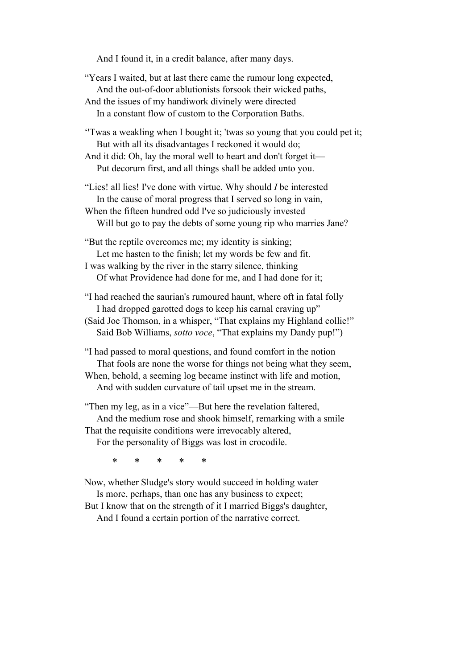And I found it, in a credit balance, after many days.

"Years I waited, but at last there came the rumour long expected, And the out-of-door ablutionists forsook their wicked paths, And the issues of my handiwork divinely were directed In a constant flow of custom to the Corporation Baths.

''Twas a weakling when I bought it; 'twas so young that you could pet it; But with all its disadvantages I reckoned it would do;

And it did: Oh, lay the moral well to heart and don't forget it— Put decorum first, and all things shall be added unto you.

"Lies! all lies! I've done with virtue. Why should *I* be interested In the cause of moral progress that I served so long in vain, When the fifteen hundred odd I've so judiciously invested

Will but go to pay the debts of some young rip who marries Jane?

"But the reptile overcomes me; my identity is sinking; Let me hasten to the finish; let my words be few and fit. I was walking by the river in the starry silence, thinking Of what Providence had done for me, and I had done for it;

"I had reached the saurian's rumoured haunt, where oft in fatal folly I had dropped garotted dogs to keep his carnal craving up"

(Said Joe Thomson, in a whisper, "That explains my Highland collie!" Said Bob Williams, *sotto voce*, "That explains my Dandy pup!")

"I had passed to moral questions, and found comfort in the notion That fools are none the worse for things not being what they seem, When, behold, a seeming log became instinct with life and motion, And with sudden curvature of tail upset me in the stream.

"Then my leg, as in a vice"—But here the revelation faltered, And the medium rose and shook himself, remarking with a smile That the requisite conditions were irrevocably altered, For the personality of Biggs was lost in crocodile.

\* \* \* \* \*

Now, whether Sludge's story would succeed in holding water Is more, perhaps, than one has any business to expect; But I know that on the strength of it I married Biggs's daughter, And I found a certain portion of the narrative correct.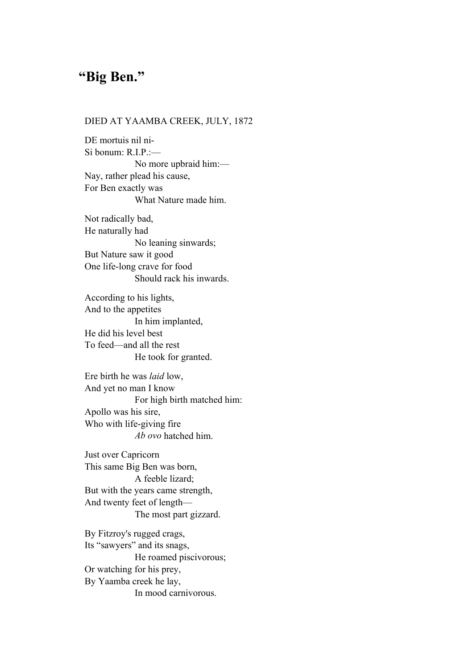# **"Big Ben."**

### DIED AT YAAMBA CREEK, JULY, 1872

DE mortuis nil ni-Si bonum: R.I.P.:— No more upbraid him:— Nay, rather plead his cause, For Ben exactly was What Nature made him. Not radically bad, He naturally had No leaning sinwards; But Nature saw it good One life-long crave for food Should rack his inwards. According to his lights, And to the appetites In him implanted, He did his level best To feed—and all the rest He took for granted. Ere birth he was *laid* low, And yet no man I know For high birth matched him: Apollo was his sire, Who with life-giving fire *Ab ovo* hatched him. Just over Capricorn This same Big Ben was born, A feeble lizard; But with the years came strength, And twenty feet of length— The most part gizzard. By Fitzroy's rugged crags, Its "sawyers" and its snags, He roamed piscivorous; Or watching for his prey, By Yaamba creek he lay, In mood carnivorous.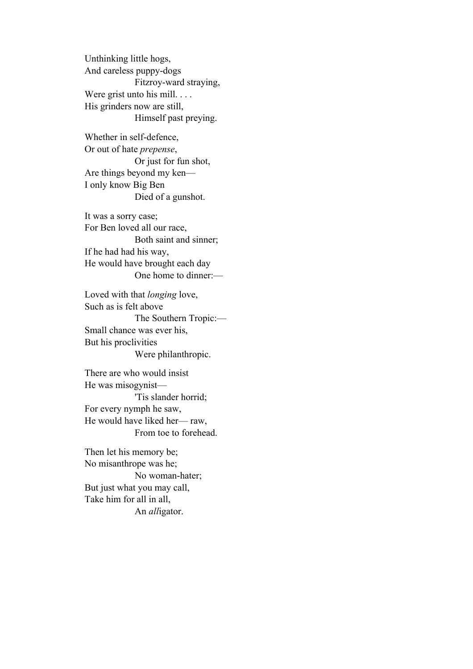Unthinking little hogs, And careless puppy-dogs Fitzroy-ward straying, Were grist unto his mill. . . . His grinders now are still, Himself past preying.

Whether in self-defence, Or out of hate *prepense*, Or just for fun shot, Are things beyond my ken— I only know Big Ben Died of a gunshot.

It was a sorry case; For Ben loved all our race, Both saint and sinner; If he had had his way, He would have brought each day One home to dinner:—

Loved with that *longing* love, Such as is felt above The Southern Tropic:— Small chance was ever his, But his proclivities Were philanthropic.

There are who would insist He was misogynist— 'Tis slander horrid; For every nymph he saw, He would have liked her— raw, From toe to forehead.

Then let his memory be; No misanthrope was he; No woman-hater; But just what you may call, Take him for all in all, An *all*igator.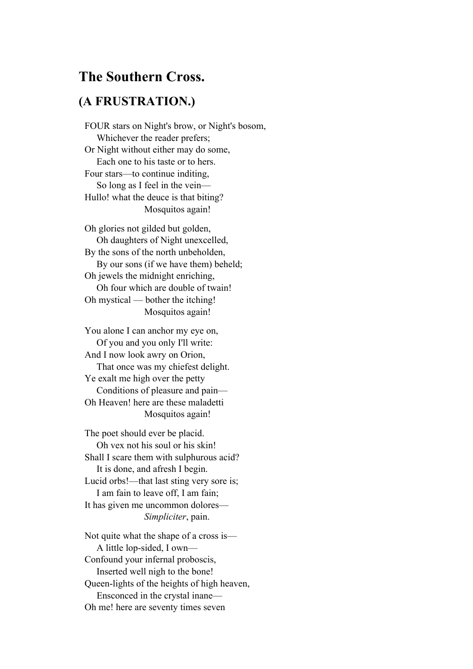## **The Southern Cross.**

## **(A FRUSTRATION.)**

FOUR stars on Night's brow, or Night's bosom, Whichever the reader prefers; Or Night without either may do some, Each one to his taste or to hers. Four stars—to continue inditing, So long as I feel in the vein— Hullo! what the deuce is that biting? Mosquitos again! Oh glories not gilded but golden, Oh daughters of Night unexcelled, By the sons of the north unbeholden, By our sons (if we have them) beheld; Oh jewels the midnight enriching, Oh four which are double of twain! Oh mystical — bother the itching! Mosquitos again!

You alone I can anchor my eye on, Of you and you only I'll write: And I now look awry on Orion, That once was my chiefest delight. Ye exalt me high over the petty Conditions of pleasure and pain— Oh Heaven! here are these maladetti Mosquitos again!

The poet should ever be placid. Oh vex not his soul or his skin! Shall I scare them with sulphurous acid? It is done, and afresh I begin. Lucid orbs!—that last sting very sore is; I am fain to leave off, I am fain; It has given me uncommon dolores— *Simpliciter*, pain.

Not quite what the shape of a cross is— A little lop-sided, I own— Confound your infernal proboscis, Inserted well nigh to the bone! Queen-lights of the heights of high heaven, Ensconced in the crystal inane— Oh me! here are seventy times seven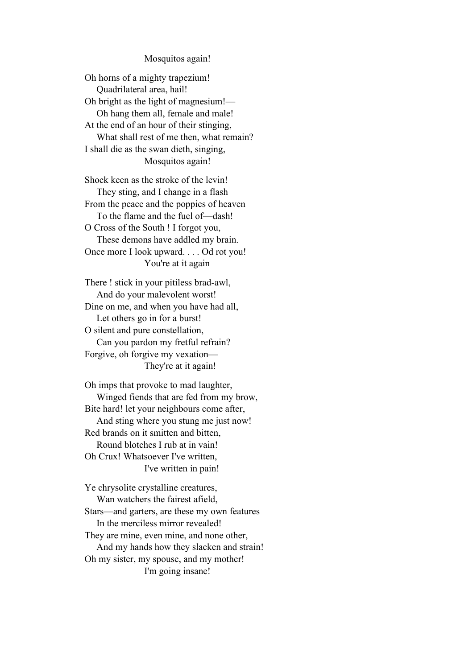#### Mosquitos again!

Oh horns of a mighty trapezium! Quadrilateral area, hail! Oh bright as the light of magnesium!— Oh hang them all, female and male! At the end of an hour of their stinging, What shall rest of me then, what remain? I shall die as the swan dieth, singing, Mosquitos again!

Shock keen as the stroke of the levin! They sting, and I change in a flash From the peace and the poppies of heaven To the flame and the fuel of—dash! O Cross of the South ! I forgot you, These demons have addled my brain. Once more I look upward. . . . Od rot you! You're at it again

There ! stick in your pitiless brad-awl, And do your malevolent worst! Dine on me, and when you have had all, Let others go in for a burst! O silent and pure constellation, Can you pardon my fretful refrain?

Forgive, oh forgive my vexation— They're at it again!

Oh imps that provoke to mad laughter, Winged fiends that are fed from my brow, Bite hard! let your neighbours come after, And sting where you stung me just now! Red brands on it smitten and bitten, Round blotches I rub at in vain! Oh Crux! Whatsoever I've written,

I've written in pain!

Ye chrysolite crystalline creatures, Wan watchers the fairest afield, Stars—and garters, are these my own features In the merciless mirror revealed! They are mine, even mine, and none other, And my hands how they slacken and strain! Oh my sister, my spouse, and my mother! I'm going insane!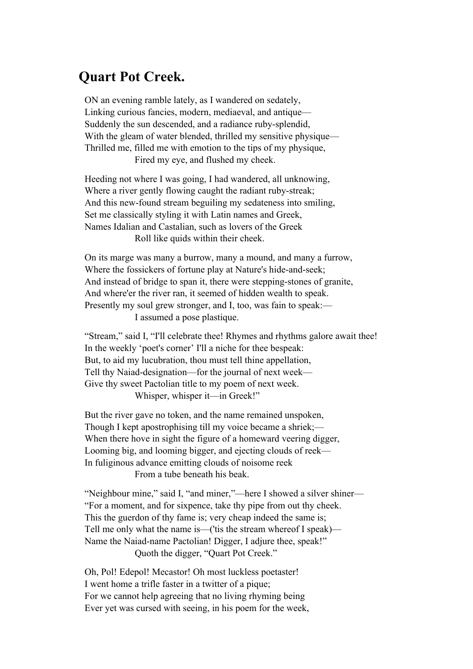# **Quart Pot Creek.**

ON an evening ramble lately, as I wandered on sedately, Linking curious fancies, modern, mediaeval, and antique— Suddenly the sun descended, and a radiance ruby-splendid, With the gleam of water blended, thrilled my sensitive physique— Thrilled me, filled me with emotion to the tips of my physique, Fired my eye, and flushed my cheek.

Heeding not where I was going, I had wandered, all unknowing, Where a river gently flowing caught the radiant ruby-streak; And this new-found stream beguiling my sedateness into smiling, Set me classically styling it with Latin names and Greek, Names Idalian and Castalian, such as lovers of the Greek Roll like quids within their cheek.

On its marge was many a burrow, many a mound, and many a furrow, Where the fossickers of fortune play at Nature's hide-and-seek; And instead of bridge to span it, there were stepping-stones of granite, And where'er the river ran, it seemed of hidden wealth to speak. Presently my soul grew stronger, and I, too, was fain to speak:— I assumed a pose plastique.

"Stream," said I, "I'll celebrate thee! Rhymes and rhythms galore await thee! In the weekly 'poet's corner' I'll a niche for thee bespeak: But, to aid my lucubration, thou must tell thine appellation, Tell thy Naiad-designation—for the journal of next week— Give thy sweet Pactolian title to my poem of next week. Whisper, whisper it—in Greek!"

But the river gave no token, and the name remained unspoken, Though I kept apostrophising till my voice became a shriek;— When there hove in sight the figure of a homeward veering digger, Looming big, and looming bigger, and ejecting clouds of reek— In fuliginous advance emitting clouds of noisome reek From a tube beneath his beak.

"Neighbour mine," said I, "and miner,"—here I showed a silver shiner— "For a moment, and for sixpence, take thy pipe from out thy cheek. This the guerdon of thy fame is; very cheap indeed the same is; Tell me only what the name is—('tis the stream whereof I speak)— Name the Naiad-name Pactolian! Digger, I adjure thee, speak!" Quoth the digger, "Quart Pot Creek."

Oh, Pol! Edepol! Mecastor! Oh most luckless poetaster! I went home a trifle faster in a twitter of a pique; For we cannot help agreeing that no living rhyming being Ever yet was cursed with seeing, in his poem for the week,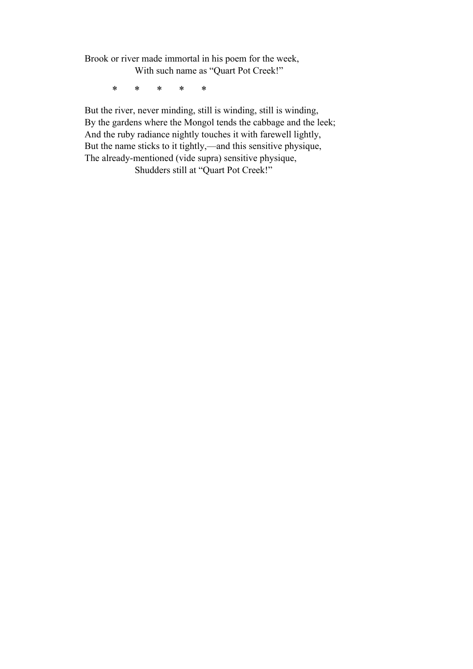Brook or river made immortal in his poem for the week, With such name as "Quart Pot Creek!"

\* \* \* \* \*

But the river, never minding, still is winding, still is winding, By the gardens where the Mongol tends the cabbage and the leek; And the ruby radiance nightly touches it with farewell lightly, But the name sticks to it tightly,—and this sensitive physique, The already-mentioned (vide supra) sensitive physique,

Shudders still at "Quart Pot Creek!"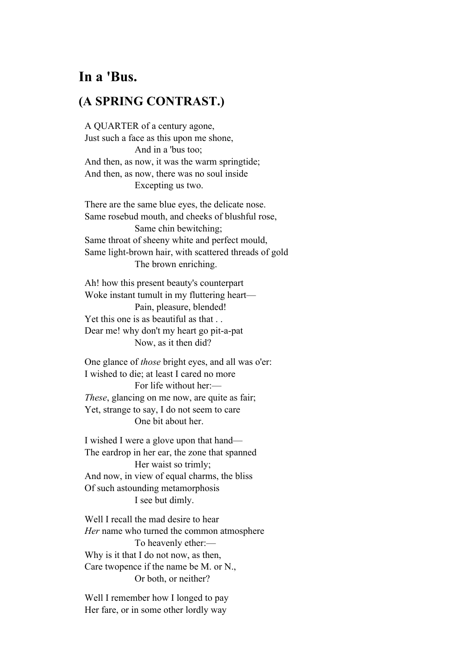# **In a 'Bus.**

## **(A SPRING CONTRAST.)**

A QUARTER of a century agone, Just such a face as this upon me shone, And in a 'bus too; And then, as now, it was the warm springtide; And then, as now, there was no soul inside Excepting us two.

There are the same blue eyes, the delicate nose. Same rosebud mouth, and cheeks of blushful rose, Same chin bewitching; Same throat of sheeny white and perfect mould, Same light-brown hair, with scattered threads of gold The brown enriching.

Ah! how this present beauty's counterpart Woke instant tumult in my fluttering heart— Pain, pleasure, blended! Yet this one is as beautiful as that . . Dear me! why don't my heart go pit-a-pat Now, as it then did?

One glance of *those* bright eyes, and all was o'er: I wished to die; at least I cared no more For life without her:— *These*, glancing on me now, are quite as fair; Yet, strange to say, I do not seem to care One bit about her.

I wished I were a glove upon that hand— The eardrop in her ear, the zone that spanned Her waist so trimly; And now, in view of equal charms, the bliss Of such astounding metamorphosis I see but dimly.

Well I recall the mad desire to hear *Her* name who turned the common atmosphere To heavenly ether:— Why is it that I do not now, as then, Care twopence if the name be M. or N., Or both, or neither?

Well I remember how I longed to pay Her fare, or in some other lordly way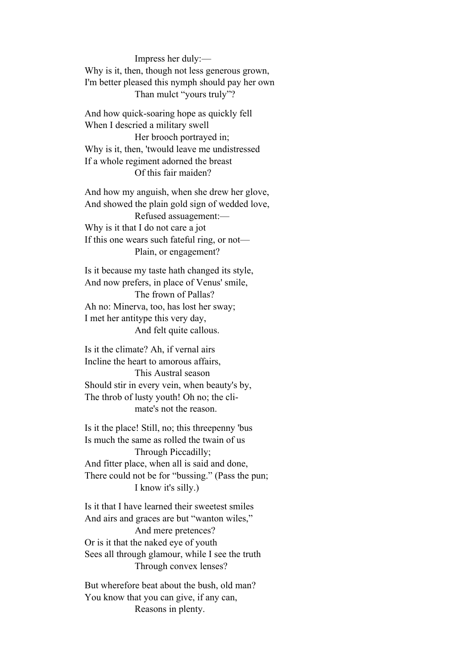Impress her duly:— Why is it, then, though not less generous grown, I'm better pleased this nymph should pay her own Than mulct "yours truly"?

And how quick-soaring hope as quickly fell When I descried a military swell Her brooch portrayed in; Why is it, then, 'twould leave me undistressed If a whole regiment adorned the breast Of this fair maiden?

And how my anguish, when she drew her glove, And showed the plain gold sign of wedded love, Refused assuagement:— Why is it that I do not care a jot If this one wears such fateful ring, or not— Plain, or engagement?

Is it because my taste hath changed its style, And now prefers, in place of Venus' smile, The frown of Pallas? Ah no: Minerva, too, has lost her sway; I met her antitype this very day, And felt quite callous.

Is it the climate? Ah, if vernal airs Incline the heart to amorous affairs, This Austral season Should stir in every vein, when beauty's by, The throb of lusty youth! Oh no; the cli mate's not the reason.

Is it the place! Still, no; this threepenny 'bus Is much the same as rolled the twain of us Through Piccadilly; And fitter place, when all is said and done, There could not be for "bussing." (Pass the pun; I know it's silly.)

Is it that I have learned their sweetest smiles And airs and graces are but "wanton wiles," And mere pretences? Or is it that the naked eye of youth Sees all through glamour, while I see the truth Through convex lenses?

But wherefore beat about the bush, old man? You know that you can give, if any can, Reasons in plenty.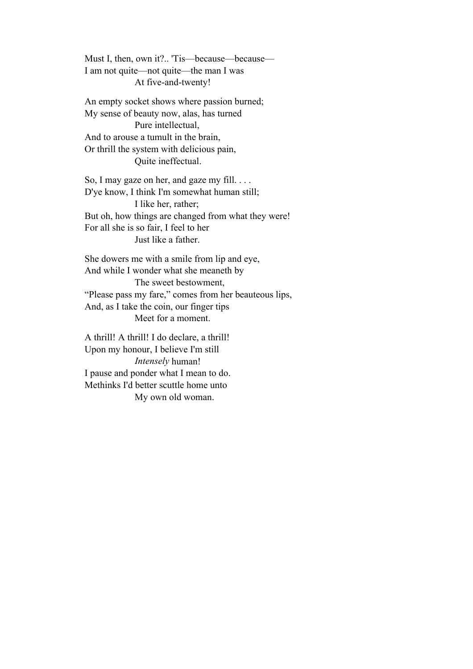Must I, then, own it?.. 'Tis—because—because— I am not quite—not quite—the man I was At five-and-twenty!

An empty socket shows where passion burned; My sense of beauty now, alas, has turned Pure intellectual, And to arouse a tumult in the brain, Or thrill the system with delicious pain, Quite ineffectual.

So, I may gaze on her, and gaze my fill. . . . D'ye know, I think I'm somewhat human still; I like her, rather; But oh, how things are changed from what they were! For all she is so fair, I feel to her Just like a father.

She dowers me with a smile from lip and eye, And while I wonder what she meaneth by The sweet bestowment, "Please pass my fare," comes from her beauteous lips, And, as I take the coin, our finger tips Meet for a moment.

A thrill! A thrill! I do declare, a thrill! Upon my honour, I believe I'm still *Intensely* human! I pause and ponder what I mean to do. Methinks I'd better scuttle home unto My own old woman.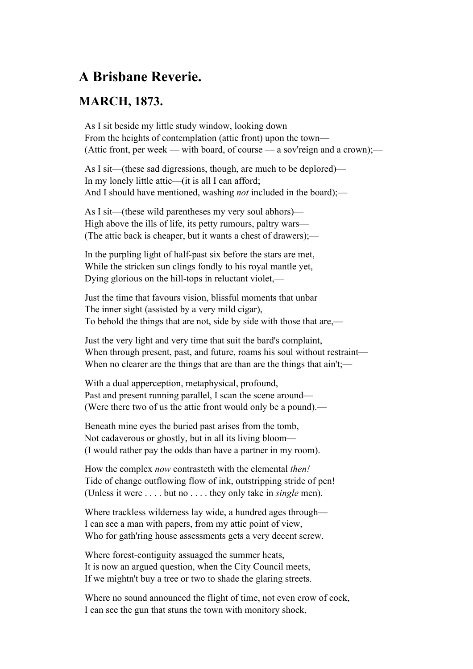# **A Brisbane Reverie.**

## **MARCH, 1873.**

As I sit beside my little study window, looking down From the heights of contemplation (attic front) upon the town— (Attic front, per week — with board, of course — a sov'reign and a crown);—

As I sit—(these sad digressions, though, are much to be deplored)— In my lonely little attic—(it is all I can afford; And I should have mentioned, washing *not* included in the board);—

As I sit—(these wild parentheses my very soul abhors)— High above the ills of life, its petty rumours, paltry wars— (The attic back is cheaper, but it wants a chest of drawers);—

In the purpling light of half-past six before the stars are met, While the stricken sun clings fondly to his royal mantle yet, Dying glorious on the hill-tops in reluctant violet,—

Just the time that favours vision, blissful moments that unbar The inner sight (assisted by a very mild cigar), To behold the things that are not, side by side with those that are,—

Just the very light and very time that suit the bard's complaint, When through present, past, and future, roams his soul without restraint— When no clearer are the things that are than are the things that ain't;—

With a dual apperception, metaphysical, profound, Past and present running parallel, I scan the scene around— (Were there two of us the attic front would only be a pound).—

Beneath mine eyes the buried past arises from the tomb, Not cadaverous or ghostly, but in all its living bloom— (I would rather pay the odds than have a partner in my room).

How the complex *now* contrasteth with the elemental *then!* Tide of change outflowing flow of ink, outstripping stride of pen! (Unless it were . . . . but no . . . . they only take in *single* men).

Where trackless wilderness lay wide, a hundred ages through— I can see a man with papers, from my attic point of view, Who for gath'ring house assessments gets a very decent screw.

Where forest-contiguity assuaged the summer heats, It is now an argued question, when the City Council meets, If we mightn't buy a tree or two to shade the glaring streets.

Where no sound announced the flight of time, not even crow of cock, I can see the gun that stuns the town with monitory shock,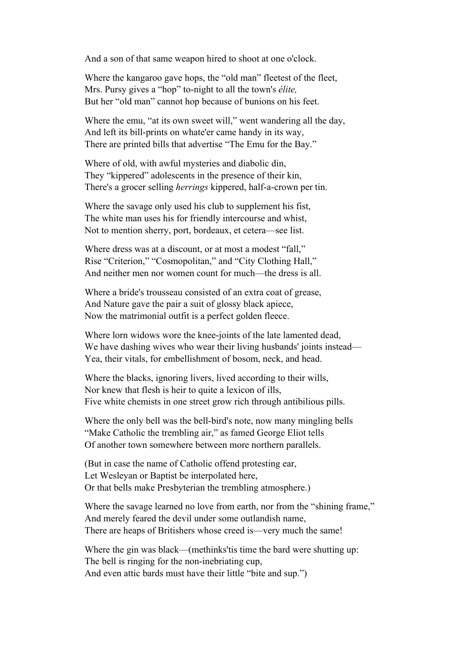And a son of that same weapon hired to shoot at one o'clock.

Where the kangaroo gave hops, the "old man" fleetest of the fleet, Mrs. Pursy gives a "hop" to-night to all the town's *élite,* But her "old man" cannot hop because of bunions on his feet.

Where the emu, "at its own sweet will," went wandering all the day, And left its bill-prints on whate'er came handy in its way, There are printed bills that advertise "The Emu for the Bay."

Where of old, with awful mysteries and diabolic din, They "kippered" adolescents in the presence of their kin, There's a grocer selling *herrings* kippered, half-a-crown per tin.

Where the savage only used his club to supplement his fist, The white man uses his for friendly intercourse and whist, Not to mention sherry, port, bordeaux, et cetera—see list.

Where dress was at a discount, or at most a modest "fall," Rise "Criterion," "Cosmopolitan," and "City Clothing Hall," And neither men nor women count for much—the dress is all.

Where a bride's trousseau consisted of an extra coat of grease, And Nature gave the pair a suit of glossy black apiece, Now the matrimonial outfit is a perfect golden fleece.

Where lorn widows wore the knee-joints of the late lamented dead, We have dashing wives who wear their living husbands' joints instead— Yea, their vitals, for embellishment of bosom, neck, and head.

Where the blacks, ignoring livers, lived according to their wills, Nor knew that flesh is heir to quite a lexicon of ills, Five white chemists in one street grow rich through antibilious pills.

Where the only bell was the bell-bird's note, now many mingling bells "Make Catholic the trembling air," as famed George Eliot tells Of another town somewhere between more northern parallels.

(But in case the name of Catholic offend protesting ear, Let Wesleyan or Baptist be interpolated here, Or that bells make Presbyterian the trembling atmosphere.)

Where the savage learned no love from earth, nor from the "shining frame," And merely feared the devil under some outlandish name, There are heaps of Britishers whose creed is—very much the same!

Where the gin was black—(methinks'tis time the bard were shutting up: The bell is ringing for the non-inebriating cup, And even attic bards must have their little "bite and sup.")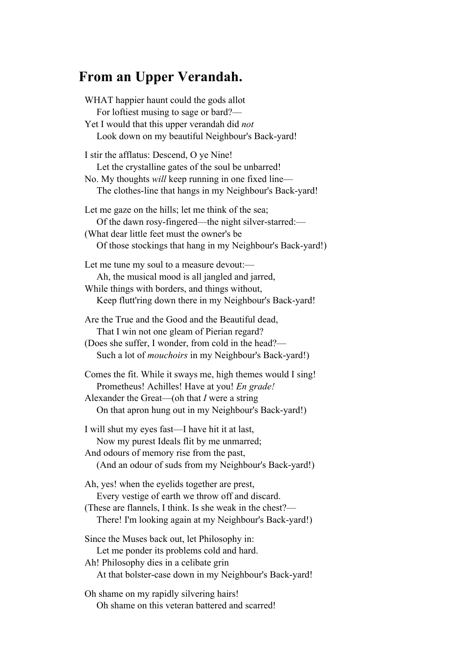# **From an Upper Verandah.**

| WHAT happier haunt could the gods allot<br>For loftiest musing to sage or bard?—<br>Yet I would that this upper verandah did not<br>Look down on my beautiful Neighbour's Back-yard!                                      |
|---------------------------------------------------------------------------------------------------------------------------------------------------------------------------------------------------------------------------|
| I stir the afflatus: Descend, O ye Nine!<br>Let the crystalline gates of the soul be unbarred!<br>No. My thoughts <i>will</i> keep running in one fixed line—<br>The clothes-line that hangs in my Neighbour's Back-yard! |
| Let me gaze on the hills; let me think of the sea;<br>Of the dawn rosy-fingered—the night silver-starred:—<br>(What dear little feet must the owner's be<br>Of those stockings that hang in my Neighbour's Back-yard!)    |
| Let me tune my soul to a measure devout:-<br>Ah, the musical mood is all jangled and jarred,<br>While things with borders, and things without,<br>Keep flutt'ring down there in my Neighbour's Back-yard!                 |
| Are the True and the Good and the Beautiful dead,<br>That I win not one gleam of Pierian regard?<br>(Does she suffer, I wonder, from cold in the head?-<br>Such a lot of <i>mouchoirs</i> in my Neighbour's Back-yard!)   |
| Comes the fit. While it sways me, high themes would I sing!<br>Prometheus! Achilles! Have at you! En grade!<br>Alexander the Great—(oh that I were a string<br>On that apron hung out in my Neighbour's Back-yard!)       |
| I will shut my eyes fast—I have hit it at last,<br>Now my purest Ideals flit by me unmarred;<br>And odours of memory rise from the past,<br>(And an odour of suds from my Neighbour's Back-yard!)                         |
| Ah, yes! when the eyelids together are prest,<br>Every vestige of earth we throw off and discard.<br>(These are flannels, I think. Is she weak in the chest?—<br>There! I'm looking again at my Neighbour's Back-yard!)   |
| Since the Muses back out, let Philosophy in:<br>Let me ponder its problems cold and hard.<br>Ah! Philosophy dies in a celibate grin<br>At that bolster-case down in my Neighbour's Back-yard!                             |
| Oh shame on my rapidly silvering hairs!<br>Oh shame on this veteran battered and scarred!                                                                                                                                 |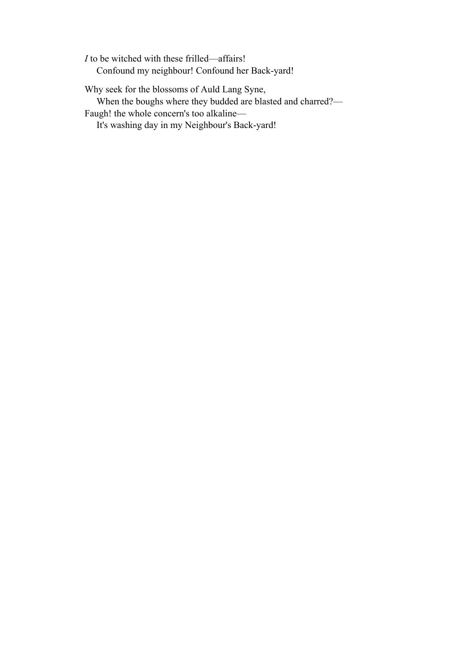*I* to be witched with these frilled—affairs! Confound my neighbour! Confound her Back-yard!

Why seek for the blossoms of Auld Lang Syne, When the boughs where they budded are blasted and charred?— Faugh! the whole concern's too alkaline—

It's washing day in my Neighbour's Back-yard!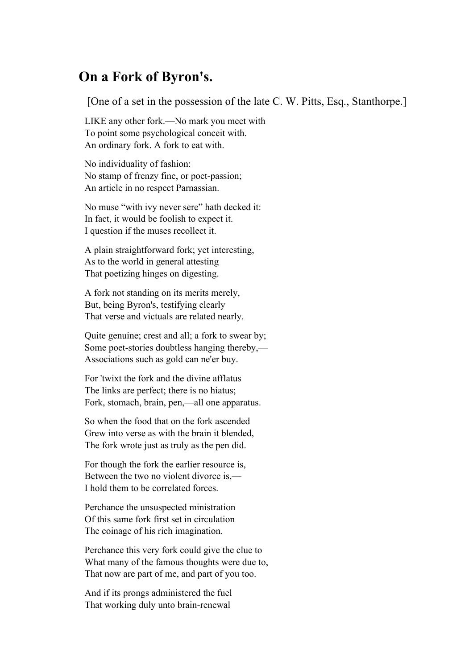## **On a Fork of Byron's.**

[One of a set in the possession of the late C. W. Pitts, Esq., Stanthorpe.]

LIKE any other fork.—No mark you meet with To point some psychological conceit with. An ordinary fork. A fork to eat with.

No individuality of fashion: No stamp of frenzy fine, or poet-passion; An article in no respect Parnassian.

No muse "with ivy never sere" hath decked it: In fact, it would be foolish to expect it. I question if the muses recollect it.

A plain straightforward fork; yet interesting, As to the world in general attesting That poetizing hinges on digesting.

A fork not standing on its merits merely, But, being Byron's, testifying clearly That verse and victuals are related nearly.

Quite genuine; crest and all; a fork to swear by; Some poet-stories doubtless hanging thereby,— Associations such as gold can ne'er buy.

For 'twixt the fork and the divine afflatus The links are perfect; there is no hiatus; Fork, stomach, brain, pen,—all one apparatus.

So when the food that on the fork ascended Grew into verse as with the brain it blended, The fork wrote just as truly as the pen did.

For though the fork the earlier resource is, Between the two no violent divorce is,— I hold them to be correlated forces.

Perchance the unsuspected ministration Of this same fork first set in circulation The coinage of his rich imagination.

Perchance this very fork could give the clue to What many of the famous thoughts were due to, That now are part of me, and part of you too.

And if its prongs administered the fuel That working duly unto brain-renewal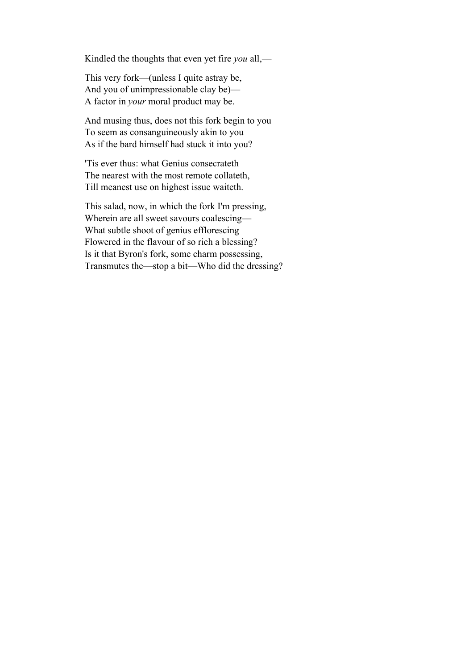Kindled the thoughts that even yet fire *you* all,—

This very fork—(unless I quite astray be, And you of unimpressionable clay be)— A factor in *your* moral product may be.

And musing thus, does not this fork begin to you To seem as consanguineously akin to you As if the bard himself had stuck it into you?

'Tis ever thus: what Genius consecrateth The nearest with the most remote collateth, Till meanest use on highest issue waiteth.

This salad, now, in which the fork I'm pressing, Wherein are all sweet savours coalescing— What subtle shoot of genius efflorescing Flowered in the flavour of so rich a blessing? Is it that Byron's fork, some charm possessing, Transmutes the—stop a bit—Who did the dressing?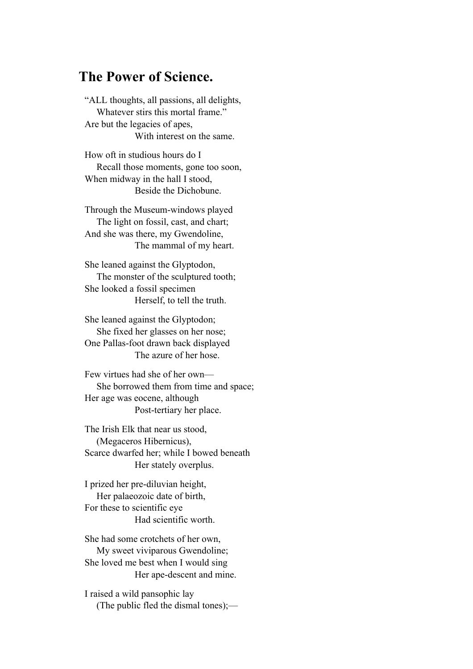## **The Power of Science.**

"ALL thoughts, all passions, all delights, Whatever stirs this mortal frame." Are but the legacies of apes, With interest on the same.

How oft in studious hours do I Recall those moments, gone too soon, When midway in the hall I stood, Beside the Dichobune.

Through the Museum-windows played The light on fossil, cast, and chart; And she was there, my Gwendoline, The mammal of my heart.

She leaned against the Glyptodon, The monster of the sculptured tooth; She looked a fossil specimen Herself, to tell the truth.

She leaned against the Glyptodon; She fixed her glasses on her nose; One Pallas-foot drawn back displayed The azure of her hose.

Few virtues had she of her own— She borrowed them from time and space; Her age was eocene, although Post-tertiary her place.

The Irish Elk that near us stood, (Megaceros Hibernicus), Scarce dwarfed her; while I bowed beneath Her stately overplus.

I prized her pre-diluvian height, Her palaeozoic date of birth, For these to scientific eye Had scientific worth.

She had some crotchets of her own, My sweet viviparous Gwendoline; She loved me best when I would sing Her ape-descent and mine.

I raised a wild pansophic lay (The public fled the dismal tones);—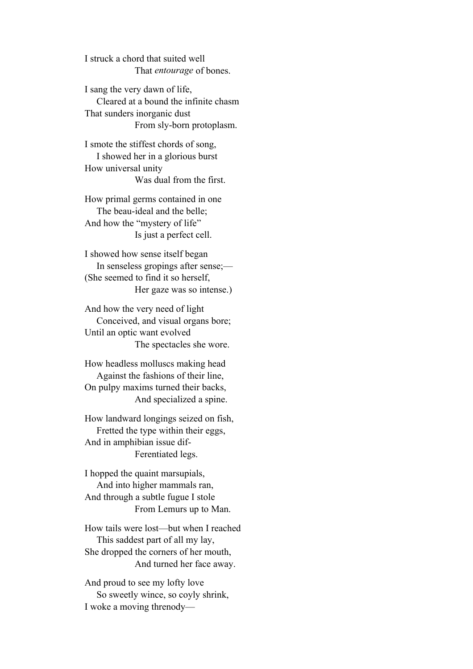I struck a chord that suited well That *entourage* of bones.

I sang the very dawn of life, Cleared at a bound the infinite chasm That sunders inorganic dust From sly-born protoplasm.

I smote the stiffest chords of song, I showed her in a glorious burst How universal unity Was dual from the first.

How primal germs contained in one The beau-ideal and the belle; And how the "mystery of life" Is just a perfect cell.

I showed how sense itself began In senseless gropings after sense;— (She seemed to find it so herself, Her gaze was so intense.)

And how the very need of light Conceived, and visual organs bore; Until an optic want evolved The spectacles she wore.

How headless molluscs making head Against the fashions of their line, On pulpy maxims turned their backs, And specialized a spine.

How landward longings seized on fish, Fretted the type within their eggs, And in amphibian issue dif- Ferentiated legs.

I hopped the quaint marsupials, And into higher mammals ran, And through a subtle fugue I stole From Lemurs up to Man.

How tails were lost—but when I reached This saddest part of all my lay, She dropped the corners of her mouth, And turned her face away.

And proud to see my lofty love So sweetly wince, so coyly shrink, I woke a moving threnody—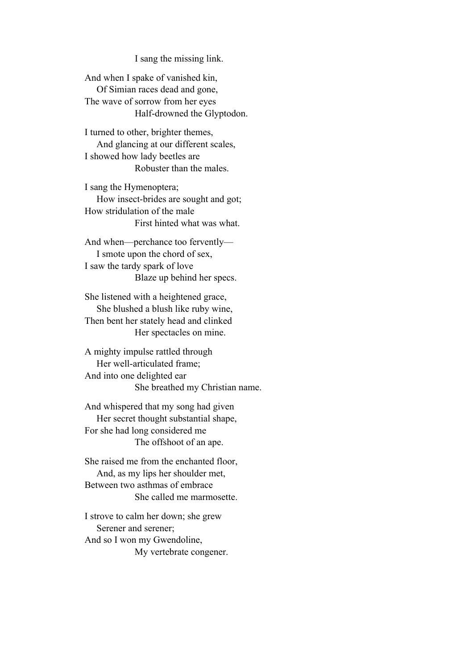#### I sang the missing link.

And when I spake of vanished kin, Of Simian races dead and gone, The wave of sorrow from her eyes Half-drowned the Glyptodon.

I turned to other, brighter themes, And glancing at our different scales, I showed how lady beetles are Robuster than the males.

I sang the Hymenoptera; How insect-brides are sought and got; How stridulation of the male First hinted what was what.

And when—perchance too fervently— I smote upon the chord of sex, I saw the tardy spark of love Blaze up behind her specs.

She listened with a heightened grace, She blushed a blush like ruby wine, Then bent her stately head and clinked Her spectacles on mine.

A mighty impulse rattled through Her well-articulated frame; And into one delighted ear She breathed my Christian name.

And whispered that my song had given Her secret thought substantial shape, For she had long considered me The offshoot of an ape.

She raised me from the enchanted floor, And, as my lips her shoulder met, Between two asthmas of embrace She called me marmosette.

I strove to calm her down; she grew Serener and serener; And so I won my Gwendoline, My vertebrate congener.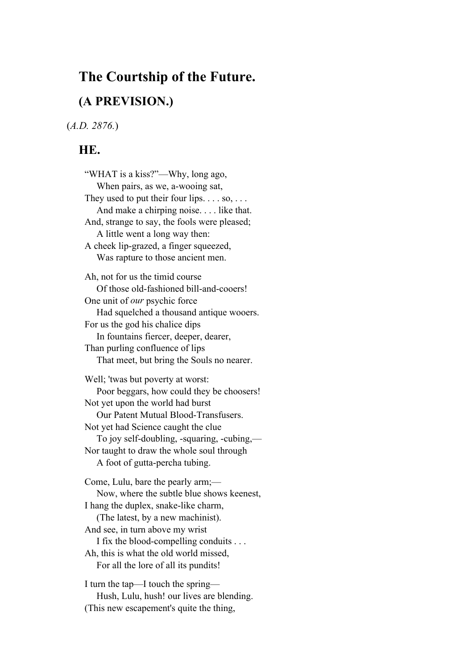# **The Courtship of the Future. (A PREVISION.)**

(*A.D. 2876.*)

## **HE.**

"WHAT is a kiss?"—Why, long ago, When pairs, as we, a-wooing sat, They used to put their four lips. . . . so, . . . And make a chirping noise. . . . like that. And, strange to say, the fools were pleased; A little went a long way then: A cheek lip-grazed, a finger squeezed, Was rapture to those ancient men. Ah, not for us the timid course Of those old-fashioned bill-and-cooers! One unit of *our* psychic force Had squelched a thousand antique wooers. For us the god his chalice dips In fountains fiercer, deeper, dearer, Than purling confluence of lips That meet, but bring the Souls no nearer. Well; 'twas but poverty at worst: Poor beggars, how could they be choosers! Not yet upon the world had burst Our Patent Mutual Blood-Transfusers. Not yet had Science caught the clue To joy self-doubling, -squaring, -cubing,— Nor taught to draw the whole soul through A foot of gutta-percha tubing. Come, Lulu, bare the pearly arm;— Now, where the subtle blue shows keenest, I hang the duplex, snake-like charm, (The latest, by a new machinist).

And see, in turn above my wrist I fix the blood-compelling conduits . . . Ah, this is what the old world missed, For all the lore of all its pundits!

I turn the tap—I touch the spring— Hush, Lulu, hush! our lives are blending. (This new escapement's quite the thing,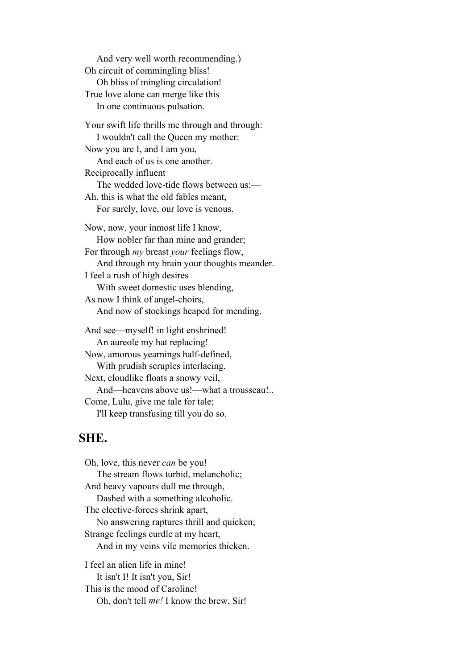And very well worth recommending.) Oh circuit of commingling bliss! Oh bliss of mingling circulation! True love alone can merge like this In one continuous pulsation.

Your swift life thrills me through and through: I wouldn't call the Queen my mother: Now you are I, and I am you, And each of us is one another. Reciprocally influent The wedded love-tide flows between us:— Ah, this is what the old fables meant, For surely, love, our love is venous.

Now, now, your inmost life I know, How nobler far than mine and grander; For through *my* breast *your* feelings flow, And through my brain your thoughts meander. I feel a rush of high desires With sweet domestic uses blending, As now I think of angel-choirs, And now of stockings heaped for mending.

And see—myself! in light enshrined! An aureole my hat replacing! Now, amorous yearnings half-defined, With prudish scruples interlacing. Next, cloudlike floats a snowy veil, And—heavens above us!—what a trousseau!.. Come, Lulu, give me tale for tale; I'll keep transfusing till you do so.

## **SHE.**

Oh, love, this never *can* be you! The stream flows turbid, melancholic; And heavy vapours dull me through, Dashed with a something alcoholic. The elective-forces shrink apart, No answering raptures thrill and quicken; Strange feelings curdle at my heart, And in my veins vile memories thicken. I feel an alien life in mine!

It isn't I! It isn't you, Sir! This is the mood of Caroline! Oh, don't tell *me!* I know the brew, Sir!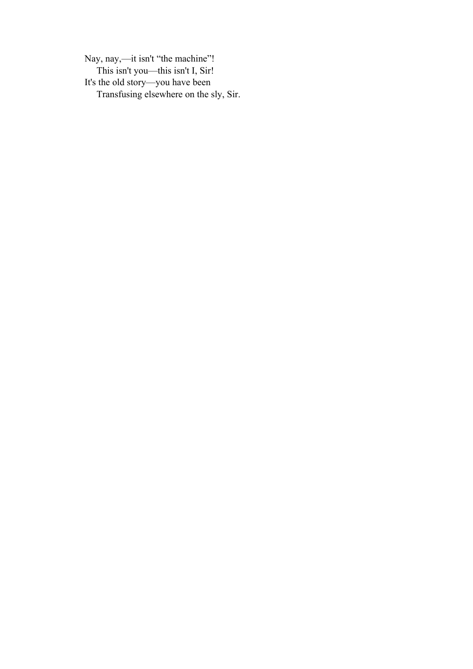Nay, nay,—it isn't "the machine"! This isn't you—this isn't I, Sir! It's the old story—you have been Transfusing elsewhere on the sly, Sir.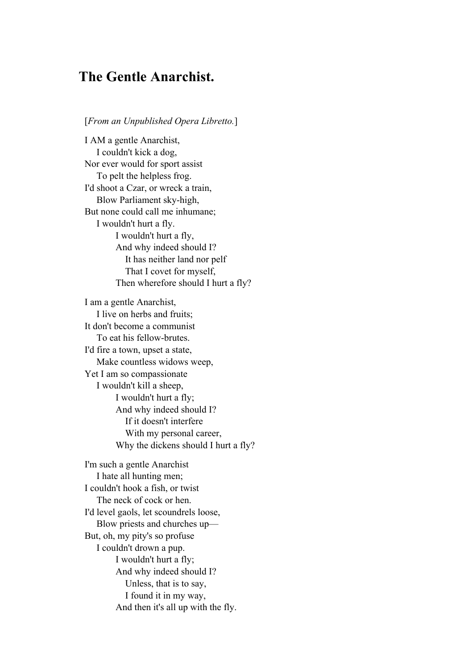## **The Gentle Anarchist.**

[*From an Unpublished Opera Libretto.*]

I AM a gentle Anarchist, I couldn't kick a dog, Nor ever would for sport assist To pelt the helpless frog. I'd shoot a Czar, or wreck a train, Blow Parliament sky-high, But none could call me inhumane; I wouldn't hurt a fly. I wouldn't hurt a fly, And why indeed should I? It has neither land nor pelf That I covet for myself, Then wherefore should I hurt a fly? I am a gentle Anarchist, I live on herbs and fruits; It don't become a communist To eat his fellow-brutes. I'd fire a town, upset a state, Make countless widows weep, Yet I am so compassionate I wouldn't kill a sheep, I wouldn't hurt a fly; And why indeed should I? If it doesn't interfere With my personal career, Why the dickens should I hurt a fly? I'm such a gentle Anarchist I hate all hunting men; I couldn't hook a fish, or twist The neck of cock or hen. I'd level gaols, let scoundrels loose, Blow priests and churches up— But, oh, my pity's so profuse I couldn't drown a pup. I wouldn't hurt a fly;

And why indeed should I?

Unless, that is to say,

I found it in my way,

And then it's all up with the fly.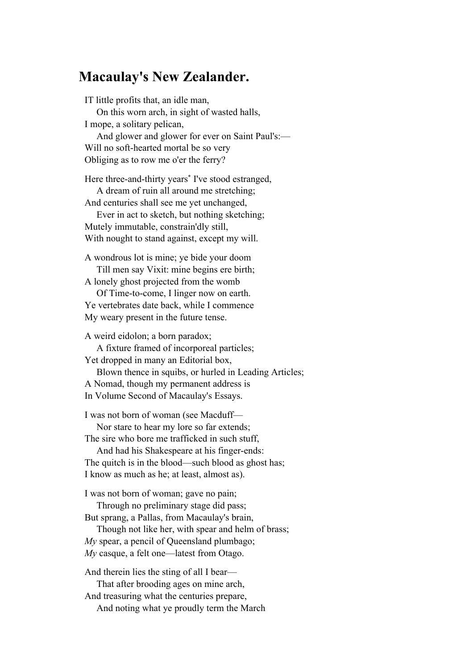## **Macaulay's New Zealander.**

IT little profits that, an idle man,

 On this worn arch, in sight of wasted halls, I mope, a solitary pelican,

 And glower and glower for ever on Saint Paul's:— Will no soft-hearted mortal be so very Obliging as to row me o'er the ferry?

Here three-and-thirty years<sup>\*</sup> I've stood estranged, A dream of ruin all around me stretching;

And centuries shall see me yet unchanged,

 Ever in act to sketch, but nothing sketching; Mutely immutable, constrain'dly still, With nought to stand against, except my will.

A wondrous lot is mine; ye bide your doom Till men say Vixit: mine begins ere birth;

A lonely ghost projected from the womb

 Of Time-to-come, I linger now on earth. Ye vertebrates date back, while I commence My weary present in the future tense.

A weird eidolon; a born paradox;

A fixture framed of incorporeal particles;

Yet dropped in many an Editorial box,

 Blown thence in squibs, or hurled in Leading Articles; A Nomad, though my permanent address is In Volume Second of Macaulay's Essays.

I was not born of woman (see Macduff—

 Nor stare to hear my lore so far extends; The sire who bore me trafficked in such stuff,

 And had his Shakespeare at his finger-ends: The quitch is in the blood—such blood as ghost has; I know as much as he; at least, almost as).

I was not born of woman; gave no pain;

 Through no preliminary stage did pass; But sprang, a Pallas, from Macaulay's brain,

 Though not like her, with spear and helm of brass; *My* spear, a pencil of Queensland plumbago; *My* casque, a felt one—latest from Otago.

And therein lies the sting of all I bear— That after brooding ages on mine arch, And treasuring what the centuries prepare, And noting what ye proudly term the March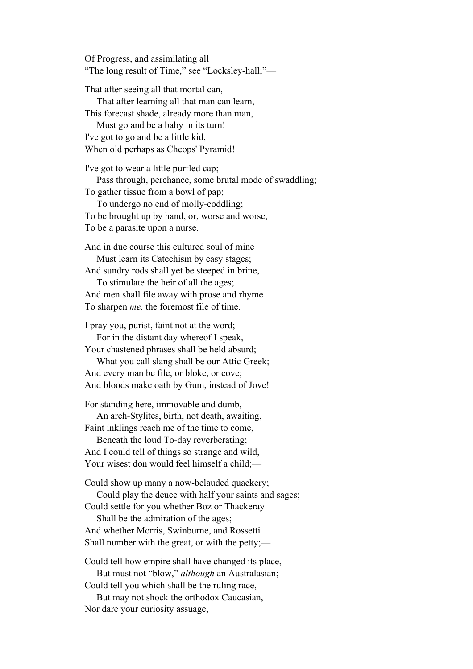Of Progress, and assimilating all "The long result of Time," see "Locksley-hall;"—

That after seeing all that mortal can, That after learning all that man can learn, This forecast shade, already more than man, Must go and be a baby in its turn! I've got to go and be a little kid, When old perhaps as Cheops' Pyramid!

I've got to wear a little purfled cap; Pass through, perchance, some brutal mode of swaddling; To gather tissue from a bowl of pap;

 To undergo no end of molly-coddling; To be brought up by hand, or, worse and worse, To be a parasite upon a nurse.

And in due course this cultured soul of mine Must learn its Catechism by easy stages;

And sundry rods shall yet be steeped in brine, To stimulate the heir of all the ages;

And men shall file away with prose and rhyme To sharpen *me,* the foremost file of time.

I pray you, purist, faint not at the word; For in the distant day whereof I speak, Your chastened phrases shall be held absurd;

 What you call slang shall be our Attic Greek; And every man be file, or bloke, or cove; And bloods make oath by Gum, instead of Jove!

For standing here, immovable and dumb, An arch-Stylites, birth, not death, awaiting, Faint inklings reach me of the time to come,

 Beneath the loud To-day reverberating; And I could tell of things so strange and wild, Your wisest don would feel himself a child;—

Could show up many a now-belauded quackery;

Could play the deuce with half your saints and sages;

Could settle for you whether Boz or Thackeray

 Shall be the admiration of the ages; And whether Morris, Swinburne, and Rossetti Shall number with the great, or with the petty;—

Could tell how empire shall have changed its place, But must not "blow," *although* an Australasian; Could tell you which shall be the ruling race,

 But may not shock the orthodox Caucasian, Nor dare your curiosity assuage,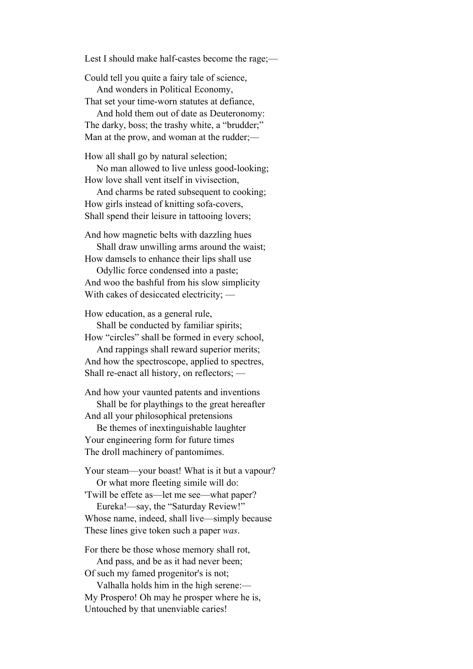Lest I should make half-castes become the rage;—

Could tell you quite a fairy tale of science,

 And wonders in Political Economy, That set your time-worn statutes at defiance,

 And hold them out of date as Deuteronomy: The darky, boss; the trashy white, a "brudder;" Man at the prow, and woman at the rudder;—

How all shall go by natural selection;

 No man allowed to live unless good-looking; How love shall vent itself in vivisection,

 And charms be rated subsequent to cooking; How girls instead of knitting sofa-covers, Shall spend their leisure in tattooing lovers;

And how magnetic belts with dazzling hues Shall draw unwilling arms around the waist; How damsels to enhance their lips shall use

 Odyllic force condensed into a paste; And woo the bashful from his slow simplicity With cakes of desiccated electricity; —

How education, as a general rule,

 Shall be conducted by familiar spirits; How "circles" shall be formed in every school,

 And rappings shall reward superior merits; And how the spectroscope, applied to spectres, Shall re-enact all history, on reflectors; —

And how your vaunted patents and inventions Shall be for playthings to the great hereafter And all your philosophical pretensions

 Be themes of inextinguishable laughter Your engineering form for future times The droll machinery of pantomimes.

Your steam—your boast! What is it but a vapour? Or what more fleeting simile will do:

'Twill be effete as—let me see—what paper? Eureka!—say, the "Saturday Review!"

Whose name, indeed, shall live—simply because These lines give token such a paper *was*.

For there be those whose memory shall rot,

 And pass, and be as it had never been; Of such my famed progenitor's is not;

 Valhalla holds him in the high serene:— My Prospero! Oh may he prosper where he is, Untouched by that unenviable caries!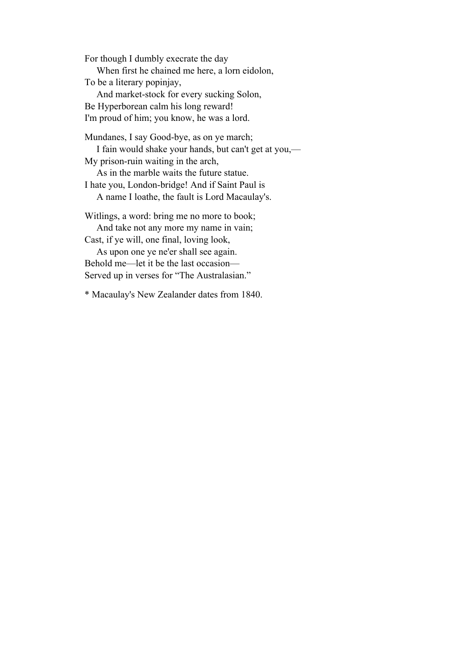For though I dumbly execrate the day When first he chained me here, a lorn eidolon, To be a literary popinjay, And market-stock for every sucking Solon, Be Hyperborean calm his long reward! I'm proud of him; you know, he was a lord.

Mundanes, I say Good-bye, as on ye march; I fain would shake your hands, but can't get at you,— My prison-ruin waiting in the arch, As in the marble waits the future statue. I hate you, London-bridge! And if Saint Paul is A name I loathe, the fault is Lord Macaulay's. Witlings, a word: bring me no more to book; And take not any more my name in vain; Cast, if ye will, one final, loving look, As upon one ye ne'er shall see again. Behold me—let it be the last occasion—

Served up in verses for "The Australasian."

\* Macaulay's New Zealander dates from 1840.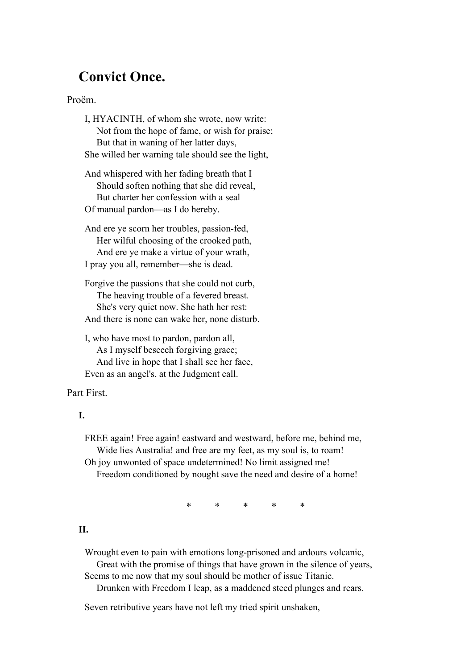# **Convict Once.**

### Proëm.

I, HYACINTH, of whom she wrote, now write: Not from the hope of fame, or wish for praise; But that in waning of her latter days, She willed her warning tale should see the light,

And whispered with her fading breath that I Should soften nothing that she did reveal, But charter her confession with a seal Of manual pardon—as I do hereby.

And ere ye scorn her troubles, passion-fed, Her wilful choosing of the crooked path, And ere ye make a virtue of your wrath, I pray you all, remember—she is dead.

Forgive the passions that she could not curb, The heaving trouble of a fevered breast. She's very quiet now. She hath her rest: And there is none can wake her, none disturb.

I, who have most to pardon, pardon all, As I myself beseech forgiving grace; And live in hope that I shall see her face, Even as an angel's, at the Judgment call.

Part First.

### **I.**

FREE again! Free again! eastward and westward, before me, behind me, Wide lies Australia! and free are my feet, as my soul is, to roam! Oh joy unwonted of space undetermined! No limit assigned me! Freedom conditioned by nought save the need and desire of a home!

\* \* \* \* \*

### **II.**

Wrought even to pain with emotions long-prisoned and ardours volcanic,

 Great with the promise of things that have grown in the silence of years, Seems to me now that my soul should be mother of issue Titanic.

Drunken with Freedom I leap, as a maddened steed plunges and rears.

Seven retributive years have not left my tried spirit unshaken,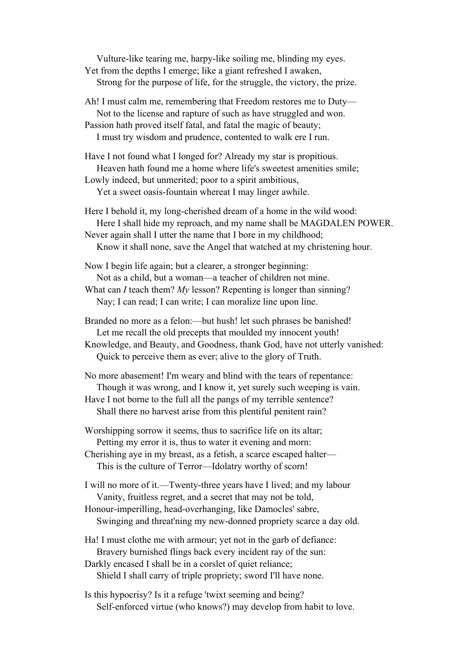Vulture-like tearing me, harpy-like soiling me, blinding my eyes. Yet from the depths I emerge; like a giant refreshed I awaken, Strong for the purpose of life, for the struggle, the victory, the prize.

Ah! I must calm me, remembering that Freedom restores me to Duty— Not to the license and rapture of such as have struggled and won. Passion hath proved itself fatal, and fatal the magic of beauty;

I must try wisdom and prudence, contented to walk ere I run.

Have I not found what I longed for? Already my star is propitious. Heaven hath found me a home where life's sweetest amenities smile;

Lowly indeed, but unmerited; poor to a spirit ambitious, Yet a sweet oasis-fountain whereat I may linger awhile.

Here I behold it, my long-cherished dream of a home in the wild wood: Here I shall hide my reproach, and my name shall be MAGDALEN POWER. Never again shall I utter the name that I bore in my childhood;

Know it shall none, save the Angel that watched at my christening hour.

Now I begin life again; but a clearer, a stronger beginning: Not as a child, but a woman—a teacher of children not mine. What can *I* teach them? *My* lesson? Repenting is longer than sinning?

Nay; I can read; I can write; I can moralize line upon line.

Branded no more as a felon:—but hush! let such phrases be banished! Let me recall the old precepts that moulded my innocent youth!

Knowledge, and Beauty, and Goodness, thank God, have not utterly vanished: Quick to perceive them as ever; alive to the glory of Truth.

No more abasement! I'm weary and blind with the tears of repentance: Though it was wrong, and I know it, yet surely such weeping is vain. Have I not borne to the full all the pangs of my terrible sentence? Shall there no harvest arise from this plentiful penitent rain?

Worshipping sorrow it seems, thus to sacrifice life on its altar; Petting my error it is, thus to water it evening and morn:

Cherishing aye in my breast, as a fetish, a scarce escaped halter— This is the culture of Terror—Idolatry worthy of scorn!

I will no more of it.—Twenty-three years have I lived; and my labour Vanity, fruitless regret, and a secret that may not be told,

Honour-imperilling, head-overhanging, like Damocles' sabre,

Swinging and threat'ning my new-donned propriety scarce a day old.

Ha! I must clothe me with armour; yet not in the garb of defiance: Bravery burnished flings back every incident ray of the sun:

Darkly encased I shall be in a corslet of quiet reliance; Shield I shall carry of triple propriety; sword I'll have none.

Is this hypocrisy? Is it a refuge 'twixt seeming and being? Self-enforced virtue (who knows?) may develop from habit to love.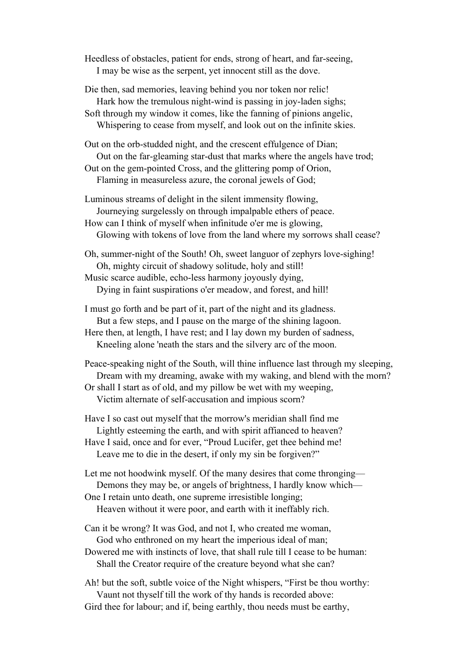Heedless of obstacles, patient for ends, strong of heart, and far-seeing, I may be wise as the serpent, yet innocent still as the dove.

Die then, sad memories, leaving behind you nor token nor relic! Hark how the tremulous night-wind is passing in joy-laden sighs; Soft through my window it comes, like the fanning of pinions angelic, Whispering to cease from myself, and look out on the infinite skies.

Out on the orb-studded night, and the crescent effulgence of Dian; Out on the far-gleaming star-dust that marks where the angels have trod; Out on the gem-pointed Cross, and the glittering pomp of Orion,

Flaming in measureless azure, the coronal jewels of God;

Luminous streams of delight in the silent immensity flowing, Journeying surgelessly on through impalpable ethers of peace.

How can I think of myself when infinitude o'er me is glowing, Glowing with tokens of love from the land where my sorrows shall cease?

Oh, summer-night of the South! Oh, sweet languor of zephyrs love-sighing! Oh, mighty circuit of shadowy solitude, holy and still!

Music scarce audible, echo-less harmony joyously dying, Dying in faint suspirations o'er meadow, and forest, and hill!

I must go forth and be part of it, part of the night and its gladness. But a few steps, and I pause on the marge of the shining lagoon.

Here then, at length, I have rest; and I lay down my burden of sadness, Kneeling alone 'neath the stars and the silvery arc of the moon.

Peace-speaking night of the South, will thine influence last through my sleeping, Dream with my dreaming, awake with my waking, and blend with the morn?

Or shall I start as of old, and my pillow be wet with my weeping, Victim alternate of self-accusation and impious scorn?

Have I so cast out myself that the morrow's meridian shall find me Lightly esteeming the earth, and with spirit affianced to heaven? Have I said, once and for ever, "Proud Lucifer, get thee behind me!

Leave me to die in the desert, if only my sin be forgiven?"

Let me not hoodwink myself. Of the many desires that come thronging— Demons they may be, or angels of brightness, I hardly know which— One I retain unto death, one supreme irresistible longing;

Heaven without it were poor, and earth with it ineffably rich.

Can it be wrong? It was God, and not I, who created me woman, God who enthroned on my heart the imperious ideal of man;

Dowered me with instincts of love, that shall rule till I cease to be human: Shall the Creator require of the creature beyond what she can?

Ah! but the soft, subtle voice of the Night whispers, "First be thou worthy: Vaunt not thyself till the work of thy hands is recorded above: Gird thee for labour; and if, being earthly, thou needs must be earthy,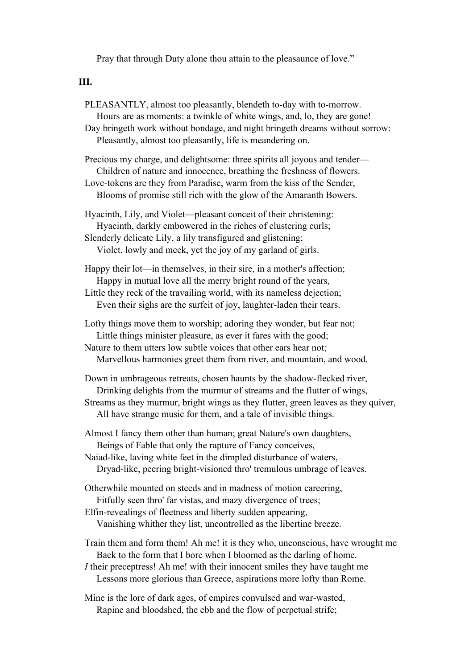Pray that through Duty alone thou attain to the pleasaunce of love."

### **III.**

PLEASANTLY, almost too pleasantly, blendeth to-day with to-morrow. Hours are as moments: a twinkle of white wings, and, lo, they are gone! Day bringeth work without bondage, and night bringeth dreams without sorrow: Pleasantly, almost too pleasantly, life is meandering on. Precious my charge, and delightsome: three spirits all joyous and tender— Children of nature and innocence, breathing the freshness of flowers. Love-tokens are they from Paradise, warm from the kiss of the Sender, Blooms of promise still rich with the glow of the Amaranth Bowers. Hyacinth, Lily, and Violet—pleasant conceit of their christening: Hyacinth, darkly embowered in the riches of clustering curls; Slenderly delicate Lily, a lily transfigured and glistening; Violet, lowly and meek, yet the joy of my garland of girls. Happy their lot—in themselves, in their sire, in a mother's affection; Happy in mutual love all the merry bright round of the years, Little they reck of the travailing world, with its nameless dejection; Even their sighs are the surfeit of joy, laughter-laden their tears. Lofty things move them to worship; adoring they wonder, but fear not; Little things minister pleasure, as ever it fares with the good; Nature to them utters low subtle voices that other ears hear not; Marvellous harmonies greet them from river, and mountain, and wood. Down in umbrageous retreats, chosen haunts by the shadow-flecked river, Drinking delights from the murmur of streams and the flutter of wings, Streams as they murmur, bright wings as they flutter, green leaves as they quiver, All have strange music for them, and a tale of invisible things. Almost I fancy them other than human; great Nature's own daughters, Beings of Fable that only the rapture of Fancy conceives, Naiad-like, laving white feet in the dimpled disturbance of waters, Dryad-like, peering bright-visioned thro' tremulous umbrage of leaves. Otherwhile mounted on steeds and in madness of motion careering, Fitfully seen thro' far vistas, and mazy divergence of trees; Elfin-revealings of fleetness and liberty sudden appearing, Vanishing whither they list, uncontrolled as the libertine breeze. Train them and form them! Ah me! it is they who, unconscious, have wrought me Back to the form that I bore when I bloomed as the darling of home. *I* their preceptress! Ah me! with their innocent smiles they have taught me Lessons more glorious than Greece, aspirations more lofty than Rome. Mine is the lore of dark ages, of empires convulsed and war-wasted, Rapine and bloodshed, the ebb and the flow of perpetual strife;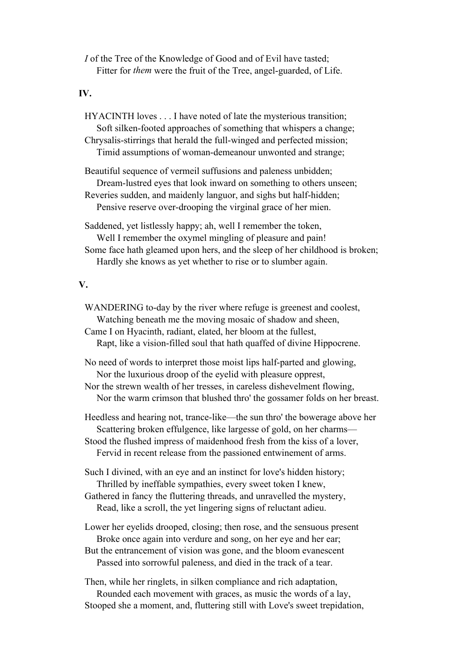*I* of the Tree of the Knowledge of Good and of Evil have tasted; Fitter for *them* were the fruit of the Tree, angel-guarded, of Life.

### **IV.**

HYACINTH loves . . . I have noted of late the mysterious transition; Soft silken-footed approaches of something that whispers a change; Chrysalis-stirrings that herald the full-winged and perfected mission; Timid assumptions of woman-demeanour unwonted and strange;

Beautiful sequence of vermeil suffusions and paleness unbidden; Dream-lustred eyes that look inward on something to others unseen;

Reveries sudden, and maidenly languor, and sighs but half-hidden; Pensive reserve over-drooping the virginal grace of her mien.

Saddened, yet listlessly happy; ah, well I remember the token, Well I remember the oxymel mingling of pleasure and pain!

Some face hath gleamed upon hers, and the sleep of her childhood is broken; Hardly she knows as yet whether to rise or to slumber again.

### **V.**

WANDERING to-day by the river where refuge is greenest and coolest, Watching beneath me the moving mosaic of shadow and sheen, Came I on Hyacinth, radiant, elated, her bloom at the fullest, Rapt, like a vision-filled soul that hath quaffed of divine Hippocrene.

No need of words to interpret those moist lips half-parted and glowing, Nor the luxurious droop of the eyelid with pleasure opprest,

Nor the strewn wealth of her tresses, in careless dishevelment flowing, Nor the warm crimson that blushed thro' the gossamer folds on her breast.

Heedless and hearing not, trance-like—the sun thro' the bowerage above her Scattering broken effulgence, like largesse of gold, on her charms— Stood the flushed impress of maidenhood fresh from the kiss of a lover, Fervid in recent release from the passioned entwinement of arms.

Such I divined, with an eye and an instinct for love's hidden history; Thrilled by ineffable sympathies, every sweet token I knew, Gathered in fancy the fluttering threads, and unravelled the mystery,

Read, like a scroll, the yet lingering signs of reluctant adieu.

Lower her eyelids drooped, closing; then rose, and the sensuous present Broke once again into verdure and song, on her eye and her ear; But the entrancement of vision was gone, and the bloom evanescent

Passed into sorrowful paleness, and died in the track of a tear.

Then, while her ringlets, in silken compliance and rich adaptation, Rounded each movement with graces, as music the words of a lay, Stooped she a moment, and, fluttering still with Love's sweet trepidation,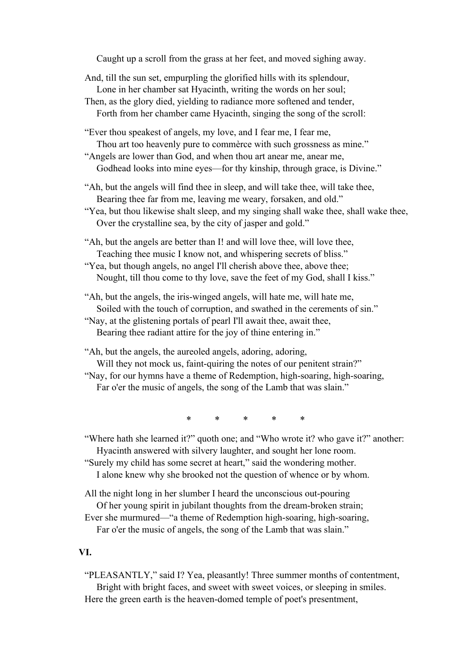Caught up a scroll from the grass at her feet, and moved sighing away.

- And, till the sun set, empurpling the glorified hills with its splendour, Lone in her chamber sat Hyacinth, writing the words on her soul;
- Then, as the glory died, yielding to radiance more softened and tender, Forth from her chamber came Hyacinth, singing the song of the scroll:
- "Ever thou speakest of angels, my love, and I fear me, I fear me, Thou art too heavenly pure to commèrce with such grossness as mine."

"Angels are lower than God, and when thou art anear me, anear me, Godhead looks into mine eyes—for thy kinship, through grace, is Divine."

"Ah, but the angels will find thee in sleep, and will take thee, will take thee, Bearing thee far from me, leaving me weary, forsaken, and old."

"Yea, but thou likewise shalt sleep, and my singing shall wake thee, shall wake thee, Over the crystalline sea, by the city of jasper and gold."

"Ah, but the angels are better than I! and will love thee, will love thee, Teaching thee music I know not, and whispering secrets of bliss."

"Yea, but though angels, no angel I'll cherish above thee, above thee; Nought, till thou come to thy love, save the feet of my God, shall I kiss."

"Ah, but the angels, the iris-winged angels, will hate me, will hate me, Soiled with the touch of corruption, and swathed in the cerements of sin."

"Nay, at the glistening portals of pearl I'll await thee, await thee, Bearing thee radiant attire for the joy of thine entering in."

"Ah, but the angels, the aureoled angels, adoring, adoring,

Will they not mock us, faint-quiring the notes of our penitent strain?"

"Nay, for our hymns have a theme of Redemption, high-soaring, high-soaring, Far o'er the music of angels, the song of the Lamb that was slain."

\* \* \* \* \*

"Where hath she learned it?" quoth one; and "Who wrote it? who gave it?" another: Hyacinth answered with silvery laughter, and sought her lone room. "Surely my child has some secret at heart," said the wondering mother. I alone knew why she brooked not the question of whence or by whom.

All the night long in her slumber I heard the unconscious out-pouring

Of her young spirit in jubilant thoughts from the dream-broken strain;

Ever she murmured—"a theme of Redemption high-soaring, high-soaring,

Far o'er the music of angels, the song of the Lamb that was slain."

### **VI.**

"PLEASANTLY," said I? Yea, pleasantly! Three summer months of contentment, Bright with bright faces, and sweet with sweet voices, or sleeping in smiles. Here the green earth is the heaven-domed temple of poet's presentment,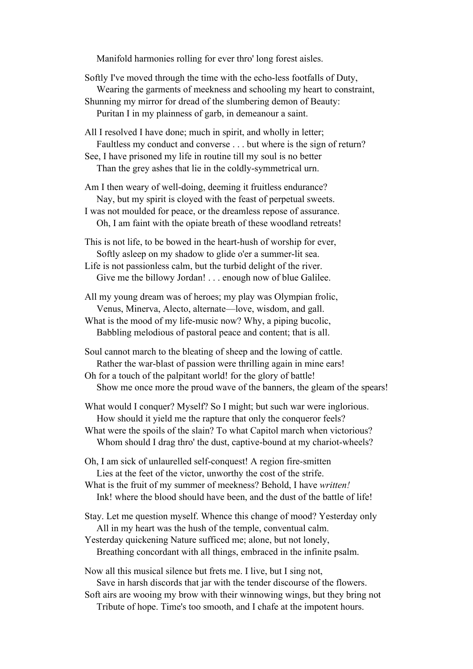Manifold harmonies rolling for ever thro' long forest aisles.

Softly I've moved through the time with the echo-less footfalls of Duty, Wearing the garments of meekness and schooling my heart to constraint, Shunning my mirror for dread of the slumbering demon of Beauty: Puritan I in my plainness of garb, in demeanour a saint.

All I resolved I have done; much in spirit, and wholly in letter; Faultless my conduct and converse . . . but where is the sign of return? See, I have prisoned my life in routine till my soul is no better Than the grey ashes that lie in the coldly-symmetrical urn.

Am I then weary of well-doing, deeming it fruitless endurance? Nay, but my spirit is cloyed with the feast of perpetual sweets. I was not moulded for peace, or the dreamless repose of assurance. Oh, I am faint with the opiate breath of these woodland retreats!

This is not life, to be bowed in the heart-hush of worship for ever, Softly asleep on my shadow to glide o'er a summer-lit sea.

Life is not passionless calm, but the turbid delight of the river. Give me the billowy Jordan! . . . enough now of blue Galilee.

All my young dream was of heroes; my play was Olympian frolic, Venus, Minerva, Alecto, alternate—love, wisdom, and gall.

What is the mood of my life-music now? Why, a piping bucolic, Babbling melodious of pastoral peace and content; that is all.

Soul cannot march to the bleating of sheep and the lowing of cattle. Rather the war-blast of passion were thrilling again in mine ears!

Oh for a touch of the palpitant world! for the glory of battle! Show me once more the proud wave of the banners, the gleam of the spears!

What would I conquer? Myself? So I might; but such war were inglorious. How should it yield me the rapture that only the conqueror feels?

What were the spoils of the slain? To what Capitol march when victorious? Whom should I drag thro' the dust, captive-bound at my chariot-wheels?

Oh, I am sick of unlaurelled self-conquest! A region fire-smitten Lies at the feet of the victor, unworthy the cost of the strife.

What is the fruit of my summer of meekness? Behold, I have *written!* Ink! where the blood should have been, and the dust of the battle of life!

Stay. Let me question myself. Whence this change of mood? Yesterday only All in my heart was the hush of the temple, conventual calm.

Yesterday quickening Nature sufficed me; alone, but not lonely, Breathing concordant with all things, embraced in the infinite psalm.

Now all this musical silence but frets me. I live, but I sing not, Save in harsh discords that jar with the tender discourse of the flowers. Soft airs are wooing my brow with their winnowing wings, but they bring not Tribute of hope. Time's too smooth, and I chafe at the impotent hours.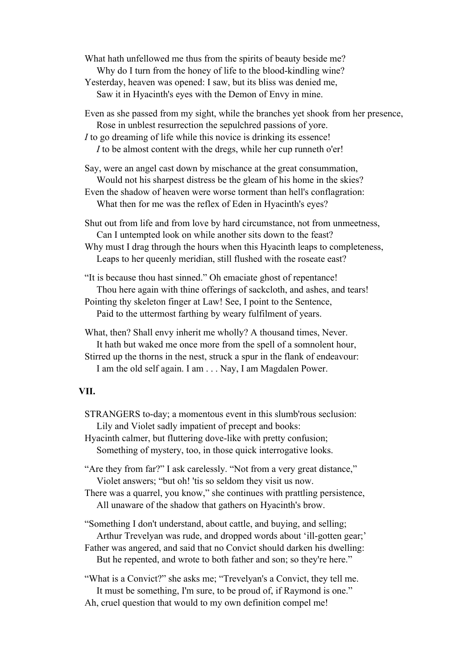What hath unfellowed me thus from the spirits of beauty beside me? Why do I turn from the honey of life to the blood-kindling wine? Yesterday, heaven was opened: I saw, but its bliss was denied me, Saw it in Hyacinth's eyes with the Demon of Envy in mine.

Even as she passed from my sight, while the branches yet shook from her presence, Rose in unblest resurrection the sepulchred passions of yore.

*I* to go dreaming of life while this novice is drinking its essence! *I* to be almost content with the dregs, while her cup runneth o'er!

Say, were an angel cast down by mischance at the great consummation, Would not his sharpest distress be the gleam of his home in the skies?

Even the shadow of heaven were worse torment than hell's conflagration: What then for me was the reflex of Eden in Hyacinth's eyes?

Shut out from life and from love by hard circumstance, not from unmeetness, Can I untempted look on while another sits down to the feast?

Why must I drag through the hours when this Hyacinth leaps to completeness, Leaps to her queenly meridian, still flushed with the roseate east?

"It is because thou hast sinned." Oh emaciate ghost of repentance! Thou here again with thine offerings of sackcloth, and ashes, and tears! Pointing thy skeleton finger at Law! See, I point to the Sentence, Paid to the uttermost farthing by weary fulfilment of years.

What, then? Shall envy inherit me wholly? A thousand times, Never. It hath but waked me once more from the spell of a somnolent hour, Stirred up the thorns in the nest, struck a spur in the flank of endeavour: I am the old self again. I am . . . Nay, I am Magdalen Power.

### **VII.**

STRANGERS to-day; a momentous event in this slumb'rous seclusion: Lily and Violet sadly impatient of precept and books:

Hyacinth calmer, but fluttering dove-like with pretty confusion; Something of mystery, too, in those quick interrogative looks.

"Are they from far?" I ask carelessly. "Not from a very great distance," Violet answers; "but oh! 'tis so seldom they visit us now.

There was a quarrel, you know," she continues with prattling persistence, All unaware of the shadow that gathers on Hyacinth's brow.

"Something I don't understand, about cattle, and buying, and selling; Arthur Trevelyan was rude, and dropped words about 'ill-gotten gear;'

Father was angered, and said that no Convict should darken his dwelling: But he repented, and wrote to both father and son; so they're here."

"What is a Convict?" she asks me; "Trevelyan's a Convict, they tell me. It must be something, I'm sure, to be proud of, if Raymond is one." Ah, cruel question that would to my own definition compel me!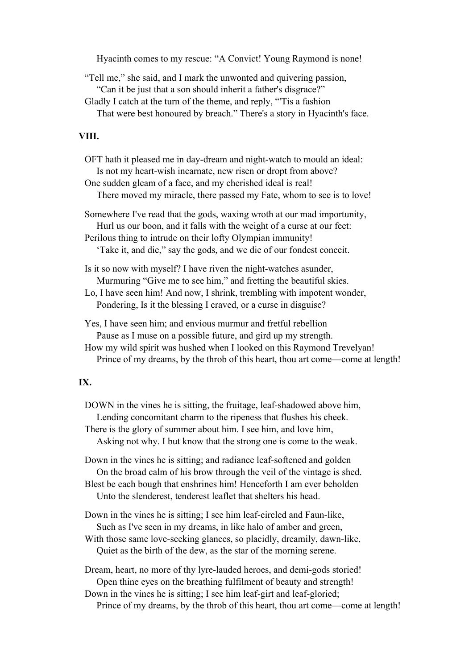Hyacinth comes to my rescue: "A Convict! Young Raymond is none!

"Tell me," she said, and I mark the unwonted and quivering passion, "Can it be just that a son should inherit a father's disgrace?"

Gladly I catch at the turn of the theme, and reply, "'Tis a fashion

That were best honoured by breach." There's a story in Hyacinth's face.

### **VIII.**

OFT hath it pleased me in day-dream and night-watch to mould an ideal: Is not my heart-wish incarnate, new risen or dropt from above?

One sudden gleam of a face, and my cherished ideal is real! There moved my miracle, there passed my Fate, whom to see is to love!

Somewhere I've read that the gods, waxing wroth at our mad importunity, Hurl us our boon, and it falls with the weight of a curse at our feet:

Perilous thing to intrude on their lofty Olympian immunity! 'Take it, and die," say the gods, and we die of our fondest conceit.

Is it so now with myself? I have riven the night-watches asunder, Murmuring "Give me to see him," and fretting the beautiful skies.

Lo, I have seen him! And now, I shrink, trembling with impotent wonder, Pondering, Is it the blessing I craved, or a curse in disguise?

Yes, I have seen him; and envious murmur and fretful rebellion Pause as I muse on a possible future, and gird up my strength.

How my wild spirit was hushed when I looked on this Raymond Trevelyan! Prince of my dreams, by the throb of this heart, thou art come—come at length!

## **IX.**

DOWN in the vines he is sitting, the fruitage, leaf-shadowed above him, Lending concomitant charm to the ripeness that flushes his cheek.

There is the glory of summer about him. I see him, and love him, Asking not why. I but know that the strong one is come to the weak.

Down in the vines he is sitting; and radiance leaf-softened and golden On the broad calm of his brow through the veil of the vintage is shed. Blest be each bough that enshrines him! Henceforth I am ever beholden

Unto the slenderest, tenderest leaflet that shelters his head.

Down in the vines he is sitting; I see him leaf-circled and Faun-like, Such as I've seen in my dreams, in like halo of amber and green,

With those same love-seeking glances, so placidly, dreamily, dawn-like,

Quiet as the birth of the dew, as the star of the morning serene.

Dream, heart, no more of thy lyre-lauded heroes, and demi-gods storied! Open thine eyes on the breathing fulfilment of beauty and strength!

Down in the vines he is sitting; I see him leaf-girt and leaf-gloried;

Prince of my dreams, by the throb of this heart, thou art come—come at length!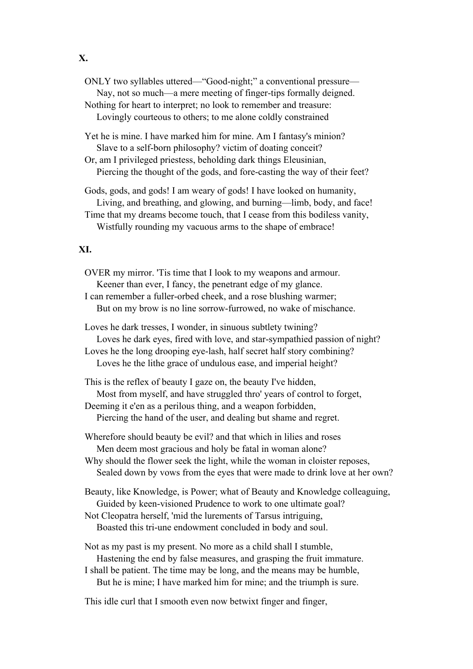ONLY two syllables uttered—"Good-night;" a conventional pressure— Nay, not so much—a mere meeting of finger-tips formally deigned. Nothing for heart to interpret; no look to remember and treasure: Lovingly courteous to others; to me alone coldly constrained

Yet he is mine. I have marked him for mine. Am I fantasy's minion? Slave to a self-born philosophy? victim of doating conceit? Or, am I privileged priestess, beholding dark things Eleusinian,

Piercing the thought of the gods, and fore-casting the way of their feet?

Gods, gods, and gods! I am weary of gods! I have looked on humanity, Living, and breathing, and glowing, and burning—limb, body, and face! Time that my dreams become touch, that I cease from this bodiless vanity,

Wistfully rounding my vacuous arms to the shape of embrace!

# **XI.**

OVER my mirror. 'Tis time that I look to my weapons and armour. Keener than ever, I fancy, the penetrant edge of my glance. I can remember a fuller-orbed cheek, and a rose blushing warmer; But on my brow is no line sorrow-furrowed, no wake of mischance. Loves he dark tresses, I wonder, in sinuous subtlety twining? Loves he dark eyes, fired with love, and star-sympathied passion of night? Loves he the long drooping eye-lash, half secret half story combining? Loves he the lithe grace of undulous ease, and imperial height? This is the reflex of beauty I gaze on, the beauty I've hidden, Most from myself, and have struggled thro' years of control to forget, Deeming it e'en as a perilous thing, and a weapon forbidden, Piercing the hand of the user, and dealing but shame and regret. Wherefore should beauty be evil? and that which in lilies and roses Men deem most gracious and holy be fatal in woman alone? Why should the flower seek the light, while the woman in cloister reposes, Sealed down by vows from the eyes that were made to drink love at her own? Beauty, like Knowledge, is Power; what of Beauty and Knowledge colleaguing, Guided by keen-visioned Prudence to work to one ultimate goal? Not Cleopatra herself, 'mid the lurements of Tarsus intriguing, Boasted this tri-une endowment concluded in body and soul. Not as my past is my present. No more as a child shall I stumble, Hastening the end by false measures, and grasping the fruit immature. I shall be patient. The time may be long, and the means may be humble, But he is mine; I have marked him for mine; and the triumph is sure.

This idle curl that I smooth even now betwixt finger and finger,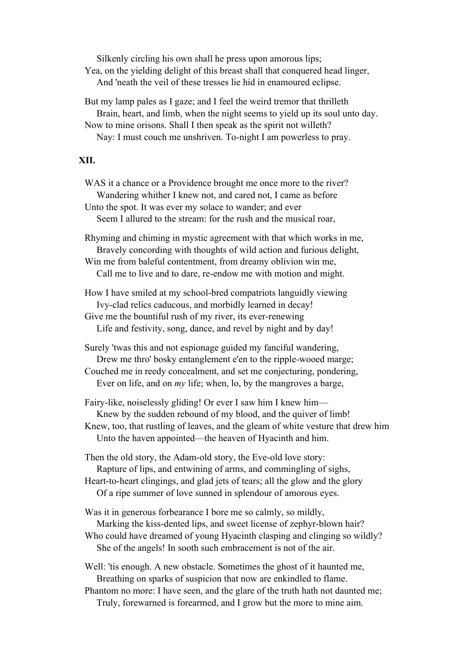Silkenly circling his own shall he press upon amorous lips;

Yea, on the yielding delight of this breast shall that conquered head linger, And 'neath the veil of these tresses lie hid in enamoured eclipse.

But my lamp pales as I gaze; and I feel the weird tremor that thrilleth Brain, heart, and limb, when the night seems to yield up its soul unto day. Now to mine orisons. Shall I then speak as the spirit not willeth?

Nay: I must couch me unshriven. To-night I am powerless to pray.

# **XII.**

WAS it a chance or a Providence brought me once more to the river? Wandering whither I knew not, and cared not, I came as before

Unto the spot. It was ever my solace to wander; and ever Seem I allured to the stream: for the rush and the musical roar,

Rhyming and chiming in mystic agreement with that which works in me, Bravely concording with thoughts of wild action and furious delight,

Win me from baleful contentment, from dreamy oblivion win me, Call me to live and to dare, re-endow me with motion and might.

How I have smiled at my school-bred compatriots languidly viewing Ivy-clad relics caducous, and morbidly learned in decay! Give me the bountiful rush of my river, its ever-renewing

Life and festivity, song, dance, and revel by night and by day!

Surely 'twas this and not espionage guided my fanciful wandering, Drew me thro' bosky entanglement e'en to the ripple-wooed marge; Couched me in reedy concealment, and set me conjecturing, pondering,

Ever on life, and on *my* life; when, lo, by the mangroves a barge,

Fairy-like, noiselessly gliding! Or ever I saw him I knew him— Knew by the sudden rebound of my blood, and the quiver of limb! Knew, too, that rustling of leaves, and the gleam of white vesture that drew him Unto the haven appointed—the heaven of Hyacinth and him.

Then the old story, the Adam-old story, the Eve-old love story: Rapture of lips, and entwining of arms, and commingling of sighs,

Heart-to-heart clingings, and glad jets of tears; all the glow and the glory

Of a ripe summer of love sunned in splendour of amorous eyes.

Was it in generous forbearance I bore me so calmly, so mildly, Marking the kiss-dented lips, and sweet license of zephyr-blown hair?

Who could have dreamed of young Hyacinth clasping and clinging so wildly? She of the angels! In sooth such embracement is not of the air.

Well: 'tis enough. A new obstacle. Sometimes the ghost of it haunted me, Breathing on sparks of suspicion that now are enkindled to flame.

Phantom no more: I have seen, and the glare of the truth hath not daunted me; Truly, forewarned is forearmed, and I grow but the more to mine aim.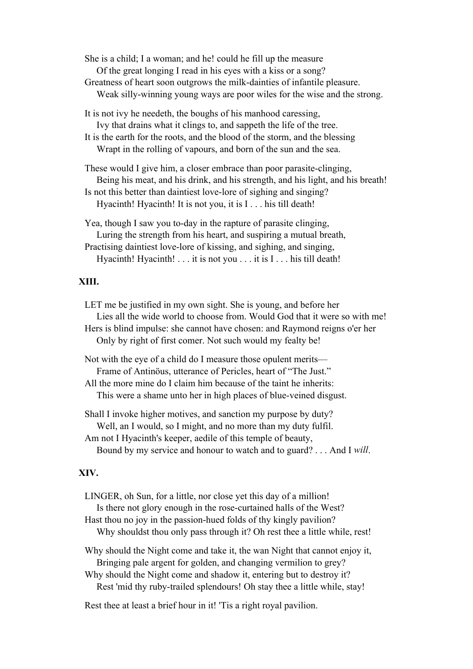She is a child; I a woman; and he! could he fill up the measure Of the great longing I read in his eyes with a kiss or a song? Greatness of heart soon outgrows the milk-dainties of infantile pleasure. Weak silly-winning young ways are poor wiles for the wise and the strong. It is not ivy he needeth, the boughs of his manhood caressing,

 Ivy that drains what it clings to, and sappeth the life of the tree. It is the earth for the roots, and the blood of the storm, and the blessing Wrapt in the rolling of vapours, and born of the sun and the sea.

These would I give him, a closer embrace than poor parasite-clinging, Being his meat, and his drink, and his strength, and his light, and his breath! Is not this better than daintiest love-lore of sighing and singing? Hyacinth! Hyacinth! It is not you, it is I . . . his till death!

Yea, though I saw you to-day in the rapture of parasite clinging, Luring the strength from his heart, and suspiring a mutual breath, Practising daintiest love-lore of kissing, and sighing, and singing, Hyacinth! Hyacinth! . . . it is not you . . . it is I . . . his till death!

#### **XIII.**

LET me be justified in my own sight. She is young, and before her Lies all the wide world to choose from. Would God that it were so with me! Hers is blind impulse: she cannot have chosen: and Raymond reigns o'er her Only by right of first comer. Not such would my fealty be!

Not with the eye of a child do I measure those opulent merits— Frame of Antinöus, utterance of Pericles, heart of "The Just." All the more mine do I claim him because of the taint he inherits: This were a shame unto her in high places of blue-veined disgust.

Shall I invoke higher motives, and sanction my purpose by duty? Well, an I would, so I might, and no more than my duty fulfil.

Am not I Hyacinth's keeper, aedile of this temple of beauty, Bound by my service and honour to watch and to guard? . . . And I *will*.

#### **XIV.**

LINGER, oh Sun, for a little, nor close yet this day of a million! Is there not glory enough in the rose-curtained halls of the West? Hast thou no joy in the passion-hued folds of thy kingly pavilion? Why shouldst thou only pass through it? Oh rest thee a little while, rest! Why should the Night come and take it, the wan Night that cannot enjoy it, Bringing pale argent for golden, and changing vermilion to grey?

Why should the Night come and shadow it, entering but to destroy it? Rest 'mid thy ruby-trailed splendours! Oh stay thee a little while, stay!

Rest thee at least a brief hour in it! 'Tis a right royal pavilion.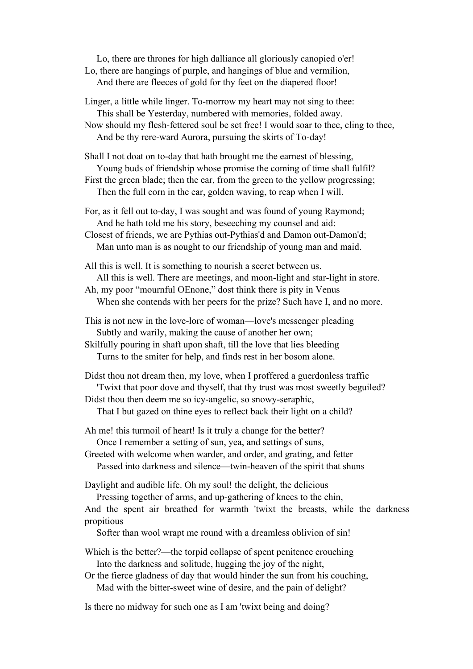Lo, there are thrones for high dalliance all gloriously canopied o'er! Lo, there are hangings of purple, and hangings of blue and vermilion, And there are fleeces of gold for thy feet on the diapered floor!

Linger, a little while linger. To-morrow my heart may not sing to thee: This shall be Yesterday, numbered with memories, folded away.

Now should my flesh-fettered soul be set free! I would soar to thee, cling to thee, And be thy rere-ward Aurora, pursuing the skirts of To-day!

Shall I not doat on to-day that hath brought me the earnest of blessing, Young buds of friendship whose promise the coming of time shall fulfil?

First the green blade; then the ear, from the green to the yellow progressing; Then the full corn in the ear, golden waving, to reap when I will.

For, as it fell out to-day, I was sought and was found of young Raymond; And he hath told me his story, beseeching my counsel and aid:

Closest of friends, we are Pythias out-Pythias'd and Damon out-Damon'd; Man unto man is as nought to our friendship of young man and maid.

All this is well. It is something to nourish a secret between us. All this is well. There are meetings, and moon-light and star-light in store.

Ah, my poor "mournful OEnone," dost think there is pity in Venus When she contends with her peers for the prize? Such have I, and no more.

This is not new in the love-lore of woman—love's messenger pleading Subtly and warily, making the cause of another her own;

Skilfully pouring in shaft upon shaft, till the love that lies bleeding Turns to the smiter for help, and finds rest in her bosom alone.

Didst thou not dream then, my love, when I proffered a guerdonless traffic 'Twixt that poor dove and thyself, that thy trust was most sweetly beguiled?

Didst thou then deem me so icy-angelic, so snowy-seraphic,

That I but gazed on thine eyes to reflect back their light on a child?

Ah me! this turmoil of heart! Is it truly a change for the better? Once I remember a setting of sun, yea, and settings of suns,

Greeted with welcome when warder, and order, and grating, and fetter

Passed into darkness and silence—twin-heaven of the spirit that shuns

Daylight and audible life. Oh my soul! the delight, the delicious

Pressing together of arms, and up-gathering of knees to the chin,

And the spent air breathed for warmth 'twixt the breasts, while the darkness propitious

Softer than wool wrapt me round with a dreamless oblivion of sin!

Which is the better?—the torpid collapse of spent penitence crouching Into the darkness and solitude, hugging the joy of the night,

Or the fierce gladness of day that would hinder the sun from his couching, Mad with the bitter-sweet wine of desire, and the pain of delight?

Is there no midway for such one as I am 'twixt being and doing?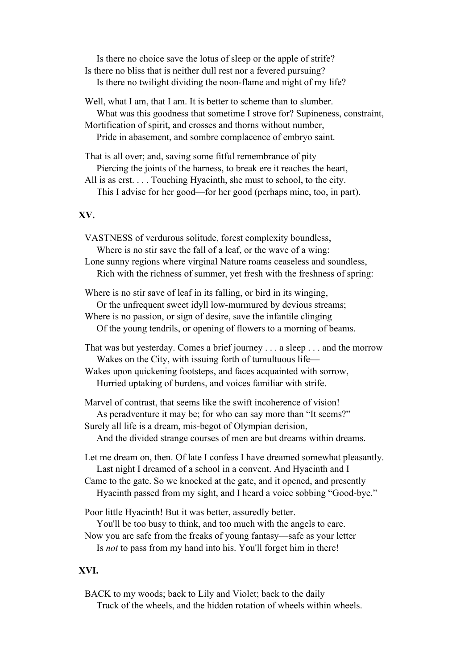Is there no choice save the lotus of sleep or the apple of strife? Is there no bliss that is neither dull rest nor a fevered pursuing? Is there no twilight dividing the noon-flame and night of my life?

Well, what I am, that I am. It is better to scheme than to slumber. What was this goodness that sometime I strove for? Supineness, constraint, Mortification of spirit, and crosses and thorns without number,

Pride in abasement, and sombre complacence of embryo saint.

That is all over; and, saving some fitful remembrance of pity Piercing the joints of the harness, to break ere it reaches the heart,

All is as erst. . . . Touching Hyacinth, she must to school, to the city. This I advise for her good—for her good (perhaps mine, too, in part).

### **XV.**

VASTNESS of verdurous solitude, forest complexity boundless, Where is no stir save the fall of a leaf, or the wave of a wing: Lone sunny regions where virginal Nature roams ceaseless and soundless, Rich with the richness of summer, yet fresh with the freshness of spring:

Where is no stir save of leaf in its falling, or bird in its winging, Or the unfrequent sweet idyll low-murmured by devious streams; Where is no passion, or sign of desire, save the infantile clinging Of the young tendrils, or opening of flowers to a morning of beams.

That was but yesterday. Comes a brief journey . . . a sleep . . . and the morrow Wakes on the City, with issuing forth of tumultuous life—

Wakes upon quickening footsteps, and faces acquainted with sorrow, Hurried uptaking of burdens, and voices familiar with strife.

Marvel of contrast, that seems like the swift incoherence of vision! As peradventure it may be; for who can say more than "It seems?" Surely all life is a dream, mis-begot of Olympian derision,

And the divided strange courses of men are but dreams within dreams.

Let me dream on, then. Of late I confess I have dreamed somewhat pleasantly. Last night I dreamed of a school in a convent. And Hyacinth and I Came to the gate. So we knocked at the gate, and it opened, and presently

Hyacinth passed from my sight, and I heard a voice sobbing "Good-bye."

Poor little Hyacinth! But it was better, assuredly better. You'll be too busy to think, and too much with the angels to care. Now you are safe from the freaks of young fantasy—safe as your letter Is *not* to pass from my hand into his. You'll forget him in there!

# **XVI.**

BACK to my woods; back to Lily and Violet; back to the daily Track of the wheels, and the hidden rotation of wheels within wheels.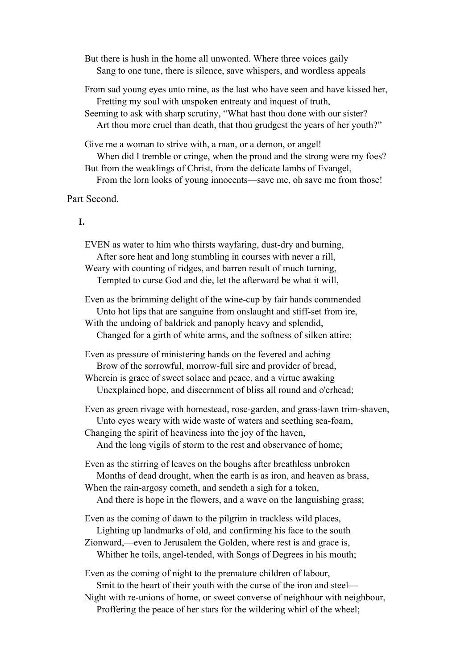But there is hush in the home all unwonted. Where three voices gaily Sang to one tune, there is silence, save whispers, and wordless appeals

From sad young eyes unto mine, as the last who have seen and have kissed her, Fretting my soul with unspoken entreaty and inquest of truth,

Seeming to ask with sharp scrutiny, "What hast thou done with our sister? Art thou more cruel than death, that thou grudgest the years of her youth?"

Give me a woman to strive with, a man, or a demon, or angel! When did I tremble or cringe, when the proud and the strong were my foes? But from the weaklings of Christ, from the delicate lambs of Evangel,

From the lorn looks of young innocents—save me, oh save me from those!

## Part Second.

#### **I.**

EVEN as water to him who thirsts wayfaring, dust-dry and burning, After sore heat and long stumbling in courses with never a rill, Weary with counting of ridges, and barren result of much turning, Tempted to curse God and die, let the afterward be what it will,

Even as the brimming delight of the wine-cup by fair hands commended Unto hot lips that are sanguine from onslaught and stiff-set from ire, With the undoing of baldrick and panoply heavy and splendid, Changed for a girth of white arms, and the softness of silken attire;

Even as pressure of ministering hands on the fevered and aching Brow of the sorrowful, morrow-full sire and provider of bread, Wherein is grace of sweet solace and peace, and a virtue awaking Unexplained hope, and discernment of bliss all round and o'erhead;

Even as green rivage with homestead, rose-garden, and grass-lawn trim-shaven, Unto eyes weary with wide waste of waters and seething sea-foam,

Changing the spirit of heaviness into the joy of the haven, And the long vigils of storm to the rest and observance of home;

Even as the stirring of leaves on the boughs after breathless unbroken Months of dead drought, when the earth is as iron, and heaven as brass,

When the rain-argosy cometh, and sendeth a sigh for a token, And there is hope in the flowers, and a wave on the languishing grass;

Even as the coming of dawn to the pilgrim in trackless wild places, Lighting up landmarks of old, and confirming his face to the south

Zionward,—even to Jerusalem the Golden, where rest is and grace is, Whither he toils, angel-tended, with Songs of Degrees in his mouth;

Even as the coming of night to the premature children of labour, Smit to the heart of their youth with the curse of the iron and steel— Night with re-unions of home, or sweet converse of neighhour with neighbour, Proffering the peace of her stars for the wildering whirl of the wheel;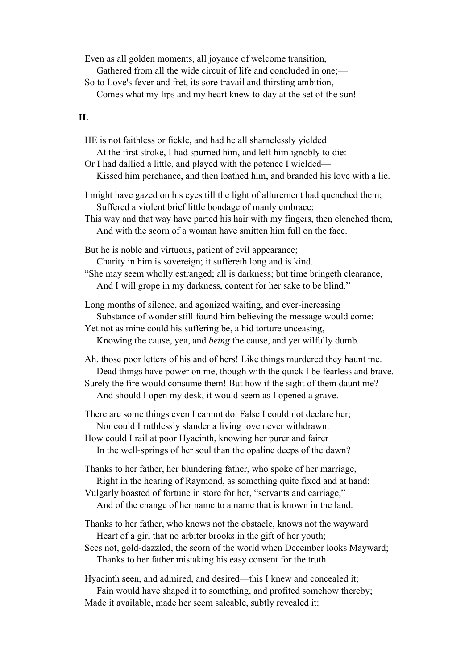Even as all golden moments, all joyance of welcome transition, Gathered from all the wide circuit of life and concluded in one;— So to Love's fever and fret, its sore travail and thirsting ambition, Comes what my lips and my heart knew to-day at the set of the sun!

### **II.**

| HE is not faithless or fickle, and had he all shamelessly yielded<br>At the first stroke, I had spurned him, and left him ignobly to die:<br>Or I had dallied a little, and played with the potence I wielded-<br>Kissed him perchance, and then loathed him, and branded his love with a lie.                |
|---------------------------------------------------------------------------------------------------------------------------------------------------------------------------------------------------------------------------------------------------------------------------------------------------------------|
| I might have gazed on his eyes till the light of all urement had quenched them;<br>Suffered a violent brief little bondage of manly embrace;<br>This way and that way have parted his hair with my fingers, then clenched them,<br>And with the scorn of a woman have smitten him full on the face.           |
| But he is noble and virtuous, patient of evil appearance;<br>Charity in him is sovereign; it suffereth long and is kind.<br>"She may seem wholly estranged; all is darkness; but time bringeth clearance,<br>And I will grope in my darkness, content for her sake to be blind."                              |
| Long months of silence, and agonized waiting, and ever-increasing<br>Substance of wonder still found him believing the message would come:<br>Yet not as mine could his suffering be, a hid torture unceasing,<br>Knowing the cause, yea, and being the cause, and yet wilfully dumb.                         |
| Ah, those poor letters of his and of hers! Like things murdered they haunt me.<br>Dead things have power on me, though with the quick I be fearless and brave.<br>Surely the fire would consume them! But how if the sight of them daunt me?<br>And should I open my desk, it would seem as I opened a grave. |
| There are some things even I cannot do. False I could not declare her;<br>Nor could I ruthlessly slander a living love never withdrawn.<br>How could I rail at poor Hyacinth, knowing her purer and fairer<br>In the well-springs of her soul than the opaline deeps of the dawn?                             |
| Thanks to her father, her blundering father, who spoke of her marriage,<br>Right in the hearing of Raymond, as something quite fixed and at hand:<br>Vulgarly boasted of fortune in store for her, "servants and carriage,"<br>And of the change of her name to a name that is known in the land.             |
| Thanks to her father, who knows not the obstacle, knows not the wayward<br>Heart of a girl that no arbiter brooks in the gift of her youth;<br>Sees not, gold-dazzled, the scorn of the world when December looks Mayward;<br>Thanks to her father mistaking his easy consent for the truth                   |
| Hyacinth seen, and admired, and desired—this I knew and concealed it;<br>Fain would have shaped it to something, and profited somehow thereby;<br>Made it available, made her seem saleable, subtly revealed it:                                                                                              |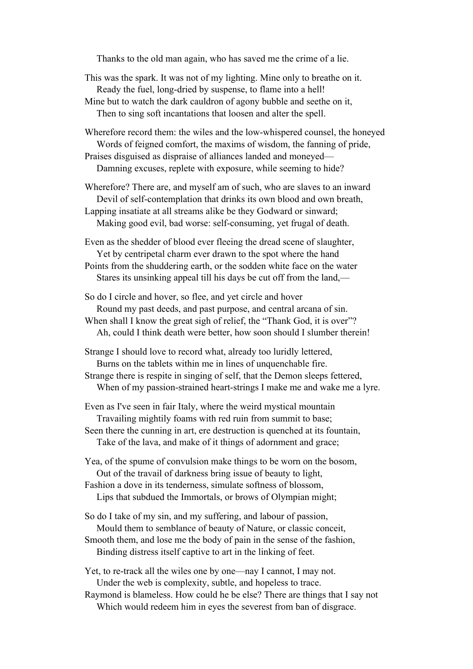Thanks to the old man again, who has saved me the crime of a lie.

- This was the spark. It was not of my lighting. Mine only to breathe on it. Ready the fuel, long-dried by suspense, to flame into a hell!
- Mine but to watch the dark cauldron of agony bubble and seethe on it, Then to sing soft incantations that loosen and alter the spell.
- Wherefore record them: the wiles and the low-whispered counsel, the honeyed Words of feigned comfort, the maxims of wisdom, the fanning of pride, Praises disguised as dispraise of alliances landed and moneyed—

Damning excuses, replete with exposure, while seeming to hide?

Wherefore? There are, and myself am of such, who are slaves to an inward Devil of self-contemplation that drinks its own blood and own breath, Lapping insatiate at all streams alike be they Godward or sinward;

Making good evil, bad worse: self-consuming, yet frugal of death.

Even as the shedder of blood ever fleeing the dread scene of slaughter, Yet by centripetal charm ever drawn to the spot where the hand Points from the shuddering earth, or the sodden white face on the water Stares its unsinking appeal till his days be cut off from the land,—

So do I circle and hover, so flee, and yet circle and hover Round my past deeds, and past purpose, and central arcana of sin. When shall I know the great sigh of relief, the "Thank God, it is over"? Ah, could I think death were better, how soon should I slumber therein!

Strange I should love to record what, already too luridly lettered, Burns on the tablets within me in lines of unquenchable fire.

Strange there is respite in singing of self, that the Demon sleeps fettered, When of my passion-strained heart-strings I make me and wake me a lyre.

Even as I've seen in fair Italy, where the weird mystical mountain Travailing mightily foams with red ruin from summit to base;

Seen there the cunning in art, ere destruction is quenched at its fountain, Take of the lava, and make of it things of adornment and grace;

Yea, of the spume of convulsion make things to be worn on the bosom, Out of the travail of darkness bring issue of beauty to light,

Fashion a dove in its tenderness, simulate softness of blossom, Lips that subdued the Immortals, or brows of Olympian might;

So do I take of my sin, and my suffering, and labour of passion, Mould them to semblance of beauty of Nature, or classic conceit, Smooth them, and lose me the body of pain in the sense of the fashion, Binding distress itself captive to art in the linking of feet.

Yet, to re-track all the wiles one by one—nay I cannot, I may not. Under the web is complexity, subtle, and hopeless to trace.

Raymond is blameless. How could he be else? There are things that I say not Which would redeem him in eyes the severest from ban of disgrace.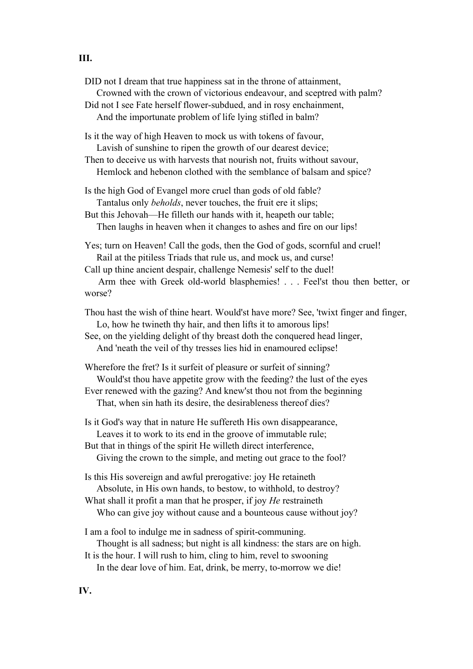# **III.**

| DID not I dream that true happiness sat in the throne of attainment,<br>Crowned with the crown of victorious endeavour, and sceptred with palm?<br>Did not I see Fate herself flower-subdued, and in rosy enchainment,<br>And the importunate problem of life lying stifled in balm?                           |
|----------------------------------------------------------------------------------------------------------------------------------------------------------------------------------------------------------------------------------------------------------------------------------------------------------------|
| Is it the way of high Heaven to mock us with tokens of favour,<br>Lavish of sunshine to ripen the growth of our dearest device;<br>Then to deceive us with harvests that nourish not, fruits without savour,<br>Hemlock and hebenon clothed with the semblance of balsam and spice?                            |
| Is the high God of Evangel more cruel than gods of old fable?<br>Tantalus only <i>beholds</i> , never touches, the fruit ere it slips;<br>But this Jehovah—He filleth our hands with it, heapeth our table;<br>Then laughs in heaven when it changes to ashes and fire on our lips!                            |
| Yes; turn on Heaven! Call the gods, then the God of gods, scornful and cruel!<br>Rail at the pitiless Triads that rule us, and mock us, and curse!<br>Call up thine ancient despair, challenge Nemesis' self to the duel!<br>Arm thee with Greek old-world blasphemies! Feel'st thou then better, or<br>worse? |
| Thou hast the wish of thine heart. Would'st have more? See, 'twixt finger and finger,<br>Lo, how he twineth thy hair, and then lifts it to amorous lips!<br>See, on the yielding delight of thy breast doth the conquered head linger,<br>And 'neath the veil of thy tresses lies hid in enamoured eclipse!    |
| Wherefore the fret? Is it surfeit of pleasure or surfeit of sinning?<br>Would'st thou have appetite grow with the feeding? the lust of the eyes<br>Ever renewed with the gazing? And knew'st thou not from the beginning<br>That, when sin hath its desire, the desirableness thereof dies?                    |
| Is it God's way that in nature He suffereth His own disappearance,<br>Leaves it to work to its end in the groove of immutable rule;<br>But that in things of the spirit He willeth direct interference,<br>Giving the crown to the simple, and meting out grace to the fool?                                   |
| Is this His sovereign and awful prerogative: joy He retaineth<br>Absolute, in His own hands, to bestow, to withhold, to destroy?<br>What shall it profit a man that he prosper, if joy He restraineth<br>Who can give joy without cause and a bounteous cause without joy?                                     |
| I am a fool to indulge me in sadness of spirit-communing.<br>Thought is all sadness; but night is all kindness: the stars are on high.<br>It is the hour. I will rush to him, cling to him, revel to swooning<br>In the dear love of him. Eat, drink, be merry, to-morrow we die!                              |
|                                                                                                                                                                                                                                                                                                                |

**IV.**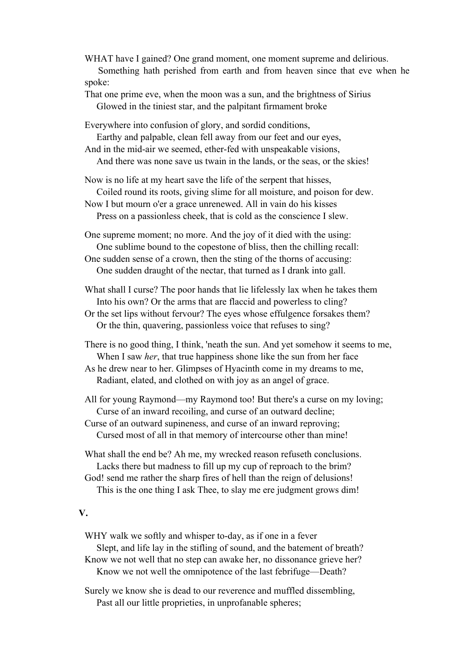WHAT have I gained? One grand moment, one moment supreme and delirious.

 Something hath perished from earth and from heaven since that eve when he spoke:

That one prime eve, when the moon was a sun, and the brightness of Sirius Glowed in the tiniest star, and the palpitant firmament broke

Everywhere into confusion of glory, and sordid conditions, Earthy and palpable, clean fell away from our feet and our eyes,

And in the mid-air we seemed, ether-fed with unspeakable visions,

And there was none save us twain in the lands, or the seas, or the skies!

Now is no life at my heart save the life of the serpent that hisses, Coiled round its roots, giving slime for all moisture, and poison for dew.

Now I but mourn o'er a grace unrenewed. All in vain do his kisses

Press on a passionless cheek, that is cold as the conscience I slew.

One supreme moment; no more. And the joy of it died with the using: One sublime bound to the copestone of bliss, then the chilling recall:

One sudden sense of a crown, then the sting of the thorns of accusing:

One sudden draught of the nectar, that turned as I drank into gall.

What shall I curse? The poor hands that lie lifelessly lax when he takes them Into his own? Or the arms that are flaccid and powerless to cling?

Or the set lips without fervour? The eyes whose effulgence forsakes them? Or the thin, quavering, passionless voice that refuses to sing?

There is no good thing, I think, 'neath the sun. And yet somehow it seems to me, When I saw *her*, that true happiness shone like the sun from her face

As he drew near to her. Glimpses of Hyacinth come in my dreams to me, Radiant, elated, and clothed on with joy as an angel of grace.

All for young Raymond—my Raymond too! But there's a curse on my loving; Curse of an inward recoiling, and curse of an outward decline;

Curse of an outward supineness, and curse of an inward reproving; Cursed most of all in that memory of intercourse other than mine!

What shall the end be? Ah me, my wrecked reason refuseth conclusions. Lacks there but madness to fill up my cup of reproach to the brim?

God! send me rather the sharp fires of hell than the reign of delusions!

This is the one thing I ask Thee, to slay me ere judgment grows dim!

#### **V.**

WHY walk we softly and whisper to-day, as if one in a fever

 Slept, and life lay in the stifling of sound, and the batement of breath? Know we not well that no step can awake her, no dissonance grieve her? Know we not well the omnipotence of the last febrifuge—Death?

Surely we know she is dead to our reverence and muffled dissembling, Past all our little proprieties, in unprofanable spheres;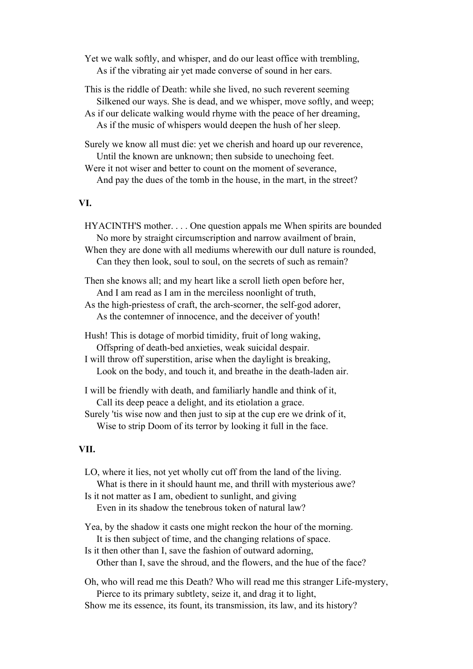Yet we walk softly, and whisper, and do our least office with trembling, As if the vibrating air yet made converse of sound in her ears.

This is the riddle of Death: while she lived, no such reverent seeming Silkened our ways. She is dead, and we whisper, move softly, and weep;

As if our delicate walking would rhyme with the peace of her dreaming, As if the music of whispers would deepen the hush of her sleep.

Surely we know all must die: yet we cherish and hoard up our reverence, Until the known are unknown; then subside to unechoing feet.

Were it not wiser and better to count on the moment of severance, And pay the dues of the tomb in the house, in the mart, in the street?

#### **VI.**

HYACINTH'S mother. . . . One question appals me When spirits are bounded No more by straight circumscription and narrow availment of brain, When they are done with all mediums wherewith our dull nature is rounded, Can they then look, soul to soul, on the secrets of such as remain? Then she knows all; and my heart like a scroll lieth open before her, And I am read as I am in the merciless noonlight of truth,

As the high-priestess of craft, the arch-scorner, the self-god adorer, As the contemner of innocence, and the deceiver of youth!

Hush! This is dotage of morbid timidity, fruit of long waking, Offspring of death-bed anxieties, weak suicidal despair.

I will throw off superstition, arise when the daylight is breaking, Look on the body, and touch it, and breathe in the death-laden air.

I will be friendly with death, and familiarly handle and think of it, Call its deep peace a delight, and its etiolation a grace.

Surely 'tis wise now and then just to sip at the cup ere we drink of it, Wise to strip Doom of its terror by looking it full in the face.

## **VII.**

LO, where it lies, not yet wholly cut off from the land of the living. What is there in it should haunt me, and thrill with mysterious awe? Is it not matter as I am, obedient to sunlight, and giving Even in its shadow the tenebrous token of natural law? Yea, by the shadow it casts one might reckon the hour of the morning. It is then subject of time, and the changing relations of space. Is it then other than I, save the fashion of outward adorning,

Other than I, save the shroud, and the flowers, and the hue of the face?

Oh, who will read me this Death? Who will read me this stranger Life-mystery, Pierce to its primary subtlety, seize it, and drag it to light,

Show me its essence, its fount, its transmission, its law, and its history?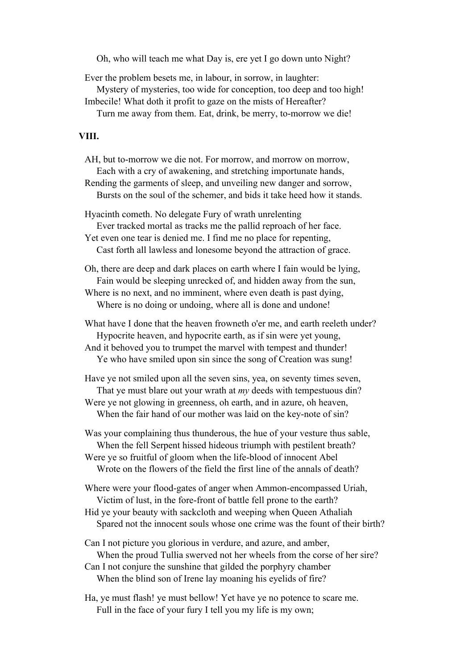Oh, who will teach me what Day is, ere yet I go down unto Night?

Ever the problem besets me, in labour, in sorrow, in laughter:

Mystery of mysteries, too wide for conception, too deep and too high!

Imbecile! What doth it profit to gaze on the mists of Hereafter?

Turn me away from them. Eat, drink, be merry, to-morrow we die!

## **VIII.**

AH, but to-morrow we die not. For morrow, and morrow on morrow, Each with a cry of awakening, and stretching importunate hands, Rending the garments of sleep, and unveiling new danger and sorrow, Bursts on the soul of the schemer, and bids it take heed how it stands.

Hyacinth cometh. No delegate Fury of wrath unrelenting Ever tracked mortal as tracks me the pallid reproach of her face.

Yet even one tear is denied me. I find me no place for repenting, Cast forth all lawless and lonesome beyond the attraction of grace.

Oh, there are deep and dark places on earth where I fain would be lying, Fain would be sleeping unrecked of, and hidden away from the sun,

Where is no next, and no imminent, where even death is past dying, Where is no doing or undoing, where all is done and undone!

What have I done that the heaven frowneth o'er me, and earth reeleth under? Hypocrite heaven, and hypocrite earth, as if sin were yet young,

And it behoved you to trumpet the marvel with tempest and thunder! Ye who have smiled upon sin since the song of Creation was sung!

Have ye not smiled upon all the seven sins, yea, on seventy times seven, That ye must blare out your wrath at *my* deeds with tempestuous din?

Were ye not glowing in greenness, oh earth, and in azure, oh heaven, When the fair hand of our mother was laid on the key-note of sin?

Was your complaining thus thunderous, the hue of your vesture thus sable, When the fell Serpent hissed hideous triumph with pestilent breath?

Were ye so fruitful of gloom when the life-blood of innocent Abel Wrote on the flowers of the field the first line of the annals of death?

Where were your flood-gates of anger when Ammon-encompassed Uriah, Victim of lust, in the fore-front of battle fell prone to the earth?

Hid ye your beauty with sackcloth and weeping when Queen Athaliah Spared not the innocent souls whose one crime was the fount of their birth?

Can I not picture you glorious in verdure, and azure, and amber, When the proud Tullia swerved not her wheels from the corse of her sire? Can I not conjure the sunshine that gilded the porphyry chamber When the blind son of Irene lay moaning his eyelids of fire?

Ha, ye must flash! ye must bellow! Yet have ye no potence to scare me. Full in the face of your fury I tell you my life is my own;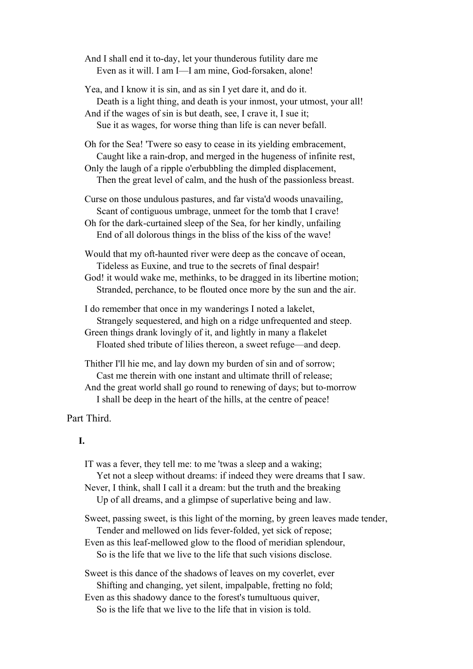And I shall end it to-day, let your thunderous futility dare me Even as it will. I am I—I am mine, God-forsaken, alone!

Yea, and I know it is sin, and as sin I yet dare it, and do it. Death is a light thing, and death is your inmost, your utmost, your all! And if the wages of sin is but death, see, I crave it, I sue it; Sue it as wages, for worse thing than life is can never befall.

Oh for the Sea! 'Twere so easy to cease in its yielding embracement, Caught like a rain-drop, and merged in the hugeness of infinite rest, Only the laugh of a ripple o'erbubbling the dimpled displacement,

Then the great level of calm, and the hush of the passionless breast.

Curse on those undulous pastures, and far vista'd woods unavailing, Scant of contiguous umbrage, unmeet for the tomb that I crave!

Oh for the dark-curtained sleep of the Sea, for her kindly, unfailing End of all dolorous things in the bliss of the kiss of the wave!

Would that my oft-haunted river were deep as the concave of ocean, Tideless as Euxine, and true to the secrets of final despair!

God! it would wake me, methinks, to be dragged in its libertine motion; Stranded, perchance, to be flouted once more by the sun and the air.

I do remember that once in my wanderings I noted a lakelet, Strangely sequestered, and high on a ridge unfrequented and steep. Green things drank lovingly of it, and lightly in many a flakelet Floated shed tribute of lilies thereon, a sweet refuge—and deep.

Thither I'll hie me, and lay down my burden of sin and of sorrow; Cast me therein with one instant and ultimate thrill of release; And the great world shall go round to renewing of days; but to-morrow I shall be deep in the heart of the hills, at the centre of peace!

#### Part Third.

#### **I.**

IT was a fever, they tell me: to me 'twas a sleep and a waking; Yet not a sleep without dreams: if indeed they were dreams that I saw. Never, I think, shall I call it a dream: but the truth and the breaking Up of all dreams, and a glimpse of superlative being and law.

Sweet, passing sweet, is this light of the morning, by green leaves made tender, Tender and mellowed on lids fever-folded, yet sick of repose;

Even as this leaf-mellowed glow to the flood of meridian splendour, So is the life that we live to the life that such visions disclose.

Sweet is this dance of the shadows of leaves on my coverlet, ever Shifting and changing, yet silent, impalpable, fretting no fold; Even as this shadowy dance to the forest's tumultuous quiver,

So is the life that we live to the life that in vision is told.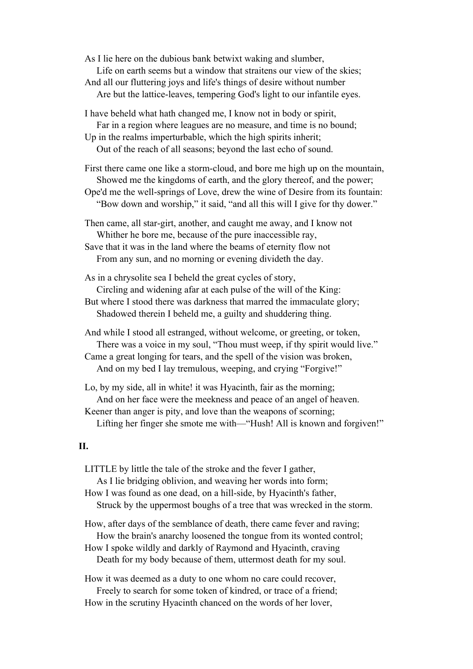As I lie here on the dubious bank betwixt waking and slumber,

- Life on earth seems but a window that straitens our view of the skies; And all our fluttering joys and life's things of desire without number
	- Are but the lattice-leaves, tempering God's light to our infantile eyes.

I have beheld what hath changed me, I know not in body or spirit, Far in a region where leagues are no measure, and time is no bound; Up in the realms imperturbable, which the high spirits inherit; Out of the reach of all seasons; beyond the last echo of sound.

First there came one like a storm-cloud, and bore me high up on the mountain, Showed me the kingdoms of earth, and the glory thereof, and the power;

Ope'd me the well-springs of Love, drew the wine of Desire from its fountain: "Bow down and worship," it said, "and all this will I give for thy dower."

Then came, all star-girt, another, and caught me away, and I know not Whither he bore me, because of the pure inaccessible ray,

Save that it was in the land where the beams of eternity flow not From any sun, and no morning or evening divideth the day.

As in a chrysolite sea I beheld the great cycles of story, Circling and widening afar at each pulse of the will of the King: But where I stood there was darkness that marred the immaculate glory; Shadowed therein I beheld me, a guilty and shuddering thing.

And while I stood all estranged, without welcome, or greeting, or token, There was a voice in my soul, "Thou must weep, if thy spirit would live." Came a great longing for tears, and the spell of the vision was broken, And on my bed I lay tremulous, weeping, and crying "Forgive!"

Lo, by my side, all in white! it was Hyacinth, fair as the morning; And on her face were the meekness and peace of an angel of heaven. Keener than anger is pity, and love than the weapons of scorning; Lifting her finger she smote me with—"Hush! All is known and forgiven!"

#### **II.**

LITTLE by little the tale of the stroke and the fever I gather, As I lie bridging oblivion, and weaving her words into form; How I was found as one dead, on a hill-side, by Hyacinth's father, Struck by the uppermost boughs of a tree that was wrecked in the storm. How, after days of the semblance of death, there came fever and raving; How the brain's anarchy loosened the tongue from its wonted control; How I spoke wildly and darkly of Raymond and Hyacinth, craving Death for my body because of them, uttermost death for my soul.

How it was deemed as a duty to one whom no care could recover, Freely to search for some token of kindred, or trace of a friend; How in the scrutiny Hyacinth chanced on the words of her lover,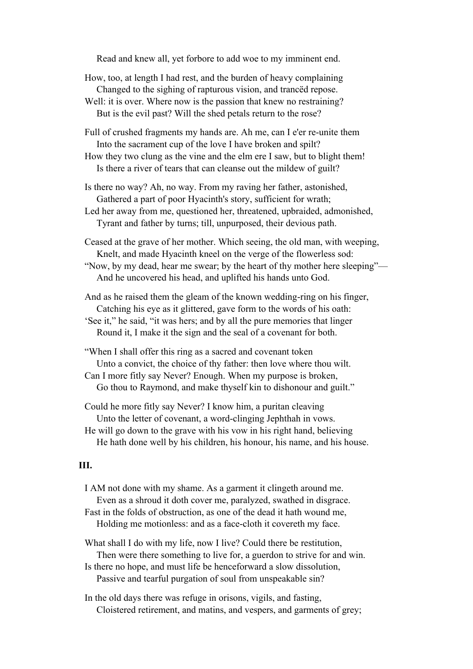Read and knew all, yet forbore to add woe to my imminent end.

How, too, at length I had rest, and the burden of heavy complaining Changed to the sighing of rapturous vision, and trancëd repose.

Well: it is over. Where now is the passion that knew no restraining? But is the evil past? Will the shed petals return to the rose?

Full of crushed fragments my hands are. Ah me, can I e'er re-unite them Into the sacrament cup of the love I have broken and spilt?

How they two clung as the vine and the elm ere I saw, but to blight them! Is there a river of tears that can cleanse out the mildew of guilt?

Is there no way? Ah, no way. From my raving her father, astonished, Gathered a part of poor Hyacinth's story, sufficient for wrath;

Led her away from me, questioned her, threatened, upbraided, admonished, Tyrant and father by turns; till, unpurposed, their devious path.

Ceased at the grave of her mother. Which seeing, the old man, with weeping, Knelt, and made Hyacinth kneel on the verge of the flowerless sod:

"Now, by my dead, hear me swear; by the heart of thy mother here sleeping"— And he uncovered his head, and uplifted his hands unto God.

And as he raised them the gleam of the known wedding-ring on his finger, Catching his eye as it glittered, gave form to the words of his oath:

'See it," he said, "it was hers; and by all the pure memories that linger Round it, I make it the sign and the seal of a covenant for both.

"When I shall offer this ring as a sacred and covenant token Unto a convict, the choice of thy father: then love where thou wilt. Can I more fitly say Never? Enough. When my purpose is broken,

Go thou to Raymond, and make thyself kin to dishonour and guilt."

Could he more fitly say Never? I know him, a puritan cleaving Unto the letter of covenant, a word-clinging Jephthah in vows. He will go down to the grave with his vow in his right hand, believing

He hath done well by his children, his honour, his name, and his house.

# **III.**

I AM not done with my shame. As a garment it clingeth around me. Even as a shroud it doth cover me, paralyzed, swathed in disgrace. Fast in the folds of obstruction, as one of the dead it hath wound me, Holding me motionless: and as a face-cloth it covereth my face.

What shall I do with my life, now I live? Could there be restitution, Then were there something to live for, a guerdon to strive for and win. Is there no hope, and must life be henceforward a slow dissolution, Passive and tearful purgation of soul from unspeakable sin?

In the old days there was refuge in orisons, vigils, and fasting, Cloistered retirement, and matins, and vespers, and garments of grey;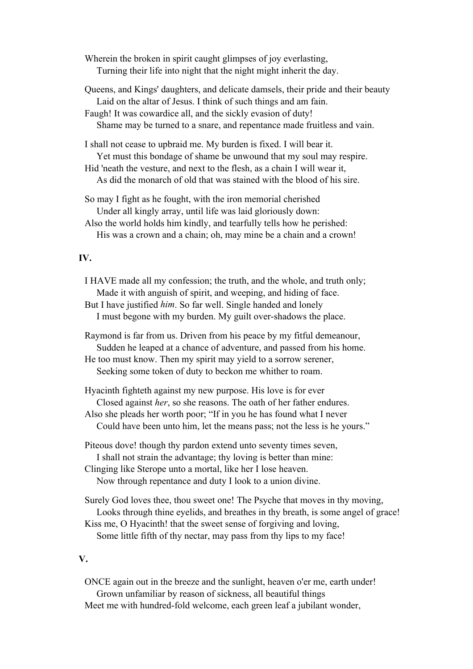Wherein the broken in spirit caught glimpses of joy everlasting, Turning their life into night that the night might inherit the day.

Queens, and Kings' daughters, and delicate damsels, their pride and their beauty Laid on the altar of Jesus. I think of such things and am fain.

Faugh! It was cowardice all, and the sickly evasion of duty! Shame may be turned to a snare, and repentance made fruitless and vain.

I shall not cease to upbraid me. My burden is fixed. I will bear it. Yet must this bondage of shame be unwound that my soul may respire.

Hid 'neath the vesture, and next to the flesh, as a chain I will wear it,

As did the monarch of old that was stained with the blood of his sire.

So may I fight as he fought, with the iron memorial cherished Under all kingly array, until life was laid gloriously down:

Also the world holds him kindly, and tearfully tells how he perished: His was a crown and a chain; oh, may mine be a chain and a crown!

## **IV.**

I HAVE made all my confession; the truth, and the whole, and truth only; Made it with anguish of spirit, and weeping, and hiding of face.

But I have justified *him*. So far well. Single handed and lonely I must begone with my burden. My guilt over-shadows the place.

Raymond is far from us. Driven from his peace by my fitful demeanour, Sudden he leaped at a chance of adventure, and passed from his home.

He too must know. Then my spirit may yield to a sorrow serener, Seeking some token of duty to beckon me whither to roam.

Hyacinth fighteth against my new purpose. His love is for ever Closed against *her*, so she reasons. The oath of her father endures. Also she pleads her worth poor; "If in you he has found what I never Could have been unto him, let the means pass; not the less is he yours."

Piteous dove! though thy pardon extend unto seventy times seven,

I shall not strain the advantage; thy loving is better than mine:

Clinging like Sterope unto a mortal, like her I lose heaven.

Now through repentance and duty I look to a union divine.

Surely God loves thee, thou sweet one! The Psyche that moves in thy moving, Looks through thine eyelids, and breathes in thy breath, is some angel of grace! Kiss me, O Hyacinth! that the sweet sense of forgiving and loving,

Some little fifth of thy nectar, may pass from thy lips to my face!

# **V.**

ONCE again out in the breeze and the sunlight, heaven o'er me, earth under! Grown unfamiliar by reason of sickness, all beautiful things

Meet me with hundred-fold welcome, each green leaf a jubilant wonder,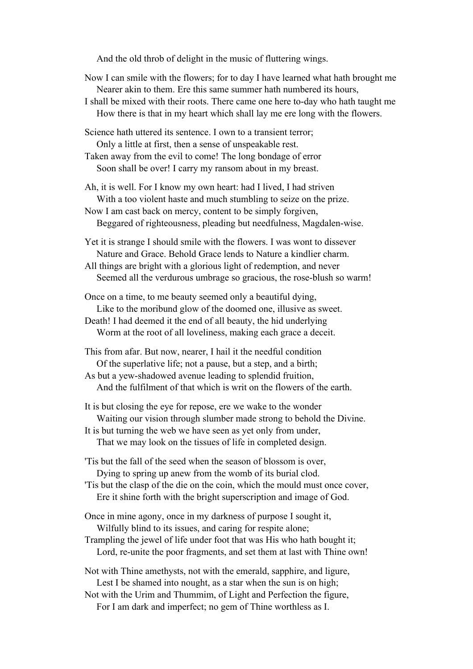And the old throb of delight in the music of fluttering wings.

- Now I can smile with the flowers; for to day I have learned what hath brought me Nearer akin to them. Ere this same summer hath numbered its hours,
- I shall be mixed with their roots. There came one here to-day who hath taught me How there is that in my heart which shall lay me ere long with the flowers.
- Science hath uttered its sentence. I own to a transient terror; Only a little at first, then a sense of unspeakable rest.
- Taken away from the evil to come! The long bondage of error Soon shall be over! I carry my ransom about in my breast.
- Ah, it is well. For I know my own heart: had I lived, I had striven With a too violent haste and much stumbling to seize on the prize.
- Now I am cast back on mercy, content to be simply forgiven, Beggared of righteousness, pleading but needfulness, Magdalen-wise.
- Yet it is strange I should smile with the flowers. I was wont to dissever Nature and Grace. Behold Grace lends to Nature a kindlier charm.
- All things are bright with a glorious light of redemption, and never Seemed all the verdurous umbrage so gracious, the rose-blush so warm!
- Once on a time, to me beauty seemed only a beautiful dying, Like to the moribund glow of the doomed one, illusive as sweet. Death! I had deemed it the end of all beauty, the hid underlying
- Worm at the root of all loveliness, making each grace a deceit.
- This from afar. But now, nearer, I hail it the needful condition Of the superlative life; not a pause, but a step, and a birth;
- As but a yew-shadowed avenue leading to splendid fruition, And the fulfilment of that which is writ on the flowers of the earth.
- It is but closing the eye for repose, ere we wake to the wonder Waiting our vision through slumber made strong to behold the Divine.
- It is but turning the web we have seen as yet only from under, That we may look on the tissues of life in completed design.
- 'Tis but the fall of the seed when the season of blossom is over, Dying to spring up anew from the womb of its burial clod.
- 'Tis but the clasp of the die on the coin, which the mould must once cover, Ere it shine forth with the bright superscription and image of God.
- Once in mine agony, once in my darkness of purpose I sought it, Wilfully blind to its issues, and caring for respite alone;
- Trampling the jewel of life under foot that was His who hath bought it; Lord, re-unite the poor fragments, and set them at last with Thine own!
- Not with Thine amethysts, not with the emerald, sapphire, and ligure, Lest I be shamed into nought, as a star when the sun is on high;
- Not with the Urim and Thummim, of Light and Perfection the figure, For I am dark and imperfect; no gem of Thine worthless as I.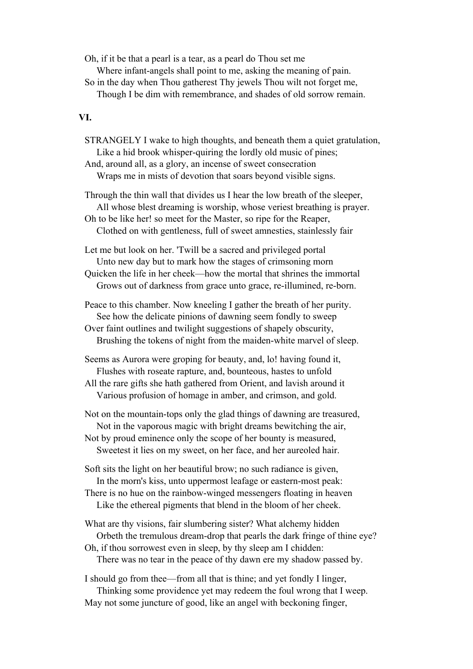Oh, if it be that a pearl is a tear, as a pearl do Thou set me Where infant-angels shall point to me, asking the meaning of pain.

So in the day when Thou gatherest Thy jewels Thou wilt not forget me, Though I be dim with remembrance, and shades of old sorrow remain.

#### **VI.**

STRANGELY I wake to high thoughts, and beneath them a quiet gratulation, Like a hid brook whisper-quiring the lordly old music of pines;

And, around all, as a glory, an incense of sweet consecration Wraps me in mists of devotion that soars beyond visible signs.

Through the thin wall that divides us I hear the low breath of the sleeper, All whose blest dreaming is worship, whose veriest breathing is prayer. Oh to be like her! so meet for the Master, so ripe for the Reaper, Clothed on with gentleness, full of sweet amnesties, stainlessly fair

Let me but look on her. 'Twill be a sacred and privileged portal Unto new day but to mark how the stages of crimsoning morn Quicken the life in her cheek—how the mortal that shrines the immortal Grows out of darkness from grace unto grace, re-illumined, re-born.

Peace to this chamber. Now kneeling I gather the breath of her purity. See how the delicate pinions of dawning seem fondly to sweep Over faint outlines and twilight suggestions of shapely obscurity, Brushing the tokens of night from the maiden-white marvel of sleep.

Seems as Aurora were groping for beauty, and, lo! having found it, Flushes with roseate rapture, and, bounteous, hastes to unfold All the rare gifts she hath gathered from Orient, and lavish around it Various profusion of homage in amber, and crimson, and gold.

Not on the mountain-tops only the glad things of dawning are treasured, Not in the vaporous magic with bright dreams bewitching the air, Not by proud eminence only the scope of her bounty is measured,

Sweetest it lies on my sweet, on her face, and her aureoled hair.

Soft sits the light on her beautiful brow; no such radiance is given, In the morn's kiss, unto uppermost leafage or eastern-most peak:

There is no hue on the rainbow-winged messengers floating in heaven Like the ethereal pigments that blend in the bloom of her cheek.

What are thy visions, fair slumbering sister? What alchemy hidden Orbeth the tremulous dream-drop that pearls the dark fringe of thine eye? Oh, if thou sorrowest even in sleep, by thy sleep am I chidden:

There was no tear in the peace of thy dawn ere my shadow passed by.

I should go from thee—from all that is thine; and yet fondly I linger, Thinking some providence yet may redeem the foul wrong that I weep. May not some juncture of good, like an angel with beckoning finger,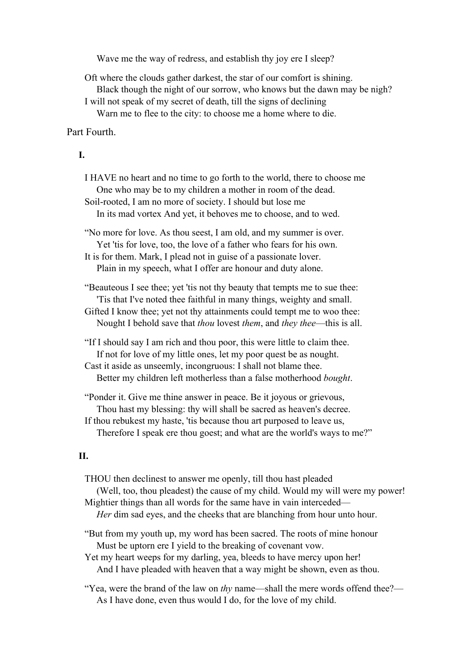Wave me the way of redress, and establish thy joy ere I sleep?

Oft where the clouds gather darkest, the star of our comfort is shining.

Black though the night of our sorrow, who knows but the dawn may be nigh?

I will not speak of my secret of death, till the signs of declining

Warn me to flee to the city: to choose me a home where to die.

Part Fourth.

# **I.**

I HAVE no heart and no time to go forth to the world, there to choose me One who may be to my children a mother in room of the dead. Soil-rooted, I am no more of society. I should but lose me In its mad vortex And yet, it behoves me to choose, and to wed. "No more for love. As thou seest, I am old, and my summer is over. Yet 'tis for love, too, the love of a father who fears for his own. It is for them. Mark, I plead not in guise of a passionate lover. Plain in my speech, what I offer are honour and duty alone.

"Beauteous I see thee; yet 'tis not thy beauty that tempts me to sue thee: 'Tis that I've noted thee faithful in many things, weighty and small.

Gifted I know thee; yet not thy attainments could tempt me to woo thee: Nought I behold save that *thou* lovest *them*, and *they thee*—this is all.

"If I should say I am rich and thou poor, this were little to claim thee. If not for love of my little ones, let my poor quest be as nought.

Cast it aside as unseemly, incongruous: I shall not blame thee. Better my children left motherless than a false motherhood *bought*.

"Ponder it. Give me thine answer in peace. Be it joyous or grievous, Thou hast my blessing: thy will shall be sacred as heaven's decree.

If thou rebukest my haste, 'tis because thou art purposed to leave us, Therefore I speak ere thou goest; and what are the world's ways to me?"

# **II.**

THOU then declinest to answer me openly, till thou hast pleaded

 (Well, too, thou pleadest) the cause of my child. Would my will were my power! Mightier things than all words for the same have in vain interceded—

*Her* dim sad eyes, and the cheeks that are blanching from hour unto hour.

"But from my youth up, my word has been sacred. The roots of mine honour Must be uptorn ere I yield to the breaking of covenant vow.

Yet my heart weeps for my darling, yea, bleeds to have mercy upon her! And I have pleaded with heaven that a way might be shown, even as thou.

"Yea, were the brand of the law on *thy* name—shall the mere words offend thee?— As I have done, even thus would I do, for the love of my child.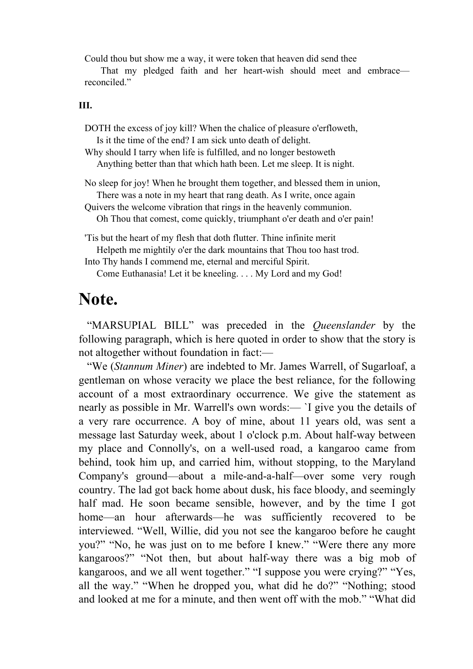Could thou but show me a way, it were token that heaven did send thee

 That my pledged faith and her heart-wish should meet and embrace reconciled."

## **III.**

DOTH the excess of joy kill? When the chalice of pleasure o'erfloweth, Is it the time of the end? I am sick unto death of delight.

Why should I tarry when life is fulfilled, and no longer bestoweth Anything better than that which hath been. Let me sleep. It is night.

No sleep for joy! When he brought them together, and blessed them in union, There was a note in my heart that rang death. As I write, once again

Quivers the welcome vibration that rings in the heavenly communion. Oh Thou that comest, come quickly, triumphant o'er death and o'er pain!

'Tis but the heart of my flesh that doth flutter. Thine infinite merit Helpeth me mightily o'er the dark mountains that Thou too hast trod. Into Thy hands I commend me, eternal and merciful Spirit. Come Euthanasia! Let it be kneeling. . . . My Lord and my God!

# **Note.**

 "MARSUPIAL BILL" was preceded in the *Queenslander* by the following paragraph, which is here quoted in order to show that the story is not altogether without foundation in fact:—

 "We (*Stannum Miner*) are indebted to Mr. James Warrell, of Sugarloaf, a gentleman on whose veracity we place the best reliance, for the following account of a most extraordinary occurrence. We give the statement as nearly as possible in Mr. Warrell's own words:— `I give you the details of a very rare occurrence. A boy of mine, about 11 years old, was sent a message last Saturday week, about 1 o'clock p.m. About half-way between my place and Connolly's, on a well-used road, a kangaroo came from behind, took him up, and carried him, without stopping, to the Maryland Company's ground—about a mile-and-a-half—over some very rough country. The lad got back home about dusk, his face bloody, and seemingly half mad. He soon became sensible, however, and by the time I got home—an hour afterwards—he was sufficiently recovered to be interviewed. "Well, Willie, did you not see the kangaroo before he caught you?" "No, he was just on to me before I knew." "Were there any more kangaroos?" "Not then, but about half-way there was a big mob of kangaroos, and we all went together." "I suppose you were crying?" "Yes, all the way." "When he dropped you, what did he do?" "Nothing; stood and looked at me for a minute, and then went off with the mob." "What did